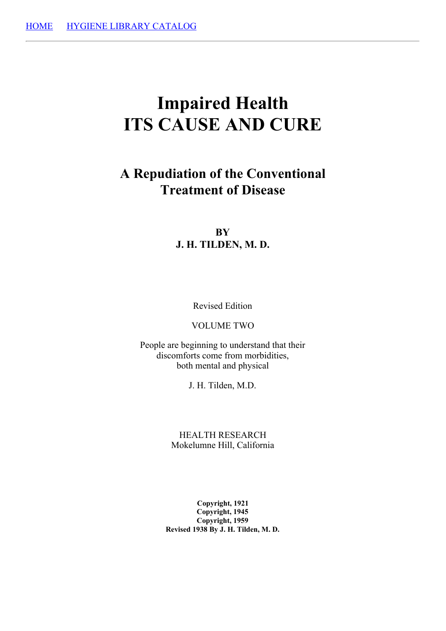# **Impaired Health ITS CAUSE AND CURE**

# **A Repudiation of the Conventional Treatment of Disease**

# **BY J. H. TILDEN, M. D.**

Revised Edition

VOLUME TWO

People are beginning to understand that their discomforts come from morbidities, both mental and physical

J. H. Tilden, M.D.

HEALTH RESEARCH Mokelumne Hill, California

**Copyright, 1921 Copyright, 1945 Copyright, 1959 Revised 1938 By J. H. Tilden, M. D.**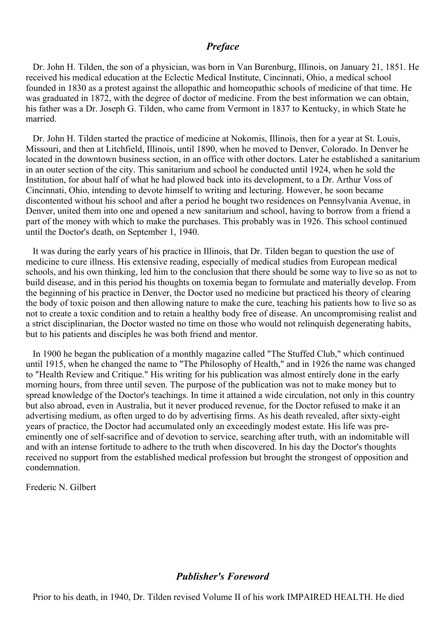#### *Preface*

Dr. John H. Tilden, the son of a physician, was born in Van Burenburg, Illinois, on January 21, 1851. He received his medical education at the Eclectic Medical Institute, Cincinnati, Ohio, a medical school founded in 1830 as a protest against the allopathic and homeopathic schools of medicine of that time. He was graduated in 1872, with the degree of doctor of medicine. From the best information we can obtain, his father was a Dr. Joseph G. Tilden, who came from Vermont in 1837 to Kentucky, in which State he married.

Dr. John H. Tilden started the practice of medicine at Nokomis, Illinois, then for a year at St. Louis, Missouri, and then at Litchfield, Illinois, until 1890, when he moved to Denver, Colorado. In Denver he located in the downtown business section, in an office with other doctors. Later he established a sanitarium in an outer section of the city. This sanitarium and school he conducted until 1924, when he sold the Institution, for about half of what he had plowed back into its development, to a Dr. Arthur Voss of Cincinnati, Ohio, intending to devote himself to writing and lecturing. However, he soon became discontented without his school and after a period he bought two residences on Pennsylvania Avenue, in Denver, united them into one and opened a new sanitarium and school, having to borrow from a friend a part of the money with which to make the purchases. This probably was in 1926. This school continued until the Doctor's death, on September 1, 1940.

It was during the early years of his practice in Illinois, that Dr. Tilden began to question the use of medicine to cure illness. His extensive reading, especially of medical studies from European medical schools, and his own thinking, led him to the conclusion that there should be some way to live so as not to build disease, and in this period his thoughts on toxemia began to formulate and materially develop. From the beginning of his practice in Denver, the Doctor used no medicine but practiced his theory of clearing the body of toxic poison and then allowing nature to make the cure, teaching his patients how to live so as not to create a toxic condition and to retain a healthy body free of disease. An uncompromising realist and a strict disciplinarian, the Doctor wasted no time on those who would not relinquish degenerating habits, but to his patients and disciples he was both friend and mentor.

In 1900 he began the publication of a monthly magazine called "The Stuffed Club," which continued until 1915, when he changed the name to "The Philosophy of Health," and in 1926 the name was changed to "Health Review and Critique." His writing for his publication was almost entirely done in the early morning hours, from three until seven. The purpose of the publication was not to make money but to spread knowledge of the Doctor's teachings. In time it attained a wide circulation, not only in this country but also abroad, even in Australia, but it never produced revenue, for the Doctor refused to make it an advertising medium, as often urged to do by advertising firms. As his death revealed, after sixty-eight years of practice, the Doctor had accumulated only an exceedingly modest estate. His life was preeminently one of self-sacrifice and of devotion to service, searching after truth, with an indomitable will and with an intense fortitude to adhere to the truth when discovered. In his day the Doctor's thoughts received no support from the established medical profession but brought the strongest of opposition and condemnation.

Frederic N. Gilbert

### *Publisher's Foreword*

Prior to his death, in 1940, Dr. Tilden revised Volume II of his work IMPAIRED HEALTH. He died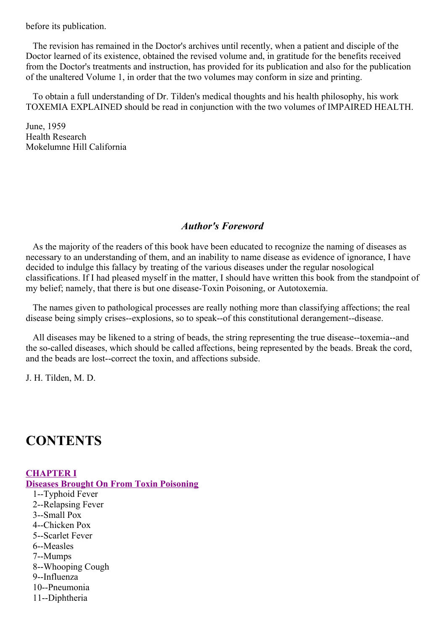before its publication.

The revision has remained in the Doctor's archives until recently, when a patient and disciple of the Doctor learned of its existence, obtained the revised volume and, in gratitude for the benefits received from the Doctor's treatments and instruction, has provided for its publication and also for the publication of the unaltered Volume 1, in order that the two volumes may conform in size and printing.

To obtain a full understanding of Dr. Tilden's medical thoughts and his health philosophy, his work TOXEMIA EXPLAINED should be read in conjunction with the two volumes of IMPAIRED HEALTH.

June, 1959 Health Research Mokelumne Hill California

# *Author's Foreword*

As the majority of the readers of this book have been educated to recognize the naming of diseases as necessary to an understanding of them, and an inability to name disease as evidence of ignorance, I have decided to indulge this fallacy by treating of the various diseases under the regular nosological classifications. If I had pleased myself in the matter, I should have written this book from the standpoint of my belief; namely, that there is but one disease-Toxin Poisoning, or Autotoxemia.

The names given to pathological processes are really nothing more than classifying affections; the real disease being simply crises--explosions, so to speak--of this constitutional derangement--disease.

All diseases may be likened to a string of beads, the string representing the true disease--toxemia--and the so-called diseases, which should be called affections, being represented by the beads. Break the cord, and the beads are lost--correct the toxin, and affections subside.

J. H. Tilden, M. D.

# **CONTENTS**

#### **[CHAPTER](#page-20-0) I Diseases Brought On From Toxin Poisoning** 1--Typhoid Fever 2--Relapsing Fever 3--Small Pox 4--Chicken Pox 5--Scarlet Fever 6--Measles 7--Mumps 8--Whooping Cough 9--Influenza 10--Pneumonia

11--Diphtheria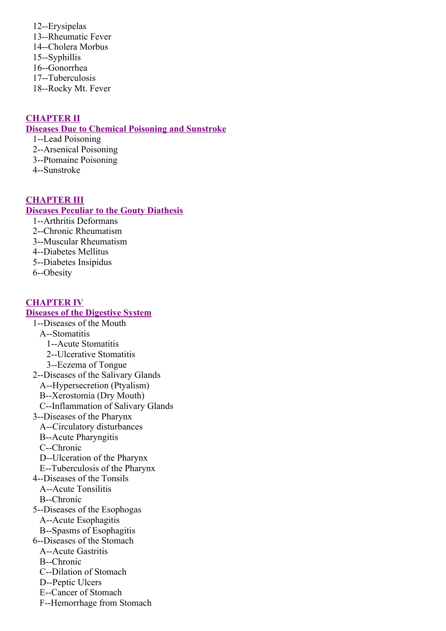12--Erysipelas 13--Rheumatic Fever 14--Cholera Morbus 15--Syphillis 16--Gonorrhea 17--Tuberculosis 18--Rocky Mt. Fever

### **[CHAPTER](#page-36-0) II**

#### **Diseases Due to Chemical Poisoning and Sunstroke**

- 1--Lead Poisoning
- 2--Arsenical Poisoning
- 3--Ptomaine Poisoning
- 4--Sunstroke

#### **[CHAPTER](#page-42-0) III**

#### **Diseases Peculiar to the Gouty Diathesis**

- 1--Arthritis Deformans
- 2--Chronic Rheumatism
- 3--Muscular Rheumatism
- 4--Diabetes Mellitus
- 5--Diabetes Insipidus
- 6--Obesity

#### **[CHAPTER](#page-62-0) IV**

#### **Diseases of the Digestive System**

- 1--Diseases of the Mouth
	- A--Stomatitis
		- 1--Acute Stomatitis
		- 2--Ulcerative Stomatitis
	- 3--Eczema of Tongue
- 2--Diseases of the Salivary Glands
	- A--Hypersecretion (Ptyalism)
	- B--Xerostomia (Dry Mouth)
	- C--Inflammation of Salivary Glands
- 3--Diseases of the Pharynx
	- A--Circulatory disturbances
	- B--Acute Pharyngitis
	- C--Chronic
	- D--Ulceration of the Pharynx
	- E--Tuberculosis of the Pharynx
- 4--Diseases of the Tonsils
	- A--Acute Tonsilitis
	- B--Chronic
- 5--Diseases of the Esophogas
	- A--Acute Esophagitis
	- B--Spasms of Esophagitis
- 6--Diseases of the Stomach
	- A--Acute Gastritis
	- B--Chronic
	- C--Dilation of Stomach
	- D--Peptic Ulcers
	- E--Cancer of Stomach
	- F--Hemorrhage from Stomach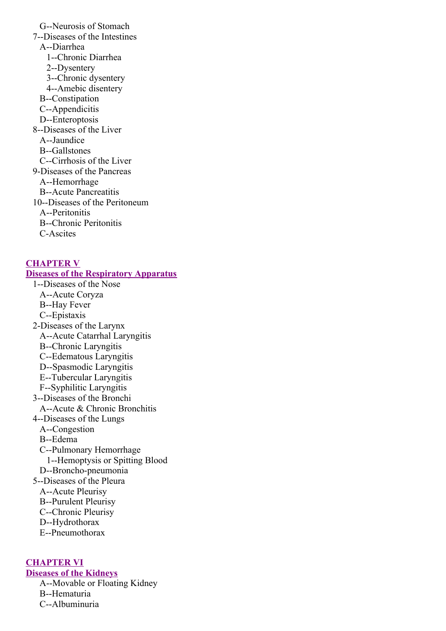G--Neurosis of Stomach 7--Diseases of the Intestines A--Diarrhea 1--Chronic Diarrhea 2--Dysentery 3--Chronic dysentery 4--Amebic disentery B--Constipation C--Appendicitis D--Enteroptosis 8--Diseases of the Liver A--Jaundice B--Gallstones C--Cirrhosis of the Liver 9-Diseases of the Pancreas A--Hemorrhage B--Acute Pancreatitis 10--Diseases of the Peritoneum A--Peritonitis B--Chronic Peritonitis C-Ascites

#### **[CHAPTER](#page-84-0) V**

#### **Diseases of the Respiratory Apparatus**

- 1--Diseases of the Nose A--Acute Coryza
	- B--Hay Fever
	- C--Epistaxis
- 2-Diseases of the Larynx
	- A--Acute Catarrhal Laryngitis
	- B--Chronic Laryngitis
	- C--Edematous Laryngitis
	- D--Spasmodic Laryngitis
	- E--Tubercular Laryngitis
	- F--Syphilitic Laryngitis
- 3--Diseases of the Bronchi
- A--Acute & Chronic Bronchitis
- 4--Diseases of the Lungs
	- A--Congestion
	- B--Edema
	- C--Pulmonary Hemorrhage
		- 1--Hemoptysis or Spitting Blood
	- D--Broncho-pneumonia
- 5--Diseases of the Pleura
	- A--Acute Pleurisy
	- B--Purulent Pleurisy
	- C--Chronic Pleurisy
	- D--Hydrothorax
	- E--Pneumothorax

#### **[CHAPTER](#page-92-0) VI**

**Diseases of the Kidneys**

A--Movable or Floating Kidney B--Hematuria

C--Albuminuria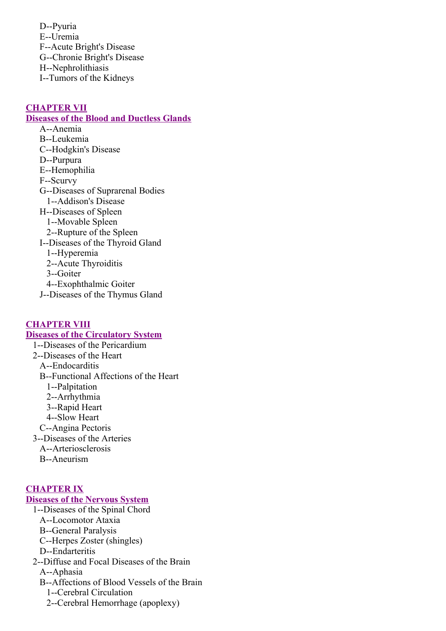D--Pyuria E--Uremia F--Acute Bright's Disease G--Chronie Bright's Disease H--Nephrolithiasis I--Tumors of the Kidneys

#### **[CHAPTER](#page-100-0) VII**

#### **Diseases of the Blood and Ductless Glands**

A--Anemia B--Leukemia C--Hodgkin's Disease D--Purpura E--Hemophilia F--Scurvy G--Diseases of Suprarenal Bodies 1--Addison's Disease H--Diseases of Spleen 1--Movable Spleen 2--Rupture of the Spleen I--Diseases of the Thyroid Gland 1--Hyperemia 2--Acute Thyroiditis 3--Goiter 4--Exophthalmic Goiter J--Diseases of the Thymus Gland

#### **CHAPTER VIII Diseases of the [Circulatory](#page-108-0) System**

1--Diseases of the Pericardium 2--Diseases of the Heart A--Endocarditis B--Functional Affections of the Heart 1--Palpitation 2--Arrhythmia 3--Rapid Heart 4--Slow Heart C--Angina Pectoris 3--Diseases of the Arteries A--Arteriosclerosis B--Aneurism

### **[CHAPTER](#page-123-0) IX**

# **Diseases of the Nervous System**

- 1--Diseases of the Spinal Chord
	- A--Locomotor Ataxia
	- B--General Paralysis
	- C--Herpes Zoster (shingles)
	- D--Endarteritis
- 2--Diffuse and Focal Diseases of the Brain
	- A--Aphasia
	- B--Affections of Blood Vessels of the Brain
		- 1--Cerebral Circulation
		- 2--Cerebral Hemorrhage (apoplexy)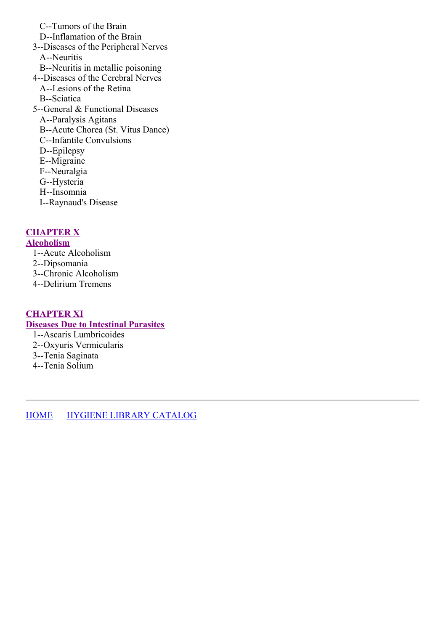C--Tumors of the Brain D--Inflamation of the Brain 3--Diseases of the Peripheral Nerves A--Neuritis B--Neuritis in metallic poisoning 4--Diseases of the Cerebral Nerves A--Lesions of the Retina B--Sciatica 5--General & Functional Diseases A--Paralysis Agitans B--Acute Chorea (St. Vitus Dance) C--Infantile Convulsions D--Epilepsy E--Migraine F--Neuralgia G--Hysteria H--Insomnia I--Raynaud's Disease

# **[CHAPTER](#page-136-0) X**

#### **Alcoholism**

1--Acute Alcoholism 2--Dipsomania 3--Chronic Alcoholism 4--Delirium Tremens

#### **[CHAPTER](#page-138-0) XI**

# **Diseases Due to Intestinal Parasites**

- 1--Ascaris Lumbricoides 2--Oxyuris Vermicularis
- 3--Tenia Saginata
- 4--Tenia Solium

[HOME](../../../index.html) HYGIENE LIBRARY [CATALOG](../0201hyglibcat.html)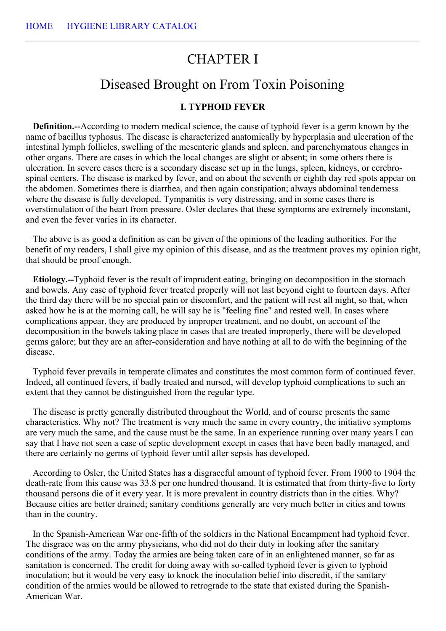# CHAPTER I

# Diseased Brought on From Toxin Poisoning

#### **I. TYPHOID FEVER**

**Definition.--**According to modern medical science, the cause of typhoid fever is a germ known by the name of bacillus typhosus. The disease is characterized anatomically by hyperplasia and ulceration of the intestinal lymph follicles, swelling of the mesenteric glands and spleen, and parenchymatous changes in other organs. There are cases in which the local changes are slight or absent; in some others there is ulceration. In severe cases there is a secondary disease set up in the lungs, spleen, kidneys, or cerebrospinal centers. The disease is marked by fever, and on about the seventh or eighth day red spots appear on the abdomen. Sometimes there is diarrhea, and then again constipation; always abdominal tenderness where the disease is fully developed. Tympanitis is very distressing, and in some cases there is overstimulation of the heart from pressure. Osler declares that these symptoms are extremely inconstant, and even the fever varies in its character.

The above is as good a definition as can be given of the opinions of the leading authorities. For the benefit of my readers, I shall give my opinion of this disease, and as the treatment proves my opinion right, that should be proof enough.

**Etiology.--**Typhoid fever is the result of imprudent eating, bringing on decomposition in the stomach and bowels. Any case of typhoid fever treated properly will not last beyond eight to fourteen days. After the third day there will be no special pain or discomfort, and the patient will rest all night, so that, when asked how he is at the morning call, he will say he is "feeling fine" and rested well. In cases where complications appear, they are produced by improper treatment, and no doubt, on account of the decomposition in the bowels taking place in cases that are treated improperly, there will be developed germs galore; but they are an after-consideration and have nothing at all to do with the beginning of the disease.

Typhoid fever prevails in temperate climates and constitutes the most common form of continued fever. Indeed, all continued fevers, if badly treated and nursed, will develop typhoid complications to such an extent that they cannot be distinguished from the regular type.

The disease is pretty generally distributed throughout the World, and of course presents the same characteristics. Why not? The treatment is very much the same in every country, the initiative symptoms are very much the same, and the cause must be the same. In an experience running over many years I can say that I have not seen a case of septic development except in cases that have been badly managed, and there are certainly no germs of typhoid fever until after sepsis has developed.

According to Osler, the United States has a disgraceful amount of typhoid fever. From 1900 to 1904 the death-rate from this cause was 33.8 per one hundred thousand. It is estimated that from thirty-five to forty thousand persons die of it every year. It is more prevalent in country districts than in the cities. Why? Because cities are better drained; sanitary conditions generally are very much better in cities and towns than in the country.

In the Spanish-American War one-fifth of the soldiers in the National Encampment had typhoid fever. The disgrace was on the army physicians, who did not do their duty in looking after the sanitary conditions of the army. Today the armies are being taken care of in an enlightened manner, so far as sanitation is concerned. The credit for doing away with so-called typhoid fever is given to typhoid inoculation; but it would be very easy to knock the inoculation belief into discredit, if the sanitary condition of the armies would be allowed to retrograde to the state that existed during the Spanish-American War.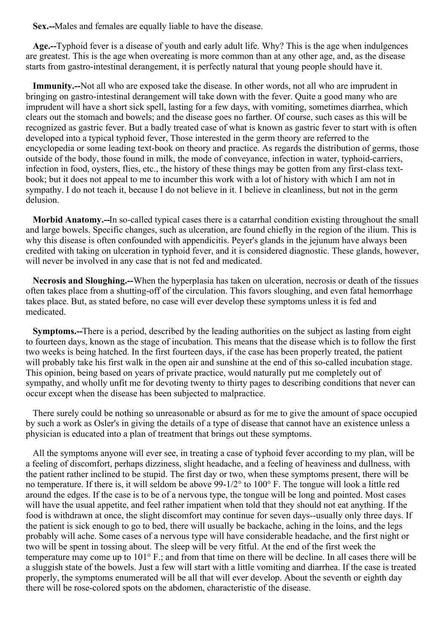**Sex.--**Males and females are equally liable to have the disease.

**Age.--**Typhoid fever is a disease of youth and early adult life. Why? This is the age when indulgences are greatest. This is the age when overeating is more common than at any other age, and, as the disease starts from gastro-intestinal derangement, it is perfectly natural that young people should have it.

**Immunity.--**Not all who are exposed take the disease. In other words, not all who are imprudent in bringing on gastro-intestinal derangement will take down with the fever. Quite a good many who are imprudent will have a short sick spell, lasting for a few days, with vomiting, sometimes diarrhea, which clears out the stomach and bowels; and the disease goes no farther. Of course, such cases as this will be recognized as gastric fever. But a badly treated case of what is known as gastric fever to start with is often developed into a typical typhoid fever, Those interested in the germ theory are referred to the encyclopedia or some leading text-book on theory and practice. As regards the distribution of germs, those outside of the body, those found in milk, the mode of conveyance, infection in water, typhoid-carriers, infection in food, oysters, flies, etc., the history of these things may be gotten from any first-class textbook; but it does not appeal to me to incumber this work with a lot of history with which I am not in sympathy. I do not teach it, because I do not believe in it. I believe in cleanliness, but not in the germ delusion.

**Morbid Anatomy.--**In so-called typical cases there is a catarrhal condition existing throughout the small and large bowels. Specific changes, such as ulceration, are found chiefly in the region of the ilium. This is why this disease is often confounded with appendicitis. Peyer's glands in the jejunum have always been credited with taking on ulceration in typhoid fever, and it is considered diagnostic. These glands, however, will never be involved in any case that is not fed and medicated.

**Necrosis and Sloughing.--**When the hyperplasia has taken on ulceration, necrosis or death of the tissues often takes place from a shutting-off of the circulation. This favors sloughing, and even fatal hemorrhage takes place. But, as stated before, no case will ever develop these symptoms unless it is fed and medicated.

**Symptoms.--**There is a period, described by the leading authorities on the subject as lasting from eight to fourteen days, known as the stage of incubation. This means that the disease which is to follow the first two weeks is being hatched. In the first fourteen days, if the case has been properly treated, the patient will probably take his first walk in the open air and sunshine at the end of this so-called incubation stage. This opinion, being based on years of private practice, would naturally put me completely out of sympathy, and wholly unfit me for devoting twenty to thirty pages to describing conditions that never can occur except when the disease has been subjected to malpractice.

There surely could be nothing so unreasonable or absurd as for me to give the amount of space occupied by such a work as Osler's in giving the details of a type of disease that cannot have an existence unless a physician is educated into a plan of treatment that brings out these symptoms.

All the symptoms anyone will ever see, in treating a case of typhoid fever according to my plan, will be a feeling of discomfort, perhaps dizziness, slight headache, and a feeling of heaviness and dullness, with the patient rather inclined to be stupid. The first day or two, when these symptoms present, there will be no temperature. If there is, it will seldom be above 99-1/2° to 100° F. The tongue will look a little red around the edges. If the case is to be of a nervous type, the tongue will be long and pointed. Most cases will have the usual appetite, and feel rather impatient when told that they should not eat anything. If the food is withdrawn at once, the slight discomfort may continue for seven days--usually only three days. If the patient is sick enough to go to bed, there will usually be backache, aching in the loins, and the legs probably will ache. Some cases of a nervous type will have considerable headache, and the first night or two will be spent in tossing about. The sleep will be very fitful. At the end of the first week the temperature may come up to 101° F.; and from that time on there will be decline. In all cases there will be a sluggish state of the bowels. Just a few will start with a little vomiting and diarrhea. If the case is treated properly, the symptoms enumerated will be all that will ever develop. About the seventh or eighth day there will be rose-colored spots on the abdomen, characteristic of the disease.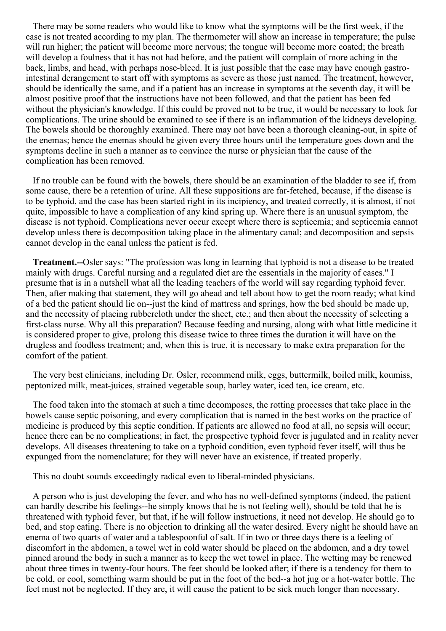There may be some readers who would like to know what the symptoms will be the first week, if the case is not treated according to my plan. The thermometer will show an increase in temperature; the pulse will run higher; the patient will become more nervous; the tongue will become more coated; the breath will develop a foulness that it has not had before, and the patient will complain of more aching in the back, limbs, and head, with perhaps nose-bleed. It is just possible that the case may have enough gastrointestinal derangement to start off with symptoms as severe as those just named. The treatment, however, should be identically the same, and if a patient has an increase in symptoms at the seventh day, it will be almost positive proof that the instructions have not been followed, and that the patient has been fed without the physician's knowledge. If this could be proved not to be true, it would be necessary to look for complications. The urine should be examined to see if there is an inflammation of the kidneys developing. The bowels should be thoroughly examined. There may not have been a thorough cleaning-out, in spite of the enemas; hence the enemas should be given every three hours until the temperature goes down and the symptoms decline in such a manner as to convince the nurse or physician that the cause of the complication has been removed.

If no trouble can be found with the bowels, there should be an examination of the bladder to see if, from some cause, there be a retention of urine. All these suppositions are far-fetched, because, if the disease is to be typhoid, and the case has been started right in its incipiency, and treated correctly, it is almost, if not quite, impossible to have a complication of any kind spring up. Where there is an unusual symptom, the disease is not typhoid. Complications never occur except where there is septicemia; and septicemia cannot develop unless there is decomposition taking place in the alimentary canal; and decomposition and sepsis cannot develop in the canal unless the patient is fed.

**Treatment.--**Osler says: "The profession was long in learning that typhoid is not a disease to be treated mainly with drugs. Careful nursing and a regulated diet are the essentials in the majority of cases." I presume that is in a nutshell what all the leading teachers of the world will say regarding typhoid fever. Then, after making that statement, they will go ahead and tell about how to get the room ready; what kind of a bed the patient should lie on--just the kind of mattress and springs, how the bed should be made up, and the necessity of placing rubbercloth under the sheet, etc.; and then about the necessity of selecting a first-class nurse. Why all this preparation? Because feeding and nursing, along with what little medicine it is considered proper to give, prolong this disease twice to three times the duration it will have on the drugless and foodless treatment; and, when this is true, it is necessary to make extra preparation for the comfort of the patient.

The very best clinicians, including Dr. Osler, recommend milk, eggs, buttermilk, boiled milk, koumiss, peptonized milk, meat-juices, strained vegetable soup, barley water, iced tea, ice cream, etc.

The food taken into the stomach at such a time decomposes, the rotting processes that take place in the bowels cause septic poisoning, and every complication that is named in the best works on the practice of medicine is produced by this septic condition. If patients are allowed no food at all, no sepsis will occur; hence there can be no complications; in fact, the prospective typhoid fever is jugulated and in reality never develops. All diseases threatening to take on a typhoid condition, even typhoid fever itself, will thus be expunged from the nomenclature; for they will never have an existence, if treated properly.

This no doubt sounds exceedingly radical even to liberal-minded physicians.

A person who is just developing the fever, and who has no well-defined symptoms (indeed, the patient can hardly describe his feelings--he simply knows that he is not feeling well), should be told that he is threatened with typhoid fever, but that, if he will follow instructions, it need not develop. He should go to bed, and stop eating. There is no objection to drinking all the water desired. Every night he should have an enema of two quarts of water and a tablespoonful of salt. If in two or three days there is a feeling of discomfort in the abdomen, a towel wet in cold water should be placed on the abdomen, and a dry towel pinned around the body in such a manner as to keep the wet towel in place. The wetting may be renewed about three times in twenty-four hours. The feet should be looked after; if there is a tendency for them to be cold, or cool, something warm should be put in the foot of the bed--a hot jug or a hot-water bottle. The feet must not be neglected. If they are, it will cause the patient to be sick much longer than necessary.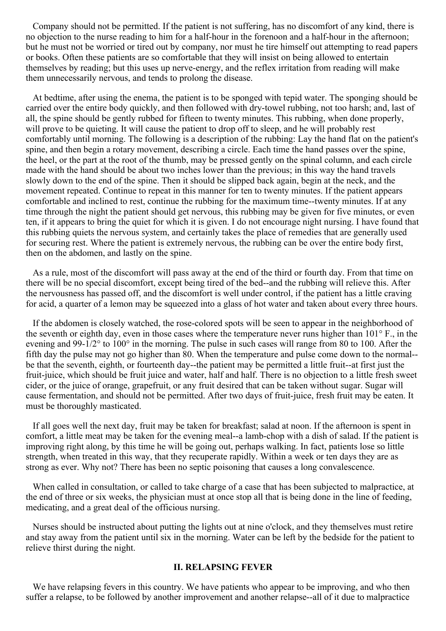Company should not be permitted. If the patient is not suffering, has no discomfort of any kind, there is no objection to the nurse reading to him for a half-hour in the forenoon and a half-hour in the afternoon; but he must not be worried or tired out by company, nor must he tire himself out attempting to read papers or books. Often these patients are so comfortable that they will insist on being allowed to entertain themselves by reading; but this uses up nerve-energy, and the reflex irritation from reading will make them unnecessarily nervous, and tends to prolong the disease.

At bedtime, after using the enema, the patient is to be sponged with tepid water. The sponging should be carried over the entire body quickly, and then followed with dry-towel rubbing, not too harsh; and, last of all, the spine should be gently rubbed for fifteen to twenty minutes. This rubbing, when done properly, will prove to be quieting. It will cause the patient to drop off to sleep, and he will probably rest comfortably until morning. The following is a description of the rubbing: Lay the hand flat on the patient's spine, and then begin a rotary movement, describing a circle. Each time the hand passes over the spine, the heel, or the part at the root of the thumb, may be pressed gently on the spinal column, and each circle made with the hand should be about two inches lower than the previous; in this way the hand travels slowly down to the end of the spine. Then it should be slipped back again, begin at the neck, and the movement repeated. Continue to repeat in this manner for ten to twenty minutes. If the patient appears comfortable and inclined to rest, continue the rubbing for the maximum time--twenty minutes. If at any time through the night the patient should get nervous, this rubbing may be given for five minutes, or even ten, if it appears to bring the quiet for which it is given. I do not encourage night nursing. I have found that this rubbing quiets the nervous system, and certainly takes the place of remedies that are generally used for securing rest. Where the patient is extremely nervous, the rubbing can be over the entire body first, then on the abdomen, and lastly on the spine.

As a rule, most of the discomfort will pass away at the end of the third or fourth day. From that time on there will be no special discomfort, except being tired of the bed--and the rubbing will relieve this. After the nervousness has passed off, and the discomfort is well under control, if the patient has a little craving for acid, a quarter of a lemon may be squeezed into a glass of hot water and taken about every three hours.

If the abdomen is closely watched, the rose-colored spots will be seen to appear in the neighborhood of the seventh or eighth day, even in those cases where the temperature never runs higher than 101° F., in the evening and 99-1/2° to 100° in the morning. The pulse in such cases will range from 80 to 100. After the fifth day the pulse may not go higher than 80. When the temperature and pulse come down to the normal- be that the seventh, eighth, or fourteenth day--the patient may be permitted a little fruit--at first just the fruit-juice, which should be fruit juice and water, half and half. There is no objection to a little fresh sweet cider, or the juice of orange, grapefruit, or any fruit desired that can be taken without sugar. Sugar will cause fermentation, and should not be permitted. After two days of fruit-juice, fresh fruit may be eaten. It must be thoroughly masticated.

If all goes well the next day, fruit may be taken for breakfast; salad at noon. If the afternoon is spent in comfort, a little meat may be taken for the evening meal--a lamb-chop with a dish of salad. If the patient is improving right along, by this time he will be going out, perhaps walking. In fact, patients lose so little strength, when treated in this way, that they recuperate rapidly. Within a week or ten days they are as strong as ever. Why not? There has been no septic poisoning that causes a long convalescence.

When called in consultation, or called to take charge of a case that has been subjected to malpractice, at the end of three or six weeks, the physician must at once stop all that is being done in the line of feeding, medicating, and a great deal of the officious nursing.

Nurses should be instructed about putting the lights out at nine o'clock, and they themselves must retire and stay away from the patient until six in the morning. Water can be left by the bedside for the patient to relieve thirst during the night.

#### **II. RELAPSING FEVER**

We have relapsing fevers in this country. We have patients who appear to be improving, and who then suffer a relapse, to be followed by another improvement and another relapse--all of it due to malpractice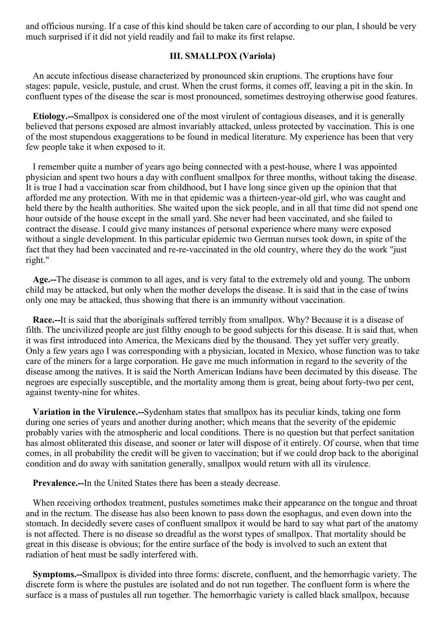and officious nursing. If a case of this kind should be taken care of according to our plan, I should be very much surprised if it did not yield readily and fail to make its first relapse.

#### **III. SMALLPOX (Variola)**

An accute infectious disease characterized by pronounced skin eruptions. The eruptions have four stages: papule, vesicle, pustule, and crust. When the crust forms, it comes off, leaving a pit in the skin. In confluent types of the disease the scar is most pronounced, sometimes destroying otherwise good features.

**Etiology.--**Smallpox is considered one of the most virulent of contagious diseases, and it is generally believed that persons exposed are almost invariably attacked, unless protected by vaccination. This is one of the most stupendous exaggerations to be found in medical literature. My experience has been that very few people take it when exposed to it.

I remember quite a number of years ago being connected with a pest-house, where I was appointed physician and spent two hours a day with confluent smallpox for three months, without taking the disease. It is true I had a vaccination scar from childhood, but I have long since given up the opinion that that afforded me any protection. With me in that epidemic was a thirteen-year-old girl, who was caught and held there by the health authorities. She waited upon the sick people, and in all that time did not spend one hour outside of the house except in the small yard. She never had been vaccinated, and she failed to contract the disease. I could give many instances of personal experience where many were exposed without a single development. In this particular epidemic two German nurses took down, in spite of the fact that they had been vaccinated and re-re-vaccinated in the old country, where they do the work "just right."

**Age.--**The disease is common to all ages, and is very fatal to the extremely old and young. The unborn child may be attacked, but only when the mother develops the disease. It is said that in the case of twins only one may be attacked, thus showing that there is an immunity without vaccination.

**Race.--**It is said that the aboriginals suffered terribly from smallpox. Why? Because it is a disease of filth. The uncivilized people are just filthy enough to be good subjects for this disease. It is said that, when it was first introduced into America, the Mexicans died by the thousand. They yet suffer very greatly. Only a few years ago I was corresponding with a physician, located in Mexico, whose function was to take care of the miners for a large corporation. He gave me much information in regard to the severity of the disease among the natives. It is said the North American Indians have been decimated by this disease. The negroes are especially susceptible, and the mortality among them is great, being about forty-two per cent, against twenty-nine for whites.

**Variation in the Virulence.--**Sydenham states that smallpox has its peculiar kinds, taking one form during one series of years and another during another; which means that the severity of the epidemic probably varies with the atmospheric and local conditions. There is no question but that perfect sanitation has almost obliterated this disease, and sooner or later will dispose of it entirely. Of course, when that time comes, in all probability the credit will be given to vaccination; but if we could drop back to the aboriginal condition and do away with sanitation generally, smallpox would return with all its virulence.

**Prevalence.--**In the United States there has been a steady decrease.

When receiving orthodox treatment, pustules sometimes make their appearance on the tongue and throat and in the rectum. The disease has also been known to pass down the esophagus, and even down into the stomach. In decidedly severe cases of confluent smallpox it would be hard to say what part of the anatomy is not affected. There is no disease so dreadful as the worst types of smallpox. That mortality should be great in this disease is obvious; for the entire surface of the body is involved to such an extent that radiation of heat must be sadly interfered with.

**Symptoms.--**Smallpox is divided into three forms: discrete, confluent, and the hemorrhagic variety. The discrete form is where the pustules are isolated and do not run together. The confluent form is where the surface is a mass of pustules all run together. The hemorrhagic variety is called black smallpox, because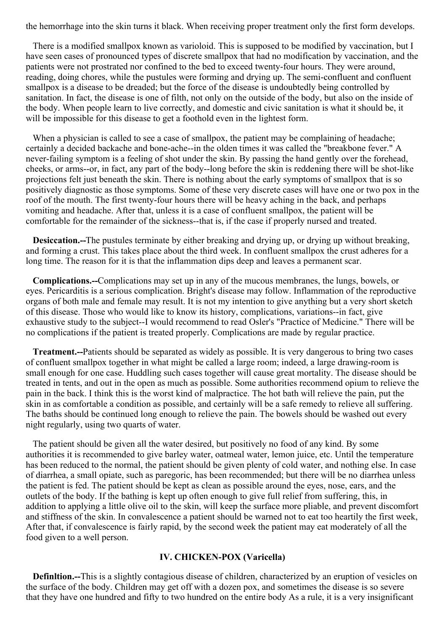the hemorrhage into the skin turns it black. When receiving proper treatment only the first form develops.

There is a modified smallpox known as varioloid. This is supposed to be modified by vaccination, but I have seen cases of pronounced types of discrete smallpox that had no modification by vaccination, and the patients were not prostrated nor confined to the bed to exceed twenty-four hours. They were around, reading, doing chores, while the pustules were forming and drying up. The semi-confluent and confluent smallpox is a disease to be dreaded; but the force of the disease is undoubtedly being controlled by sanitation. In fact, the disease is one of filth, not only on the outside of the body, but also on the inside of the body. When people learn to live correctly, and domestic and civic sanitation is what it should be, it will be impossible for this disease to get a foothold even in the lightest form.

When a physician is called to see a case of smallpox, the patient may be complaining of headache; certainly a decided backache and bone-ache--in the olden times it was called the "breakbone fever." A never-failing symptom is a feeling of shot under the skin. By passing the hand gently over the forehead, cheeks, or arms--or, in fact, any part of the body--long before the skin is reddening there will be shot-like projections felt just beneath the skin. There is nothing about the early symptoms of smallpox that is so positively diagnostic as those symptoms. Some of these very discrete cases will have one or two pox in the roof of the mouth. The first twenty-four hours there will be heavy aching in the back, and perhaps vomiting and headache. After that, unless it is a case of confluent smallpox, the patient will be comfortable for the remainder of the sickness--that is, if the case if properly nursed and treated.

**Desiccation.--**The pustules terminate by either breaking and drying up, or drying up without breaking, and forming a crust. This takes place about the third week. In confluent smallpox the crust adheres for a long time. The reason for it is that the inflammation dips deep and leaves a permanent scar.

**Complications.--**Complications may set up in any of the mucous membranes, the lungs, bowels, or eyes. Pericarditis is a serious complication. Bright's disease may follow. Inflammation of the reproductive organs of both male and female may result. It is not my intention to give anything but a very short sketch of this disease. Those who would like to know its history, complications, variations--in fact, give exhaustive study to the subject--I would recommend to read Osler's "Practice of Medicine." There will be no complications if the patient is treated properly. Complications are made by regular practice.

**Treatment.--**Patients should be separated as widely as possible. It is very dangerous to bring two cases of confluent smallpox together in what might be called a large room; indeed, a large drawing-room is small enough for one case. Huddling such cases together will cause great mortality. The disease should be treated in tents, and out in the open as much as possible. Some authorities recommend opium to relieve the pain in the back. I think this is the worst kind of malpractice. The hot bath will relieve the pain, put the skin in as comfortable a condition as possible, and certainly will be a safe remedy to relieve all suffering. The baths should be continued long enough to relieve the pain. The bowels should be washed out every night regularly, using two quarts of water.

The patient should be given all the water desired, but positively no food of any kind. By some authorities it is recommended to give barley water, oatmeal water, lemon juice, etc. Until the temperature has been reduced to the normal, the patient should be given plenty of cold water, and nothing else. In case of diarrhea, a small opiate, such as paregoric, has been recommended; but there will be no diarrhea unless the patient is fed. The patient should be kept as clean as possible around the eyes, nose, ears, and the outlets of the body. If the bathing is kept up often enough to give full relief from suffering, this, in addition to applying a little olive oil to the skin, will keep the surface more pliable, and prevent discomfort and stiffness of the skin. In convalescence a patient should be warned not to eat too heartily the first week, After that, if convalescence is fairly rapid, by the second week the patient may eat moderately of all the food given to a well person.

#### **IV. CHICKEN-POX (Varicella)**

**Definltion.--**This is a slightly contagious disease of children, characterized by an eruption of vesicles on the surface of the body. Children may get off with a dozen pox, and sometimes the disease is so severe that they have one hundred and fifty to two hundred on the entire body As a rule, it is a very insignificant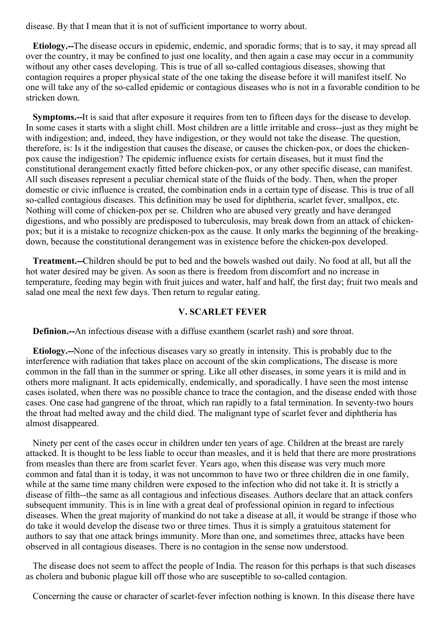disease. By that I mean that it is not of sufficient importance to worry about.

**Etiology.--**The disease occurs in epidemic, endemic, and sporadic forms; that is to say, it may spread all over the country, it may be confined to just one locality, and then again a case may occur in a community without any other cases developing. This is true of all so-called contagious diseases, showing that contagion requires a proper physical state of the one taking the disease before it will manifest itself. No one will take any of the so-called epidemic or contagious diseases who is not in a favorable condition to be stricken down.

**Symptoms.--**It is said that after exposure it requires from ten to fifteen days for the disease to develop. In some cases it starts with a slight chill. Most children are a little irritable and cross--just as they might be with indigestion; and, indeed, they have indigestion, or they would not take the disease. The question, therefore, is: Is it the indigestion that causes the disease, or causes the chicken-pox, or does the chickenpox cause the indigestion? The epidemic influence exists for certain diseases, but it must find the constitutional derangement exactly fitted before chicken-pox, or any other specific disease, can manifest. All such diseases represent a peculiar chemical state of the fluids of the body. Then, when the proper domestic or civic influence is created, the combination ends in a certain type of disease. This is true of all so-called contagious diseases. This definition may be used for diphtheria, scarlet fever, smallpox, etc. Nothing will come of chicken-pox per se. Children who are abused very greatly and have deranged digestions, and who possibly are predisposed to tuberculosis, may break down from an attack of chickenpox; but it is a mistake to recognize chicken-pox as the cause. It only marks the beginning of the breakingdown, because the constitutional derangement was in existence before the chicken-pox developed.

**Treatment.--**Children should be put to bed and the bowels washed out daily. No food at all, but all the hot water desired may be given. As soon as there is freedom from discomfort and no increase in temperature, feeding may begin with fruit juices and water, half and half, the first day; fruit two meals and salad one meal the next few days. Then return to regular eating.

#### **V. SCARLET FEVER**

**Definion.--**An infectious disease with a diffuse exanthem (scarlet rash) and sore throat.

**Etiology.--**None of the infectious diseases vary so greatly in intensity. This is probably due to the interference with radiation that takes place on account of the skin complications, The disease is more common in the fall than in the summer or spring. Like all other diseases, in some years it is mild and in others more malignant. It acts epidemically, endemically, and sporadically. I have seen the most intense cases isolated, when there was no possible chance to trace the contagion, and the disease ended with those cases. One case had gangrene of the throat, which ran rapidly to a fatal termination. In seventy-two hours the throat had melted away and the child died. The malignant type of scarlet fever and diphtheria has almost disappeared.

Ninety per cent of the cases occur in children under ten years of age. Children at the breast are rarely attacked. It is thought to be less liable to occur than measles, and it is held that there are more prostrations from measles than there are from scarlet fever. Years ago, when this disease was very much more common and fatal than it is today, it was not uncommon to have two or three children die in one family, while at the same time many children were exposed to the infection who did not take it. It is strictly a disease of filth--the same as all contagious and infectious diseases. Authors declare that an attack confers subsequent immunity. This is in line with a great deal of professional opinion in regard to infectious diseases. When the great majority of mankind do not take a disease at all, it would be strange if those who do take it would develop the disease two or three times. Thus it is simply a gratuitous statement for authors to say that one attack brings immunity. More than one, and sometimes three, attacks have been observed in all contagious diseases. There is no contagion in the sense now understood.

The disease does not seem to affect the people of India. The reason for this perhaps is that such diseases as cholera and bubonic plague kill off those who are susceptible to so-called contagion.

Concerning the cause or character of scarlet-fever infection nothing is known. In this disease there have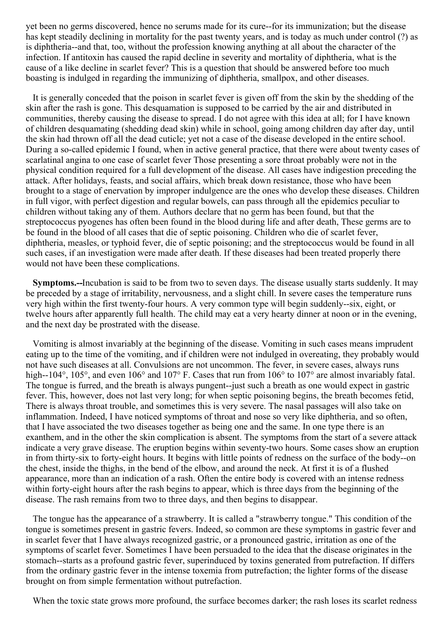yet been no germs discovered, hence no serums made for its cure--for its immunization; but the disease has kept steadily declining in mortality for the past twenty years, and is today as much under control (?) as is diphtheria--and that, too, without the profession knowing anything at all about the character of the infection. If antitoxin has caused the rapid decline in severity and mortality of diphtheria, what is the cause of a like decline in scarlet fever? This is a question that should be answered before too much boasting is indulged in regarding the immunizing of diphtheria, smallpox, and other diseases.

It is generally conceded that the poison in scarlet fever is given off from the skin by the shedding of the skin after the rash is gone. This desquamation is supposed to be carried by the air and distributed in communities, thereby causing the disease to spread. I do not agree with this idea at all; for I have known of children desquamating (shedding dead skin) while in school, going among children day after day, until the skin had thrown off all the dead cuticle; yet not a case of the disease developed in the entire school. During a so-called epidemic I found, when in active general practice, that there were about twenty cases of scarlatinal angina to one case of scarlet fever Those presenting a sore throat probably were not in the physical condition required for a full development of the disease. All cases have indigestion preceding the attack. After holidays, feasts, and social affairs, which break down resistance, those who have been brought to a stage of enervation by improper indulgence are the ones who develop these diseases. Children in full vigor, with perfect digestion and regular bowels, can pass through all the epidemics peculiar to children without taking any of them. Authors declare that no germ has been found, but that the streptococcus pyogenes has often been found in the blood during life and after death, These germs are to be found in the blood of all cases that die of septic poisoning. Children who die of scarlet fever, diphtheria, measles, or typhoid fever, die of septic poisoning; and the streptococcus would be found in all such cases, if an investigation were made after death. If these diseases had been treated properly there would not have been these complications.

**Symptoms.--**Incubation is said to be from two to seven days. The disease usually starts suddenly. It may be preceded by a stage of irritability, nervousness, and a slight chill. In severe cases the temperature runs very high within the first twenty-four hours. A very common type will begin suddenly--six, eight, or twelve hours after apparently full health. The child may eat a very hearty dinner at noon or in the evening, and the next day be prostrated with the disease.

Vomiting is almost invariably at the beginning of the disease. Vomiting in such cases means imprudent eating up to the time of the vomiting, and if children were not indulged in overeating, they probably would not have such diseases at all. Convulsions are not uncommon. The fever, in severe cases, always runs high--104°, 105°, and even 106° and 107° F. Cases that run from 106° to 107° are almost invariably fatal. The tongue is furred, and the breath is always pungent--just such a breath as one would expect in gastric fever. This, however, does not last very long; for when septic poisoning begins, the breath becomes fetid, There is always throat trouble, and sometimes this is very severe. The nasal passages will also take on inflammation. Indeed, I have noticed symptoms of throat and nose so very like diphtheria, and so often, that I have associated the two diseases together as being one and the same. In one type there is an exanthem, and in the other the skin complication is absent. The symptoms from the start of a severe attack indicate a very grave disease. The eruption begins within seventy-two hours. Some cases show an eruption in from thirty-six to forty-eight hours. It begins with little points of redness on the surface of the body--on the chest, inside the thighs, in the bend of the elbow, and around the neck. At first it is of a flushed appearance, more than an indication of a rash. Often the entire body is covered with an intense redness within forty-eight hours after the rash begins to appear, which is three days from the beginning of the disease. The rash remains from two to three days, and then begins to disappear.

The tongue has the appearance of a strawberry. It is called a "strawberry tongue." This condition of the tongue is sometimes present in gastric fevers. Indeed, so common are these symptoms in gastric fever and in scarlet fever that I have always recognized gastric, or a pronounced gastric, irritation as one of the symptoms of scarlet fever. Sometimes I have been persuaded to the idea that the disease originates in the stomach--starts as a profound gastric fever, superinduced by toxins generated from putrefaction. If differs from the ordinary gastric fever in the intense toxemia from putrefaction; the lighter forms of the disease brought on from simple fermentation without putrefaction.

When the toxic state grows more profound, the surface becomes darker; the rash loses its scarlet redness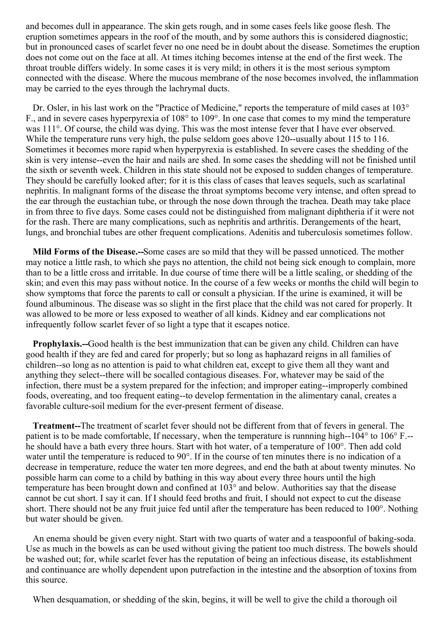and becomes dull in appearance. The skin gets rough, and in some cases feels like goose flesh. The eruption sometimes appears in the roof of the mouth, and by some authors this is considered diagnostic; but in pronounced cases of scarlet fever no one need be in doubt about the disease. Sometimes the eruption does not come out on the face at all. At times itching becomes intense at the end of the first week. The throat trouble differs widely. In some cases it is very mild; in others it is the most serious symptom connected with the disease. Where the mucous membrane of the nose becomes involved, the inflammation may be carried to the eyes through the lachrymal ducts.

Dr. Osler, in his last work on the "Practice of Medicine," reports the temperature of mild cases at 103<sup>°</sup> F., and in severe cases hyperpyrexia of 108° to 109°. In one case that comes to my mind the temperature was 111°. Of course, the child was dying. This was the most intense fever that I have ever observed. While the temperature runs very high, the pulse seldom goes above 120--usually about 115 to 116. Sometimes it becomes more rapid when hyperpyrexia is established. In severe cases the shedding of the skin is very intense--even the hair and nails are shed. In some cases the shedding will not be finished until the sixth or seventh week. Children in this state should not be exposed to sudden changes of temperature. They should be carefully looked after; for it is this class of cases that leaves sequels, such as scarlatinal nephritis. In malignant forms of the disease the throat symptoms become very intense, and often spread to the ear through the eustachian tube, or through the nose down through the trachea. Death may take place in from three to five days. Some cases could not be distinguished from malignant diphtheria if it were not for the rash. There are many complications, such as nephritis and arthritis. Derangements of the heart, lungs, and bronchial tubes are other frequent complications. Adenitis and tuberculosis sometimes follow.

**Mild Forms of the Disease.--**Some cases are so mild that they will be passed unnoticed. The mother may notice a little rash, to which she pays no attention, the child not being sick enough to complain, more than to be a little cross and irritable. In due course of time there will be a little scaling, or shedding of the skin; and even this may pass without notice. In the course of a few weeks or months the child will begin to show symptoms that force the parents to call or consult a physician. If the urine is examined, it will be found albuminous. The disease was so slight in the first place that the child was not cared for properly. It was allowed to be more or less exposed to weather of all kinds. Kidney and ear complications not infrequently follow scarlet fever of so light a type that it escapes notice.

**Prophylaxis.--**Good health is the best immunization that can be given any child. Children can have good health if they are fed and cared for properly; but so long as haphazard reigns in all families of children--so long as no attention is paid to what children eat, except to give them all they want and anything they select--there will be socalled contagious diseases. For, whatever may be said of the infection, there must be a system prepared for the infection; and improper eating--improperly combined foods, overeating, and too frequent eating--to develop fermentation in the alimentary canal, creates a favorable culture-soil medium for the ever-present ferment of disease.

**Treatment--**The treatment of scarlet fever should not be different from that of fevers in general. The patient is to be made comfortable, If necessary, when the temperature is runnning high--104° to 106° F.- he should have a bath every three hours. Start with hot water, of a temperature of 100°. Then add cold water until the temperature is reduced to 90°. If in the course of ten minutes there is no indication of a decrease in temperature, reduce the water ten more degrees, and end the bath at about twenty minutes. No possible harm can come to a child by bathing in this way about every three hours until the high temperature has been brought down and confined at 103° and below. Authorities say that the disease cannot be cut short. I say it can. If I should feed broths and fruit, I should not expect to cut the disease short. There should not be any fruit juice fed until after the temperature has been reduced to 100°. Nothing but water should be given.

An enema should be given every night. Start with two quarts of water and a teaspoonful of baking-soda. Use as much in the bowels as can be used without giving the patient too much distress. The bowels should be washed out; for, while scarlet fever has the reputation of being an infectious disease, its establishment and continuance are wholly dependent upon putrefaction in the intestine and the absorption of toxins from this source.

When desquamation, or shedding of the skin, begins, it will be well to give the child a thorough oil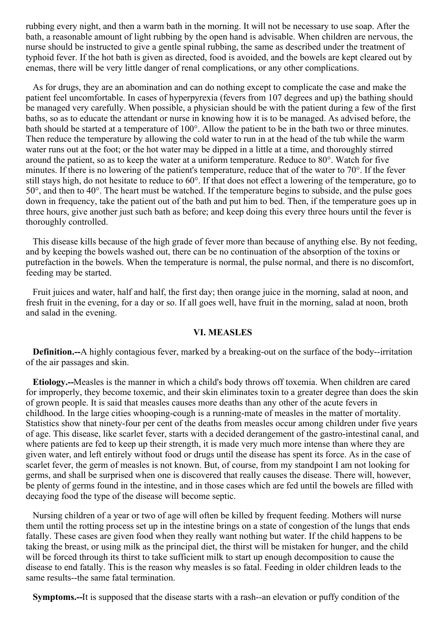rubbing every night, and then a warm bath in the morning. It will not be necessary to use soap. After the bath, a reasonable amount of light rubbing by the open hand is advisable. When children are nervous, the nurse should be instructed to give a gentle spinal rubbing, the same as described under the treatment of typhoid fever. If the hot bath is given as directed, food is avoided, and the bowels are kept cleared out by enemas, there will be very little danger of renal complications, or any other complications.

As for drugs, they are an abomination and can do nothing except to complicate the case and make the patient feel uncomfortable. In cases of hyperpyrexia (fevers from 107 degrees and up) the bathing should be managed very carefully. When possible, a physician should be with the patient during a few of the first baths, so as to educate the attendant or nurse in knowing how it is to be managed. As advised before, the bath should be started at a temperature of 100°. Allow the patient to be in the bath two or three minutes. Then reduce the temperature by allowing the cold water to run in at the head of the tub while the warm water runs out at the foot; or the hot water may be dipped in a little at a time, and thoroughly stirred around the patient, so as to keep the water at a uniform temperature. Reduce to 80°. Watch for five minutes. If there is no lowering of the patient's temperature, reduce that of the water to 70°. If the fever still stays high, do not hesitate to reduce to 60°. If that does not effect a lowering of the temperature, go to 50°, and then to 40°. The heart must be watched. If the temperature begins to subside, and the pulse goes down in frequency, take the patient out of the bath and put him to bed. Then, if the temperature goes up in three hours, give another just such bath as before; and keep doing this every three hours until the fever is thoroughly controlled.

This disease kills because of the high grade of fever more than because of anything else. By not feeding, and by keeping the bowels washed out, there can be no continuation of the absorption of the toxins or putrefaction in the bowels. When the temperature is normal, the pulse normal, and there is no discomfort, feeding may be started.

Fruit juices and water, half and half, the first day; then orange juice in the morning, salad at noon, and fresh fruit in the evening, for a day or so. If all goes well, have fruit in the morning, salad at noon, broth and salad in the evening.

#### **VI. MEASLES**

**Definition.--**A highly contagious fever, marked by a breaking-out on the surface of the body--irritation of the air passages and skin.

**Etiology.--**Measles is the manner in which a child's body throws off toxemia. When children are cared for improperly, they become toxemic, and their skin eliminates toxin to a greater degree than does the skin of grown people. It is said that measles causes more deaths than any other of the acute fevers in childhood. In the large cities whooping-cough is a running-mate of measles in the matter of mortality. Statistics show that ninety-four per cent of the deaths from measles occur among children under five years of age. This disease, like scarlet fever, starts with a decided derangement of the gastro-intestinal canal, and where patients are fed to keep up their strength, it is made very much more intense than where they are given water, and left entirely without food or drugs until the disease has spent its force. As in the case of scarlet fever, the germ of measles is not known. But, of course, from my standpoint I am not looking for germs, and shall be surprised when one is discovered that really causes the disease. There will, however, be plenty of germs found in the intestine, and in those cases which are fed until the bowels are filled with decaying food the type of the disease will become septic.

Nursing children of a year or two of age will often be killed by frequent feeding. Mothers will nurse them until the rotting process set up in the intestine brings on a state of congestion of the lungs that ends fatally. These cases are given food when they really want nothing but water. If the child happens to be taking the breast, or using milk as the principal diet, the thirst will be mistaken for hunger, and the child will be forced through its thirst to take sufficient milk to start up enough decomposition to cause the disease to end fatally. This is the reason why measles is so fatal. Feeding in older children leads to the same results--the same fatal termination.

**Symptoms.--**It is supposed that the disease starts with a rash--an elevation or puffy condition of the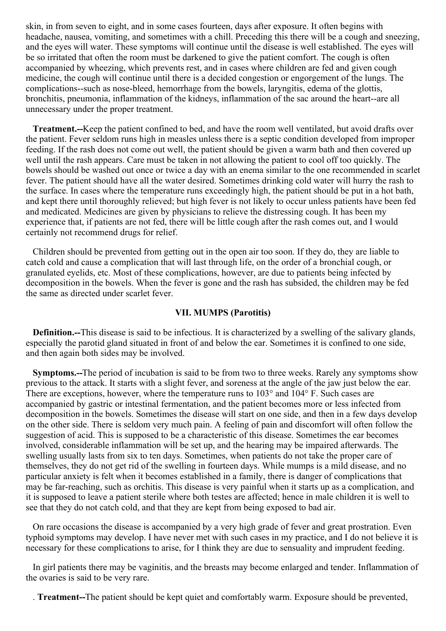skin, in from seven to eight, and in some cases fourteen, days after exposure. It often begins with headache, nausea, vomiting, and sometimes with a chill. Preceding this there will be a cough and sneezing, and the eyes will water. These symptoms will continue until the disease is well established. The eyes will be so irritated that often the room must be darkened to give the patient comfort. The cough is often accompanied by wheezing, which prevents rest, and in cases where children are fed and given cough medicine, the cough will continue until there is a decided congestion or engorgement of the lungs. The complications--such as nose-bleed, hemorrhage from the bowels, laryngitis, edema of the glottis, bronchitis, pneumonia, inflammation of the kidneys, inflammation of the sac around the heart--are all unnecessary under the proper treatment.

**Treatment.--**Keep the patient confined to bed, and have the room well ventilated, but avoid drafts over the patient. Fever seldom runs high in measles unless there is a septic condition developed from improper feeding. If the rash does not come out well, the patient should be given a warm bath and then covered up well until the rash appears. Care must be taken in not allowing the patient to cool off too quickly. The bowels should be washed out once or twice a day with an enema similar to the one recommended in scarlet fever. The patient should have all the water desired. Sometimes drinking cold water will hurry the rash to the surface. In cases where the temperature runs exceedingly high, the patient should be put in a hot bath, and kept there until thoroughly relieved; but high fever is not likely to occur unless patients have been fed and medicated. Medicines are given by physicians to relieve the distressing cough. It has been my experience that, if patients are not fed, there will be little cough after the rash comes out, and I would certainly not recommend drugs for relief.

Children should be prevented from getting out in the open air too soon. If they do, they are liable to catch cold and cause a complication that will last through life, on the order of a bronchial cough, or granulated eyelids, etc. Most of these complications, however, are due to patients being infected by decomposition in the bowels. When the fever is gone and the rash has subsided, the children may be fed the same as directed under scarlet fever.

#### **VII. MUMPS (Parotitis)**

**Definition.--**This disease is said to be infectious. It is characterized by a swelling of the salivary glands, especially the parotid gland situated in front of and below the ear. Sometimes it is confined to one side, and then again both sides may be involved.

**Symptoms.--**The period of incubation is said to be from two to three weeks. Rarely any symptoms show previous to the attack. It starts with a slight fever, and soreness at the angle of the jaw just below the ear. There are exceptions, however, where the temperature runs to 103° and 104° F. Such cases are accompanied by gastric or intestinal fermentation, and the patient becomes more or less infected from decomposition in the bowels. Sometimes the disease will start on one side, and then in a few days develop on the other side. There is seldom very much pain. A feeling of pain and discomfort will often follow the suggestion of acid. This is supposed to be a characteristic of this disease. Sometimes the ear becomes involved, considerable inflammation will be set up, and the hearing may be impaired afterwards. The swelling usually lasts from six to ten days. Sometimes, when patients do not take the proper care of themselves, they do not get rid of the swelling in fourteen days. While mumps is a mild disease, and no particular anxiety is felt when it becomes established in a family, there is danger of complications that may be far-reaching, such as orchitis. This disease is very painful when it starts up as a complication, and it is supposed to leave a patient sterile where both testes are affected; hence in male children it is well to see that they do not catch cold, and that they are kept from being exposed to bad air.

On rare occasions the disease is accompanied by a very high grade of fever and great prostration. Even typhoid symptoms may develop. I have never met with such cases in my practice, and I do not believe it is necessary for these complications to arise, for I think they are due to sensuality and imprudent feeding.

In girl patients there may be vaginitis, and the breasts may become enlarged and tender. Inflammation of the ovaries is said to be very rare.

. **Treatment--**The patient should be kept quiet and comfortably warm. Exposure should be prevented,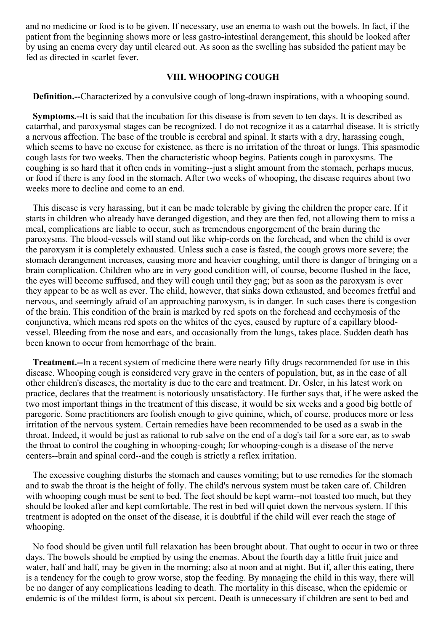and no medicine or food is to be given. If necessary, use an enema to wash out the bowels. In fact, if the patient from the beginning shows more or less gastro-intestinal derangement, this should be looked after by using an enema every day until cleared out. As soon as the swelling has subsided the patient may be fed as directed in scarlet fever.

#### **VIII. WHOOPING COUGH**

**Definition.--**Characterized by a convulsive cough of long-drawn inspirations, with a whooping sound.

**Symptoms.--**It is said that the incubation for this disease is from seven to ten days. It is described as catarrhal, and paroxysmal stages can be recognized. I do not recognize it as a catarrhal disease. It is strictly a nervous affection. The base of the trouble is cerebral and spinal. It starts with a dry, harassing cough, which seems to have no excuse for existence, as there is no irritation of the throat or lungs. This spasmodic cough lasts for two weeks. Then the characteristic whoop begins. Patients cough in paroxysms. The coughing is so hard that it often ends in vomiting--just a slight amount from the stomach, perhaps mucus, or food if there is any food in the stomach. After two weeks of whooping, the disease requires about two weeks more to decline and come to an end.

This disease is very harassing, but it can be made tolerable by giving the children the proper care. If it starts in children who already have deranged digestion, and they are then fed, not allowing them to miss a meal, complications are liable to occur, such as tremendous engorgement of the brain during the paroxysms. The blood-vessels will stand out like whip-cords on the forehead, and when the child is over the paroxysm it is completely exhausted. Unless such a case is fasted, the cough grows more severe; the stomach derangement increases, causing more and heavier coughing, until there is danger of bringing on a brain complication. Children who are in very good condition will, of course, become flushed in the face, the eyes will become suffused, and they will cough until they gag; but as soon as the paroxysm is over they appear to be as well as ever. The child, however, that sinks down exhausted, and becomes fretful and nervous, and seemingly afraid of an approaching paroxysm, is in danger. In such cases there is congestion of the brain. This condition of the brain is marked by red spots on the forehead and ecchymosis of the conjunctiva, which means red spots on the whites of the eyes, caused by rupture of a capillary bloodvessel. Bleeding from the nose and ears, and occasionally from the lungs, takes place. Sudden death has been known to occur from hemorrhage of the brain.

**Treatment.--**In a recent system of medicine there were nearly fifty drugs recommended for use in this disease. Whooping cough is considered very grave in the centers of population, but, as in the case of all other children's diseases, the mortality is due to the care and treatment. Dr. Osler, in his latest work on practice, declares that the treatment is notoriously unsatisfactory. He further says that, if he were asked the two most important things in the treatment of this disease, it would be six weeks and a good big bottle of paregoric. Some practitioners are foolish enough to give quinine, which, of course, produces more or less irritation of the nervous system. Certain remedies have been recommended to be used as a swab in the throat. Indeed, it would be just as rational to rub salve on the end of a dog's tail for a sore ear, as to swab the throat to control the coughing in whooping-cough; for whooping-cough is a disease of the nerve centers--brain and spinal cord--and the cough is strictly a reflex irritation.

The excessive coughing disturbs the stomach and causes vomiting; but to use remedies for the stomach and to swab the throat is the height of folly. The child's nervous system must be taken care of. Children with whooping cough must be sent to bed. The feet should be kept warm--not toasted too much, but they should be looked after and kept comfortable. The rest in bed will quiet down the nervous system. If this treatment is adopted on the onset of the disease, it is doubtful if the child will ever reach the stage of whooping.

No food should be given until full relaxation has been brought about. That ought to occur in two or three days. The bowels should be emptied by using the enemas. About the fourth day a little fruit juice and water, half and half, may be given in the morning; also at noon and at night. But if, after this eating, there is a tendency for the cough to grow worse, stop the feeding. By managing the child in this way, there will be no danger of any complications leading to death. The mortality in this disease, when the epidemic or endemic is of the mildest form, is about six percent. Death is unnecessary if children are sent to bed and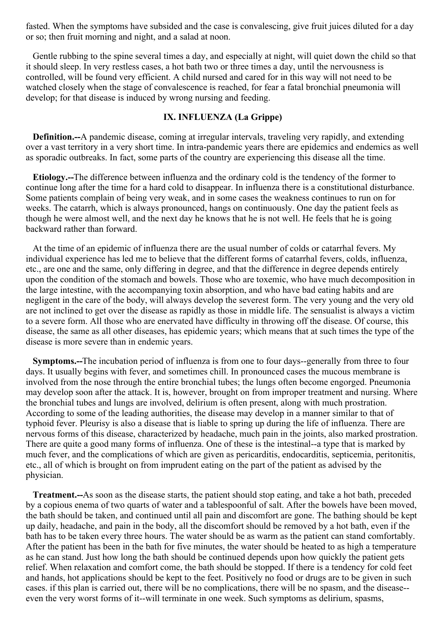fasted. When the symptoms have subsided and the case is convalescing, give fruit juices diluted for a day or so; then fruit morning and night, and a salad at noon.

Gentle rubbing to the spine several times a day, and especially at night, will quiet down the child so that it should sleep. In very restless cases, a hot bath two or three times a day, until the nervousness is controlled, will be found very efficient. A child nursed and cared for in this way will not need to be watched closely when the stage of convalescence is reached, for fear a fatal bronchial pneumonia will develop; for that disease is induced by wrong nursing and feeding.

#### **IX. INFLUENZA (La Grippe)**

**Definition.--**A pandemic disease, coming at irregular intervals, traveling very rapidly, and extending over a vast territory in a very short time. In intra-pandemic years there are epidemics and endemics as well as sporadic outbreaks. In fact, some parts of the country are experiencing this disease all the time.

**Etiology.--**The difference between influenza and the ordinary cold is the tendency of the former to continue long after the time for a hard cold to disappear. In influenza there is a constitutional disturbance. Some patients complain of being very weak, and in some cases the weakness continues to run on for weeks. The catarrh, which is always pronounced, hangs on continuously. One day the patient feels as though he were almost well, and the next day he knows that he is not well. He feels that he is going backward rather than forward.

At the time of an epidemic of influenza there are the usual number of colds or catarrhal fevers. My individual experience has led me to believe that the different forms of catarrhal fevers, colds, influenza, etc., are one and the same, only differing in degree, and that the difference in degree depends entirely upon the condition of the stomach and bowels. Those who are toxemic, who have much decomposition in the large intestine, with the accompanying toxin absorption, and who have bad eating habits and are negligent in the care of the body, will always develop the severest form. The very young and the very old are not inclined to get over the disease as rapidly as those in middle life. The sensualist is always a victim to a severe form. All those who are enervated have difficulty in throwing off the disease. Of course, this disease, the same as all other diseases, has epidemic years; which means that at such times the type of the disease is more severe than in endemic years.

**Symptoms.--**The incubation period of influenza is from one to four days--generally from three to four days. It usually begins with fever, and sometimes chill. In pronounced cases the mucous membrane is involved from the nose through the entire bronchial tubes; the lungs often become engorged. Pneumonia may develop soon after the attack. It is, however, brought on from improper treatment and nursing. Where the bronchial tubes and lungs are involved, delirium is often present, along with much prostration. According to some of the leading authorities, the disease may develop in a manner similar to that of typhoid fever. Pleurisy is also a disease that is liable to spring up during the life of influenza. There are nervous forms of this disease, characterized by headache, much pain in the joints, also marked prostration. There are quite a good many forms of influenza. One of these is the intestinal--a type that is marked by much fever, and the complications of which are given as pericarditis, endocarditis, septicemia, peritonitis, etc., all of which is brought on from imprudent eating on the part of the patient as advised by the physician.

**Treatment.--**As soon as the disease starts, the patient should stop eating, and take a hot bath, preceded by a copious enema of two quarts of water and a tablespoonful of salt. After the bowels have been moved, the bath should be taken, and continued until all pain and discomfort are gone. The bathing should be kept up daily, headache, and pain in the body, all the discomfort should be removed by a hot bath, even if the bath has to be taken every three hours. The water should be as warm as the patient can stand comfortably. After the patient has been in the bath for five minutes, the water should be heated to as high a temperature as he can stand. Just how long the bath should be continued depends upon how quickly the patient gets relief. When relaxation and comfort come, the bath should be stopped. If there is a tendency for cold feet and hands, hot applications should be kept to the feet. Positively no food or drugs are to be given in such cases. if this plan is carried out, there will be no complications, there will be no spasm, and the disease- even the very worst forms of it--will terminate in one week. Such symptoms as delirium, spasms,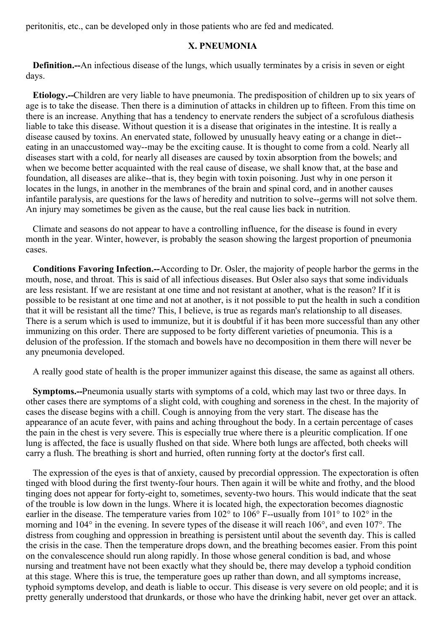<span id="page-20-0"></span>peritonitis, etc., can be developed only in those patients who are fed and medicated.

#### **X. PNEUMONIA**

**Definition.--**An infectious disease of the lungs, which usually terminates by a crisis in seven or eight days.

**Etiology.--**Children are very liable to have pneumonia. The predisposition of children up to six years of age is to take the disease. Then there is a diminution of attacks in children up to fifteen. From this time on there is an increase. Anything that has a tendency to enervate renders the subject of a scrofulous diathesis liable to take this disease. Without question it is a disease that originates in the intestine. It is really a disease caused by toxins. An enervated state, followed by unusually heavy eating or a change in diet- eating in an unaccustomed way--may be the exciting cause. It is thought to come from a cold. Nearly all diseases start with a cold, for nearly all diseases are caused by toxin absorption from the bowels; and when we become better acquainted with the real cause of disease, we shall know that, at the base and foundation, all diseases are alike--that is, they begin with toxin poisoning. Just why in one person it locates in the lungs, in another in the membranes of the brain and spinal cord, and in another causes infantile paralysis, are questions for the laws of heredity and nutrition to solve--germs will not solve them. An injury may sometimes be given as the cause, but the real cause lies back in nutrition.

Climate and seasons do not appear to have a controlling influence, for the disease is found in every month in the year. Winter, however, is probably the season showing the largest proportion of pneumonia cases.

**Conditions Favoring Infection.--**According to Dr. Osler, the majority of people harbor the germs in the mouth, nose, and throat. This is said of all infectious diseases. But Osler also says that some individuals are less resistant. If we are resistant at one time and not resistant at another, what is the reason? If it is possible to be resistant at one time and not at another, is it not possible to put the health in such a condition that it will be resistant all the time? This, I believe, is true as regards man's relationship to all diseases. There is a serum which is used to immunize, but it is doubtful if it has been more successful than any other immunizing on this order. There are supposed to be forty different varieties of pneumonia. This is a delusion of the profession. If the stomach and bowels have no decomposition in them there will never be any pneumonia developed.

A really good state of health is the proper immunizer against this disease, the same as against all others.

**Symptoms.--**Pneumonia usually starts with symptoms of a cold, which may last two or three days. In other cases there are symptoms of a slight cold, with coughing and soreness in the chest. In the majority of cases the disease begins with a chill. Cough is annoying from the very start. The disease has the appearance of an acute fever, with pains and aching throughout the body. In a certain percentage of cases the pain in the chest is very severe. This is especially true where there is a pleuritic complication. If one lung is affected, the face is usually flushed on that side. Where both lungs are affected, both cheeks will carry a flush. The breathing is short and hurried, often running forty at the doctor's first call.

The expression of the eyes is that of anxiety, caused by precordial oppression. The expectoration is often tinged with blood during the first twenty-four hours. Then again it will be white and frothy, and the blood tinging does not appear for forty-eight to, sometimes, seventy-two hours. This would indicate that the seat of the trouble is low down in the lungs. Where it is located high, the expectoration becomes diagnostic earlier in the disease. The temperature varies from 102° to 106° F--usually from 101° to 102° in the morning and 104° in the evening. In severe types of the disease it will reach 106°, and even 107°. The distress from coughing and oppression in breathing is persistent until about the seventh day. This is called the crisis in the case. Then the temperature drops down, and the breathing becomes easier. From this point on the convalescence should run along rapidly. In those whose general condition is bad, and whose nursing and treatment have not been exactly what they should be, there may develop a typhoid condition at this stage. Where this is true, the temperature goes up rather than down, and all symptoms increase, typhoid symptoms develop, and death is liable to occur. This disease is very severe on old people; and it is pretty generally understood that drunkards, or those who have the drinking habit, never get over an attack.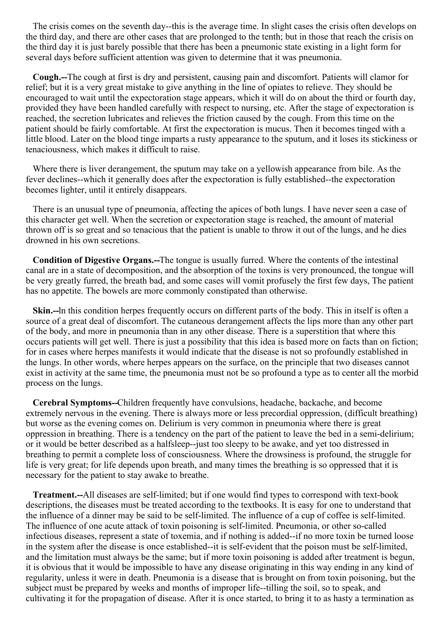The crisis comes on the seventh day--this is the average time. In slight cases the crisis often develops on the third day, and there are other cases that are prolonged to the tenth; but in those that reach the crisis on the third day it is just barely possible that there has been a pneumonic state existing in a light form for several days before sufficient attention was given to determine that it was pneumonia.

**Cough.--**The cough at first is dry and persistent, causing pain and discomfort. Patients will clamor for relief; but it is a very great mistake to give anything in the line of opiates to relieve. They should be encouraged to wait until the expectoration stage appears, which it will do on about the third or fourth day, provided they have been handled carefully with respect to nursing, etc. After the stage of expectoration is reached, the secretion lubricates and relieves the friction caused by the cough. From this time on the patient should be fairly comfortable. At first the expectoration is mucus. Then it becomes tinged with a little blood. Later on the blood tinge imparts a rusty appearance to the sputum, and it loses its stickiness or tenaciousness, which makes it difficult to raise.

Where there is liver derangement, the sputum may take on a yellowish appearance from bile. As the fever declines--which it generally does after the expectoration is fully established--the expectoration becomes lighter, until it entirely disappears.

There is an unusual type of pneumonia, affecting the apices of both lungs. I have never seen a case of this character get well. When the secretion or expectoration stage is reached, the amount of material thrown off is so great and so tenacious that the patient is unable to throw it out of the lungs, and he dies drowned in his own secretions.

**Condition of Digestive Organs.--**The tongue is usually furred. Where the contents of the intestinal canal are in a state of decomposition, and the absorption of the toxins is very pronounced, the tongue will be very greatly furred, the breath bad, and some cases will vomit profusely the first few days, The patient has no appetite. The bowels are more commonly constipated than otherwise.

**Skin.--**ln this condition herpes frequently occurs on different parts of the body. This in itself is often a source of a great deal of discomfort. The cutaneous derangement affects the lips more than any other part of the body, and more in pneumonia than in any other disease. There is a superstition that where this occurs patients will get well. There is just a possibility that this idea is based more on facts than on fiction; for in cases where herpes manifests it would indicate that the disease is not so profoundly established in the lungs. In other words, where herpes appears on the surface, on the principle that two diseases cannot exist in activity at the same time, the pneumonia must not be so profound a type as to center all the morbid process on the lungs.

**Cerebral Symptoms--**Children frequently have convulsions, headache, backache, and become extremely nervous in the evening. There is always more or less precordial oppression, (difficult breathing) but worse as the evening comes on. Delirium is very common in pneumonia where there is great oppression in breathing. There is a tendency on the part of the patient to leave the bed in a semi-delirium; or it would be better described as a halfsleep--just too sleepy to be awake, and yet too distressed in breathing to permit a complete loss of consciousness. Where the drowsiness is profound, the struggle for life is very great; for life depends upon breath, and many times the breathing is so oppressed that it is necessary for the patient to stay awake to breathe.

**Treatment.--**All diseases are self-limited; but if one would find types to correspond with text-book descriptions, the diseases must be treated according to the textbooks. It is easy for one to understand that the influence of a dinner may be said to be self-limited. The influence of a cup of coffee is self-limited. The influence of one acute attack of toxin poisoning is self-limited. Pneumonia, or other so-called infectious diseases, represent a state of toxemia, and if nothing is added--if no more toxin be turned loose in the system after the disease is once established--it is self-evident that the poison must be self-limited, and the limitation must always be the same; but if more toxin poisoning is added after treatment is begun, it is obvious that it would be impossible to have any disease originating in this way ending in any kind of regularity, unless it were in death. Pneumonia is a disease that is brought on from toxin poisoning, but the subject must be prepared by weeks and months of improper life--tilling the soil, so to speak, and cultivating it for the propagation of disease. After it is once started, to bring it to as hasty a termination as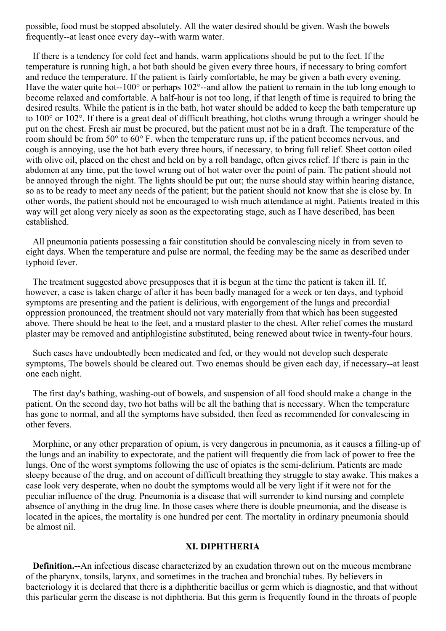possible, food must be stopped absolutely. All the water desired should be given. Wash the bowels frequently--at least once every day--with warm water.

If there is a tendency for cold feet and hands, warm applications should be put to the feet. If the temperature is running high, a hot bath should be given every three hours, if necessary to bring comfort and reduce the temperature. If the patient is fairly comfortable, he may be given a bath every evening. Have the water quite hot--100 $^{\circ}$  or perhaps 102 $^{\circ}$ --and allow the patient to remain in the tub long enough to become relaxed and comfortable. A half-hour is not too long, if that length of time is required to bring the desired results. While the patient is in the bath, hot water should be added to keep the bath temperature up to 100° or 102°. If there is a great deal of difficult breathing, hot cloths wrung through a wringer should be put on the chest. Fresh air must be procured, but the patient must not be in a draft. The temperature of the room should be from 50° to 60° F. when the temperature runs up, if the patient becomes nervous, and cough is annoying, use the hot bath every three hours, if necessary, to bring full relief. Sheet cotton oiled with olive oil, placed on the chest and held on by a roll bandage, often gives relief. If there is pain in the abdomen at any time, put the towel wrung out of hot water over the point of pain. The patient should not be annoyed through the night. The lights should be put out; the nurse should stay within hearing distance, so as to be ready to meet any needs of the patient; but the patient should not know that she is close by. In other words, the patient should not be encouraged to wish much attendance at night. Patients treated in this way will get along very nicely as soon as the expectorating stage, such as I have described, has been established.

All pneumonia patients possessing a fair constitution should be convalescing nicely in from seven to eight days. When the temperature and pulse are normal, the feeding may be the same as described under typhoid fever.

The treatment suggested above presupposes that it is begun at the time the patient is taken ill. If, however, a case is taken charge of after it has been badly managed for a week or ten days, and typhoid symptoms are presenting and the patient is delirious, with engorgement of the lungs and precordial oppression pronounced, the treatment should not vary materially from that which has been suggested above. There should be heat to the feet, and a mustard plaster to the chest. After relief comes the mustard plaster may be removed and antiphlogistine substituted, being renewed about twice in twenty-four hours.

Such cases have undoubtedly been medicated and fed, or they would not develop such desperate symptoms, The bowels should be cleared out. Two enemas should be given each day, if necessary--at least one each night.

The first day's bathing, washing-out of bowels, and suspension of all food should make a change in the patient. On the second day, two hot baths will be all the bathing that is necessary. When the temperature has gone to normal, and all the symptoms have subsided, then feed as recommended for convalescing in other fevers.

Morphine, or any other preparation of opium, is very dangerous in pneumonia, as it causes a filling-up of the lungs and an inability to expectorate, and the patient will frequently die from lack of power to free the lungs. One of the worst symptoms following the use of opiates is the semi-delirium. Patients are made sleepy because of the drug, and on account of difficult breathing they struggle to stay awake. This makes a case look very desperate, when no doubt the symptoms would all be very light if it were not for the peculiar influence of the drug. Pneumonia is a disease that will surrender to kind nursing and complete absence of anything in the drug line. In those cases where there is double pneumonia, and the disease is located in the apices, the mortality is one hundred per cent. The mortality in ordinary pneumonia should be almost nil.

#### **XI. DIPHTHERIA**

**Definition.--**An infectious disease characterized by an exudation thrown out on the mucous membrane of the pharynx, tonsils, larynx, and sometimes in the trachea and bronchial tubes. By believers in bacteriology it is declared that there is a diphtheritic bacillus or germ which is diagnostic, and that without this particular germ the disease is not diphtheria. But this germ is frequently found in the throats of people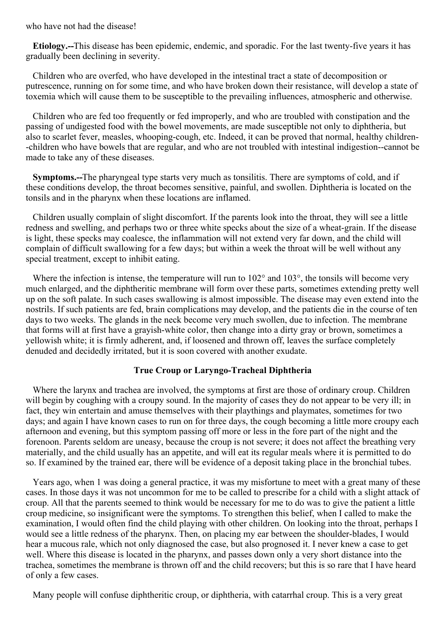who have not had the disease!

**Etiology.--**This disease has been epidemic, endemic, and sporadic. For the last twenty-five years it has gradually been declining in severity.

Children who are overfed, who have developed in the intestinal tract a state of decomposition or putrescence, running on for some time, and who have broken down their resistance, will develop a state of toxemia which will cause them to be susceptible to the prevailing influences, atmospheric and otherwise.

Children who are fed too frequently or fed improperly, and who are troubled with constipation and the passing of undigested food with the bowel movements, are made susceptible not only to diphtheria, but also to scarlet fever, measles, whooping-cough, etc. Indeed, it can be proved that normal, healthy children- -children who have bowels that are regular, and who are not troubled with intestinal indigestion--cannot be made to take any of these diseases.

**Symptoms.--**The pharyngeal type starts very much as tonsilitis. There are symptoms of cold, and if these conditions develop, the throat becomes sensitive, painful, and swollen. Diphtheria is located on the tonsils and in the pharynx when these locations are inflamed.

Children usually complain of slight discomfort. If the parents look into the throat, they will see a little redness and swelling, and perhaps two or three white specks about the size of a wheat-grain. If the disease is light, these specks may coalesce, the inflammation will not extend very far down, and the child will complain of difficult swallowing for a few days; but within a week the throat will be well without any special treatment, except to inhibit eating.

Where the infection is intense, the temperature will run to 102<sup>°</sup> and 103<sup>°</sup>, the tonsils will become very much enlarged, and the diphtheritic membrane will form over these parts, sometimes extending pretty well up on the soft palate. In such cases swallowing is almost impossible. The disease may even extend into the nostrils. If such patients are fed, brain complications may develop, and the patients die in the course of ten days to two weeks. The glands in the neck become very much swollen, due to infection. The membrane that forms will at first have a grayish-white color, then change into a dirty gray or brown, sometimes a yellowish white; it is firmly adherent, and, if loosened and thrown off, leaves the surface completely denuded and decidedly irritated, but it is soon covered with another exudate.

#### **True Croup or Laryngo-Tracheal Diphtheria**

Where the larynx and trachea are involved, the symptoms at first are those of ordinary croup. Children will begin by coughing with a croupy sound. In the majority of cases they do not appear to be very ill; in fact, they win entertain and amuse themselves with their playthings and playmates, sometimes for two days; and again I have known cases to run on for three days, the cough becoming a little more croupy each afternoon and evening, but this symptom passing off more or less in the fore part of the night and the forenoon. Parents seldom are uneasy, because the croup is not severe; it does not affect the breathing very materially, and the child usually has an appetite, and will eat its regular meals where it is permitted to do so. If examined by the trained ear, there will be evidence of a deposit taking place in the bronchial tubes.

Years ago, when 1 was doing a general practice, it was my misfortune to meet with a great many of these cases. In those days it was not uncommon for me to be called to prescribe for a child with a slight attack of croup. All that the parents seemed to think would be necessary for me to do was to give the patient a little croup medicine, so insignificant were the symptoms. To strengthen this belief, when I called to make the examination, I would often find the child playing with other children. On looking into the throat, perhaps I would see a little redness of the pharynx. Then, on placing my ear between the shoulder-blades, I would hear a mucous rale, which not only diagnosed the case, but also prognosed it. I never knew a case to get well. Where this disease is located in the pharynx, and passes down only a very short distance into the trachea, sometimes the membrane is thrown off and the child recovers; but this is so rare that I have heard of only a few cases.

Many people will confuse diphtheritic croup, or diphtheria, with catarrhal croup. This is a very great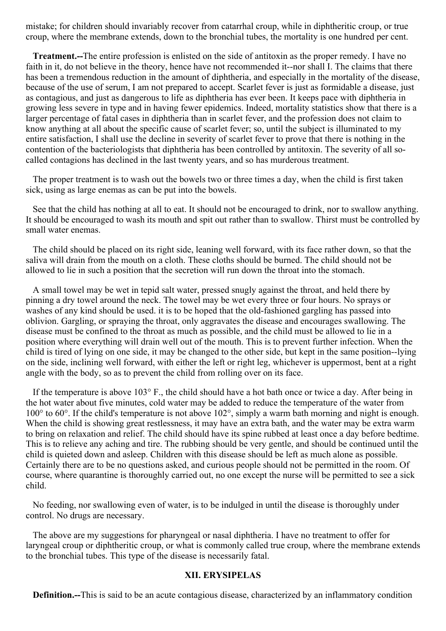mistake; for children should invariably recover from catarrhal croup, while in diphtheritic croup, or true croup, where the membrane extends, down to the bronchial tubes, the mortality is one hundred per cent.

**Treatment.--**The entire profession is enlisted on the side of antitoxin as the proper remedy. I have no faith in it, do not believe in the theory, hence have not recommended it--nor shall I. The claims that there has been a tremendous reduction in the amount of diphtheria, and especially in the mortality of the disease, because of the use of serum, I am not prepared to accept. Scarlet fever is just as formidable a disease, just as contagious, and just as dangerous to life as diphtheria has ever been. It keeps pace with diphtheria in growing less severe in type and in having fewer epidemics. Indeed, mortality statistics show that there is a larger percentage of fatal cases in diphtheria than in scarlet fever, and the profession does not claim to know anything at all about the specific cause of scarlet fever; so, until the subject is illuminated to my entire satisfaction, I shall use the decline in severity of scarlet fever to prove that there is nothing in the contention of the bacteriologists that diphtheria has been controlled by antitoxin. The severity of all socalled contagions has declined in the last twenty years, and so has murderous treatment.

The proper treatment is to wash out the bowels two or three times a day, when the child is first taken sick, using as large enemas as can be put into the bowels.

See that the child has nothing at all to eat. It should not be encouraged to drink, nor to swallow anything. It should be encouraged to wash its mouth and spit out rather than to swallow. Thirst must be controlled by small water enemas.

The child should be placed on its right side, leaning well forward, with its face rather down, so that the saliva will drain from the mouth on a cloth. These cloths should be burned. The child should not be allowed to lie in such a position that the secretion will run down the throat into the stomach.

A small towel may be wet in tepid salt water, pressed snugly against the throat, and held there by pinning a dry towel around the neck. The towel may be wet every three or four hours. No sprays or washes of any kind should be used. it is to be hoped that the old-fashioned gargling has passed into oblivion. Gargling, or spraying the throat, only aggravates the disease and encourages swallowing. The disease must be confined to the throat as much as possible, and the child must be allowed to lie in a position where everything will drain well out of the mouth. This is to prevent further infection. When the child is tired of lying on one side, it may be changed to the other side, but kept in the same position--lying on the side, inclining well forward, with either the left or right leg, whichever is uppermost, bent at a right angle with the body, so as to prevent the child from rolling over on its face.

If the temperature is above 103° F., the child should have a hot bath once or twice a day. After being in the hot water about five minutes, cold water may be added to reduce the temperature of the water from 100° to 60°. If the child's temperature is not above 102°, simply a warm bath morning and night is enough. When the child is showing great restlessness, it may have an extra bath, and the water may be extra warm to bring on relaxation and relief. The child should have its spine rubbed at least once a day before bedtime. This is to relieve any aching and tire. The rubbing should be very gentle, and should be continued until the child is quieted down and asleep. Children with this disease should be left as much alone as possible. Certainly there are to be no questions asked, and curious people should not be permitted in the room. Of course, where quarantine is thoroughly carried out, no one except the nurse will be permitted to see a sick child.

No feeding, nor swallowing even of water, is to be indulged in until the disease is thoroughly under control. No drugs are necessary.

The above are my suggestions for pharyngeal or nasal diphtheria. I have no treatment to offer for laryngeal croup or diphtheritic croup, or what is commonly called true croup, where the membrane extends to the bronchial tubes. This type of the disease is necessarily fatal.

#### **XII. ERYSIPELAS**

**Definition.--**This is said to be an acute contagious disease, characterized by an inflammatory condition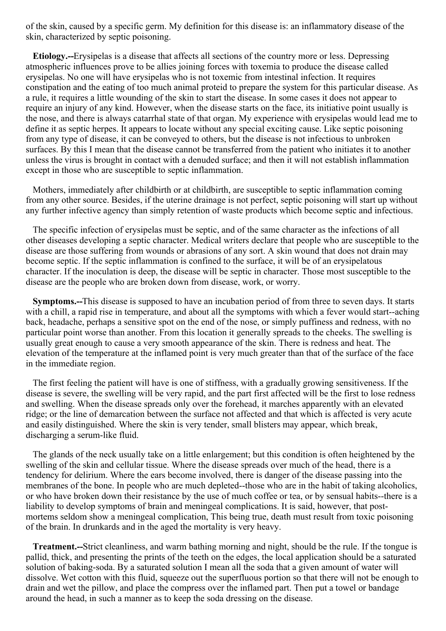of the skin, caused by a specific germ. My definition for this disease is: an inflammatory disease of the skin, characterized by septic poisoning.

**Etiology.--**Erysipelas is a disease that affects all sections of the country more or less. Depressing atmospheric influences prove to be allies joining forces with toxemia to produce the disease called erysipelas. No one will have erysipelas who is not toxemic from intestinal infection. It requires constipation and the eating of too much animal proteid to prepare the system for this particular disease. As a rule, it requires a little wounding of the skin to start the disease. In some cases it does not appear to require an injury of any kind. However, when the disease starts on the face, its initiative point usually is the nose, and there is always catarrhal state of that organ. My experience with erysipelas would lead me to define it as septic herpes. It appears to locate without any special exciting cause. Like septic poisoning from any type of disease, it can be conveyed to others, but the disease is not infectious to unbroken surfaces. By this I mean that the disease cannot be transferred from the patient who initiates it to another unless the virus is brought in contact with a denuded surface; and then it will not establish inflammation except in those who are susceptible to septic inflammation.

Mothers, immediately after childbirth or at childbirth, are susceptible to septic inflammation coming from any other source. Besides, if the uterine drainage is not perfect, septic poisoning will start up without any further infective agency than simply retention of waste products which become septic and infectious.

The specific infection of erysipelas must be septic, and of the same character as the infections of all other diseases developing a septic character. Medical writers declare that people who are susceptible to the disease are those suffering from wounds or abrasions of any sort. A skin wound that does not drain may become septic. If the septic inflammation is confined to the surface, it will be of an erysipelatous character. If the inoculation is deep, the disease will be septic in character. Those most susceptible to the disease are the people who are broken down from disease, work, or worry.

**Symptoms.--**This disease is supposed to have an incubation period of from three to seven days. It starts with a chill, a rapid rise in temperature, and about all the symptoms with which a fever would start--aching back, headache, perhaps a sensitive spot on the end of the nose, or simply puffiness and redness, with no particular point worse than another. From this location it generally spreads to the cheeks. The swelling is usually great enough to cause a very smooth appearance of the skin. There is redness and heat. The elevation of the temperature at the inflamed point is very much greater than that of the surface of the face in the immediate region.

The first feeling the patient will have is one of stiffness, with a gradually growing sensitiveness. If the disease is severe, the swelling will be very rapid, and the part first affected will be the first to lose redness and swelling. When the disease spreads only over the forehead, it marches apparently with an elevated ridge; or the line of demarcation between the surface not affected and that which is affected is very acute and easily distinguished. Where the skin is very tender, small blisters may appear, which break, discharging a serum-like fluid.

The glands of the neck usually take on a little enlargement; but this condition is often heightened by the swelling of the skin and cellular tissue. Where the disease spreads over much of the head, there is a tendency for delirium. Where the ears become involved, there is danger of the disease passing into the membranes of the bone. In people who are much depleted--those who are in the habit of taking alcoholics, or who have broken down their resistance by the use of much coffee or tea, or by sensual habits--there is a liability to develop symptoms of brain and meningeal complications. It is said, however, that postmortems seldom show a meningeal complication, This being true, death must result from toxic poisoning of the brain. In drunkards and in the aged the mortality is very heavy.

**Treatment.--**Strict cleanliness, and warm bathing morning and night, should be the rule. If the tongue is pallid, thick, and presenting the prints of the teeth on the edges, the local application should be a saturated solution of baking-soda. By a saturated solution I mean all the soda that a given amount of water will dissolve. Wet cotton with this fluid, squeeze out the superfluous portion so that there will not be enough to drain and wet the pillow, and place the compress over the inflamed part. Then put a towel or bandage around the head, in such a manner as to keep the soda dressing on the disease.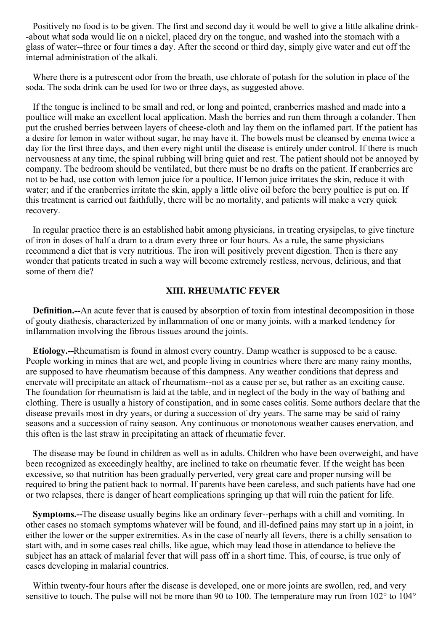Positively no food is to be given. The first and second day it would be well to give a little alkaline drink- -about what soda would lie on a nickel, placed dry on the tongue, and washed into the stomach with a glass of water--three or four times a day. After the second or third day, simply give water and cut off the internal administration of the alkali.

Where there is a putrescent odor from the breath, use chlorate of potash for the solution in place of the soda. The soda drink can be used for two or three days, as suggested above.

If the tongue is inclined to be small and red, or long and pointed, cranberries mashed and made into a poultice will make an excellent local application. Mash the berries and run them through a colander. Then put the crushed berries between layers of cheese-cloth and lay them on the inflamed part. If the patient has a desire for lemon in water without sugar, he may have it. The bowels must be cleansed by enema twice a day for the first three days, and then every night until the disease is entirely under control. If there is much nervousness at any time, the spinal rubbing will bring quiet and rest. The patient should not be annoyed by company. The bedroom should be ventilated, but there must be no drafts on the patient. If cranberries are not to be had, use cotton with lemon juice for a poultice. If lemon juice irritates the skin, reduce it with water; and if the cranberries irritate the skin, apply a little olive oil before the berry poultice is put on. If this treatment is carried out faithfully, there will be no mortality, and patients will make a very quick recovery.

In regular practice there is an established habit among physicians, in treating erysipelas, to give tincture of iron in doses of half a dram to a dram every three or four hours. As a rule, the same physicians recommend a diet that is very nutritious. The iron will positively prevent digestion. Then is there any wonder that patients treated in such a way will become extremely restless, nervous, delirious, and that some of them die?

#### **XIII. RHEUMATIC FEVER**

**Definition.--**An acute fever that is caused by absorption of toxin from intestinal decomposition in those of gouty diathesis, characterized by inflammation of one or many joints, with a marked tendency for inflammation involving the fibrous tissues around the joints.

**Etiology.--**Rheumatism is found in almost every country. Damp weather is supposed to be a cause. People working in mines that are wet, and people living in countries where there are many rainy months, are supposed to have rheumatism because of this dampness. Any weather conditions that depress and enervate will precipitate an attack of rheumatism--not as a cause per se, but rather as an exciting cause. The foundation for rheumatism is laid at the table, and in neglect of the body in the way of bathing and clothing. There is usually a history of constipation, and in some cases colitis. Some authors declare that the disease prevails most in dry years, or during a succession of dry years. The same may be said of rainy seasons and a succession of rainy season. Any continuous or monotonous weather causes enervation, and this often is the last straw in precipitating an attack of rheumatic fever.

The disease may be found in children as well as in adults. Children who have been overweight, and have been recognized as exceedingly healthy, are inclined to take on rheumatic fever. If the weight has been excessive, so that nutrition has been gradually perverted, very great care and proper nursing will be required to bring the patient back to normal. If parents have been careless, and such patients have had one or two relapses, there is danger of heart complications springing up that will ruin the patient for life.

**Symptoms.--**The disease usually begins like an ordinary fever--perhaps with a chill and vomiting. In other cases no stomach symptoms whatever will be found, and ill-defined pains may start up in a joint, in either the lower or the supper extremities. As in the case of nearly all fevers, there is a chilly sensation to start with, and in some cases real chills, like ague, which may lead those in attendance to believe the subject has an attack of malarial fever that will pass off in a short time. This, of course, is true only of cases developing in malarial countries.

Within twenty-four hours after the disease is developed, one or more joints are swollen, red, and very sensitive to touch. The pulse will not be more than 90 to 100. The temperature may run from 102° to 104°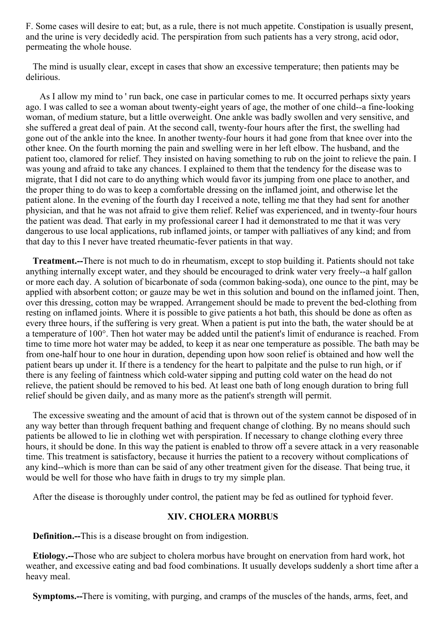F. Some cases will desire to eat; but, as a rule, there is not much appetite. Constipation is usually present, and the urine is very decidedly acid. The perspiration from such patients has a very strong, acid odor, permeating the whole house.

The mind is usually clear, except in cases that show an excessive temperature; then patients may be delirious.

As I allow my mind to ' run back, one case in particular comes to me. It occurred perhaps sixty years ago. I was called to see a woman about twenty-eight years of age, the mother of one child--a fine-looking woman, of medium stature, but a little overweight. One ankle was badly swollen and very sensitive, and she suffered a great deal of pain. At the second call, twenty-four hours after the first, the swelling had gone out of the ankle into the knee. In another twenty-four hours it had gone from that knee over into the other knee. On the fourth morning the pain and swelling were in her left elbow. The husband, and the patient too, clamored for relief. They insisted on having something to rub on the joint to relieve the pain. I was young and afraid to take any chances. I explained to them that the tendency for the disease was to migrate, that I did not care to do anything which would favor its jumping from one place to another, and the proper thing to do was to keep a comfortable dressing on the inflamed joint, and otherwise let the patient alone. In the evening of the fourth day I received a note, telling me that they had sent for another physician, and that he was not afraid to give them relief. Relief was experienced, and in twenty-four hours the patient was dead. That early in my professional career I had it demonstrated to me that it was very dangerous to use local applications, rub inflamed joints, or tamper with palliatives of any kind; and from that day to this I never have treated rheumatic-fever patients in that way.

**Treatment.--**There is not much to do in rheumatism, except to stop building it. Patients should not take anything internally except water, and they should be encouraged to drink water very freely--a half gallon or more each day. A solution of bicarbonate of soda (common baking-soda), one ounce to the pint, may be applied with absorbent cotton; or gauze may be wet in this solution and bound on the inflamed joint. Then, over this dressing, cotton may be wrapped. Arrangement should be made to prevent the bed-clothing from resting on inflamed joints. Where it is possible to give patients a hot bath, this should be done as often as every three hours, if the suffering is very great. When a patient is put into the bath, the water should be at a temperature of 100°. Then hot water may be added until the patient's limit of endurance is reached. From time to time more hot water may be added, to keep it as near one temperature as possible. The bath may be from one-half hour to one hour in duration, depending upon how soon relief is obtained and how well the patient bears up under it. If there is a tendency for the heart to palpitate and the pulse to run high, or if there is any feeling of faintness which cold-water sipping and putting cold water on the head do not relieve, the patient should be removed to his bed. At least one bath of long enough duration to bring full relief should be given daily, and as many more as the patient's strength will permit.

The excessive sweating and the amount of acid that is thrown out of the system cannot be disposed of in any way better than through frequent bathing and frequent change of clothing. By no means should such patients be allowed to lie in clothing wet with perspiration. If necessary to change clothing every three hours, it should be done. In this way the patient is enabled to throw off a severe attack in a very reasonable time. This treatment is satisfactory, because it hurries the patient to a recovery without complications of any kind--which is more than can be said of any other treatment given for the disease. That being true, it would be well for those who have faith in drugs to try my simple plan.

After the disease is thoroughly under control, the patient may be fed as outlined for typhoid fever.

#### **XIV. CHOLERA MORBUS**

**Definition.--**This is a disease brought on from indigestion.

**Etiology.--**Those who are subject to cholera morbus have brought on enervation from hard work, hot weather, and excessive eating and bad food combinations. It usually develops suddenly a short time after a heavy meal.

**Symptoms.--**There is vomiting, with purging, and cramps of the muscles of the hands, arms, feet, and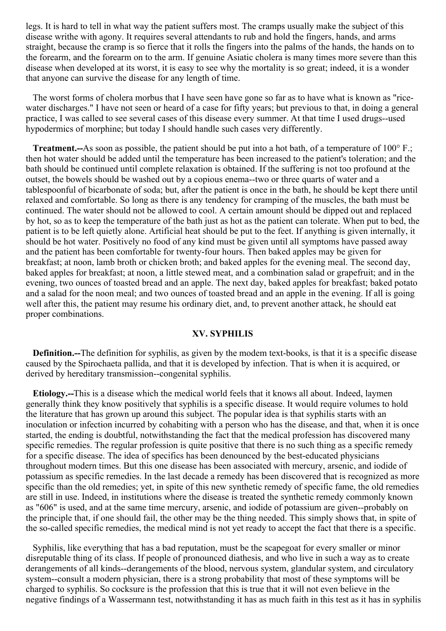legs. It is hard to tell in what way the patient suffers most. The cramps usually make the subject of this disease writhe with agony. It requires several attendants to rub and hold the fingers, hands, and arms straight, because the cramp is so fierce that it rolls the fingers into the palms of the hands, the hands on to the forearm, and the forearm on to the arm. If genuine Asiatic cholera is many times more severe than this disease when developed at its worst, it is easy to see why the mortality is so great; indeed, it is a wonder that anyone can survive the disease for any length of time.

The worst forms of cholera morbus that I have seen have gone so far as to have what is known as "ricewater discharges." I have not seen or heard of a case for fifty years; but previous to that, in doing a general practice, I was called to see several cases of this disease every summer. At that time I used drugs--used hypodermics of morphine; but today I should handle such cases very differently.

**Treatment.--**As soon as possible, the patient should be put into a hot bath, of a temperature of 100° F.; then hot water should be added until the temperature has been increased to the patient's toleration; and the bath should be continued until complete relaxation is obtained. If the suffering is not too profound at the outset, the bowels should be washed out by a copious enema--two or three quarts of water and a tablespoonful of bicarbonate of soda; but, after the patient is once in the bath, he should be kept there until relaxed and comfortable. So long as there is any tendency for cramping of the muscles, the bath must be continued. The water should not be allowed to cool. A certain amount should be dipped out and replaced by hot, so as to keep the temperature of the bath just as hot as the patient can tolerate. When put to bed, the patient is to be left quietly alone. Artificial heat should be put to the feet. If anything is given internally, it should be hot water. Positively no food of any kind must be given until all symptoms have passed away and the patient has been comfortable for twenty-four hours. Then baked apples may be given for breakfast; at noon, lamb broth or chicken broth; and baked apples for the evening meal. The second day, baked apples for breakfast; at noon, a little stewed meat, and a combination salad or grapefruit; and in the evening, two ounces of toasted bread and an apple. The next day, baked apples for breakfast; baked potato and a salad for the noon meal; and two ounces of toasted bread and an apple in the evening. If all is going well after this, the patient may resume his ordinary diet, and, to prevent another attack, he should eat proper combinations.

#### **XV. SYPHILIS**

**Definition.--**The definition for syphilis, as given by the modem text-books, is that it is a specific disease caused by the Spirochaeta pallida, and that it is developed by infection. That is when it is acquired, or derived by hereditary transmission--congenital syphilis.

**Etiology.--**This is a disease which the medical world feels that it knows all about. Indeed, laymen generally think they know positively that syphilis is a specific disease. It would require volumes to hold the literature that has grown up around this subject. The popular idea is that syphilis starts with an inoculation or infection incurred by cohabiting with a person who has the disease, and that, when it is once started, the ending is doubtful, notwithstanding the fact that the medical profession has discovered many specific remedies. The regular profession is quite positive that there is no such thing as a specific remedy for a specific disease. The idea of specifics has been denounced by the best-educated physicians throughout modern times. But this one disease has been associated with mercury, arsenic, and iodide of potassium as specific remedies. In the last decade a remedy has been discovered that is recognized as more specific than the old remedies; yet, in spite of this new synthetic remedy of specific fame, the old remedies are still in use. Indeed, in institutions where the disease is treated the synthetic remedy commonly known as "606" is used, and at the same time mercury, arsenic, and iodide of potassium are given--probably on the principle that, if one should fail, the other may be the thing needed. This simply shows that, in spite of the so-called specific remedies, the medical mind is not yet ready to accept the fact that there is a specific.

Syphilis, like everything that has a bad reputation, must be the scapegoat for every smaller or minor disreputable thing of its class. If people of pronounced diathesis, and who live in such a way as to create derangements of all kinds--derangements of the blood, nervous system, glandular system, and circulatory system--consult a modern physician, there is a strong probability that most of these symptoms will be charged to syphilis. So cocksure is the profession that this is true that it will not even believe in the negative findings of a Wassermann test, notwithstanding it has as much faith in this test as it has in syphilis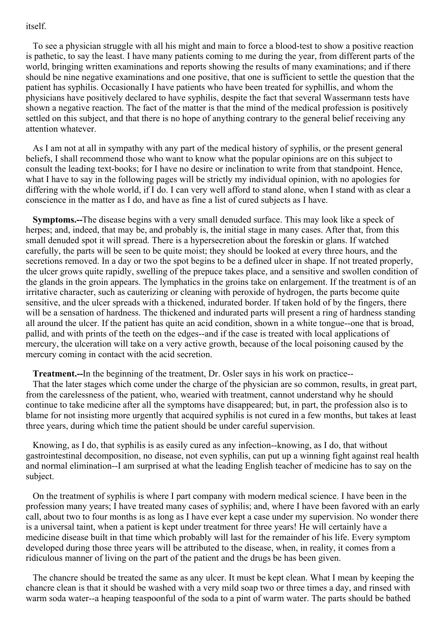#### itself.

To see a physician struggle with all his might and main to force a blood-test to show a positive reaction is pathetic, to say the least. I have many patients coming to me during the year, from different parts of the world, bringing written examinations and reports showing the results of many examinations; and if there should be nine negative examinations and one positive, that one is sufficient to settle the question that the patient has syphilis. Occasionally I have patients who have been treated for syphillis, and whom the physicians have positively declared to have syphilis, despite the fact that several Wassermann tests have shown a negative reaction. The fact of the matter is that the mind of the medical profession is positively settled on this subject, and that there is no hope of anything contrary to the general belief receiving any attention whatever.

As I am not at all in sympathy with any part of the medical history of syphilis, or the present general beliefs, I shall recommend those who want to know what the popular opinions are on this subject to consult the leading text-books; for I have no desire or inclination to write from that standpoint. Hence, what I have to say in the following pages will be strictly my individual opinion, with no apologies for differing with the whole world, if I do. I can very well afford to stand alone, when I stand with as clear a conscience in the matter as I do, and have as fine a list of cured subjects as I have.

**Symptoms.--**The disease begins with a very small denuded surface. This may look like a speck of herpes; and, indeed, that may be, and probably is, the initial stage in many cases. After that, from this small denuded spot it will spread. There is a hypersecretion about the foreskin or glans. If watched carefully, the parts will be seen to be quite moist; they should be looked at every three hours, and the secretions removed. In a day or two the spot begins to be a defined ulcer in shape. If not treated properly, the ulcer grows quite rapidly, swelling of the prepuce takes place, and a sensitive and swollen condition of the glands in the groin appears. The lymphatics in the groins take on enlargement. If the treatment is of an irritative character, such as cauterizing or cleaning with peroxide of hydrogen, the parts become quite sensitive, and the ulcer spreads with a thickened, indurated border. If taken hold of by the fingers, there will be a sensation of hardness. The thickened and indurated parts will present a ring of hardness standing all around the ulcer. If the patient has quite an acid condition, shown in a white tongue--one that is broad, pallid, and with prints of the teeth on the edges--and if the case is treated with local applications of mercury, the ulceration will take on a very active growth, because of the local poisoning caused by the mercury coming in contact with the acid secretion.

**Treatment.--**In the beginning of the treatment, Dr. Osler says in his work on practice--

That the later stages which come under the charge of the physician are so common, results, in great part, from the carelessness of the patient, who, wearied with treatment, cannot understand why he should continue to take medicine after all the symptoms have disappeared; but, in part, the profession also is to blame for not insisting more urgently that acquired syphilis is not cured in a few months, but takes at least three years, during which time the patient should be under careful supervision.

Knowing, as I do, that syphilis is as easily cured as any infection--knowing, as I do, that without gastrointestinal decomposition, no disease, not even syphilis, can put up a winning fight against real health and normal elimination--I am surprised at what the leading English teacher of medicine has to say on the subject.

On the treatment of syphilis is where I part company with modern medical science. I have been in the profession many years; I have treated many cases of syphilis; and, where I have been favored with an early call, about two to four months is as long as I have ever kept a case under my supervision. No wonder there is a universal taint, when a patient is kept under treatment for three years! He will certainly have a medicine disease built in that time which probably will last for the remainder of his life. Every symptom developed during those three years will be attributed to the disease, when, in reality, it comes from a ridiculous manner of living on the part of the patient and the drugs be has been given.

The chancre should be treated the same as any ulcer. It must be kept clean. What I mean by keeping the chancre clean is that it should be washed with a very mild soap two or three times a day, and rinsed with warm soda water--a heaping teaspoonful of the soda to a pint of warm water. The parts should be bathed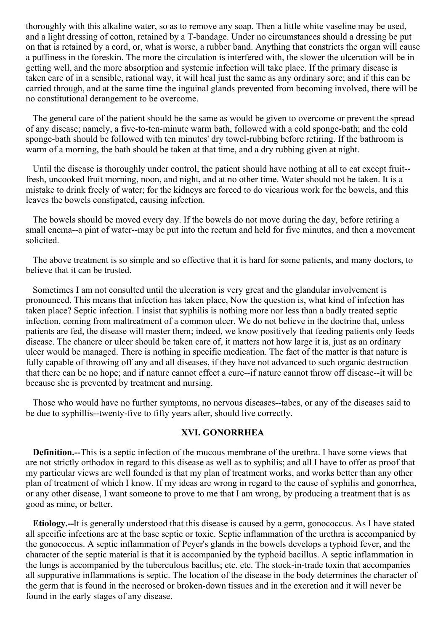thoroughly with this alkaline water, so as to remove any soap. Then a little white vaseline may be used, and a light dressing of cotton, retained by a T-bandage. Under no circumstances should a dressing be put on that is retained by a cord, or, what is worse, a rubber band. Anything that constricts the organ will cause a puffiness in the foreskin. The more the circulation is interfered with, the slower the ulceration will be in getting well, and the more absorption and systemic infection will take place. If the primary disease is taken care of in a sensible, rational way, it will heal just the same as any ordinary sore; and if this can be carried through, and at the same time the inguinal glands prevented from becoming involved, there will be no constitutional derangement to be overcome.

The general care of the patient should be the same as would be given to overcome or prevent the spread of any disease; namely, a five-to-ten-minute warm bath, followed with a cold sponge-bath; and the cold sponge-bath should be followed with ten minutes' dry towel-rubbing before retiring. If the bathroom is warm of a morning, the bath should be taken at that time, and a dry rubbing given at night.

Until the disease is thoroughly under control, the patient should have nothing at all to eat except fruit- fresh, uncooked fruit morning, noon, and night, and at no other time. Water should not be taken. It is a mistake to drink freely of water; for the kidneys are forced to do vicarious work for the bowels, and this leaves the bowels constipated, causing infection.

The bowels should be moved every day. If the bowels do not move during the day, before retiring a small enema--a pint of water--may be put into the rectum and held for five minutes, and then a movement solicited.

The above treatment is so simple and so effective that it is hard for some patients, and many doctors, to believe that it can be trusted.

Sometimes I am not consulted until the ulceration is very great and the glandular involvement is pronounced. This means that infection has taken place, Now the question is, what kind of infection has taken place? Septic infection. I insist that syphilis is nothing more nor less than a badly treated septic infection, coming from maltreatment of a common ulcer. We do not believe in the doctrine that, unless patients are fed, the disease will master them; indeed, we know positively that feeding patients only feeds disease. The chancre or ulcer should be taken care of, it matters not how large it is, just as an ordinary ulcer would be managed. There is nothing in specific medication. The fact of the matter is that nature is fully capable of throwing off any and all diseases, if they have not advanced to such organic destruction that there can be no hope; and if nature cannot effect a cure--if nature cannot throw off disease--it will be because she is prevented by treatment and nursing.

Those who would have no further symptoms, no nervous diseases--tabes, or any of the diseases said to be due to syphillis--twenty-five to fifty years after, should live correctly.

#### **XVI. GONORRHEA**

**Definition.--**This is a septic infection of the mucous membrane of the urethra. I have some views that are not strictly orthodox in regard to this disease as well as to syphilis; and all I have to offer as proof that my particular views are well founded is that my plan of treatment works, and works better than any other plan of treatment of which I know. If my ideas are wrong in regard to the cause of syphilis and gonorrhea, or any other disease, I want someone to prove to me that I am wrong, by producing a treatment that is as good as mine, or better.

**Etiology.--**It is generally understood that this disease is caused by a germ, gonococcus. As I have stated all specific infections are at the base septic or toxic. Septic inflammation of the urethra is accompanied by the gonococcus. A septic inflammation of Peyer's glands in the bowels develops a typhoid fever, and the character of the septic material is that it is accompanied by the typhoid bacillus. A septic inflammation in the lungs is accompanied by the tuberculous bacillus; etc. etc. The stock-in-trade toxin that accompanies all suppurative inflammations is septic. The location of the disease in the body determines the character of the germ that is found in the necrosed or broken-down tissues and in the excretion and it will never be found in the early stages of any disease.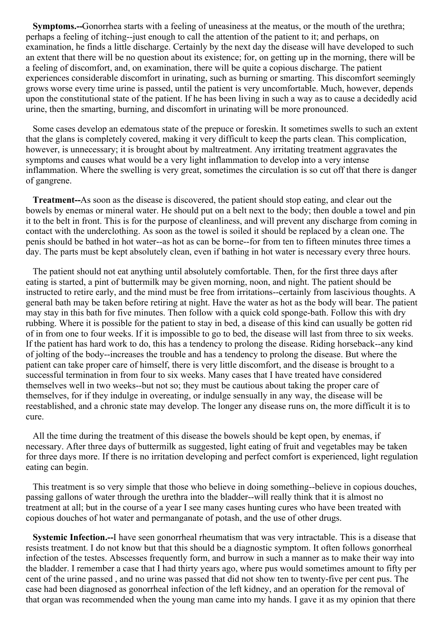**Symptoms.--**Gonorrhea starts with a feeling of uneasiness at the meatus, or the mouth of the urethra; perhaps a feeling of itching--just enough to call the attention of the patient to it; and perhaps, on examination, he finds a little discharge. Certainly by the next day the disease will have developed to such an extent that there will be no question about its existence; for, on getting up in the morning, there will be a feeling of discomfort, and, on examination, there will be quite a copious discharge. The patient experiences considerable discomfort in urinating, such as burning or smarting. This discomfort seemingly grows worse every time urine is passed, until the patient is very uncomfortable. Much, however, depends upon the constitutional state of the patient. If he has been living in such a way as to cause a decidedly acid urine, then the smarting, burning, and discomfort in urinating will be more pronounced.

Some cases develop an edematous state of the prepuce or foreskin. It sometimes swells to such an extent that the glans is completely covered, making it very difficult to keep the parts clean. This complication, however, is unnecessary; it is brought about by maltreatment. Any irritating treatment aggravates the symptoms and causes what would be a very light inflammation to develop into a very intense inflammation. Where the swelling is very great, sometimes the circulation is so cut off that there is danger of gangrene.

**Treatment--**As soon as the disease is discovered, the patient should stop eating, and clear out the bowels by enemas or mineral water. He should put on a belt next to the body; then double a towel and pin it to the belt in front. This is for the purpose of cleanliness, and will prevent any discharge from coming in contact with the underclothing. As soon as the towel is soiled it should be replaced by a clean one. The penis should be bathed in hot water--as hot as can be borne--for from ten to fifteen minutes three times a day. The parts must be kept absolutely clean, even if bathing in hot water is necessary every three hours.

The patient should not eat anything until absolutely comfortable. Then, for the first three days after eating is started, a pint of buttermilk may be given morning, noon, and night. The patient should be instructed to retire early, and the mind must be free from irritations--certainly from lascivious thoughts. A general bath may be taken before retiring at night. Have the water as hot as the body will bear. The patient may stay in this bath for five minutes. Then follow with a quick cold sponge-bath. Follow this with dry rubbing. Where it is possible for the patient to stay in bed, a disease of this kind can usually be gotten rid of in from one to four weeks. If it is impossible to go to bed, the disease will last from three to six weeks. If the patient has hard work to do, this has a tendency to prolong the disease. Riding horseback--any kind of jolting of the body--increases the trouble and has a tendency to prolong the disease. But where the patient can take proper care of himself, there is very little discomfort, and the disease is brought to a successful termination in from four to six weeks. Many cases that I have treated have considered themselves well in two weeks--but not so; they must be cautious about taking the proper care of themselves, for if they indulge in overeating, or indulge sensually in any way, the disease will be reestablished, and a chronic state may develop. The longer any disease runs on, the more difficult it is to cure.

All the time during the treatment of this disease the bowels should be kept open, by enemas, if necessary. After three days of buttermilk as suggested, light eating of fruit and vegetables may be taken for three days more. If there is no irritation developing and perfect comfort is experienced, light regulation eating can begin.

This treatment is so very simple that those who believe in doing something--believe in copious douches, passing gallons of water through the urethra into the bladder--will really think that it is almost no treatment at all; but in the course of a year I see many cases hunting cures who have been treated with copious douches of hot water and permanganate of potash, and the use of other drugs.

**Systemic Infection.--**I have seen gonorrheal rheumatism that was very intractable. This is a disease that resists treatment. I do not know but that this should be a diagnostic symptom. It often follows gonorrheal infection of the testes. Abscesses frequently form, and burrow in such a manner as to make their way into the bladder. I remember a case that I had thirty years ago, where pus would sometimes amount to fifty per cent of the urine passed , and no urine was passed that did not show ten to twenty-five per cent pus. The case had been diagnosed as gonorrheal infection of the left kidney, and an operation for the removal of that organ was recommended when the young man came into my hands. I gave it as my opinion that there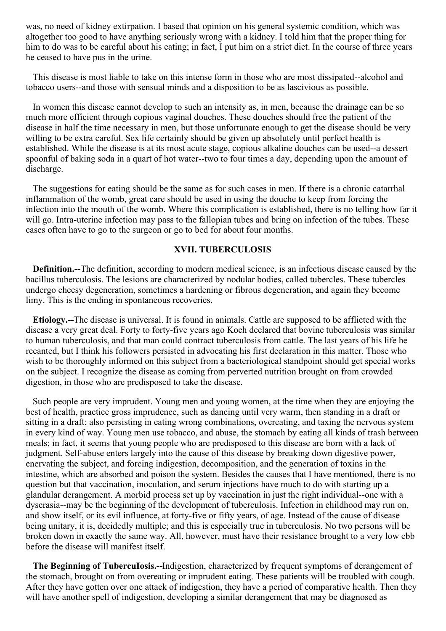was, no need of kidney extirpation. I based that opinion on his general systemic condition, which was altogether too good to have anything seriously wrong with a kidney. I told him that the proper thing for him to do was to be careful about his eating; in fact, I put him on a strict diet. In the course of three years he ceased to have pus in the urine.

This disease is most liable to take on this intense form in those who are most dissipated--alcohol and tobacco users--and those with sensual minds and a disposition to be as lascivious as possible.

In women this disease cannot develop to such an intensity as, in men, because the drainage can be so much more efficient through copious vaginal douches. These douches should free the patient of the disease in half the time necessary in men, but those unfortunate enough to get the disease should be very willing to be extra careful. Sex life certainly should be given up absolutely until perfect health is established. While the disease is at its most acute stage, copious alkaline douches can be used--a dessert spoonful of baking soda in a quart of hot water--two to four times a day, depending upon the amount of discharge.

The suggestions for eating should be the same as for such cases in men. If there is a chronic catarrhal inflammation of the womb, great care should be used in using the douche to keep from forcing the infection into the mouth of the womb. Where this complication is established, there is no telling how far it will go. Intra-uterine infection may pass to the fallopian tubes and bring on infection of the tubes. These cases often have to go to the surgeon or go to bed for about four months.

#### **XVII. TUBERCULOSIS**

**Definition.--**The definition, according to modern medical science, is an infectious disease caused by the bacillus tuberculosis. The lesions are characterized by nodular bodies, called tubercles. These tubercles undergo cheesy degeneration, sometimes a hardening or fibrous degeneration, and again they become limy. This is the ending in spontaneous recoveries.

**Etiology.--**The disease is universal. It is found in animals. Cattle are supposed to be afflicted with the disease a very great deal. Forty to forty-five years ago Koch declared that bovine tuberculosis was similar to human tuberculosis, and that man could contract tuberculosis from cattle. The last years of his life he recanted, but I think his followers persisted in advocating his first declaration in this matter. Those who wish to be thoroughly informed on this subject from a bacteriological standpoint should get special works on the subject. I recognize the disease as coming from perverted nutrition brought on from crowded digestion, in those who are predisposed to take the disease.

Such people are very imprudent. Young men and young women, at the time when they are enjoying the best of health, practice gross imprudence, such as dancing until very warm, then standing in a draft or sitting in a draft; also persisting in eating wrong combinations, overeating, and taxing the nervous system in every kind of way. Young men use tobacco, and abuse, the stomach by eating all kinds of trash between meals; in fact, it seems that young people who are predisposed to this disease are born with a lack of judgment. Self-abuse enters largely into the cause of this disease by breaking down digestive power, enervating the subject, and forcing indigestion, decomposition, and the generation of toxins in the intestine, which are absorbed and poison the system. Besides the causes that I have mentioned, there is no question but that vaccination, inoculation, and serum injections have much to do with starting up a glandular derangement. A morbid process set up by vaccination in just the right individual--one with a dyscrasia--may be the beginning of the development of tuberculosis. Infection in childhood may run on, and show itself, or its evil influence, at forty-five or fifty years, of age. Instead of the cause of disease being unitary, it is, decidedly multiple; and this is especially true in tuberculosis. No two persons will be broken down in exactly the same way. All, however, must have their resistance brought to a very low ebb before the disease will manifest itself.

**The Beginning of TubercuIosis.--**Indigestion, characterized by frequent symptoms of derangement of the stomach, brought on from overeating or imprudent eating. These patients will be troubled with cough. After they have gotten over one attack of indigestion, they have a period of comparative health. Then they will have another spell of indigestion, developing a similar derangement that may be diagnosed as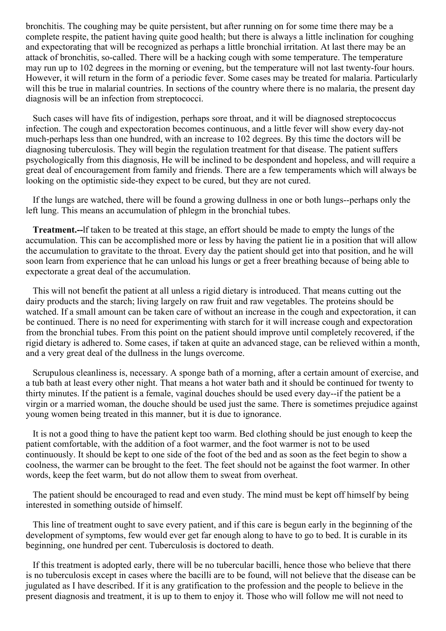bronchitis. The coughing may be quite persistent, but after running on for some time there may be a complete respite, the patient having quite good health; but there is always a little inclination for coughing and expectorating that will be recognized as perhaps a little bronchial irritation. At last there may be an attack of bronchitis, so-called. There will be a hacking cough with some temperature. The temperature may run up to 102 degrees in the morning or evening, but the temperature will not last twenty-four hours. However, it will return in the form of a periodic fever. Some cases may be treated for malaria. Particularly will this be true in malarial countries. In sections of the country where there is no malaria, the present day diagnosis will be an infection from streptococci.

Such cases will have fits of indigestion, perhaps sore throat, and it will be diagnosed streptococcus infection. The cough and expectoration becomes continuous, and a little fever will show every day-not much-perhaps less than one hundred, with an increase to 102 degrees. By this time the doctors will be diagnosing tuberculosis. They will begin the regulation treatment for that disease. The patient suffers psychologically from this diagnosis, He will be inclined to be despondent and hopeless, and will require a great deal of encouragement from family and friends. There are a few temperaments which will always be looking on the optimistic side-they expect to be cured, but they are not cured.

If the lungs are watched, there will be found a growing dullness in one or both lungs--perhaps only the left lung. This means an accumulation of phlegm in the bronchial tubes.

**Treatment.--**lf taken to be treated at this stage, an effort should be made to empty the lungs of the accumulation. This can be accomplished more or less by having the patient lie in a position that will allow the accumulation to gravitate to the throat. Every day the patient should get into that position, and he will soon learn from experience that he can unload his lungs or get a freer breathing because of being able to expectorate a great deal of the accumulation.

This will not benefit the patient at all unless a rigid dietary is introduced. That means cutting out the dairy products and the starch; living largely on raw fruit and raw vegetables. The proteins should be watched. If a small amount can be taken care of without an increase in the cough and expectoration, it can be continued. There is no need for experimenting with starch for it will increase cough and expectoration from the bronchial tubes. From this point on the patient should improve until completely recovered, if the rigid dietary is adhered to. Some cases, if taken at quite an advanced stage, can be relieved within a month, and a very great deal of the dullness in the lungs overcome.

Scrupulous cleanliness is, necessary. A sponge bath of a morning, after a certain amount of exercise, and a tub bath at least every other night. That means a hot water bath and it should be continued for twenty to thirty minutes. If the patient is a female, vaginal douches should be used every day--if the patient be a virgin or a married woman, the douche should be used just the same. There is sometimes prejudice against young women being treated in this manner, but it is due to ignorance.

It is not a good thing to have the patient kept too warm. Bed clothing should be just enough to keep the patient comfortable, with the addition of a foot warmer, and the foot warmer is not to be used continuously. It should be kept to one side of the foot of the bed and as soon as the feet begin to show a coolness, the warmer can be brought to the feet. The feet should not be against the foot warmer. In other words, keep the feet warm, but do not allow them to sweat from overheat.

The patient should be encouraged to read and even study. The mind must be kept off himself by being interested in something outside of himself.

This line of treatment ought to save every patient, and if this care is begun early in the beginning of the development of symptoms, few would ever get far enough along to have to go to bed. It is curable in its beginning, one hundred per cent. Tuberculosis is doctored to death.

If this treatment is adopted early, there will be no tubercular bacilli, hence those who believe that there is no tuberculosis except in cases where the bacilli are to be found, will not believe that the disease can be jugulated as I have described. If it is any gratification to the profession and the people to believe in the present diagnosis and treatment, it is up to them to enjoy it. Those who will follow me will not need to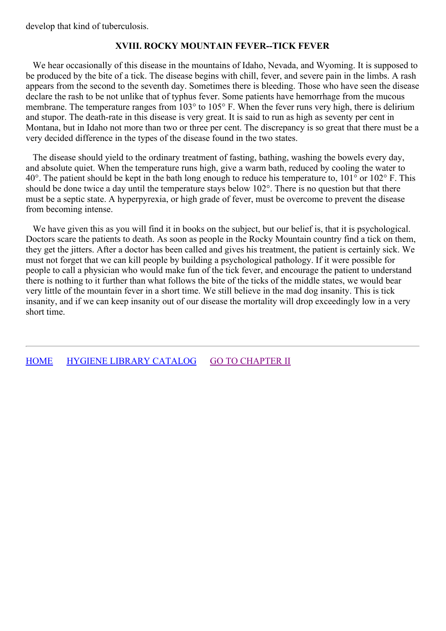develop that kind of tuberculosis.

#### **XVIII. ROCKY MOUNTAIN FEVER--TICK FEVER**

We hear occasionally of this disease in the mountains of Idaho, Nevada, and Wyoming. It is supposed to be produced by the bite of a tick. The disease begins with chill, fever, and severe pain in the limbs. A rash appears from the second to the seventh day. Sometimes there is bleeding. Those who have seen the disease declare the rash to be not unlike that of typhus fever. Some patients have hemorrhage from the mucous membrane. The temperature ranges from 103° to 105° F. When the fever runs very high, there is delirium and stupor. The death-rate in this disease is very great. It is said to run as high as seventy per cent in Montana, but in Idaho not more than two or three per cent. The discrepancy is so great that there must be a very decided difference in the types of the disease found in the two states.

The disease should yield to the ordinary treatment of fasting, bathing, washing the bowels every day, and absolute quiet. When the temperature runs high, give a warm bath, reduced by cooling the water to 40°. The patient should be kept in the bath long enough to reduce his temperature to, 101° or 102° F. This should be done twice a day until the temperature stays below 102°. There is no question but that there must be a septic state. A hyperpyrexia, or high grade of fever, must be overcome to prevent the disease from becoming intense.

We have given this as you will find it in books on the subject, but our belief is, that it is psychological. Doctors scare the patients to death. As soon as people in the Rocky Mountain country find a tick on them, they get the jitters. After a doctor has been called and gives his treatment, the patient is certainly sick. We must not forget that we can kill people by building a psychological pathology. If it were possible for people to call a physician who would make fun of the tick fever, and encourage the patient to understand there is nothing to it further than what follows the bite of the ticks of the middle states, we would bear very little of the mountain fever in a short time. We still believe in the mad dog insanity. This is tick insanity, and if we can keep insanity out of our disease the mortality will drop exceedingly low in a very short time.

[HOME](../../../index.html) HYGIENE LIBRARY [CATALOG](../0201hyglibcat.html) GO TO [CHAPTER](#page-36-0) II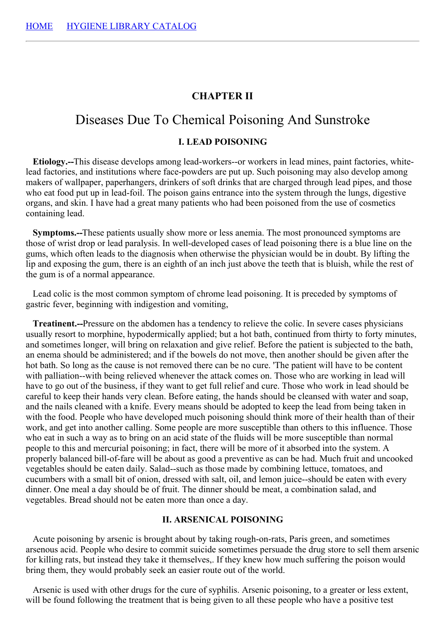### **CHAPTER II**

# Diseases Due To Chemical Poisoning And Sunstroke

#### **I. LEAD POISONING**

**Etiology.--**This disease develops among lead-workers--or workers in lead mines, paint factories, whitelead factories, and institutions where face-powders are put up. Such poisoning may also develop among makers of wallpaper, paperhangers, drinkers of soft drinks that are charged through lead pipes, and those who eat food put up in lead-foil. The poison gains entrance into the system through the lungs, digestive organs, and skin. I have had a great many patients who had been poisoned from the use of cosmetics containing lead.

**Symptoms.--**These patients usually show more or less anemia. The most pronounced symptoms are those of wrist drop or lead paralysis. In well-developed cases of lead poisoning there is a blue line on the gums, which often leads to the diagnosis when otherwise the physician would be in doubt. By lifting the lip and exposing the gum, there is an eighth of an inch just above the teeth that is bluish, while the rest of the gum is of a normal appearance.

Lead colic is the most common symptom of chrome lead poisoning. It is preceded by symptoms of gastric fever, beginning with indigestion and vomiting,

**Treatinent.--**Pressure on the abdomen has a tendency to relieve the colic. In severe cases physicians usually resort to morphine, hypodermically applied; but a hot bath, continued from thirty to forty minutes, and sometimes longer, will bring on relaxation and give relief. Before the patient is subjected to the bath, an enema should be administered; and if the bowels do not move, then another should be given after the hot bath. So long as the cause is not removed there can be no cure. 'The patient will have to be content with palliation--with being relieved whenever the attack comes on. Those who are working in lead will have to go out of the business, if they want to get full relief and cure. Those who work in lead should be careful to keep their hands very clean. Before eating, the hands should be cleansed with water and soap, and the nails cleaned with a knife. Every means should be adopted to keep the lead from being taken in with the food. People who have developed much poisoning should think more of their health than of their work, and get into another calling. Some people are more susceptible than others to this influence. Those who eat in such a way as to bring on an acid state of the fluids will be more susceptible than normal people to this and mercurial poisoning; in fact, there will be more of it absorbed into the system. A properly balanced bill-of-fare will be about as good a preventive as can be had. Much fruit and uncooked vegetables should be eaten daily. Salad--such as those made by combining lettuce, tomatoes, and cucumbers with a small bit of onion, dressed with salt, oil, and lemon juice--should be eaten with every dinner. One meal a day should be of fruit. The dinner should be meat, a combination salad, and vegetables. Bread should not be eaten more than once a day.

#### **II. ARSENICAL POISONING**

Acute poisoning by arsenic is brought about by taking rough-on-rats, Paris green, and sometimes arsenous acid. People who desire to commit suicide sometimes persuade the drug store to sell them arsenic for killing rats, but instead they take it themselves,. If they knew how much suffering the poison would bring them, they would probably seek an easier route out of the world.

Arsenic is used with other drugs for the cure of syphilis. Arsenic poisoning, to a greater or less extent, will be found following the treatment that is being given to all these people who have a positive test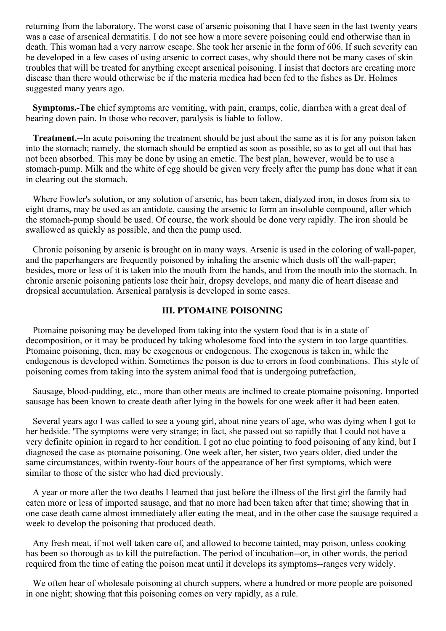returning from the laboratory. The worst case of arsenic poisoning that I have seen in the last twenty years was a case of arsenical dermatitis. I do not see how a more severe poisoning could end otherwise than in death. This woman had a very narrow escape. She took her arsenic in the form of 606. If such severity can be developed in a few cases of using arsenic to correct cases, why should there not be many cases of skin troubles that will be treated for anything except arsenical poisoning. I insist that doctors are creating more disease than there would otherwise be if the materia medica had been fed to the fishes as Dr. Holmes suggested many years ago.

**Symptoms.-The** chief symptoms are vomiting, with pain, cramps, colic, diarrhea with a great deal of bearing down pain. In those who recover, paralysis is liable to follow.

**Treatment.--**In acute poisoning the treatment should be just about the same as it is for any poison taken into the stomach; namely, the stomach should be emptied as soon as possible, so as to get all out that has not been absorbed. This may be done by using an emetic. The best plan, however, would be to use a stomach-pump. Milk and the white of egg should be given very freely after the pump has done what it can in clearing out the stomach.

Where Fowler's solution, or any solution of arsenic, has been taken, dialyzed iron, in doses from six to eight drams, may be used as an antidote, causing the arsenic to form an insoluble compound, after which the stomach-pump should be used. Of course, the work should be done very rapidly. The iron should be swallowed as quickly as possible, and then the pump used.

Chronic poisoning by arsenic is brought on in many ways. Arsenic is used in the coloring of wall-paper, and the paperhangers are frequently poisoned by inhaling the arsenic which dusts off the wall-paper; besides, more or less of it is taken into the mouth from the hands, and from the mouth into the stomach. In chronic arsenic poisoning patients lose their hair, dropsy develops, and many die of heart disease and dropsical accumulation. Arsenical paralysis is developed in some cases.

### **III. PTOMAINE POISONING**

Ptomaine poisoning may be developed from taking into the system food that is in a state of decomposition, or it may be produced by taking wholesome food into the system in too large quantities. Ptomaine poisoning, then, may be exogenous or endogenous. The exogenous is taken in, while the endogenous is developed within. Sometimes the poison is due to errors in food combinations. This style of poisoning comes from taking into the system animal food that is undergoing putrefaction,

Sausage, blood-pudding, etc., more than other meats are inclined to create ptomaine poisoning. Imported sausage has been known to create death after lying in the bowels for one week after it had been eaten.

Several years ago I was called to see a young girl, about nine years of age, who was dying when I got to her bedside. 'The symptoms were very strange; in fact, she passed out so rapidly that I could not have a very definite opinion in regard to her condition. I got no clue pointing to food poisoning of any kind, but I diagnosed the case as ptomaine poisoning. One week after, her sister, two years older, died under the same circumstances, within twenty-four hours of the appearance of her first symptoms, which were similar to those of the sister who had died previously.

A year or more after the two deaths I learned that just before the illness of the first girl the family had eaten more or less of imported sausage, and that no more had been taken after that time; showing that in one case death came almost immediately after eating the meat, and in the other case the sausage required a week to develop the poisoning that produced death.

Any fresh meat, if not well taken care of, and allowed to become tainted, may poison, unless cooking has been so thorough as to kill the putrefaction. The period of incubation--or, in other words, the period required from the time of eating the poison meat until it develops its symptoms--ranges very widely.

We often hear of wholesale poisoning at church suppers, where a hundred or more people are poisoned in one night; showing that this poisoning comes on very rapidly, as a rule.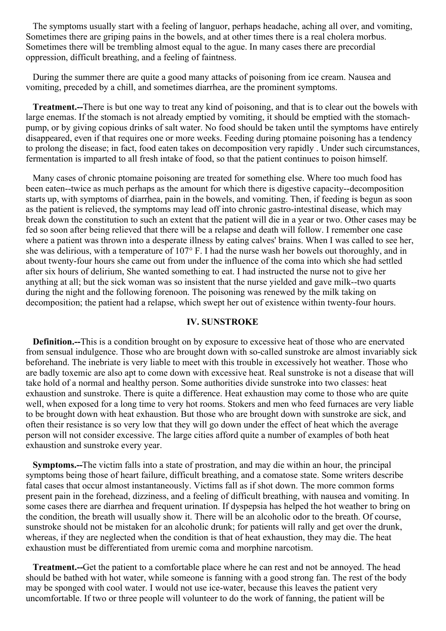The symptoms usually start with a feeling of languor, perhaps headache, aching all over, and vomiting, Sometimes there are griping pains in the bowels, and at other times there is a real cholera morbus. Sometimes there will be trembling almost equal to the ague. In many cases there are precordial oppression, difficult breathing, and a feeling of faintness.

During the summer there are quite a good many attacks of poisoning from ice cream. Nausea and vomiting, preceded by a chill, and sometimes diarrhea, are the prominent symptoms.

**Treatment.--**There is but one way to treat any kind of poisoning, and that is to clear out the bowels with large enemas. If the stomach is not already emptied by vomiting, it should be emptied with the stomachpump, or by giving copious drinks of salt water. No food should be taken until the symptoms have entirely disappeared, even if that requires one or more weeks. Feeding during ptomaine poisoning has a tendency to prolong the disease; in fact, food eaten takes on decomposition very rapidly . Under such circumstances, fermentation is imparted to all fresh intake of food, so that the patient continues to poison himself.

Many cases of chronic ptomaine poisoning are treated for something else. Where too much food has been eaten--twice as much perhaps as the amount for which there is digestive capacity--decomposition starts up, with symptoms of diarrhea, pain in the bowels, and vomiting. Then, if feeding is begun as soon as the patient is relieved, the symptoms may lead off into chronic gastro-intestinal disease, which may break down the constitution to such an extent that the patient will die in a year or two. Other cases may be fed so soon after being relieved that there will be a relapse and death will follow. I remember one case where a patient was thrown into a desperate illness by eating calves' brains. When I was called to see her, she was delirious, with a temperature of 107° F. I had the nurse wash her bowels out thoroughly, and in about twenty-four hours she came out from under the influence of the coma into which she had settled after six hours of delirium, She wanted something to eat. I had instructed the nurse not to give her anything at all; but the sick woman was so insistent that the nurse yielded and gave milk--two quarts during the night and the following forenoon. The poisoning was renewed by the milk taking on decomposition; the patient had a relapse, which swept her out of existence within twenty-four hours.

#### **IV. SUNSTROKE**

**Definition.--**This is a condition brought on by exposure to excessive heat of those who are enervated from sensual indulgence. Those who are brought down with so-called sunstroke are almost invariably sick beforehand. The inebriate is very liable to meet with this trouble in excessively hot weather. Those who are badly toxemic are also apt to come down with excessive heat. Real sunstroke is not a disease that will take hold of a normal and healthy person. Some authorities divide sunstroke into two classes: heat exhaustion and sunstroke. There is quite a difference. Heat exhaustion may come to those who are quite well, when exposed for a long time to very hot rooms. Stokers and men who feed furnaces are very liable to be brought down with heat exhaustion. But those who are brought down with sunstroke are sick, and often their resistance is so very low that they will go down under the effect of heat which the average person will not consider excessive. The large cities afford quite a number of examples of both heat exhaustion and sunstroke every year.

**Symptoms.--**The victim falls into a state of prostration, and may die within an hour, the principal symptoms being those of heart failure, difficult breathing, and a comatose state. Some writers describe fatal cases that occur almost instantaneously. Victims fall as if shot down. The more common forms present pain in the forehead, dizziness, and a feeling of difficult breathing, with nausea and vomiting. In some cases there are diarrhea and frequent urination. If dyspepsia has helped the hot weather to bring on the condition, the breath will usually show it. There will be an alcoholic odor to the breath. Of course, sunstroke should not be mistaken for an alcoholic drunk; for patients will rally and get over the drunk, whereas, if they are neglected when the condition is that of heat exhaustion, they may die. The heat exhaustion must be differentiated from uremic coma and morphine narcotism.

**Treatment.--**Get the patient to a comfortable place where he can rest and not be annoyed. The head should be bathed with hot water, while someone is fanning with a good strong fan. The rest of the body may be sponged with cool water. I would not use ice-water, because this leaves the patient very uncomfortable. If two or three people will volunteer to do the work of fanning, the patient will be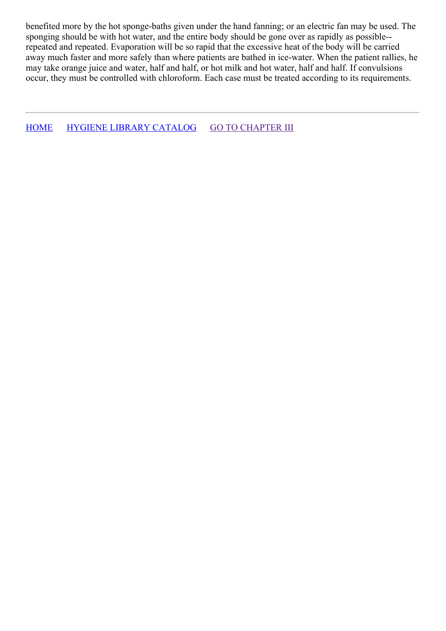benefited more by the hot sponge-baths given under the hand fanning; or an electric fan may be used. The sponging should be with hot water, and the entire body should be gone over as rapidly as possible- repeated and repeated. Evaporation will be so rapid that the excessive heat of the body will be carried away much faster and more safely than where patients are bathed in ice-water. When the patient rallies, he may take orange juice and water, half and half, or hot milk and hot water, half and half. If convulsions occur, they must be controlled with chloroform. Each case must be treated according to its requirements.

[HOME](../../../index.html) HYGIENE LIBRARY [CATALOG](../0201hyglibcat.html) GO TO [CHAPTER](#page-42-0) III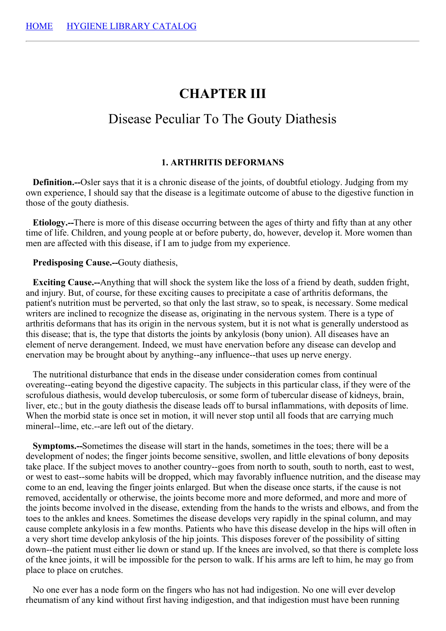# **CHAPTER III**

# Disease Peculiar To The Gouty Diathesis

### **1. ARTHRITIS DEFORMANS**

**Definition.--**Osler says that it is a chronic disease of the joints, of doubtful etiology. Judging from my own experience, I should say that the disease is a legitimate outcome of abuse to the digestive function in those of the gouty diathesis.

**Etiology.--**There is more of this disease occurring between the ages of thirty and fifty than at any other time of life. Children, and young people at or before puberty, do, however, develop it. More women than men are affected with this disease, if I am to judge from my experience.

**Predisposing Cause.--**Gouty diathesis,

**Exciting Cause.--**Anything that will shock the system like the loss of a friend by death, sudden fright, and injury. But, of course, for these exciting causes to precipitate a case of arthritis deformans, the patient's nutrition must be perverted, so that only the last straw, so to speak, is necessary. Some medical writers are inclined to recognize the disease as, originating in the nervous system. There is a type of arthritis deformans that has its origin in the nervous system, but it is not what is generally understood as this disease; that is, the type that distorts the joints by ankylosis (bony union). All diseases have an element of nerve derangement. Indeed, we must have enervation before any disease can develop and enervation may be brought about by anything--any influence--that uses up nerve energy.

The nutritional disturbance that ends in the disease under consideration comes from continual overeating--eating beyond the digestive capacity. The subjects in this particular class, if they were of the scrofulous diathesis, would develop tuberculosis, or some form of tubercular disease of kidneys, brain, liver, etc.; but in the gouty diathesis the disease leads off to bursal inflammations, with deposits of lime. When the morbid state is once set in motion, it will never stop until all foods that are carrying much mineral--lime, etc.--are left out of the dietary.

**Symptoms.--**Sometimes the disease will start in the hands, sometimes in the toes; there will be a development of nodes; the finger joints become sensitive, swollen, and little elevations of bony deposits take place. If the subject moves to another country--goes from north to south, south to north, east to west, or west to east--some habits will be dropped, which may favorably influence nutrition, and the disease may come to an end, leaving the finger joints enlarged. But when the disease once starts, if the cause is not removed, accidentally or otherwise, the joints become more and more deformed, and more and more of the joints become involved in the disease, extending from the hands to the wrists and elbows, and from the toes to the ankles and knees. Sometimes the disease develops very rapidly in the spinal column, and may cause complete ankylosis in a few months. Patients who have this disease develop in the hips will often in a very short time develop ankylosis of the hip joints. This disposes forever of the possibility of sitting down--the patient must either lie down or stand up. If the knees are involved, so that there is complete loss of the knee joints, it will be impossible for the person to walk. If his arms are left to him, he may go from place to place on crutches.

No one ever has a node form on the fingers who has not had indigestion. No one will ever develop rheumatism of any kind without first having indigestion, and that indigestion must have been running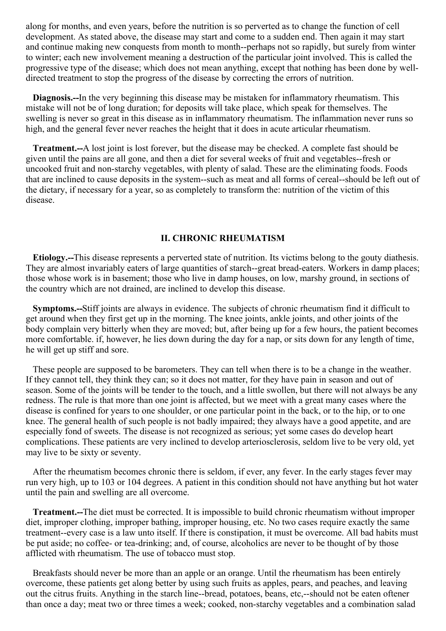along for months, and even years, before the nutrition is so perverted as to change the function of cell development. As stated above, the disease may start and come to a sudden end. Then again it may start and continue making new conquests from month to month--perhaps not so rapidly, but surely from winter to winter; each new involvement meaning a destruction of the particular joint involved. This is called the progressive type of the disease; which does not mean anything, except that nothing has been done by welldirected treatment to stop the progress of the disease by correcting the errors of nutrition.

**Diagnosis.--**In the very beginning this disease may be mistaken for inflammatory rheumatism. This mistake will not be of long duration; for deposits will take place, which speak for themselves. The swelling is never so great in this disease as in inflammatory rheumatism. The inflammation never runs so high, and the general fever never reaches the height that it does in acute articular rheumatism.

**Treatment.--**A lost joint is lost forever, but the disease may be checked. A complete fast should be given until the pains are all gone, and then a diet for several weeks of fruit and vegetables--fresh or uncooked fruit and non-starchy vegetables, with plenty of salad. These are the eliminating foods. Foods that are inclined to cause deposits in the system--such as meat and all forms of cereal--should be left out of the dietary, if necessary for a year, so as completely to transform the: nutrition of the victim of this disease.

#### **II. CHRONIC RHEUMATISM**

**Etiology.--**This disease represents a perverted state of nutrition. Its victims belong to the gouty diathesis. They are almost invariably eaters of large quantities of starch--great bread-eaters. Workers in damp places; those whose work is in basement; those who live in damp houses, on low, marshy ground, in sections of the country which are not drained, are inclined to develop this disease.

**Symptoms.--**Stiff joints are always in evidence. The subjects of chronic rheumatism find it difficult to get around when they first get up in the morning. The knee joints, ankle joints, and other joints of the body complain very bitterly when they are moved; but, after being up for a few hours, the patient becomes more comfortable. if, however, he lies down during the day for a nap, or sits down for any length of time, he will get up stiff and sore.

These people are supposed to be barometers. They can tell when there is to be a change in the weather. If they cannot tell, they think they can; so it does not matter, for they have pain in season and out of season. Some of the joints will be tender to the touch, and a little swollen, but there will not always be any redness. The rule is that more than one joint is affected, but we meet with a great many cases where the disease is confined for years to one shoulder, or one particular point in the back, or to the hip, or to one knee. The general health of such people is not badly impaired; they always have a good appetite, and are especially fond of sweets. The disease is not recognized as serious; yet some cases do develop heart complications. These patients are very inclined to develop arteriosclerosis, seldom live to be very old, yet may live to be sixty or seventy.

After the rheumatism becomes chronic there is seldom, if ever, any fever. In the early stages fever may run very high, up to 103 or 104 degrees. A patient in this condition should not have anything but hot water until the pain and swelling are all overcome.

**Treatment.--**The diet must be corrected. It is impossible to build chronic rheumatism without improper diet, improper clothing, improper bathing, improper housing, etc. No two cases require exactly the same treatment--every case is a law unto itself. If there is constipation, it must be overcome. All bad habits must be put aside; no coffee- or tea-drinking; and, of course, alcoholics are never to be thought of by those afflicted with rheumatism. The use of tobacco must stop.

Breakfasts should never be more than an apple or an orange. Until the rheumatism has been entirely overcome, these patients get along better by using such fruits as apples, pears, and peaches, and leaving out the citrus fruits. Anything in the starch line--bread, potatoes, beans, etc,--should not be eaten oftener than once a day; meat two or three times a week; cooked, non-starchy vegetables and a combination salad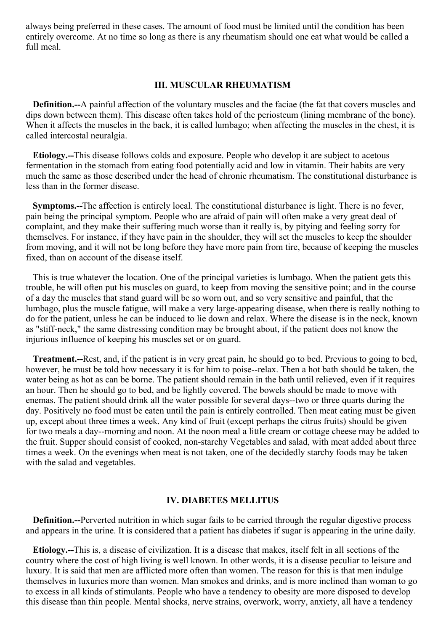always being preferred in these cases. The amount of food must be limited until the condition has been entirely overcome. At no time so long as there is any rheumatism should one eat what would be called a full meal.

#### **III. MUSCULAR RHEUMATISM**

**Definition.--**A painful affection of the voluntary muscles and the faciae (the fat that covers muscles and dips down between them). This disease often takes hold of the periosteum (lining membrane of the bone). When it affects the muscles in the back, it is called lumbago; when affecting the muscles in the chest, it is called intercostal neuralgia.

**Etiology.--**This disease follows colds and exposure. People who develop it are subject to acetous fermentation in the stomach from eating food potentially acid and low in vitamin. Their habits are very much the same as those described under the head of chronic rheumatism. The constitutional disturbance is less than in the former disease.

**Symptoms.--**The affection is entirely local. The constitutional disturbance is light. There is no fever, pain being the principal symptom. People who are afraid of pain will often make a very great deal of complaint, and they make their suffering much worse than it really is, by pitying and feeling sorry for themselves. For instance, if they have pain in the shoulder, they will set the muscles to keep the shoulder from moving, and it will not be long before they have more pain from tire, because of keeping the muscles fixed, than on account of the disease itself.

This is true whatever the location. One of the principal varieties is lumbago. When the patient gets this trouble, he will often put his muscles on guard, to keep from moving the sensitive point; and in the course of a day the muscles that stand guard will be so worn out, and so very sensitive and painful, that the lumbago, plus the muscle fatigue, will make a very large-appearing disease, when there is really nothing to do for the patient, unless he can be induced to lie down and relax. Where the disease is in the neck, known as "stiff-neck," the same distressing condition may be brought about, if the patient does not know the injurious influence of keeping his muscles set or on guard.

**Treatment.--**Rest, and, if the patient is in very great pain, he should go to bed. Previous to going to bed, however, he must be told how necessary it is for him to poise--relax. Then a hot bath should be taken, the water being as hot as can be borne. The patient should remain in the bath until relieved, even if it requires an hour. Then he should go to bed, and be lightly covered. The bowels should be made to move with enemas. The patient should drink all the water possible for several days--two or three quarts during the day. Positively no food must be eaten until the pain is entirely controlled. Then meat eating must be given up, except about three times a week. Any kind of fruit (except perhaps the citrus fruits) should be given for two meals a day--morning and noon. At the noon meal a little cream or cottage cheese may be added to the fruit. Supper should consist of cooked, non-starchy Vegetables and salad, with meat added about three times a week. On the evenings when meat is not taken, one of the decidedly starchy foods may be taken with the salad and vegetables.

#### **IV. DIABETES MELLITUS**

**Definition.--**Perverted nutrition in which sugar fails to be carried through the regular digestive process and appears in the urine. It is considered that a patient has diabetes if sugar is appearing in the urine daily.

**Etiology.--**This is, a disease of civilization. It is a disease that makes, itself felt in all sections of the country where the cost of high living is well known. In other words, it is a disease peculiar to leisure and luxury. It is said that men are afflicted more often than women. The reason for this is that men indulge themselves in luxuries more than women. Man smokes and drinks, and is more inclined than woman to go to excess in all kinds of stimulants. People who have a tendency to obesity are more disposed to develop this disease than thin people. Mental shocks, nerve strains, overwork, worry, anxiety, all have a tendency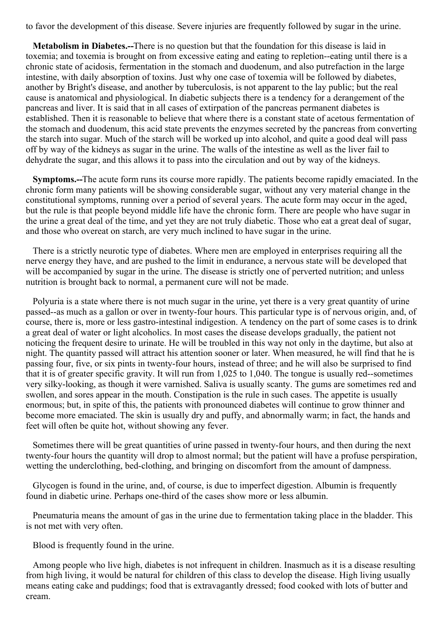<span id="page-42-0"></span>to favor the development of this disease. Severe injuries are frequently followed by sugar in the urine.

**Metabolism in Diabetes.--**There is no question but that the foundation for this disease is laid in toxemia; and toxemia is brought on from excessive eating and eating to repletion--eating until there is a chronic state of acidosis, fermentation in the stomach and duodenum, and also putrefaction in the large intestine, with daily absorption of toxins. Just why one case of toxemia will be followed by diabetes, another by Bright's disease, and another by tuberculosis, is not apparent to the lay public; but the real cause is anatomical and physiological. In diabetic subjects there is a tendency for a derangement of the pancreas and liver. It is said that in all cases of extirpation of the pancreas permanent diabetes is established. Then it is reasonable to believe that where there is a constant state of acetous fermentation of the stomach and duodenum, this acid state prevents the enzymes secreted by the pancreas from converting the starch into sugar. Much of the starch will be worked up into alcohol, and quite a good deal will pass off by way of the kidneys as sugar in the urine. The walls of the intestine as well as the liver fail to dehydrate the sugar, and this allows it to pass into the circulation and out by way of the kidneys.

**Symptoms.--**The acute form runs its course more rapidly. The patients become rapidly emaciated. In the chronic form many patients will be showing considerable sugar, without any very material change in the constitutional symptoms, running over a period of several years. The acute form may occur in the aged, but the rule is that people beyond middle life have the chronic form. There are people who have sugar in the urine a great deal of the time, and yet they are not truly diabetic. Those who eat a great deal of sugar, and those who overeat on starch, are very much inclined to have sugar in the urine.

There is a strictly neurotic type of diabetes. Where men are employed in enterprises requiring all the nerve energy they have, and are pushed to the limit in endurance, a nervous state will be developed that will be accompanied by sugar in the urine. The disease is strictly one of perverted nutrition; and unless nutrition is brought back to normal, a permanent cure will not be made.

Polyuria is a state where there is not much sugar in the urine, yet there is a very great quantity of urine passed--as much as a gallon or over in twenty-four hours. This particular type is of nervous origin, and, of course, there is, more or less gastro-intestinal indigestion. A tendency on the part of some cases is to drink a great deal of water or light alcoholics. In most cases the disease develops gradually, the patient not noticing the frequent desire to urinate. He will be troubled in this way not only in the daytime, but also at night. The quantity passed will attract his attention sooner or later. When measured, he will find that he is passing four, five, or six pints in twenty-four hours, instead of three; and he will also be surprised to find that it is of greater specific gravity. It will run from 1,025 to 1,040. The tongue is usually red--sometimes very silky-looking, as though it were varnished. Saliva is usually scanty. The gums are sometimes red and swollen, and sores appear in the mouth. Constipation is the rule in such cases. The appetite is usually enormous; but, in spite of this, the patients with pronounced diabetes will continue to grow thinner and become more emaciated. The skin is usually dry and puffy, and abnormally warm; in fact, the hands and feet will often be quite hot, without showing any fever.

Sometimes there will be great quantities of urine passed in twenty-four hours, and then during the next twenty-four hours the quantity will drop to almost normal; but the patient will have a profuse perspiration, wetting the underclothing, bed-clothing, and bringing on discomfort from the amount of dampness.

Glycogen is found in the urine, and, of course, is due to imperfect digestion. Albumin is frequently found in diabetic urine. Perhaps one-third of the cases show more or less albumin.

Pneumaturia means the amount of gas in the urine due to fermentation taking place in the bladder. This is not met with very often.

Blood is frequently found in the urine.

Among people who live high, diabetes is not infrequent in children. Inasmuch as it is a disease resulting from high living, it would be natural for children of this class to develop the disease. High living usually means eating cake and puddings; food that is extravagantly dressed; food cooked with lots of butter and cream.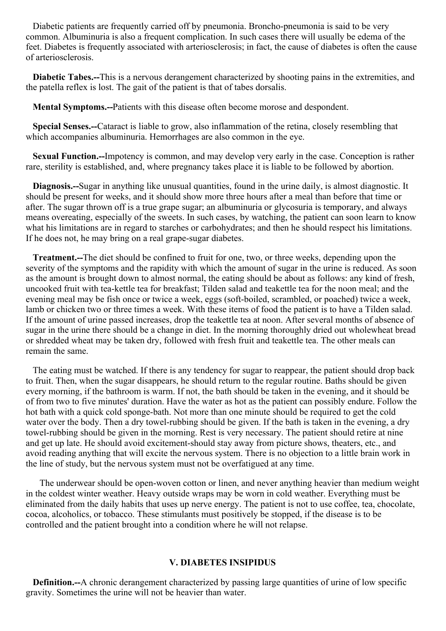Diabetic patients are frequently carried off by pneumonia. Broncho-pneumonia is said to be very common. Albuminuria is also a frequent complication. In such cases there will usually be edema of the feet. Diabetes is frequently associated with arteriosclerosis; in fact, the cause of diabetes is often the cause of arteriosclerosis.

**Diabetic Tabes.--**This is a nervous derangement characterized by shooting pains in the extremities, and the patella reflex is lost. The gait of the patient is that of tabes dorsalis.

**Mental Symptoms.--**Patients with this disease often become morose and despondent.

**Special Senses.--**Cataract is liable to grow, also inflammation of the retina, closely resembling that which accompanies albuminuria. Hemorrhages are also common in the eye.

**Sexual Function.--**Impotency is common, and may develop very early in the case. Conception is rather rare, sterility is established, and, where pregnancy takes place it is liable to be followed by abortion.

**Diagnosis.--**Sugar in anything like unusual quantities, found in the urine daily, is almost diagnostic. It should be present for weeks, and it should show more three hours after a meal than before that time or after. The sugar thrown off is a true grape sugar; an albuminuria or glycosuria is temporary, and always means overeating, especially of the sweets. In such cases, by watching, the patient can soon learn to know what his limitations are in regard to starches or carbohydrates; and then he should respect his limitations. If he does not, he may bring on a real grape-sugar diabetes.

**Treatment.--**The diet should be confined to fruit for one, two, or three weeks, depending upon the severity of the symptoms and the rapidity with which the amount of sugar in the urine is reduced. As soon as the amount is brought down to almost normal, the eating should be about as follows: any kind of fresh, uncooked fruit with tea-kettle tea for breakfast; Tilden salad and teakettle tea for the noon meal; and the evening meal may be fish once or twice a week, eggs (soft-boiled, scrambled, or poached) twice a week, lamb or chicken two or three times a week. With these items of food the patient is to have a Tilden salad. If the amount of urine passed increases, drop the teakettle tea at noon. After several months of absence of sugar in the urine there should be a change in diet. In the morning thoroughly dried out wholewheat bread or shredded wheat may be taken dry, followed with fresh fruit and teakettle tea. The other meals can remain the same.

The eating must be watched. If there is any tendency for sugar to reappear, the patient should drop back to fruit. Then, when the sugar disappears, he should return to the regular routine. Baths should be given every morning, if the bathroom is warm. If not, the bath should be taken in the evening, and it should be of from two to five minutes' duration. Have the water as hot as the patient can possibly endure. Follow the hot bath with a quick cold sponge-bath. Not more than one minute should be required to get the cold water over the body. Then a dry towel-rubbing should be given. If the bath is taken in the evening, a dry towel-rubbing should be given in the morning. Rest is very necessary. The patient should retire at nine and get up late. He should avoid excitement-should stay away from picture shows, theaters, etc., and avoid reading anything that will excite the nervous system. There is no objection to a little brain work in the line of study, but the nervous system must not be overfatigued at any time.

The underwear should be open-woven cotton or linen, and never anything heavier than medium weight in the coldest winter weather. Heavy outside wraps may be worn in cold weather. Everything must be eliminated from the daily habits that uses up nerve energy. The patient is not to use coffee, tea, chocolate, cocoa, alcoholics, or tobacco. These stimulants must positively be stopped, if the disease is to be controlled and the patient brought into a condition where he will not relapse.

## **V. DIABETES INSIPIDUS**

**Definition.--**A chronic derangement characterized by passing large quantities of urine of low specific gravity. Sometimes the urine will not be heavier than water.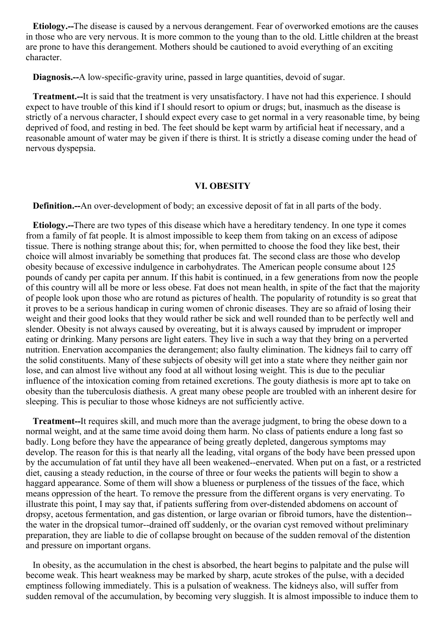**Etiology.--**The disease is caused by a nervous derangement. Fear of overworked emotions are the causes in those who are very nervous. It is more common to the young than to the old. Little children at the breast are prone to have this derangement. Mothers should be cautioned to avoid everything of an exciting character.

**Diagnosis.--**A low-specific-gravity urine, passed in large quantities, devoid of sugar.

**Treatment.--**It is said that the treatment is very unsatisfactory. I have not had this experience. I should expect to have trouble of this kind if I should resort to opium or drugs; but, inasmuch as the disease is strictly of a nervous character, I should expect every case to get normal in a very reasonable time, by being deprived of food, and resting in bed. The feet should be kept warm by artificial heat if necessary, and a reasonable amount of water may be given if there is thirst. It is strictly a disease coming under the head of nervous dyspepsia.

#### **VI. OBESITY**

**Definition.--**An over-development of body; an excessive deposit of fat in all parts of the body.

**Etiology.--**There are two types of this disease which have a hereditary tendency. In one type it comes from a family of fat people. It is almost impossible to keep them from taking on an excess of adipose tissue. There is nothing strange about this; for, when permitted to choose the food they like best, their choice will almost invariably be something that produces fat. The second class are those who develop obesity because of excessive indulgence in carbohydrates. The American people consume about 125 pounds of candy per capita per annum. If this habit is continued, in a few generations from now the people of this country will all be more or less obese. Fat does not mean health, in spite of the fact that the majority of people look upon those who are rotund as pictures of health. The popularity of rotundity is so great that it proves to be a serious handicap in curing women of chronic diseases. They are so afraid of losing their weight and their good looks that they would rather be sick and well rounded than to be perfectly well and slender. Obesity is not always caused by overeating, but it is always caused by imprudent or improper eating or drinking. Many persons are light eaters. They live in such a way that they bring on a perverted nutrition. Enervation accompanies the derangement; also faulty elimination. The kidneys fail to carry off the solid constituents. Many of these subjects of obesity will get into a state where they neither gain nor lose, and can almost live without any food at all without losing weight. This is due to the peculiar influence of the intoxication coming from retained excretions. The gouty diathesis is more apt to take on obesity than the tuberculosis diathesis. A great many obese people are troubled with an inherent desire for sleeping. This is peculiar to those whose kidneys are not sufficiently active.

**Treatment--**It requires skill, and much more than the average judgment, to bring the obese down to a normal weight, and at the same time avoid doing them harm. No class of patients endure a long fast so badly. Long before they have the appearance of being greatly depleted, dangerous symptoms may develop. The reason for this is that nearly all the leading, vital organs of the body have been pressed upon by the accumulation of fat until they have all been weakened--enervated. When put on a fast, or a restricted diet, causing a steady reduction, in the course of three or four weeks the patients will begin to show a haggard appearance. Some of them will show a blueness or purpleness of the tissues of the face, which means oppression of the heart. To remove the pressure from the different organs is very enervating. To illustrate this point, I may say that, if patients suffering from over-distended abdomens on account of dropsy, acetous fermentation, and gas distention, or large ovarian or fibroid tumors, have the distention- the water in the dropsical tumor--drained off suddenly, or the ovarian cyst removed without preliminary preparation, they are liable to die of collapse brought on because of the sudden removal of the distention and pressure on important organs.

In obesity, as the accumulation in the chest is absorbed, the heart begins to palpitate and the pulse will become weak. This heart weakness may be marked by sharp, acute strokes of the pulse, with a decided emptiness following immediately. This is a pulsation of weakness. The kidneys also, will suffer from sudden removal of the accumulation, by becoming very sluggish. It is almost impossible to induce them to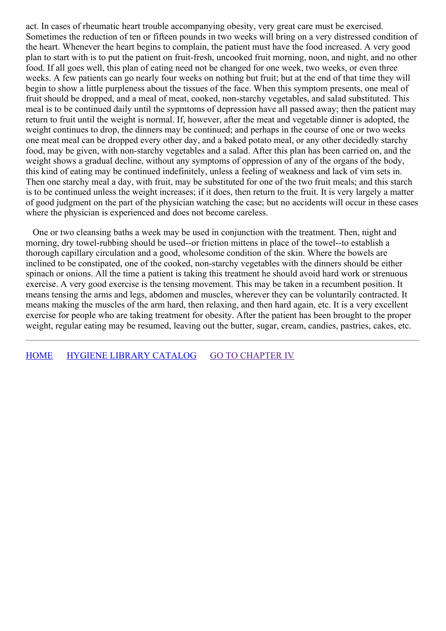act. In cases of rheumatic heart trouble accompanying obesity, very great care must be exercised. Sometimes the reduction of ten or fifteen pounds in two weeks will bring on a very distressed condition of the heart. Whenever the heart begins to complain, the patient must have the food increased. A very good plan to start with is to put the patient on fruit-fresh, uncooked fruit morning, noon, and night, and no other food. If all goes well, this plan of eating need not be changed for one week, two weeks, or even three weeks. A few patients can go nearly four weeks on nothing but fruit; but at the end of that time they will begin to show a little purpleness about the tissues of the face. When this symptom presents, one meal of fruit should be dropped, and a meal of meat, cooked, non-starchy vegetables, and salad substituted. This meal is to be continued daily until the sypmtoms of depression have all passed away; then the patient may return to fruit until the weight is normal. If, however, after the meat and vegetable dinner is adopted, the weight continues to drop, the dinners may be continued; and perhaps in the course of one or two weeks one meat meal can be dropped every other day, and a baked potato meal, or any other decidedly starchy food, may be given, with non-starchy vegetables and a salad. After this plan has been carried on, and the weight shows a gradual decline, without any symptoms of oppression of any of the organs of the body, this kind of eating may be continued indefinitely, unless a feeling of weakness and lack of vim sets in. Then one starchy meal a day, with fruit, may be substituted for one of the two fruit meals; and this starch is to be continued unless the weight increases; if it does, then return to the fruit. It is very largely a matter of good judgment on the part of the physician watching the case; but no accidents will occur in these cases where the physician is experienced and does not become careless.

One or two cleansing baths a week may be used in conjunction with the treatment. Then, night and morning, dry towel-rubbing should be used--or friction mittens in place of the towel--to establish a thorough capillary circulation and a good, wholesome condition of the skin. Where the bowels are inclined to be constipated, one of the cooked, non-starchy vegetables with the dinners should be either spinach or onions. All the time a patient is taking this treatment he should avoid hard work or strenuous exercise. A very good exercise is the tensing movement. This may be taken in a recumbent position. It means tensing the arms and legs, abdomen and muscles, wherever they can be voluntarily contracted. It means making the muscles of the arm hard, then relaxing, and then hard again, etc. It is a very excellent exercise for people who are taking treatment for obesity. After the patient has been brought to the proper weight, regular eating may be resumed, leaving out the butter, sugar, cream, candies, pastries, cakes, etc.

[HOME](../../../index.html) HYGIENE LIBRARY [CATALOG](../0201hyglibcat.html) GO TO [CHAPTER](#page-62-0) IV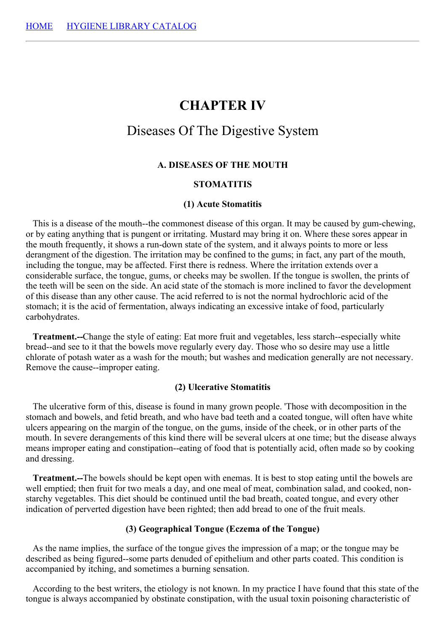# **CHAPTER IV**

# Diseases Of The Digestive System

#### **A. DISEASES OF THE MOUTH**

## **STOMATITIS**

#### **(1) Acute Stomatitis**

This is a disease of the mouth--the commonest disease of this organ. It may be caused by gum-chewing, or by eating anything that is pungent or irritating. Mustard may bring it on. Where these sores appear in the mouth frequently, it shows a run-down state of the system, and it always points to more or less derangment of the digestion. The irritation may be confined to the gums; in fact, any part of the mouth, including the tongue, may be affected. First there is redness. Where the irritation extends over a considerable surface, the tongue, gums, or cheeks may be swollen. If the tongue is swollen, the prints of the teeth will be seen on the side. An acid state of the stomach is more inclined to favor the development of this disease than any other cause. The acid referred to is not the normal hydrochloric acid of the stomach; it is the acid of fermentation, always indicating an excessive intake of food, particularly carbohydrates.

**Treatment.--**Change the style of eating: Eat more fruit and vegetables, less starch--especially white bread--and see to it that the bowels move regularly every day. Those who so desire may use a little chlorate of potash water as a wash for the mouth; but washes and medication generally are not necessary. Remove the cause--improper eating.

#### **(2) Ulcerative Stomatitis**

The ulcerative form of this, disease is found in many grown people. 'Those with decomposition in the stomach and bowels, and fetid breath, and who have bad teeth and a coated tongue, will often have white ulcers appearing on the margin of the tongue, on the gums, inside of the cheek, or in other parts of the mouth. In severe derangements of this kind there will be several ulcers at one time; but the disease always means improper eating and constipation--eating of food that is potentially acid, often made so by cooking and dressing.

**Treatment.--**The bowels should be kept open with enemas. It is best to stop eating until the bowels are well emptied; then fruit for two meals a day, and one meal of meat, combination salad, and cooked, nonstarchy vegetables. This diet should be continued until the bad breath, coated tongue, and every other indication of perverted digestion have been righted; then add bread to one of the fruit meals.

## **(3) Geographical Tongue (Eczema of the Tongue)**

As the name implies, the surface of the tongue gives the impression of a map; or the tongue may be described as being figured--some parts denuded of epithelium and other parts coated. This condition is accompanied by itching, and sometimes a burning sensation.

According to the best writers, the etiology is not known. In my practice I have found that this state of the tongue is always accompanied by obstinate constipation, with the usual toxin poisoning characteristic of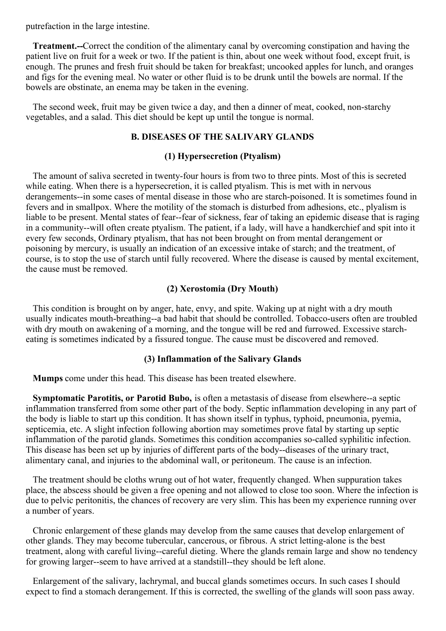putrefaction in the large intestine.

**Treatment.--**Correct the condition of the alimentary canal by overcoming constipation and having the patient live on fruit for a week or two. If the patient is thin, about one week without food, except fruit, is enough. The prunes and fresh fruit should be taken for breakfast; uncooked apples for lunch, and oranges and figs for the evening meal. No water or other fluid is to be drunk until the bowels are normal. If the bowels are obstinate, an enema may be taken in the evening.

The second week, fruit may be given twice a day, and then a dinner of meat, cooked, non-starchy vegetables, and a salad. This diet should be kept up until the tongue is normal.

#### **B. DISEASES OF THE SALIVARY GLANDS**

#### **(1) Hypersecretion (Ptyalism)**

The amount of saliva secreted in twenty-four hours is from two to three pints. Most of this is secreted while eating. When there is a hypersecretion, it is called ptyalism. This is met with in nervous derangements--in some cases of mental disease in those who are starch-poisoned. It is sometimes found in fevers and in smallpox. Where the motility of the stomach is disturbed from adhesions, etc., plyalism is liable to be present. Mental states of fear--fear of sickness, fear of taking an epidemic disease that is raging in a community--will often create ptyalism. The patient, if a lady, will have a handkerchief and spit into it every few seconds, Ordinary ptyalism, that has not been brought on from mental derangement or poisoning by mercury, is usually an indication of an excessive intake of starch; and the treatment, of course, is to stop the use of starch until fully recovered. Where the disease is caused by mental excitement, the cause must be removed.

## **(2) Xerostomia (Dry Mouth)**

This condition is brought on by anger, hate, envy, and spite. Waking up at night with a dry mouth usually indicates mouth-breathing--a bad habit that should be controlled. Tobacco-users often are troubled with dry mouth on awakening of a morning, and the tongue will be red and furrowed. Excessive starcheating is sometimes indicated by a fissured tongue. The cause must be discovered and removed.

#### **(3) Inflammation of the Salivary Glands**

**Mumps** come under this head. This disease has been treated elsewhere.

**Symptomatic Parotitis, or Parotid Bubo,** is often a metastasis of disease from elsewhere--a septic inflammation transferred from some other part of the body. Septic inflammation developing in any part of the body is liable to start up this condition. It has shown itself in typhus, typhoid, pneumonia, pyemia, septicemia, etc. A slight infection following abortion may sometimes prove fatal by starting up septic inflammation of the parotid glands. Sometimes this condition accompanies so-called syphilitic infection. This disease has been set up by injuries of different parts of the body--diseases of the urinary tract, alimentary canal, and injuries to the abdominal wall, or peritoneum. The cause is an infection.

The treatment should be cloths wrung out of hot water, frequently changed. When suppuration takes place, the abscess should be given a free opening and not allowed to close too soon. Where the infection is due to pelvic peritonitis, the chances of recovery are very slim. This has been my experience running over a number of years.

Chronic enlargement of these glands may develop from the same causes that develop enlargement of other glands. They may become tubercular, cancerous, or fibrous. A strict letting-alone is the best treatment, along with careful living--careful dieting. Where the glands remain large and show no tendency for growing larger--seem to have arrived at a standstill--they should be left alone.

Enlargement of the salivary, lachrymal, and buccal glands sometimes occurs. In such cases I should expect to find a stomach derangement. If this is corrected, the swelling of the glands will soon pass away.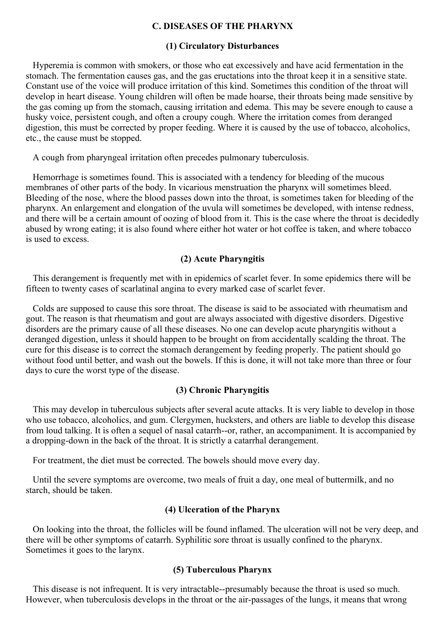## **C. DISEASES OF THE PHARYNX**

#### **(1) Circulatory Disturbances**

Hyperemia is common with smokers, or those who eat excessively and have acid fermentation in the stomach. The fermentation causes gas, and the gas eructations into the throat keep it in a sensitive state. Constant use of the voice will produce irritation of this kind. Sometimes this condition of the throat will develop in heart disease. Young children will often be made hoarse, their throats being made sensitive by the gas coming up from the stomach, causing irritation and edema. This may be severe enough to cause a husky voice, persistent cough, and often a croupy cough. Where the irritation comes from deranged digestion, this must be corrected by proper feeding. Where it is caused by the use of tobacco, alcoholics, etc., the cause must be stopped.

A cough from pharyngeal irritation often precedes pulmonary tuberculosis.

Hemorrhage is sometimes found. This is associated with a tendency for bleeding of the mucous membranes of other parts of the body. In vicarious menstruation the pharynx will sometimes bleed. Bleeding of the nose, where the blood passes down into the throat, is sometimes taken for bleeding of the pharynx. An enlargement and elongation of the uvula will sometimes be developed, with intense redness, and there will be a certain amount of oozing of blood from it. This is the case where the throat is decidedly abused by wrong eating; it is also found where either hot water or hot coffee is taken, and where tobacco is used to excess.

# **(2) Acute Pharyngitis**

This derangement is frequently met with in epidemics of scarlet fever. In some epidemics there will be fifteen to twenty cases of scarlatinal angina to every marked case of scarlet fever.

Colds are supposed to cause this sore throat. The disease is said to be associated with rheumatism and gout. The reason is that rheumatism and gout are always associated with digestive disorders. Digestive disorders are the primary cause of all these diseases. No one can develop acute pharyngitis without a deranged digestion, unless it should happen to be brought on from accidentally scalding the throat. The cure for this disease is to correct the stomach derangement by feeding properly. The patient should go without food until better, and wash out the bowels. If this is done, it will not take more than three or four days to cure the worst type of the disease.

## **(3) Chronic Pharyngitis**

This may develop in tuberculous subjects after several acute attacks. It is very liable to develop in those who use tobacco, alcoholics, and gum. Clergymen, hucksters, and others are liable to develop this disease from loud talking. It is often a sequel of nasal catarrh--or, rather, an accompaniment. It is accompanied by a dropping-down in the back of the throat. It is strictly a catarrhal derangement.

For treatment, the diet must be corrected. The bowels should move every day.

Until the severe symptoms are overcome, two meals of fruit a day, one meal of buttermilk, and no starch, should be taken.

# **(4) Ulceration of the Pharynx**

On looking into the throat, the follicles will be found inflamed. The ulceration will not be very deep, and there will be other symptoms of catarrh. Syphilitic sore throat is usually confined to the pharynx. Sometimes it goes to the larynx.

## **(5) Tuberculous Pharynx**

This disease is not infrequent. It is very intractable--presumably because the throat is used so much. However, when tuberculosis develops in the throat or the air-passages of the lungs, it means that wrong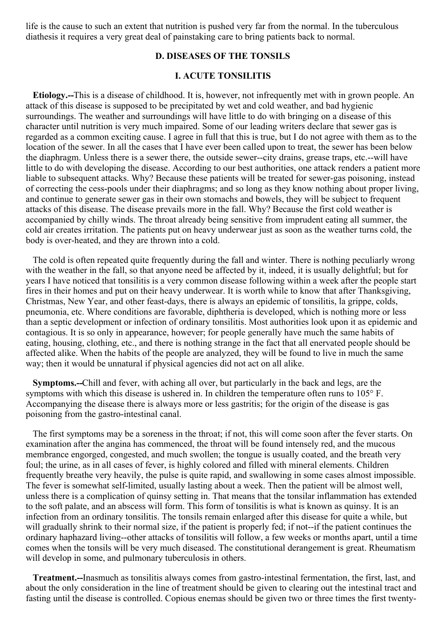life is the cause to such an extent that nutrition is pushed very far from the normal. In the tuberculous diathesis it requires a very great deal of painstaking care to bring patients back to normal.

## **D. DISEASES OF THE TONSILS**

## **I. ACUTE TONSILITIS**

**Etiology.--**This is a disease of childhood. It is, however, not infrequently met with in grown people. An attack of this disease is supposed to be precipitated by wet and cold weather, and bad hygienic surroundings. The weather and surroundings will have little to do with bringing on a disease of this character until nutrition is very much impaired. Some of our leading writers declare that sewer gas is regarded as a common exciting cause. I agree in full that this is true, but I do not agree with them as to the location of the sewer. In all the cases that I have ever been called upon to treat, the sewer has been below the diaphragm. Unless there is a sewer there, the outside sewer--city drains, grease traps, etc.--will have little to do with developing the disease. According to our best authorities, one attack renders a patient more liable to subsequent attacks. Why? Because these patients will be treated for sewer-gas poisoning, instead of correcting the cess-pools under their diaphragms; and so long as they know nothing about proper living, and continue to generate sewer gas in their own stomachs and bowels, they will be subject to frequent attacks of this disease. The disease prevails more in the fall. Why? Because the first cold weather is accompanied by chilly winds. The throat already being sensitive from imprudent eating all summer, the cold air creates irritation. The patients put on heavy underwear just as soon as the weather turns cold, the body is over-heated, and they are thrown into a cold.

The cold is often repeated quite frequently during the fall and winter. There is nothing peculiarly wrong with the weather in the fall, so that anyone need be affected by it, indeed, it is usually delightful; but for years I have noticed that tonsilitis is a very common disease following within a week after the people start fires in their homes and put on their heavy underwear. It is worth while to know that after Thanksgiving, Christmas, New Year, and other feast-days, there is always an epidemic of tonsilitis, la grippe, colds, pneumonia, etc. Where conditions are favorable, diphtheria is developed, which is nothing more or less than a septic development or infection of ordinary tonsilitis. Most authorities look upon it as epidemic and contagious. It is so only in appearance, however; for people generally have much the same habits of eating, housing, clothing, etc., and there is nothing strange in the fact that all enervated people should be affected alike. When the habits of the people are analyzed, they will be found to live in much the same way; then it would be unnatural if physical agencies did not act on all alike.

**Symptoms.--**Chill and fever, with aching all over, but particularly in the back and legs, are the symptoms with which this disease is ushered in. In children the temperature often runs to 105° F. Accompanying the disease there is always more or less gastritis; for the origin of the disease is gas poisoning from the gastro-intestinal canal.

The first symptoms may be a soreness in the throat; if not, this will come soon after the fever starts. On examination after the angina has commenced, the throat will be found intensely red, and the mucous membrance engorged, congested, and much swollen; the tongue is usually coated, and the breath very foul; the urine, as in all cases of fever, is highly colored and filled with mineral elements. Children frequently breathe very heavily, the pulse is quite rapid, and swallowing in some cases almost impossible. The fever is somewhat self-limited, usually lasting about a week. Then the patient will be almost well, unless there is a complication of quinsy setting in. That means that the tonsilar inflammation has extended to the soft palate, and an abscess will form. This form of tonsilitis is what is known as quinsy. It is an infection from an ordinary tonsilitis. The tonsils remain enlarged after this disease for quite a while, but will gradually shrink to their normal size, if the patient is properly fed; if not--if the patient continues the ordinary haphazard living--other attacks of tonsilitis will follow, a few weeks or months apart, until a time comes when the tonsils will be very much diseased. The constitutional derangement is great. Rheumatism will develop in some, and pulmonary tuberculosis in others.

**Treatment.--**Inasmuch as tonsilitis always comes from gastro-intestinal fermentation, the first, last, and about the only consideration in the line of treatment should be given to clearing out the intestinal tract and fasting until the disease is controlled. Copious enemas should be given two or three times the first twenty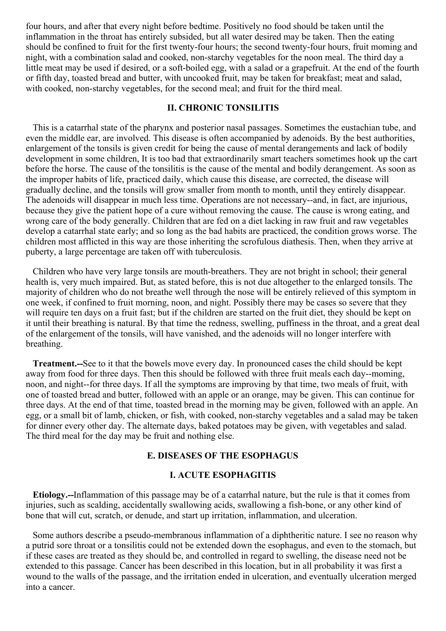four hours, and after that every night before bedtime. Positively no food should be taken until the inflammation in the throat has entirely subsided, but all water desired may be taken. Then the eating should be confined to fruit for the first twenty-four hours; the second twenty-four hours, fruit moming and night, with a combination salad and cooked, non-starchy vegetables for the noon meal. The third day a little meat may be used if desired, or a soft-boiled egg, with a salad or a grapefruit. At the end of the fourth or fifth day, toasted bread and butter, with uncooked fruit, may be taken for breakfast; meat and salad, with cooked, non-starchy vegetables, for the second meal; and fruit for the third meal.

## **II. CHRONIC TONSILITIS**

This is a catarrhal state of the pharynx and posterior nasal passages. Sometimes the eustachian tube, and even the middle ear, are involved. This disease is often accompanied by adenoids. By the best authorities, enlargement of the tonsils is given credit for being the cause of mental derangements and lack of bodily development in some children, It is too bad that extraordinarily smart teachers sometimes hook up the cart before the horse. The cause of the tonsilitis is the cause of the mental and bodily derangement. As soon as the improper habits of life, practiced daily, which cause this disease, are corrected, the disease will gradually decline, and the tonsils will grow smaller from month to month, until they entirely disappear. The adenoids will disappear in much less time. Operations are not necessary--and, in fact, are injurious, because they give the patient hope of a cure without removing the cause. The cause is wrong eating, and wrong care of the body generally. Children that are fed on a diet lacking in raw fruit and raw vegetables develop a catarrhal state early; and so long as the bad habits are practiced, the condition grows worse. The children most afflicted in this way are those inheriting the scrofulous diathesis. Then, when they arrive at puberty, a large percentage are taken off with tuberculosis.

Children who have very large tonsils are mouth-breathers. They are not bright in school; their general health is, very much impaired. But, as stated before, this is not due altogether to the enlarged tonsils. The majority of children who do not breathe well through the nose will be entirely relieved of this symptom in one week, if confined to fruit morning, noon, and night. Possibly there may be cases so severe that they will require ten days on a fruit fast; but if the children are started on the fruit diet, they should be kept on it until their breathing is natural. By that time the redness, swelling, puffiness in the throat, and a great deal of the enlargement of the tonsils, will have vanished, and the adenoids will no longer interfere with breathing.

**Treatment.--**See to it that the bowels move every day. In pronounced cases the child should be kept away from food for three days. Then this should be followed with three fruit meals each day--moming, noon, and night--for three days. If all the symptoms are improving by that time, two meals of fruit, with one of toasted bread and butter, followed with an apple or an orange, may be given. This can continue for three days. At the end of that time, toasted bread in the morning may be given, followed with an apple. An egg, or a small bit of lamb, chicken, or fish, with cooked, non-starchy vegetables and a salad may be taken for dinner every other day. The alternate days, baked potatoes may be given, with vegetables and salad. The third meal for the day may be fruit and nothing else.

# **E. DISEASES OF THE ESOPHAGUS**

#### **I. ACUTE ESOPHAGITIS**

**Etiology.--**Inflammation of this passage may be of a catarrhal nature, but the rule is that it comes from injuries, such as scalding, accidentally swallowing acids, swallowing a fish-bone, or any other kind of bone that will cut, scratch, or denude, and start up irritation, inflammation, and ulceration.

Some authors describe a pseudo-membranous inflammation of a diphtheritic nature. I see no reason why a putrid sore throat or a tonsilitis could not be extended down the esophagus, and even to the stomach, but if these cases are treated as they should be, and controlled in regard to swelling, the disease need not be extended to this passage. Cancer has been described in this location, but in all probability it was first a wound to the walls of the passage, and the irritation ended in ulceration, and eventually ulceration merged into a cancer.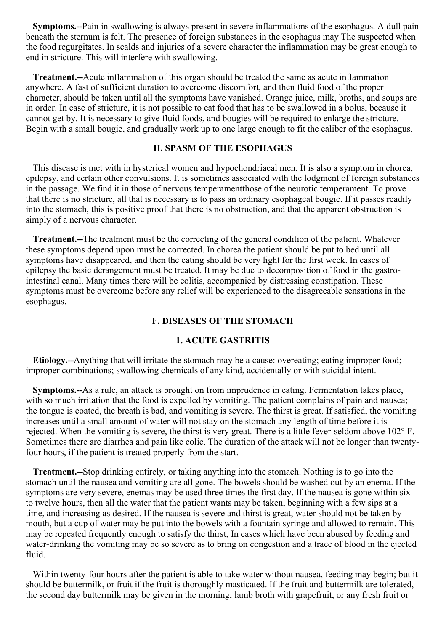**Symptoms.--**Pain in swallowing is always present in severe inflammations of the esophagus. A dull pain beneath the sternum is felt. The presence of foreign substances in the esophagus may The suspected when the food regurgitates. In scalds and injuries of a severe character the inflammation may be great enough to end in stricture. This will interfere with swallowing.

**Treatment.--**Acute inflammation of this organ should be treated the same as acute inflammation anywhere. A fast of sufficient duration to overcome discomfort, and then fluid food of the proper character, should be taken until all the symptoms have vanished. Orange juice, milk, broths, and soups are in order. In case of stricture, it is not possible to eat food that has to be swallowed in a bolus, because it cannot get by. It is necessary to give fluid foods, and bougies will be required to enlarge the stricture. Begin with a small bougie, and gradually work up to one large enough to fit the caliber of the esophagus.

# **II. SPASM OF THE ESOPHAGUS**

This disease is met with in hysterical women and hypochondriacal men, It is also a symptom in chorea, epilepsy, and certain other convulsions. It is sometimes associated with the lodgment of foreign substances in the passage. We find it in those of nervous temperamentthose of the neurotic temperament. To prove that there is no stricture, all that is necessary is to pass an ordinary esophageal bougie. If it passes readily into the stomach, this is positive proof that there is no obstruction, and that the apparent obstruction is simply of a nervous character.

**Treatment.--**The treatment must be the correcting of the general condition of the patient. Whatever these symptoms depend upon must be corrected. In chorea the patient should be put to bed until all symptoms have disappeared, and then the eating should be very light for the first week. In cases of epilepsy the basic derangement must be treated. It may be due to decomposition of food in the gastrointestinal canal. Many times there will be colitis, accompanied by distressing constipation. These symptoms must be overcome before any relief will be experienced to the disagreeable sensations in the esophagus.

# **F. DISEASES OF THE STOMACH**

## **1. ACUTE GASTRITIS**

**Etiology.--**Anything that will irritate the stomach may be a cause: overeating; eating improper food; improper combinations; swallowing chemicals of any kind, accidentally or with suicidal intent.

**Symptoms.--**As a rule, an attack is brought on from imprudence in eating. Fermentation takes place, with so much irritation that the food is expelled by vomiting. The patient complains of pain and nausea; the tongue is coated, the breath is bad, and vomiting is severe. The thirst is great. If satisfied, the vomiting increases until a small amount of water will not stay on the stomach any length of time before it is rejected. When the vomiting is severe, the thirst is very great. There is a little fever-seldom above 102° F. Sometimes there are diarrhea and pain like colic. The duration of the attack will not be longer than twentyfour hours, if the patient is treated properly from the start.

**Treatment.--**Stop drinking entirely, or taking anything into the stomach. Nothing is to go into the stomach until the nausea and vomiting are all gone. The bowels should be washed out by an enema. If the symptoms are very severe, enemas may be used three times the first day. If the nausea is gone within six to twelve hours, then all the water that the patient wants may be taken, beginning with a few sips at a time, and increasing as desired. If the nausea is severe and thirst is great, water should not be taken by mouth, but a cup of water may be put into the bowels with a fountain syringe and allowed to remain. This may be repeated frequently enough to satisfy the thirst, In cases which have been abused by feeding and water-drinking the vomiting may be so severe as to bring on congestion and a trace of blood in the ejected fluid.

Within twenty-four hours after the patient is able to take water without nausea, feeding may begin; but it should be buttermilk, or fruit if the fruit is thoroughly masticated. If the fruit and buttermilk are tolerated, the second day buttermilk may be given in the morning; lamb broth with grapefruit, or any fresh fruit or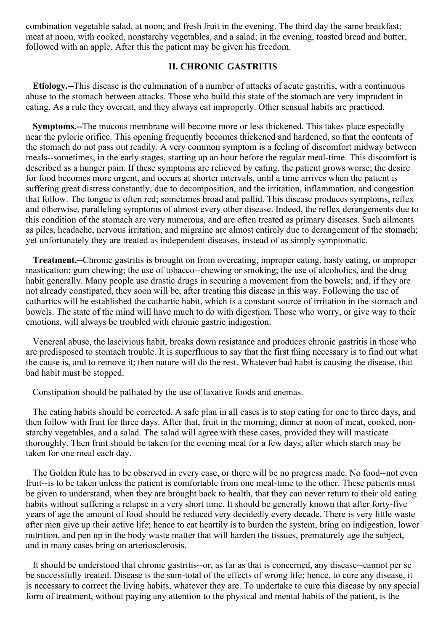combination vegetable salad, at noon; and fresh fruit in the evening. The third day the same breakfast; meat at noon, with cooked, nonstarchy vegetables, and a salad; in the evening, toasted bread and butter, followed with an apple. After this the patient may be given his freedom.

# **II. CHRONIC GASTRITIS**

**Etiology.--**This disease is the culmination of a number of attacks of acute gastritis, with a continuous abuse to the stomach between attacks. Those who build this state of the stomach are very imprudent in eating. As a rule they overeat, and they always eat improperly. Other sensual habits are practiced.

**Symptoms.--**The mucous membrane will become more or less thickened. This takes place especially near the pyloric orifice. This opening frequently becomes thickened and hardened, so that the contents of the stomach do not pass out readily. A very common symptom is a feeling of discomfort midway between meals--sometimes, in the early stages, starting up an hour before the regular meal-time. This discomfort is described as a hunger pain. If these symptoms are relieved by eating, the patient grows worse; the desire for food becomes more urgent, and occurs at shorter intervals, until a time arrives when the patient is suffering great distress constantly, due to decomposition, and the irritation, inflammation, and congestion that follow. The tongue is often red; sometimes broad and pallid. This disease produces symptoms, reflex and otherwise, paralleling symptoms of almost every other disease. Indeed, the reflex derangements due to this condition of the stomach are very numerous, and are often treated as primary diseases. Such ailments as piles, headache, nervous irritation, and migraine are almost entirely due to derangement of the stomach; yet unfortunately they are treated as independent diseases, instead of as simply symptomatic.

**Treatment.--**Chronic gastritis is brought on from overeating, improper eating, hasty eating, or improper mastication; gum chewing; the use of tobacco--chewing or smoking; the use of alcoholics, and the drug habit generally. Many people use drastic drugs in securing a movement from the bowels; and, if they are not already constipated, they soon will be, after treating this disease in this way. Following the use of cathartics will be established the cathartic habit, which is a constant source of irritation in the stomach and bowels. The state of the mind will have much to do with digestion. Those who worry, or give way to their emotions, will always be troubled with chronic gastric indigestion.

Venereal abuse, the lascivious habit, breaks down resistance and produces chronic gastritis in those who are predisposed to stomach trouble. It is superfluous to say that the first thing necessary is to find out what the cause is, and to remove it; then nature will do the rest. Whatever bad habit is causing the disease, that bad habit must be stopped.

Constipation should be palliated by the use of laxative foods and enemas.

The eating habits should be corrected. A safe plan in all cases is to stop eating for one to three days, and then follow with fruit for three days. After that, fruit in the morning; dinner at noon of meat, cooked, nonstarchy vegetables, and a salad. The salad will agree with these cases, provided they will masticate thoroughly. Then fruit should be taken for the evening meal for a few days; after which starch may be taken for one meal each day.

The Golden Rule has to be observed in every case, or there will be no progress made. No food--not even fruit--is to be taken unless the patient is comfortable from one meal-time to the other. These patients must be given to understand, when they are brought back to health, that they can never return to their old eating habits without suffering a relapse in a very short time. It should be generally known that after forty-five years of age the amount of food should be reduced very decidedly every decade. There is very little waste after men give up their active life; hence to eat heartily is to burden the system, bring on indigestion, lower nutrition, and pen up in the body waste matter that will harden the tissues, prematurely age the subject, and in many cases bring on arteriosclerosis.

It should be understood that chronic gastritis--or, as far as that is concerned, any disease--cannot per se be successfully treated. Disease is the sum-total of the effects of wrong life; hence, to cure any disease, it is necessary to correct the living habits, whatever they are. To undertake to cure this disease by any special form of treatment, without paying any attention to the physical and mental habits of the patient, is the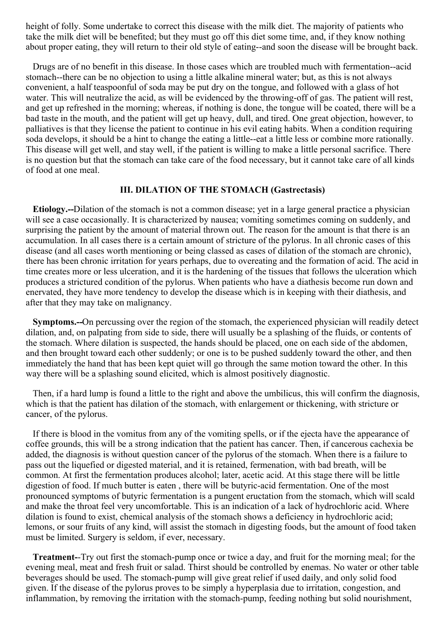height of folly. Some undertake to correct this disease with the milk diet. The majority of patients who take the milk diet will be benefited; but they must go off this diet some time, and, if they know nothing about proper eating, they will return to their old style of eating--and soon the disease will be brought back.

Drugs are of no benefit in this disease. In those cases which are troubled much with fermentation--acid stomach--there can be no objection to using a little alkaline mineral water; but, as this is not always convenient, a half teaspoonful of soda may be put dry on the tongue, and followed with a glass of hot water. This will neutralize the acid, as will be evidenced by the throwing-off of gas. The patient will rest, and get up refreshed in the morning; whereas, if nothing is done, the tongue will be coated, there will be a bad taste in the mouth, and the patient will get up heavy, dull, and tired. One great objection, however, to palliatives is that they license the patient to continue in his evil eating habits. When a condition requiring soda develops, it should be a hint to change the eating a little--eat a little less or combine more rationally. This disease will get well, and stay well, if the patient is willing to make a little personal sacrifice. There is no question but that the stomach can take care of the food necessary, but it cannot take care of all kinds of food at one meal.

#### **III. DILATION OF THE STOMACH (Gastrectasis)**

**Etiology.--**Dilation of the stomach is not a common disease; yet in a large general practice a physician will see a case occasionally. It is characterized by nausea; vomiting sometimes coming on suddenly, and surprising the patient by the amount of material thrown out. The reason for the amount is that there is an accumulation. In all cases there is a certain amount of stricture of the pylorus. In all chronic cases of this disease (and all cases worth mentioning or being classed as cases of dilation of the stomach are chronic), there has been chronic irritation for years perhaps, due to overeating and the formation of acid. The acid in time creates more or less ulceration, and it is the hardening of the tissues that follows the ulceration which produces a strictured condition of the pylorus. When patients who have a diathesis become run down and enervated, they have more tendency to develop the disease which is in keeping with their diathesis, and after that they may take on malignancy.

**Symptoms.--**On percussing over the region of the stomach, the experienced physician will readily detect dilation, and, on palpating from side to side, there will usually be a splashing of the fluids, or contents of the stomach. Where dilation is suspected, the hands should be placed, one on each side of the abdomen, and then brought toward each other suddenly; or one is to be pushed suddenly toward the other, and then immediately the hand that has been kept quiet will go through the same motion toward the other. In this way there will be a splashing sound elicited, which is almost positively diagnostic.

Then, if a hard lump is found a little to the right and above the umbilicus, this will confirm the diagnosis, which is that the patient has dilation of the stomach, with enlargement or thickening, with stricture or cancer, of the pylorus.

If there is blood in the vomitus from any of the vomiting spells, or if the ejecta have the appearance of coffee grounds, this will be a strong indication that the patient has cancer. Then, if cancerous cachexia be added, the diagnosis is without question cancer of the pylorus of the stomach. When there is a failure to pass out the liquefied or digested material, and it is retained, fermenation, with bad breath, will be common. At first the fermentation produces alcohol; later, acetic acid. At this stage there will be little digestion of food. If much butter is eaten , there will be butyric-acid fermentation. One of the most pronounced symptoms of butyric fermentation is a pungent eructation from the stomach, which will scald and make the throat feel very uncomfortable. This is an indication of a lack of hydrochloric acid. Where dilation is found to exist, chemical analysis of the stomach shows a deficiency in hydrochloric acid; lemons, or sour fruits of any kind, will assist the stomach in digesting foods, but the amount of food taken must be limited. Surgery is seldom, if ever, necessary.

**Treatment-**-Try out first the stomach-pump once or twice a day, and fruit for the morning meal; for the evening meal, meat and fresh fruit or salad. Thirst should be controlled by enemas. No water or other table beverages should be used. The stomach-pump will give great relief if used daily, and only solid food given. If the disease of the pylorus proves to be simply a hyperplasia due to irritation, congestion, and inflammation, by removing the irritation with the stomach-pump, feeding nothing but solid nourishment,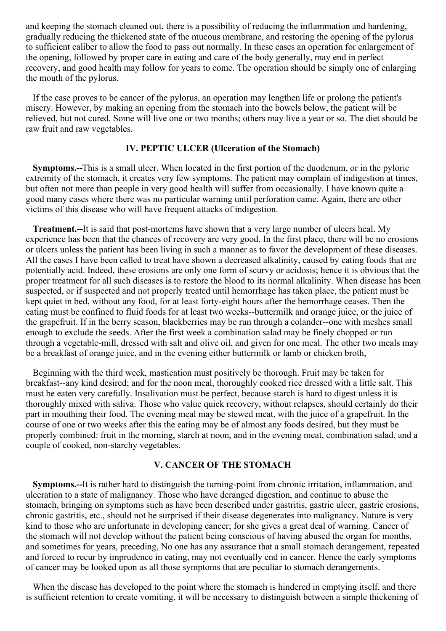and keeping the stomach cleaned out, there is a possibility of reducing the inflammation and hardening, gradually reducing the thickened state of the mucous membrane, and restoring the opening of the pylorus to sufficient caliber to allow the food to pass out normally. In these cases an operation for enlargement of the opening, followed by proper care in eating and care of the body generally, may end in perfect recovery, and good health may follow for years to come. The operation should be simply one of enlarging the mouth of the pylorus.

If the case proves to be cancer of the pylorus, an operation may lengthen life or prolong the patient's misery. However, by making an opening from the stomach into the bowels below, the patient will be relieved, but not cured. Some will live one or two months; others may live a year or so. The diet should be raw fruit and raw vegetables.

## **IV. PEPTIC ULCER (Ulceration of the Stomach)**

**Symptoms.--**This is a small ulcer. When located in the first portion of the duodenum, or in the pyloric extremity of the stomach, it creates very few symptoms. The patient may complain of indigestion at times, but often not more than people in very good health will suffer from occasionally. I have known quite a good many cases where there was no particular warning until perforation came. Again, there are other victims of this disease who will have frequent attacks of indigestion.

**Treatment.--**It is said that post-mortems have shown that a very large number of ulcers heal. My experience has been that the chances of recovery are very good. In the first place, there will be no erosions or ulcers unless the patient has been living in such a manner as to favor the development of these diseases. All the cases I have been called to treat have shown a decreased alkalinity, caused by eating foods that are potentially acid. Indeed, these erosions are only one form of scurvy or acidosis; hence it is obvious that the proper treatment for all such diseases is to restore the blood to its normal alkalinity. When disease has been suspected, or if suspected and not properly treated until hemorrhage has taken place, the patient must be kept quiet in bed, without any food, for at least forty-eight hours after the hemorrhage ceases. Then the eating must be confined to fluid foods for at least two weeks--buttermilk and orange juice, or the juice of the grapefruit. If in the berry season, blackberries may be run through a colander--one with meshes small enough to exclude the seeds. After the first week a combination salad may be finely chopped or run through a vegetable-mill, dressed with salt and olive oil, and given for one meal. The other two meals may be a breakfast of orange juice, and in the evening either buttermilk or lamb or chicken broth,

Beginning with the third week, mastication must positively be thorough. Fruit may be taken for breakfast--any kind desired; and for the noon meal, thoroughly cooked rice dressed with a little salt. This must be eaten very carefully. Insalivation must be perfect, because starch is hard to digest unless it is thoroughly mixed with saliva. Those who value quick recovery, without relapses, should certainly do their part in mouthing their food. The evening meal may be stewed meat, with the juice of a grapefruit. In the course of one or two weeks after this the eating may be of almost any foods desired, but they must be properly combined: fruit in the morning, starch at noon, and in the evening meat, combination salad, and a couple of cooked, non-starchy vegetables.

# **V. CANCER OF THE STOMACH**

**Symptoms.--**It is rather hard to distinguish the turning-point from chronic irritation, inflammation, and ulceration to a state of malignancy. Those who have deranged digestion, and continue to abuse the stomach, bringing on symptoms such as have been described under gastritis, gastric ulcer, gastric erosions, chronic gastritis, etc., should not be surprised if their disease degenerates into malignancy. Nature is very kind to those who are unfortunate in developing cancer; for she gives a great deal of warning. Cancer of the stomach will not develop without the patient being conscious of having abused the organ for months, and sometimes for years, preceding, No one has any assurance that a small stomach derangement, repeated and forced to recur by imprudence in eating, may not eventually end in cancer. Hence the early symptoms of cancer may be looked upon as all those symptoms that are peculiar to stomach derangements.

When the disease has developed to the point where the stomach is hindered in emptying itself, and there is sufficient retention to create vomiting, it will be necessary to distinguish between a simple thickening of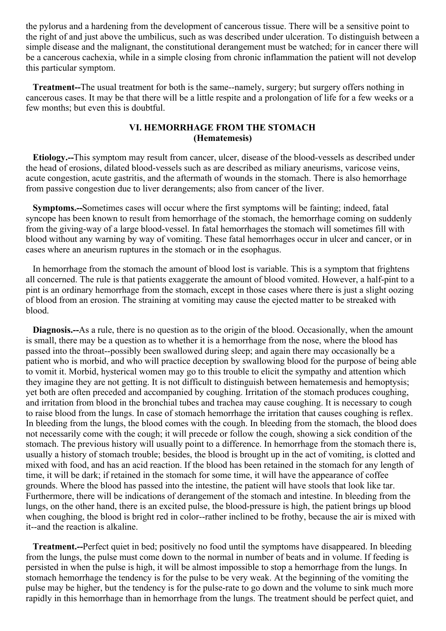the pylorus and a hardening from the development of cancerous tissue. There will be a sensitive point to the right of and just above the umbilicus, such as was described under ulceration. To distinguish between a simple disease and the malignant, the constitutional derangement must be watched; for in cancer there will be a cancerous cachexia, while in a simple closing from chronic inflammation the patient will not develop this particular symptom.

**Treatment--**The usual treatment for both is the same--namely, surgery; but surgery offers nothing in cancerous cases. It may be that there will be a little respite and a prolongation of life for a few weeks or a few months; but even this is doubtful.

# **VI. HEMORRHAGE FROM THE STOMACH (Hematemesis)**

**Etiology.--**This symptom may result from cancer, ulcer, disease of the blood-vessels as described under the head of erosions, dilated blood-vessels such as are described as miliary aneurisms, varicose veins, acute congestion, acute gastritis, and the aftermath of wounds in the stomach. There is also hemorrhage from passive congestion due to liver derangements; also from cancer of the liver.

**Symptoms.--**Sometimes cases will occur where the first symptoms will be fainting; indeed, fatal syncope has been known to result from hemorrhage of the stomach, the hemorrhage coming on suddenly from the giving-way of a large blood-vessel. In fatal hemorrhages the stomach will sometimes fill with blood without any warning by way of vomiting. These fatal hemorrhages occur in ulcer and cancer, or in cases where an aneurism ruptures in the stomach or in the esophagus.

In hemorrhage from the stomach the amount of blood lost is variable. This is a symptom that frightens all concerned. The rule is that patients exaggerate the amount of blood vomited. However, a half-pint to a pint is an ordinary hemorrhage from the stomach, except in those cases where there is just a slight oozing of blood from an erosion. The straining at vomiting may cause the ejected matter to be streaked with blood.

**Diagnosis.--**As a rule, there is no question as to the origin of the blood. Occasionally, when the amount is small, there may be a question as to whether it is a hemorrhage from the nose, where the blood has passed into the throat--possibly been swallowed during sleep; and again there may occasionally be a patient who is morbid, and who will practice deception by swallowing blood for the purpose of being able to vomit it. Morbid, hysterical women may go to this trouble to elicit the sympathy and attention which they imagine they are not getting. It is not difficult to distinguish between hematemesis and hemoptysis; yet both are often preceded and accompanied by coughing. Irritation of the stomach produces coughing, and irritation from blood in the bronchial tubes and trachea may cause coughing. It is necessary to cough to raise blood from the lungs. In case of stomach hemorrhage the irritation that causes coughing is reflex. In bleeding from the lungs, the blood comes with the cough. In bleeding from the stomach, the blood does not necessarily come with the cough; it will precede or follow the cough, showing a sick condition of the stomach. The previous history will usually point to a difference. In hemorrhage from the stomach there is, usually a history of stomach trouble; besides, the blood is brought up in the act of vomiting, is clotted and mixed with food, and has an acid reaction. If the blood has been retained in the stomach for any length of time, it will be dark; if retained in the stomach for some time, it will have the appearance of coffee grounds. Where the blood has passed into the intestine, the patient will have stools that look like tar. Furthermore, there will be indications of derangement of the stomach and intestine. In bleeding from the lungs, on the other hand, there is an excited pulse, the blood-pressure is high, the patient brings up blood when coughing, the blood is bright red in color--rather inclined to be frothy, because the air is mixed with it--and the reaction is alkaline.

**Treatment.--**Perfect quiet in bed; positively no food until the symptoms have disappeared. In bleeding from the lungs, the pulse must come down to the normal in number of beats and in volume. If feeding is persisted in when the pulse is high, it will be almost impossible to stop a hemorrhage from the lungs. In stomach hemorrhage the tendency is for the pulse to be very weak. At the beginning of the vomiting the pulse may be higher, but the tendency is for the pulse-rate to go down and the volume to sink much more rapidly in this hemorrhage than in hemorrhage from the lungs. The treatment should be perfect quiet, and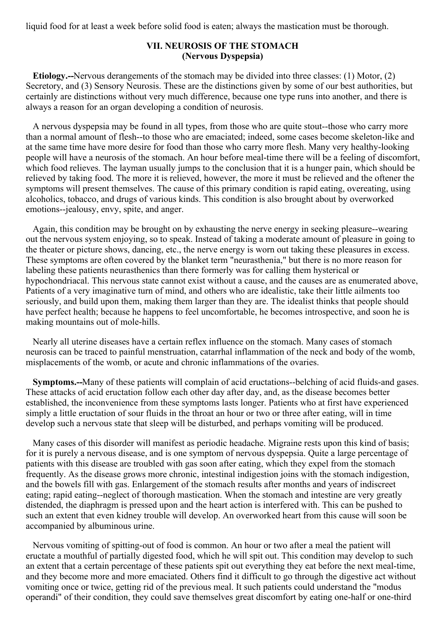liquid food for at least a week before solid food is eaten; always the mastication must be thorough.

# **VII. NEUROSIS OF THE STOMACH (Nervous Dyspepsia)**

**Etiology.--**Nervous derangements of the stomach may be divided into three classes: (1) Motor, (2) Secretory, and (3) Sensory Neurosis. These are the distinctions given by some of our best authorities, but certainly are distinctions without very much difference, because one type runs into another, and there is always a reason for an organ developing a condition of neurosis.

A nervous dyspepsia may be found in all types, from those who are quite stout--those who carry more than a normal amount of flesh--to those who are emaciated; indeed, some cases become skeleton-like and at the same time have more desire for food than those who carry more flesh. Many very healthy-looking people will have a neurosis of the stomach. An hour before meal-time there will be a feeling of discomfort, which food relieves. The layman usually jumps to the conclusion that it is a hunger pain, which should be relieved by taking food. The more it is relieved, however, the more it must be relieved and the oftener the symptoms will present themselves. The cause of this primary condition is rapid eating, overeating, using alcoholics, tobacco, and drugs of various kinds. This condition is also brought about by overworked emotions--jealousy, envy, spite, and anger.

Again, this condition may be brought on by exhausting the nerve energy in seeking pleasure--wearing out the nervous system enjoying, so to speak. Instead of taking a moderate amount of pleasure in going to the theater or picture shows, dancing, etc., the nerve energy is worn out taking these pleasures in excess. These symptoms are often covered by the blanket term "neurasthenia," but there is no more reason for labeling these patients neurasthenics than there formerly was for calling them hysterical or hypochondriacal. This nervous state cannot exist without a cause, and the causes are as enumerated above, Patients of a very imaginative turn of mind, and others who are idealistic, take their little ailments too seriously, and build upon them, making them larger than they are. The idealist thinks that people should have perfect health; because he happens to feel uncomfortable, he becomes introspective, and soon he is making mountains out of mole-hills.

Nearly all uterine diseases have a certain reflex influence on the stomach. Many cases of stomach neurosis can be traced to painful menstruation, catarrhal inflammation of the neck and body of the womb, misplacements of the womb, or acute and chronic inflammations of the ovaries.

**Symptoms.--**Many of these patients will complain of acid eructations--belching of acid fluids-and gases. These attacks of acid eructation follow each other day after day, and, as the disease becomes better established, the inconvenience from these symptoms lasts longer. Patients who at first have experienced simply a little eructation of sour fluids in the throat an hour or two or three after eating, will in time develop such a nervous state that sleep will be disturbed, and perhaps vomiting will be produced.

Many cases of this disorder will manifest as periodic headache. Migraine rests upon this kind of basis; for it is purely a nervous disease, and is one symptom of nervous dyspepsia. Quite a large percentage of patients with this disease are troubled with gas soon after eating, which they expel from the stomach frequently. As the disease grows more chronic, intestinal indigestion joins with the stomach indigestion, and the bowels fill with gas. Enlargement of the stomach results after months and years of indiscreet eating; rapid eating--neglect of thorough mastication. When the stomach and intestine are very greatly distended, the diaphragm is pressed upon and the heart action is interfered with. This can be pushed to such an extent that even kidney trouble will develop. An overworked heart from this cause will soon be accompanied by albuminous urine.

Nervous vomiting of spitting-out of food is common. An hour or two after a meal the patient will eructate a mouthful of partially digested food, which he will spit out. This condition may develop to such an extent that a certain percentage of these patients spit out everything they eat before the next meal-time, and they become more and more emaciated. Others find it difficult to go through the digestive act without vomiting once or twice, getting rid of the previous meal. It such patients could understand the "modus operandi" of their condition, they could save themselves great discomfort by eating one-half or one-third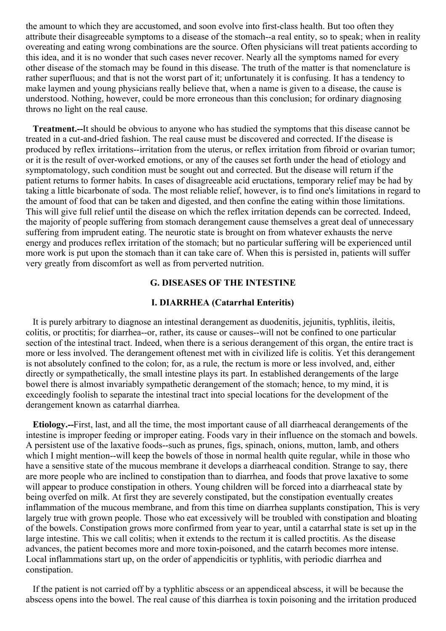the amount to which they are accustomed, and soon evolve into first-class health. But too often they attribute their disagreeable symptoms to a disease of the stomach--a real entity, so to speak; when in reality overeating and eating wrong combinations are the source. Often physicians will treat patients according to this idea, and it is no wonder that such cases never recover. Nearly all the symptoms named for every other disease of the stomach may be found in this disease. The truth of the matter is that nomenclature is rather superfluous; and that is not the worst part of it; unfortunately it is confusing. It has a tendency to make laymen and young physicians really believe that, when a name is given to a disease, the cause is understood. Nothing, however, could be more erroneous than this conclusion; for ordinary diagnosing throws no light on the real cause.

**Treatment.--**It should be obvious to anyone who has studied the symptoms that this disease cannot be treated in a cut-and-dried fashion. The real cause must be discovered and corrected. If the disease is produced by reflex irritations--irritation from the uterus, or reflex irritation from fibroid or ovarian tumor; or it is the result of over-worked emotions, or any of the causes set forth under the head of etiology and symptomatology, such condition must be sought out and corrected. But the disease will return if the patient returns to former habits. In cases of disagreeable acid eructations, temporary relief may be had by taking a little bicarbonate of soda. The most reliable relief, however, is to find one's limitations in regard to the amount of food that can be taken and digested, and then confine the eating within those limitations. This will give full relief until the disease on which the reflex irritation depends can be corrected. Indeed, the majority of people suffering from stomach derangement cause themselves a great deal of unnecessary suffering from imprudent eating. The neurotic state is brought on from whatever exhausts the nerve energy and produces reflex irritation of the stomach; but no particular suffering will be experienced until more work is put upon the stomach than it can take care of. When this is persisted in, patients will suffer very greatly from discomfort as well as from perverted nutrition.

# **G. DISEASES OF THE INTESTINE**

#### **I. DIARRHEA (Catarrhal Enteritis)**

It is purely arbitrary to diagnose an intestinal derangement as duodenitis, jejunitis, typhlitis, ileitis, colitis, or proctitis; for diarrhea--or, rather, its cause or causes--will not be confined to one particular section of the intestinal tract. Indeed, when there is a serious derangement of this organ, the entire tract is more or less involved. The derangement oftenest met with in civilized life is colitis. Yet this derangement is not absolutely confined to the colon; for, as a rule, the rectum is more or less involved, and, either directly or sympathetically, the small intestine plays its part. In established derangements of the large bowel there is almost invariably sympathetic derangement of the stomach; hence, to my mind, it is exceedingly foolish to separate the intestinal tract into special locations for the development of the derangement known as catarrhal diarrhea.

**Etiology.--**First, last, and all the time, the most important cause of all diarrheacal derangements of the intestine is improper feeding or improper eating. Foods vary in their influence on the stomach and bowels. A persistent use of the laxative foods--such as prunes, figs, spinach, onions, mutton, lamb, and others which I might mention--will keep the bowels of those in normal health quite regular, while in those who have a sensitive state of the mucous membrane it develops a diarrheacal condition. Strange to say, there are more people who are inclined to constipation than to diarrhea, and foods that prove laxative to some will appear to produce constipation in others. Young children will be forced into a diarrheacal state by being overfed on milk. At first they are severely constipated, but the constipation eventually creates inflammation of the mucous membrane, and from this time on diarrhea supplants constipation, This is very largely true with grown people. Those who eat excessively will be troubled with constipation and bloating of the bowels. Constipation grows more confirmed from year to year, until a catarrhal state is set up in the large intestine. This we call colitis; when it extends to the rectum it is called proctitis. As the disease advances, the patient becomes more and more toxin-poisoned, and the catarrh becomes more intense. Local inflammations start up, on the order of appendicitis or typhlitis, with periodic diarrhea and constipation.

If the patient is not carried off by a typhlitic abscess or an appendiceal abscess, it will be because the abscess opens into the bowel. The real cause of this diarrhea is toxin poisoning and the irritation produced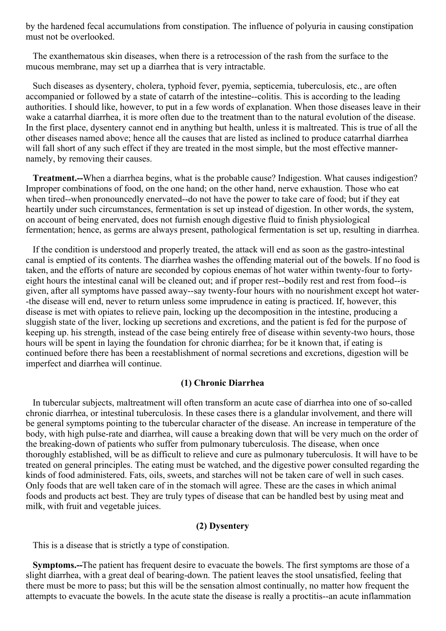by the hardened fecal accumulations from constipation. The influence of polyuria in causing constipation must not be overlooked.

The exanthematous skin diseases, when there is a retrocession of the rash from the surface to the mucous membrane, may set up a diarrhea that is very intractable.

Such diseases as dysentery, cholera, typhoid fever, pyemia, septicemia, tuberculosis, etc., are often accompanied or followed by a state of catarrh of the intestine--colitis. This is according to the leading authorities. I should like, however, to put in a few words of explanation. When those diseases leave in their wake a catarrhal diarrhea, it is more often due to the treatment than to the natural evolution of the disease. In the first place, dysentery cannot end in anything but health, unless it is maltreated. This is true of all the other diseases named above; hence all the causes that are listed as inclined to produce catarrhal diarrhea will fall short of any such effect if they are treated in the most simple, but the most effective mannernamely, by removing their causes.

**Treatment.--**When a diarrhea begins, what is the probable cause? Indigestion. What causes indigestion? Improper combinations of food, on the one hand; on the other hand, nerve exhaustion. Those who eat when tired--when pronouncedly enervated--do not have the power to take care of food; but if they eat heartily under such circumstances, fermentation is set up instead of digestion. In other words, the system, on account of being enervated, does not furnish enough digestive fluid to finish physiological fermentation; hence, as germs are always present, pathological fermentation is set up, resulting in diarrhea.

If the condition is understood and properly treated, the attack will end as soon as the gastro-intestinal canal is emptied of its contents. The diarrhea washes the offending material out of the bowels. If no food is taken, and the efforts of nature are seconded by copious enemas of hot water within twenty-four to fortyeight hours the intestinal canal will be cleaned out; and if proper rest--bodily rest and rest from food--is given, after all symptoms have passed away--say twenty-four hours with no nourishment except hot water- -the disease will end, never to return unless some imprudence in eating is practiced. If, however, this disease is met with opiates to relieve pain, locking up the decomposition in the intestine, producing a sluggish state of the liver, locking up secretions and excretions, and the patient is fed for the purpose of keeping up. his strength, instead of the case being entirely free of disease within seventy-two hours, those hours will be spent in laying the foundation for chronic diarrhea; for be it known that, if eating is continued before there has been a reestablishment of normal secretions and excretions, digestion will be imperfect and diarrhea will continue.

#### **(1) Chronic Diarrhea**

In tubercular subjects, maltreatment will often transform an acute case of diarrhea into one of so-called chronic diarrhea, or intestinal tuberculosis. In these cases there is a glandular involvement, and there will be general symptoms pointing to the tubercular character of the disease. An increase in temperature of the body, with high pulse-rate and diarrhea, will cause a breaking down that will be very much on the order of the breaking-down of patients who suffer from pulmonary tuberculosis. The disease, when once thoroughly established, will be as difficult to relieve and cure as pulmonary tuberculosis. It will have to be treated on general principles. The eating must be watched, and the digestive power consulted regarding the kinds of food administered. Fats, oils, sweets, and starches will not be taken care of well in such cases. Only foods that are well taken care of in the stomach will agree. These are the cases in which animal foods and products act best. They are truly types of disease that can be handled best by using meat and milk, with fruit and vegetable juices.

#### **(2) Dysentery**

This is a disease that is strictly a type of constipation.

**Symptoms.--**The patient has frequent desire to evacuate the bowels. The first symptoms are those of a slight diarrhea, with a great deal of bearing-down. The patient leaves the stool unsatisfied, feeling that there must be more to pass; but this will be the sensation almost continually, no matter how frequent the attempts to evacuate the bowels. In the acute state the disease is really a proctitis--an acute inflammation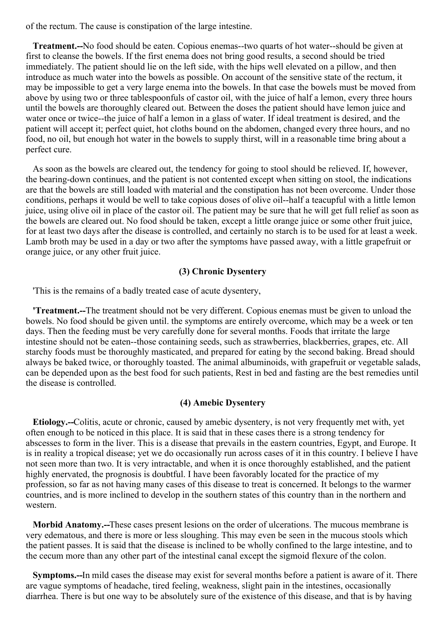of the rectum. The cause is constipation of the large intestine.

**Treatment.--**No food should be eaten. Copious enemas--two quarts of hot water--should be given at first to cleanse the bowels. If the first enema does not bring good results, a second should be tried immediately. The patient should lie on the left side, with the hips well elevated on a pillow, and then introduce as much water into the bowels as possible. On account of the sensitive state of the rectum, it may be impossible to get a very large enema into the bowels. In that case the bowels must be moved from above by using two or three tablespoonfuls of castor oil, with the juice of half a lemon, every three hours until the bowels are thoroughly cleared out. Between the doses the patient should have lemon juice and water once or twice--the juice of half a lemon in a glass of water. If ideal treatment is desired, and the patient will accept it; perfect quiet, hot cloths bound on the abdomen, changed every three hours, and no food, no oil, but enough hot water in the bowels to supply thirst, will in a reasonable time bring about a perfect cure.

As soon as the bowels are cleared out, the tendency for going to stool should be relieved. If, however, the bearing-down continues, and the patient is not contented except when sitting on stool, the indications are that the bowels are still loaded with material and the constipation has not been overcome. Under those conditions, perhaps it would be well to take copious doses of olive oil--half a teacupful with a little lemon juice, using olive oil in place of the castor oil. The patient may be sure that he will get full relief as soon as the bowels are cleared out. No food should be taken, except a little orange juice or some other fruit juice, for at least two days after the disease is controlled, and certainly no starch is to be used for at least a week. Lamb broth may be used in a day or two after the symptoms have passed away, with a little grapefruit or orange juice, or any other fruit juice.

# **(3) Chronic Dysentery**

'This is the remains of a badly treated case of acute dysentery,

**'Treatment.--**The treatment should not be very different. Copious enemas must be given to unload the bowels. No food should be given until. the symptoms are entirely overcome, which may be a week or ten days. Then the feeding must be very carefully done for several months. Foods that irritate the large intestine should not be eaten--those containing seeds, such as strawberries, blackberries, grapes, etc. All starchy foods must be thoroughly masticated, and prepared for eating by the second baking. Bread should always be baked twice, or thoroughly toasted. The animal albuminoids, with grapefruit or vegetable salads, can be depended upon as the best food for such patients, Rest in bed and fasting are the best remedies until the disease is controlled.

# **(4) Amebic Dysentery**

**Etiology.--**Colitis, acute or chronic, caused by amebic dysentery, is not very frequently met with, yet often enough to be noticed in this place. It is said that in these cases there is a strong tendency for abscesses to form in the liver. This is a disease that prevails in the eastern countries, Egypt, and Europe. It is in reality a tropical disease; yet we do occasionally run across cases of it in this country. I believe I have not seen more than two. It is very intractable, and when it is once thoroughly established, and the patient highly enervated, the prognosis is doubtful. I have been favorably located for the practice of my profession, so far as not having many cases of this disease to treat is concerned. It belongs to the warmer countries, and is more inclined to develop in the southern states of this country than in the northern and western.

**Morbid Anatomy.--**These cases present lesions on the order of ulcerations. The mucous membrane is very edematous, and there is more or less sloughing. This may even be seen in the mucous stools which the patient passes. It is said that the disease is inclined to be wholly confined to the large intestine, and to the cecum more than any other part of the intestinal canal except the sigmoid flexure of the colon.

**Symptoms.--**In mild cases the disease may exist for several months before a patient is aware of it. There are vague symptoms of headache, tired feeling, weakness, slight pain in the intestines, occasionally diarrhea. There is but one way to be absolutely sure of the existence of this disease, and that is by having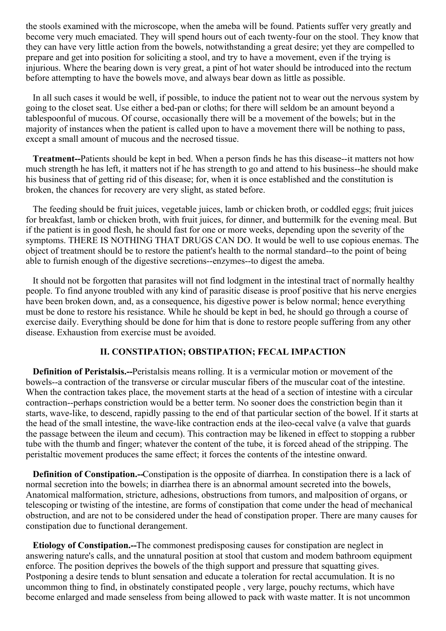the stools examined with the microscope, when the ameba will be found. Patients suffer very greatly and become very much emaciated. They will spend hours out of each twenty-four on the stool. They know that they can have very little action from the bowels, notwithstanding a great desire; yet they are compelled to prepare and get into position for soliciting a stool, and try to have a movement, even if the trying is injurious. Where the bearing down is very great, a pint of hot water should be introduced into the rectum before attempting to have the bowels move, and always bear down as little as possible.

In all such cases it would be well, if possible, to induce the patient not to wear out the nervous system by going to the closet seat. Use either a bed-pan or cloths; for there will seldom be an amount beyond a tablespoonful of mucous. Of course, occasionally there will be a movement of the bowels; but in the majority of instances when the patient is called upon to have a movement there will be nothing to pass, except a small amount of mucous and the necrosed tissue.

**Treatment--**Patients should be kept in bed. When a person finds he has this disease--it matters not how much strength he has left, it matters not if he has strength to go and attend to his business--he should make his business that of getting rid of this disease; for, when it is once established and the constitution is broken, the chances for recovery are very slight, as stated before.

The feeding should be fruit juices, vegetable juices, lamb or chicken broth, or coddled eggs; fruit juices for breakfast, lamb or chicken broth, with fruit juices, for dinner, and buttermilk for the evening meal. But if the patient is in good flesh, he should fast for one or more weeks, depending upon the severity of the symptoms. THERE IS NOTHING THAT DRUGS CAN DO. It would be well to use copious enemas. The object of treatment should be to restore the patient's health to the normal standard--to the point of being able to furnish enough of the digestive secretions--enzymes--to digest the ameba.

It should not be forgotten that parasites will not find lodgment in the intestinal tract of normally healthy people. To find anyone troubled with any kind of parasitic disease is proof positive that his nerve energies have been broken down, and, as a consequence, his digestive power is below normal; hence everything must be done to restore his resistance. While he should be kept in bed, he should go through a course of exercise daily. Everything should be done for him that is done to restore people suffering from any other disease. Exhaustion from exercise must be avoided.

### **II. CONSTIPATION; OBSTIPATION; FECAL IMPACTION**

**Definition of Peristalsis.--**Peristalsis means rolling. It is a vermicular motion or movement of the bowels--a contraction of the transverse or circular muscular fibers of the muscular coat of the intestine. When the contraction takes place, the movement starts at the head of a section of intestine with a circular contraction--perhaps constriction would be a better term. No sooner does the constriction begin than it starts, wave-like, to descend, rapidly passing to the end of that particular section of the bowel. If it starts at the head of the small intestine, the wave-like contraction ends at the ileo-cecal valve (a valve that guards the passage between the ileum and cecum). This contraction may be likened in effect to stopping a rubber tube with the thumb and finger; whatever the content of the tube, it is forced ahead of the stripping. The peristaltic movement produces the same effect; it forces the contents of the intestine onward.

**Definition of Constipation.--**Constipation is the opposite of diarrhea. In constipation there is a lack of normal secretion into the bowels; in diarrhea there is an abnormal amount secreted into the bowels, Anatomical malformation, stricture, adhesions, obstructions from tumors, and malposition of organs, or telescoping or twisting of the intestine, are forms of constipation that come under the head of mechanical obstruction, and are not to be considered under the head of constipation proper. There are many causes for constipation due to functional derangement.

**Etiology of Constipation.--**The commonest predisposing causes for constipation are neglect in answering nature's calls, and the unnatural position at stool that custom and modem bathroom equipment enforce. The position deprives the bowels of the thigh support and pressure that squatting gives. Postponing a desire tends to blunt sensation and educate a toleration for rectal accumulation. It is no uncommon thing to find, in obstinately constipated people , very large, pouchy rectums, which have become enlarged and made senseless from being allowed to pack with waste matter. It is not uncommon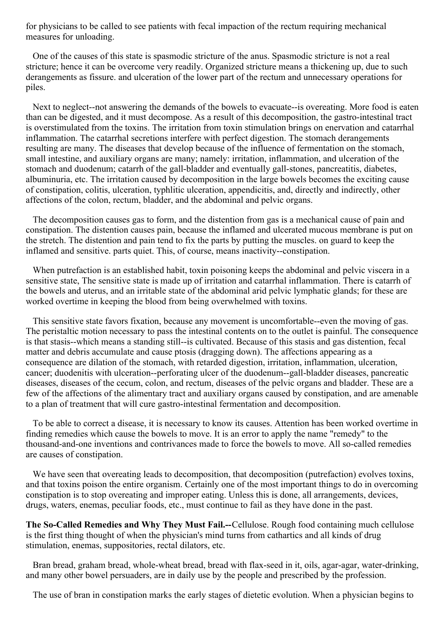for physicians to be called to see patients with fecal impaction of the rectum requiring mechanical measures for unloading.

One of the causes of this state is spasmodic stricture of the anus. Spasmodic stricture is not a real stricture; hence it can be overcome very readily. Organized stricture means a thickening up, due to such derangements as fissure. and ulceration of the lower part of the rectum and unnecessary operations for piles.

Next to neglect--not answering the demands of the bowels to evacuate--is overeating. More food is eaten than can be digested, and it must decompose. As a result of this decomposition, the gastro-intestinal tract is overstimulated from the toxins. The irritation from toxin stimulation brings on enervation and catarrhal inflammation. The catarrhal secretions interfere with perfect digestion. The stomach derangements resulting are many. The diseases that develop because of the influence of fermentation on the stomach, small intestine, and auxiliary organs are many; namely: irritation, inflammation, and ulceration of the stomach and duodenum; catarrh of the gall-bladder and eventually gall-stones, pancreatitis, diabetes, albuminuria, etc. The irritation caused by decomposition in the large bowels becomes the exciting cause of constipation, colitis, ulceration, typhlitic ulceration, appendicitis, and, directly and indirectly, other affections of the colon, rectum, bladder, and the abdominal and pelvic organs.

The decomposition causes gas to form, and the distention from gas is a mechanical cause of pain and constipation. The distention causes pain, because the inflamed and ulcerated mucous membrane is put on the stretch. The distention and pain tend to fix the parts by putting the muscles. on guard to keep the inflamed and sensitive. parts quiet. This, of course, means inactivity--constipation.

When putrefaction is an established habit, toxin poisoning keeps the abdominal and pelvic viscera in a sensitive state, The sensitive state is made up of irritation and catarrhal inflammation. There is catarrh of the bowels and uterus, and an irritable state of the abdominal arid pelvic lymphatic glands; for these are worked overtime in keeping the blood from being overwhelmed with toxins.

This sensitive state favors fixation, because any movement is uncomfortable--even the moving of gas. The peristaltic motion necessary to pass the intestinal contents on to the outlet is painful. The consequence is that stasis--which means a standing still--is cultivated. Because of this stasis and gas distention, fecal matter and debris accumulate and cause ptosis (dragging down). The affections appearing as a consequence are dilation of the stomach, with retarded digestion, irritation, inflammation, ulceration, cancer; duodenitis with ulceration--perforating ulcer of the duodenum--gall-bladder diseases, pancreatic diseases, diseases of the cecum, colon, and rectum, diseases of the pelvic organs and bladder. These are a few of the affections of the alimentary tract and auxiliary organs caused by constipation, and are amenable to a plan of treatment that will cure gastro-intestinal fermentation and decomposition.

To be able to correct a disease, it is necessary to know its causes. Attention has been worked overtime in finding remedies which cause the bowels to move. It is an error to apply the name "remedy" to the thousand-and-one inventions and contrivances made to force the bowels to move. All so-called remedies are causes of constipation.

We have seen that overeating leads to decomposition, that decomposition (putrefaction) evolves toxins, and that toxins poison the entire organism. Certainly one of the most important things to do in overcoming constipation is to stop overeating and improper eating. Unless this is done, all arrangements, devices, drugs, waters, enemas, peculiar foods, etc., must continue to fail as they have done in the past.

**The So-Called Remedies and Why They Must Fail.--**Cellulose. Rough food containing much cellulose is the first thing thought of when the physician's mind turns from cathartics and all kinds of drug stimulation, enemas, suppositories, rectal dilators, etc.

Bran bread, graham bread, whole-wheat bread, bread with flax-seed in it, oils, agar-agar, water-drinking, and many other bowel persuaders, are in daily use by the people and prescribed by the profession.

The use of bran in constipation marks the early stages of dietetic evolution. When a physician begins to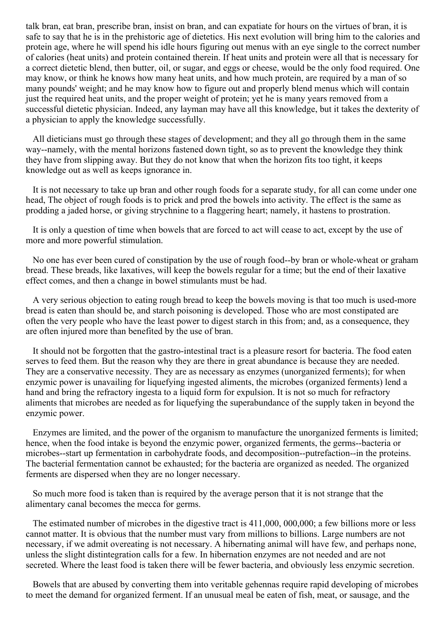<span id="page-62-0"></span>talk bran, eat bran, prescribe bran, insist on bran, and can expatiate for hours on the virtues of bran, it is safe to say that he is in the prehistoric age of dietetics. His next evolution will bring him to the calories and protein age, where he will spend his idle hours figuring out menus with an eye single to the correct number of calories (heat units) and protein contained therein. If heat units and protein were all that is necessary for a correct dietetic blend, then butter, oil, or sugar, and eggs or cheese, would be the only food required. One may know, or think he knows how many heat units, and how much protein, are required by a man of so many pounds' weight; and he may know how to figure out and properly blend menus which will contain just the required heat units, and the proper weight of protein; yet he is many years removed from a successful dietetic physician. Indeed, any layman may have all this knowledge, but it takes the dexterity of a physician to apply the knowledge successfully.

All dieticians must go through these stages of development; and they all go through them in the same way--namely, with the mental horizons fastened down tight, so as to prevent the knowledge they think they have from slipping away. But they do not know that when the horizon fits too tight, it keeps knowledge out as well as keeps ignorance in.

It is not necessary to take up bran and other rough foods for a separate study, for all can come under one head, The object of rough foods is to prick and prod the bowels into activity. The effect is the same as prodding a jaded horse, or giving strychnine to a flaggering heart; namely, it hastens to prostration.

It is only a question of time when bowels that are forced to act will cease to act, except by the use of more and more powerful stimulation.

No one has ever been cured of constipation by the use of rough food--by bran or whole-wheat or graham bread. These breads, like laxatives, will keep the bowels regular for a time; but the end of their laxative effect comes, and then a change in bowel stimulants must be had.

A very serious objection to eating rough bread to keep the bowels moving is that too much is used-more bread is eaten than should be, and starch poisoning is developed. Those who are most constipated are often the very people who have the least power to digest starch in this from; and, as a consequence, they are often injured more than benefited by the use of bran.

It should not be forgotten that the gastro-intestinal tract is a pleasure resort for bacteria. The food eaten serves to feed them. But the reason why they are there in great abundance is because they are needed. They are a conservative necessity. They are as necessary as enzymes (unorganized ferments); for when enzymic power is unavailing for liquefying ingested aliments, the microbes (organized ferments) lend a hand and bring the refractory ingesta to a liquid form for expulsion. It is not so much for refractory aliments that microbes are needed as for liquefying the superabundance of the supply taken in beyond the enzymic power.

Enzymes are limited, and the power of the organism to manufacture the unorganized ferments is limited; hence, when the food intake is beyond the enzymic power, organized ferments, the germs--bacteria or microbes--start up fermentation in carbohydrate foods, and decomposition--putrefaction--in the proteins. The bacterial fermentation cannot be exhausted; for the bacteria are organized as needed. The organized ferments are dispersed when they are no longer necessary.

So much more food is taken than is required by the average person that it is not strange that the alimentary canal becomes the mecca for germs.

The estimated number of microbes in the digestive tract is 411,000, 000,000; a few billions more or less cannot matter. It is obvious that the number must vary from millions to billions. Large numbers are not necessary, if we admit overeating is not necessary. A hibernating animal will have few, and perhaps none, unless the slight distintegration calls for a few. In hibernation enzymes are not needed and are not secreted. Where the least food is taken there will be fewer bacteria, and obviously less enzymic secretion.

Bowels that are abused by converting them into veritable gehennas require rapid developing of microbes to meet the demand for organized ferment. If an unusual meal be eaten of fish, meat, or sausage, and the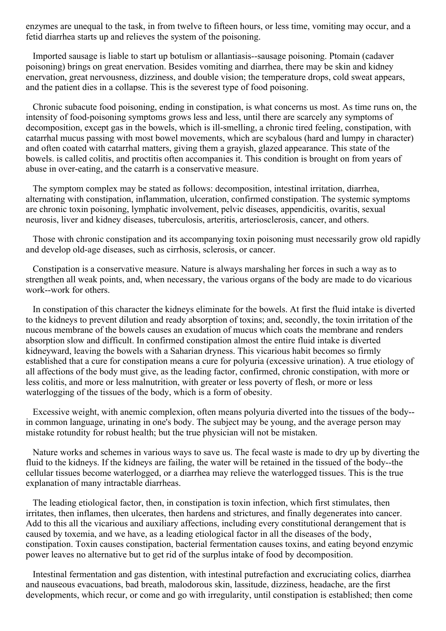enzymes are unequal to the task, in from twelve to fifteen hours, or less time, vomiting may occur, and a fetid diarrhea starts up and relieves the system of the poisoning.

Imported sausage is liable to start up botulism or allantiasis--sausage poisoning. Ptomain (cadaver poisoning) brings on great enervation. Besides vomiting and diarrhea, there may be skin and kidney enervation, great nervousness, dizziness, and double vision; the temperature drops, cold sweat appears, and the patient dies in a collapse. This is the severest type of food poisoning.

Chronic subacute food poisoning, ending in constipation, is what concerns us most. As time runs on, the intensity of food-poisoning symptoms grows less and less, until there are scarcely any symptoms of decomposition, except gas in the bowels, which is ill-smelling, a chronic tired feeling, constipation, with catarrhal mucus passing with most bowel movements, which are scybalous (hard and lumpy in character) and often coated with catarrhal matters, giving them a grayish, glazed appearance. This state of the bowels. is called colitis, and proctitis often accompanies it. This condition is brought on from years of abuse in over-eating, and the catarrh is a conservative measure.

The symptom complex may be stated as follows: decomposition, intestinal irritation, diarrhea, alternating with constipation, inflammation, ulceration, confirmed constipation. The systemic symptoms are chronic toxin poisoning, lymphatic involvement, pelvic diseases, appendicitis, ovaritis, sexual neurosis, liver and kidney diseases, tuberculosis, arteritis, arteriosclerosis, cancer, and others.

Those with chronic constipation and its accompanying toxin poisoning must necessarily grow old rapidly and develop old-age diseases, such as cirrhosis, sclerosis, or cancer.

Constipation is a conservative measure. Nature is always marshaling her forces in such a way as to strengthen all weak points, and, when necessary, the various organs of the body are made to do vicarious work--work for others.

In constipation of this character the kidneys eliminate for the bowels. At first the fluid intake is diverted to the kidneys to prevent dilution and ready absorption of toxins; and, secondly, the toxin irritation of the nucous membrane of the bowels causes an exudation of mucus which coats the membrane and renders absorption slow and difficult. In confirmed constipation almost the entire fluid intake is diverted kidneyward, leaving the bowels with a Saharian dryness. This vicarious habit becomes so firmly established that a cure for constipation means a cure for polyuria (excessive urination). A true etiology of all affections of the body must give, as the leading factor, confirmed, chronic constipation, with more or less colitis, and more or less malnutrition, with greater or less poverty of flesh, or more or less waterlogging of the tissues of the body, which is a form of obesity.

Excessive weight, with anemic complexion, often means polyuria diverted into the tissues of the body- in common language, urinating in one's body. The subject may be young, and the average person may mistake rotundity for robust health; but the true physician will not be mistaken.

Nature works and schemes in various ways to save us. The fecal waste is made to dry up by diverting the fluid to the kidneys. If the kidneys are failing, the water will be retained in the tissued of the body--the cellular tissues become waterlogged, or a diarrhea may relieve the waterlogged tissues. This is the true explanation of many intractable diarrheas.

The leading etiological factor, then, in constipation is toxin infection, which first stimulates, then irritates, then inflames, then ulcerates, then hardens and strictures, and finally degenerates into cancer. Add to this all the vicarious and auxiliary affections, including every constitutional derangement that is caused by toxemia, and we have, as a leading etiological factor in all the diseases of the body, constipation. Toxin causes constipation, bacterial fermentation causes toxins, and eating beyond enzymic power leaves no alternative but to get rid of the surplus intake of food by decomposition.

Intestinal fermentation and gas distention, with intestinal putrefaction and excruciating colics, diarrhea and nauseous evacuations, bad breath, malodorous skin, lassitude, dizziness, headache, are the first developments, which recur, or come and go with irregularity, until constipation is established; then come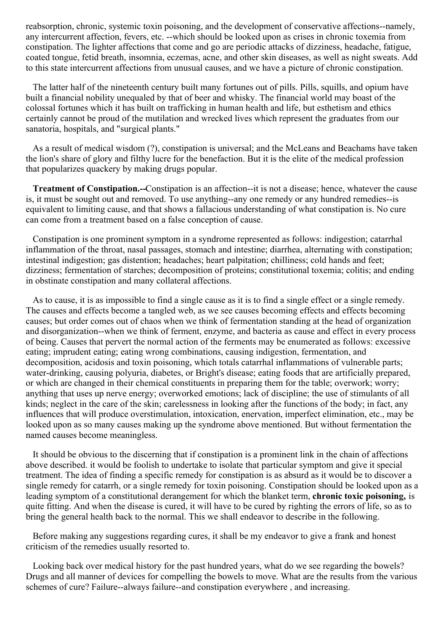reabsorption, chronic, systemic toxin poisoning, and the development of conservative affections--namely, any intercurrent affection, fevers, etc. --which should be looked upon as crises in chronic toxemia from constipation. The lighter affections that come and go are periodic attacks of dizziness, headache, fatigue, coated tongue, fetid breath, insomnia, eczemas, acne, and other skin diseases, as well as night sweats. Add to this state intercurrent affections from unusual causes, and we have a picture of chronic constipation.

The latter half of the nineteenth century built many fortunes out of pills. Pills, squills, and opium have built a financial nobility unequaled by that of beer and whisky. The financial world may boast of the colossal fortunes which it has built on trafficking in human health and life, but esthetism and ethics certainly cannot be proud of the mutilation and wrecked lives which represent the graduates from our sanatoria, hospitals, and "surgical plants."

As a result of medical wisdom (?), constipation is universal; and the McLeans and Beachams have taken the lion's share of glory and filthy lucre for the benefaction. But it is the elite of the medical profession that popularizes quackery by making drugs popular.

**Treatment of Constipation.--**Constipation is an affection--it is not a disease; hence, whatever the cause is, it must be sought out and removed. To use anything--any one remedy or any hundred remedies--is equivalent to limiting cause, and that shows a fallacious understanding of what constipation is. No cure can come from a treatment based on a false conception of cause.

Constipation is one prominent symptom in a syndrome represented as follows: indigestion; catarrhal inflammation of the throat, nasal passages, stomach and intestine; diarrhea, alternating with constipation; intestinal indigestion; gas distention; headaches; heart palpitation; chilliness; cold hands and feet; dizziness; fermentation of starches; decomposition of proteins; constitutional toxemia; colitis; and ending in obstinate constipation and many collateral affections.

As to cause, it is as impossible to find a single cause as it is to find a single effect or a single remedy. The causes and effects become a tangled web, as we see causes becoming effects and effects becoming causes; but order comes out of chaos when we think of fermentation standing at the head of organization and disorganization--when we think of ferment, enzyme, and bacteria as cause and effect in every process of being. Causes that pervert the normal action of the ferments may be enumerated as follows: excessive eating; imprudent eating; eating wrong combinations, causing indigestion, fermentation, and decomposition, acidosis and toxin poisoning, which totals catarrhal inflammations of vulnerable parts; water-drinking, causing polyuria, diabetes, or Bright's disease; eating foods that are artificially prepared, or which are changed in their chemical constituents in preparing them for the table; overwork; worry; anything that uses up nerve energy; overworked emotions; lack of discipline; the use of stimulants of all kinds; neglect in the care of the skin; carelessness in looking after the functions of the body; in fact, any influences that will produce overstimulation, intoxication, enervation, imperfect elimination, etc., may be looked upon as so many causes making up the syndrome above mentioned. But without fermentation the named causes become meaningless.

It should be obvious to the discerning that if constipation is a prominent link in the chain of affections above described. it would be foolish to undertake to isolate that particular symptom and give it special treatment. The idea of finding a specific remedy for constipation is as absurd as it would be to discover a single remedy for catarrh, or a single remedy for toxin poisoning. Constipation should be looked upon as a leading symptom of a constitutional derangement for which the blanket term, **chronic toxic poisoning,** is quite fitting. And when the disease is cured, it will have to be cured by righting the errors of life, so as to bring the general health back to the normal. This we shall endeavor to describe in the following.

Before making any suggestions regarding cures, it shall be my endeavor to give a frank and honest criticism of the remedies usually resorted to.

Looking back over medical history for the past hundred years, what do we see regarding the bowels? Drugs and all manner of devices for compelling the bowels to move. What are the results from the various schemes of cure? Failure--always failure--and constipation everywhere , and increasing.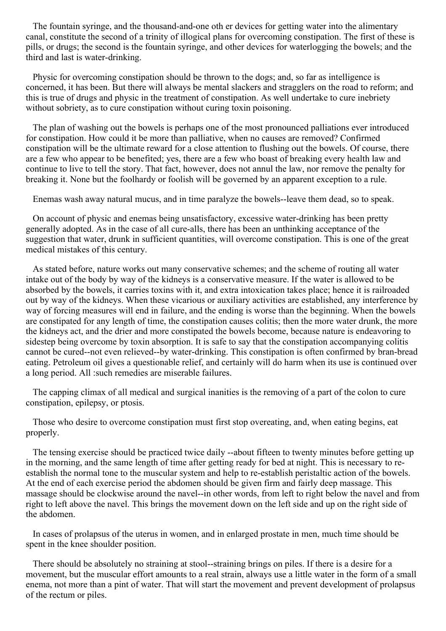The fountain syringe, and the thousand-and-one oth er devices for getting water into the alimentary canal, constitute the second of a trinity of illogical plans for overcoming constipation. The first of these is pills, or drugs; the second is the fountain syringe, and other devices for waterlogging the bowels; and the third and last is water-drinking.

Physic for overcoming constipation should be thrown to the dogs; and, so far as intelligence is concerned, it has been. But there will always be mental slackers and stragglers on the road to reform; and this is true of drugs and physic in the treatment of constipation. As well undertake to cure inebriety without sobriety, as to cure constipation without curing toxin poisoning.

The plan of washing out the bowels is perhaps one of the most pronounced palliations ever introduced for constipation. How could it be more than palliative, when no causes are removed? Confirmed constipation will be the ultimate reward for a close attention to flushing out the bowels. Of course, there are a few who appear to be benefited; yes, there are a few who boast of breaking every health law and continue to live to tell the story. That fact, however, does not annul the law, nor remove the penalty for breaking it. None but the foolhardy or foolish will be governed by an apparent exception to a rule.

Enemas wash away natural mucus, and in time paralyze the bowels--leave them dead, so to speak.

On account of physic and enemas being unsatisfactory, excessive water-drinking has been pretty generally adopted. As in the case of all cure-alls, there has been an unthinking acceptance of the suggestion that water, drunk in sufficient quantities, will overcome constipation. This is one of the great medical mistakes of this century.

As stated before, nature works out many conservative schemes; and the scheme of routing all water intake out of the body by way of the kidneys is a conservative measure. If the water is allowed to be absorbed by the bowels, it carries toxins with it, and extra intoxication takes place; hence it is railroaded out by way of the kidneys. When these vicarious or auxiliary activities are established, any interference by way of forcing measures will end in failure, and the ending is worse than the beginning. When the bowels are constipated for any length of time, the constipation causes colitis; then the more water drunk, the more the kidneys act, and the drier and more constipated the bowels become, because nature is endeavoring to sidestep being overcome by toxin absorption. It is safe to say that the constipation accompanying colitis cannot be cured--not even relieved--by water-drinking. This constipation is often confirmed by bran-bread eating. Petroleum oil gives a questionable relief, and certainly will do harm when its use is continued over a long period. All :such remedies are miserable failures.

The capping climax of all medical and surgical inanities is the removing of a part of the colon to cure constipation, epilepsy, or ptosis.

Those who desire to overcome constipation must first stop overeating, and, when eating begins, eat properly.

The tensing exercise should be practiced twice daily --about fifteen to twenty minutes before getting up in the morning, and the same length of time after getting ready for bed at night. This is necessary to reestablish the normal tone to the muscular system and help to re-establish peristaltic action of the bowels. At the end of each exercise period the abdomen should be given firm and fairly deep massage. This massage should be clockwise around the navel--in other words, from left to right below the navel and from right to left above the navel. This brings the movement down on the left side and up on the right side of the abdomen.

In cases of prolapsus of the uterus in women, and in enlarged prostate in men, much time should be spent in the knee shoulder position.

There should be absolutely no straining at stool--straining brings on piles. If there is a desire for a movement, but the muscular effort amounts to a real strain, always use a little water in the form of a small enema, not more than a pint of water. That will start the movement and prevent development of prolapsus of the rectum or piles.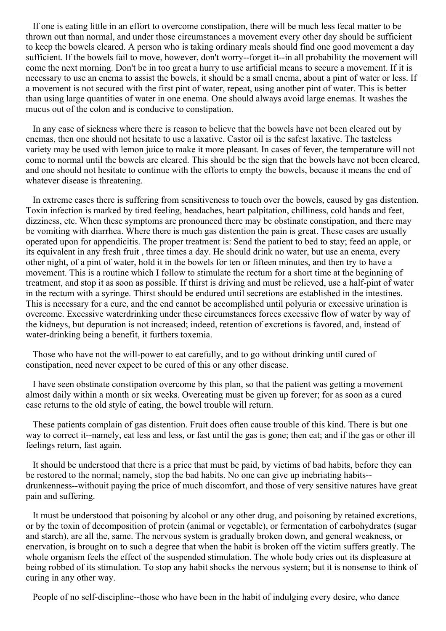If one is eating little in an effort to overcome constipation, there will be much less fecal matter to be thrown out than normal, and under those circumstances a movement every other day should be sufficient to keep the bowels cleared. A person who is taking ordinary meals should find one good movement a day sufficient. If the bowels fail to move, however, don't worry--forget it--in all probability the movement will come the next morning. Don't be in too great a hurry to use artificial means to secure a movement. If it is necessary to use an enema to assist the bowels, it should be a small enema, about a pint of water or less. If a movement is not secured with the first pint of water, repeat, using another pint of water. This is better than using large quantities of water in one enema. One should always avoid large enemas. It washes the mucus out of the colon and is conducive to constipation.

In any case of sickness where there is reason to believe that the bowels have not been cleared out by enemas, then one should not hesitate to use a laxative. Castor oil is the safest laxative. The tasteless variety may be used with lemon juice to make it more pleasant. In cases of fever, the temperature will not come to normal until the bowels are cleared. This should be the sign that the bowels have not been cleared, and one should not hesitate to continue with the efforts to empty the bowels, because it means the end of whatever disease is threatening.

In extreme cases there is suffering from sensitiveness to touch over the bowels, caused by gas distention. Toxin infection is marked by tired feeling, headaches, heart palpitation, chilliness, cold hands and feet, dizziness, etc. When these symptoms are pronounced there may be obstinate constipation, and there may be vomiting with diarrhea. Where there is much gas distention the pain is great. These cases are usually operated upon for appendicitis. The proper treatment is: Send the patient to bed to stay; feed an apple, or its equivalent in any fresh fruit , three times a day. He should drink no water, but use an enema, every other night, of a pint of water, hold it in the bowels for ten or fifteen minutes, and then try to have a movement. This is a routine which I follow to stimulate the rectum for a short time at the beginning of treatment, and stop it as soon as possible. If thirst is driving and must be relieved, use a half-pint of water in the rectum with a syringe. Thirst should be endured until secretions are established in the intestines. This is necessary for a cure, and the end cannot be accomplished until polyuria or excessive urination is overcome. Excessive waterdrinking under these circumstances forces excessive flow of water by way of the kidneys, but depuration is not increased; indeed, retention of excretions is favored, and, instead of water-drinking being a benefit, it furthers toxemia.

Those who have not the will-power to eat carefully, and to go without drinking until cured of constipation, need never expect to be cured of this or any other disease.

I have seen obstinate constipation overcome by this plan, so that the patient was getting a movement almost daily within a month or six weeks. Overeating must be given up forever; for as soon as a cured case returns to the old style of eating, the bowel trouble will return.

These patients complain of gas distention. Fruit does often cause trouble of this kind. There is but one way to correct it--namely, eat less and less, or fast until the gas is gone; then eat; and if the gas or other ill feelings return, fast again.

It should be understood that there is a price that must be paid, by victims of bad habits, before they can be restored to the normal; namely, stop the bad habits. No one can give up inebriating habits- drunkenness--withouit paying the price of much discomfort, and those of very sensitive natures have great pain and suffering.

It must be understood that poisoning by alcohol or any other drug, and poisoning by retained excretions, or by the toxin of decomposition of protein (animal or vegetable), or fermentation of carbohydrates (sugar and starch), are all the, same. The nervous system is gradually broken down, and general weakness, or enervation, is brought on to such a degree that when the habit is broken off the victim suffers greatly. The whole organism feels the effect of the suspended stimulation. The whole body cries out its displeasure at being robbed of its stimulation. To stop any habit shocks the nervous system; but it is nonsense to think of curing in any other way.

People of no self-discipline--those who have been in the habit of indulging every desire, who dance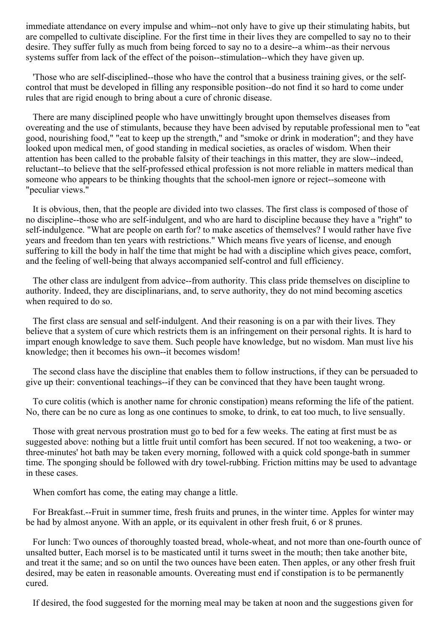immediate attendance on every impulse and whim--not only have to give up their stimulating habits, but are compelled to cultivate discipline. For the first time in their lives they are compelled to say no to their desire. They suffer fully as much from being forced to say no to a desire--a whim--as their nervous systems suffer from lack of the effect of the poison--stimulation--which they have given up.

'Those who are self-disciplined--those who have the control that a business training gives, or the selfcontrol that must be developed in filling any responsible position--do not find it so hard to come under rules that are rigid enough to bring about a cure of chronic disease.

There are many disciplined people who have unwittingly brought upon themselves diseases from overeating and the use of stimulants, because they have been advised by reputable professional men to "eat good, nourishing food," "eat to keep up the strength," and "smoke or drink in moderation"; and they have looked upon medical men, of good standing in medical societies, as oracles of wisdom. When their attention has been called to the probable falsity of their teachings in this matter, they are slow--indeed, reluctant--to believe that the self-professed ethical profession is not more reliable in matters medical than someone who appears to be thinking thoughts that the school-men ignore or reject--someone with "peculiar views."

It is obvious, then, that the people are divided into two classes. The first class is composed of those of no discipline--those who are self-indulgent, and who are hard to discipline because they have a "right" to self-indulgence. "What are people on earth for? to make ascetics of themselves? I would rather have five years and freedom than ten years with restrictions." Which means five years of license, and enough suffering to kill the body in half the time that might be had with a discipline which gives peace, comfort, and the feeling of well-being that always accompanied self-control and full efficiency.

The other class are indulgent from advice--from authority. This class pride themselves on discipline to authority. Indeed, they are disciplinarians, and, to serve authority, they do not mind becoming ascetics when required to do so.

The first class are sensual and self-indulgent. And their reasoning is on a par with their lives. They believe that a system of cure which restricts them is an infringement on their personal rights. It is hard to impart enough knowledge to save them. Such people have knowledge, but no wisdom. Man must live his knowledge; then it becomes his own--it becomes wisdom!

The second class have the discipline that enables them to follow instructions, if they can be persuaded to give up their: conventional teachings--if they can be convinced that they have been taught wrong.

To cure colitis (which is another name for chronic constipation) means reforming the life of the patient. No, there can be no cure as long as one continues to smoke, to drink, to eat too much, to live sensually.

Those with great nervous prostration must go to bed for a few weeks. The eating at first must be as suggested above: nothing but a little fruit until comfort has been secured. If not too weakening, a two- or three-minutes' hot bath may be taken every morning, followed with a quick cold sponge-bath in summer time. The sponging should be followed with dry towel-rubbing. Friction mittins may be used to advantage in these cases.

When comfort has come, the eating may change a little.

For Breakfast.--Fruit in summer time, fresh fruits and prunes, in the winter time. Apples for winter may be had by almost anyone. With an apple, or its equivalent in other fresh fruit, 6 or 8 prunes.

For lunch: Two ounces of thoroughly toasted bread, whole-wheat, and not more than one-fourth ounce of unsalted butter, Each morsel is to be masticated until it turns sweet in the mouth; then take another bite, and treat it the same; and so on until the two ounces have been eaten. Then apples, or any other fresh fruit desired, may be eaten in reasonable amounts. Overeating must end if constipation is to be permanently cured.

If desired, the food suggested for the morning meal may be taken at noon and the suggestions given for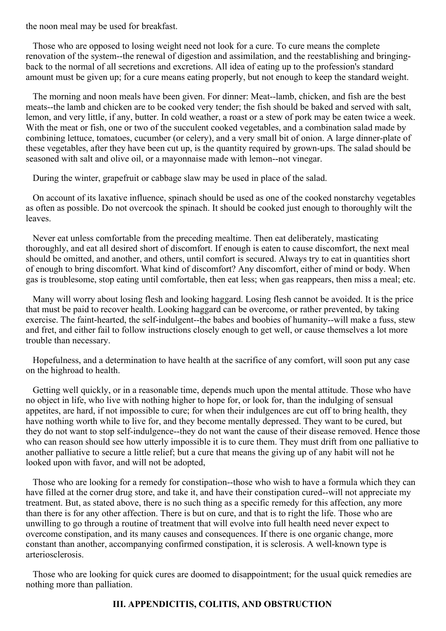the noon meal may be used for breakfast.

Those who are opposed to losing weight need not look for a cure. To cure means the complete renovation of the system--the renewal of digestion and assimilation, and the reestablishing and bringingback to the normal of all secretions and excretions. All idea of eating up to the profession's standard amount must be given up; for a cure means eating properly, but not enough to keep the standard weight.

The morning and noon meals have been given. For dinner: Meat--lamb, chicken, and fish are the best meats--the lamb and chicken are to be cooked very tender; the fish should be baked and served with salt, lemon, and very little, if any, butter. In cold weather, a roast or a stew of pork may be eaten twice a week. With the meat or fish, one or two of the succulent cooked vegetables, and a combination salad made by combining lettuce, tomatoes, cucumber (or celery), and a very small bit of onion. A large dinner-plate of these vegetables, after they have been cut up, is the quantity required by grown-ups. The salad should be seasoned with salt and olive oil, or a mayonnaise made with lemon--not vinegar.

During the winter, grapefruit or cabbage slaw may be used in place of the salad.

On account of its laxative influence, spinach should be used as one of the cooked nonstarchy vegetables as often as possible. Do not overcook the spinach. It should be cooked just enough to thoroughly wilt the leaves.

Never eat unless comfortable from the preceding mealtime. Then eat deliberately, masticating thoroughly, and eat all desired short of discomfort. If enough is eaten to cause discomfort, the next meal should be omitted, and another, and others, until comfort is secured. Always try to eat in quantities short of enough to bring discomfort. What kind of discomfort? Any discomfort, either of mind or body. When gas is troublesome, stop eating until comfortable, then eat less; when gas reappears, then miss a meal; etc.

Many will worry about losing flesh and looking haggard. Losing flesh cannot be avoided. It is the price that must be paid to recover health. Looking haggard can be overcome, or rather prevented, by taking exercise. The faint-hearted, the self-indulgent--the babes and boobies of humanity--will make a fuss, stew and fret, and either fail to follow instructions closely enough to get well, or cause themselves a lot more trouble than necessary.

Hopefulness, and a determination to have health at the sacrifice of any comfort, will soon put any case on the highroad to health.

Getting well quickly, or in a reasonable time, depends much upon the mental attitude. Those who have no object in life, who live with nothing higher to hope for, or look for, than the indulging of sensual appetites, are hard, if not impossible to cure; for when their indulgences are cut off to bring health, they have nothing worth while to live for, and they become mentally depressed. They want to be cured, but they do not want to stop self-indulgence--they do not want the cause of their disease removed. Hence those who can reason should see how utterly impossible it is to cure them. They must drift from one palliative to another palliative to secure a little relief; but a cure that means the giving up of any habit will not he looked upon with favor, and will not be adopted,

Those who are looking for a remedy for constipation--those who wish to have a formula which they can have filled at the corner drug store, and take it, and have their constipation cured--will not appreciate my treatment. But, as stated above, there is no such thing as a specific remedy for this affection, any more than there is for any other affection. There is but on cure, and that is to right the life. Those who are unwilling to go through a routine of treatment that will evolve into full health need never expect to overcome constipation, and its many causes and consequences. If there is one organic change, more constant than another, accompanying confirmed constipation, it is sclerosis. A well-known type is arteriosclerosis.

Those who are looking for quick cures are doomed to disappointment; for the usual quick remedies are nothing more than palliation.

## **III. APPENDICITIS, COLITIS, AND OBSTRUCTION**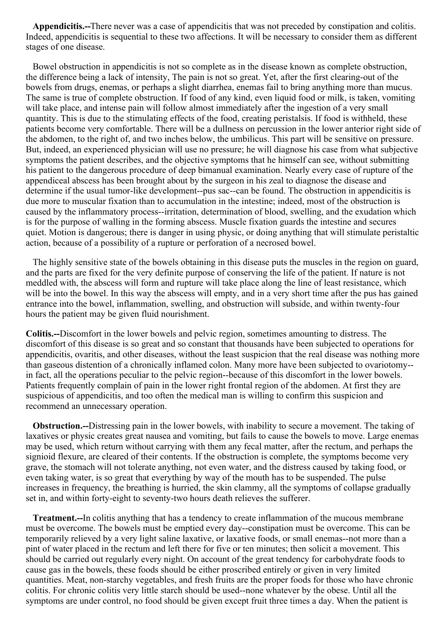**Appendicitis.--**There never was a case of appendicitis that was not preceded by constipation and colitis. Indeed, appendicitis is sequential to these two affections. It will be necessary to consider them as different stages of one disease.

Bowel obstruction in appendicitis is not so complete as in the disease known as complete obstruction, the difference being a lack of intensity, The pain is not so great. Yet, after the first clearing-out of the bowels from drugs, enemas, or perhaps a slight diarrhea, enemas fail to bring anything more than mucus. The same is true of complete obstruction. If food of any kind, even liquid food or milk, is taken, vomiting will take place, and intense pain will follow almost immediately after the ingestion of a very small quantity. This is due to the stimulating effects of the food, creating peristalsis. If food is withheld, these patients become very comfortable. There will be a dullness on percussion in the lower anterior right side of the abdomen, to the right of, and two inches below, the umbilicus. This part will be sensitive on pressure. But, indeed, an experienced physician will use no pressure; he will diagnose his case from what subjective symptoms the patient describes, and the objective symptoms that he himself can see, without submitting his patient to the dangerous procedure of deep bimanual examination. Nearly every case of rupture of the appendiceal abscess has been brought about by the surgeon in his zeal to diagnose the disease and determine if the usual tumor-like development--pus sac--can be found. The obstruction in appendicitis is due more to muscular fixation than to accumulation in the intestine; indeed, most of the obstruction is caused by the inflammatory process--irritation, determination of blood, swelling, and the exudation which is for the purpose of walling in the forming abscess. Muscle fixation guards the intestine and secures quiet. Motion is dangerous; there is danger in using physic, or doing anything that will stimulate peristaltic action, because of a possibility of a rupture or perforation of a necrosed bowel.

The highly sensitive state of the bowels obtaining in this disease puts the muscles in the region on guard, and the parts are fixed for the very definite purpose of conserving the life of the patient. If nature is not meddled with, the abscess will form and rupture will take place along the line of least resistance, which will be into the bowel. In this way the abscess will empty, and in a very short time after the pus has gained entrance into the bowel, inflammation, swelling, and obstruction will subside, and within twenty-four hours the patient may be given fluid nourishment.

**Colitis.--**Discomfort in the lower bowels and pelvic region, sometimes amounting to distress. The discomfort of this disease is so great and so constant that thousands have been subjected to operations for appendicitis, ovaritis, and other diseases, without the least suspicion that the real disease was nothing more than gaseous distention of a chronically inflamed colon. Many more have been subjected to ovariotomy- in fact, all the operations peculiar to the pelvic region--because of this discomfort in the lower bowels. Patients frequently complain of pain in the lower right frontal region of the abdomen. At first they are suspicious of appendicitis, and too often the medical man is willing to confirm this suspicion and recommend an unnecessary operation.

**Obstruction.--**Distressing pain in the lower bowels, with inability to secure a movement. The taking of laxatives or physic creates great nausea and vomiting, but fails to cause the bowels to move. Large enemas may be used, which return without carrying with them any fecal matter, after the rectum, and perhaps the signioid flexure, are cleared of their contents. If the obstruction is complete, the symptoms become very grave, the stomach will not tolerate anything, not even water, and the distress caused by taking food, or even taking water, is so great that everything by way of the mouth has to be suspended. The pulse increases in frequency, the breathing is hurried, the skin clammy, all the symptoms of collapse gradually set in, and within forty-eight to seventy-two hours death relieves the sufferer.

**Treatment.--**In colitis anything that has a tendency to create inflammation of the mucous membrane must be overcome. The bowels must be emptied every day--constipation must be overcome. This can be temporarily relieved by a very light saline laxative, or laxative foods, or small enemas--not more than a pint of water placed in the rectum and left there for five or ten minutes; then solicit a movement. This should be carried out regularly every night. On account of the great tendency for carbohydrate foods to cause gas in the bowels, these foods should be either proscribed entirely or given in very limited quantities. Meat, non-starchy vegetables, and fresh fruits are the proper foods for those who have chronic colitis. For chronic colitis very little starch should be used--none whatever by the obese. Until all the symptoms are under control, no food should be given except fruit three times a day. When the patient is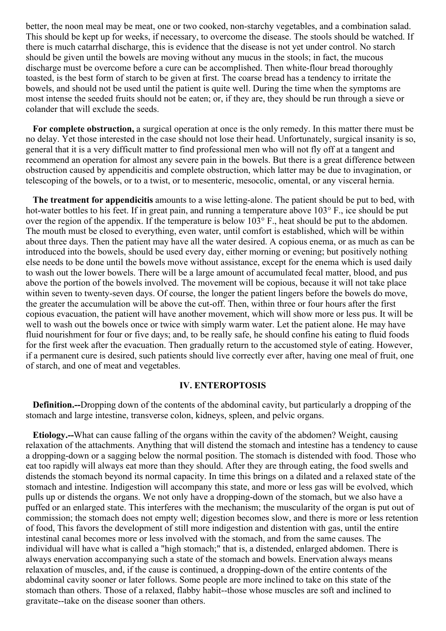better, the noon meal may be meat, one or two cooked, non-starchy vegetables, and a combination salad. This should be kept up for weeks, if necessary, to overcome the disease. The stools should be watched. If there is much catarrhal discharge, this is evidence that the disease is not yet under control. No starch should be given until the bowels are moving without any mucus in the stools; in fact, the mucous discharge must be overcome before a cure can be accomplished. Then white-flour bread thoroughly toasted, is the best form of starch to be given at first. The coarse bread has a tendency to irritate the bowels, and should not be used until the patient is quite well. During the time when the symptoms are most intense the seeded fruits should not be eaten; or, if they are, they should be run through a sieve or colander that will exclude the seeds.

**For complete obstruction,** a surgical operation at once is the only remedy. In this matter there must be no delay. Yet those interested in the case should not lose their head. Unfortunately, surgical insanity is so, general that it is a very difficult matter to find professional men who will not fly off at a tangent and recommend an operation for almost any severe pain in the bowels. But there is a great difference between obstruction caused by appendicitis and complete obstruction, which latter may be due to invagination, or telescoping of the bowels, or to a twist, or to mesenteric, mesocolic, omental, or any visceral hernia.

**The treatment for appendicitis** amounts to a wise letting-alone. The patient should be put to bed, with hot-water bottles to his feet. If in great pain, and running a temperature above 103° F., ice should be put over the region of the appendix. If the temperature is below  $103^{\circ}$  F., heat should be put to the abdomen. The mouth must be closed to everything, even water, until comfort is established, which will be within about three days. Then the patient may have all the water desired. A copious enema, or as much as can be introduced into the bowels, should be used every day, either morning or evening; but positively nothing else needs to be done until the bowels move without assistance, except for the enema which is used daily to wash out the lower bowels. There will be a large amount of accumulated fecal matter, blood, and pus above the portion of the bowels involved. The movement will be copious, because it will not take place within seven to twenty-seven days. Of course, the longer the patient lingers before the bowels do move, the greater the accumulation will be above the cut-off. Then, within three or four hours after the first copious evacuation, the patient will have another movement, which will show more or less pus. It will be well to wash out the bowels once or twice with simply warm water. Let the patient alone. He may have fluid nourishment for four or five days; and, to be really safe, he should confine his eating to fluid foods for the first week after the evacuation. Then gradually return to the accustomed style of eating. However, if a permanent cure is desired, such patients should live correctly ever after, having one meal of fruit, one of starch, and one of meat and vegetables.

## **IV. ENTEROPTOSIS**

**Definition.--**Dropping down of the contents of the abdominal cavity, but particularly a dropping of the stomach and large intestine, transverse colon, kidneys, spleen, and pelvic organs.

**Etiology.--**What can cause falling of the organs within the cavity of the abdomen? Weight, causing relaxation of the attachments. Anything that will distend the stomach and intestine has a tendency to cause a dropping-down or a sagging below the normal position. The stomach is distended with food. Those who eat too rapidly will always eat more than they should. After they are through eating, the food swells and distends the stomach beyond its normal capacity. In time this brings on a dilated and a relaxed state of the stomach and intestine. Indigestion will accompany this state, and more or less gas will be evolved, which pulls up or distends the organs. We not only have a dropping-down of the stomach, but we also have a puffed or an enlarged state. This interferes with the mechanism; the muscularity of the organ is put out of commission; the stomach does not empty well; digestion becomes slow, and there is more or less retention of food, This favors the development of still more indigestion and distention with gas, until the entire intestinal canal becomes more or less involved with the stomach, and from the same causes. The individual will have what is called a "high stomach;" that is, a distended, enlarged abdomen. There is always enervation accompanying such a state of the stomach and bowels. Enervation always means relaxation of muscles, and, if the cause is continued, a dropping-down of the entire contents of the abdominal cavity sooner or later follows. Some people are more inclined to take on this state of the stomach than others. Those of a relaxed, flabby habit--those whose muscles are soft and inclined to gravitate--take on the disease sooner than others.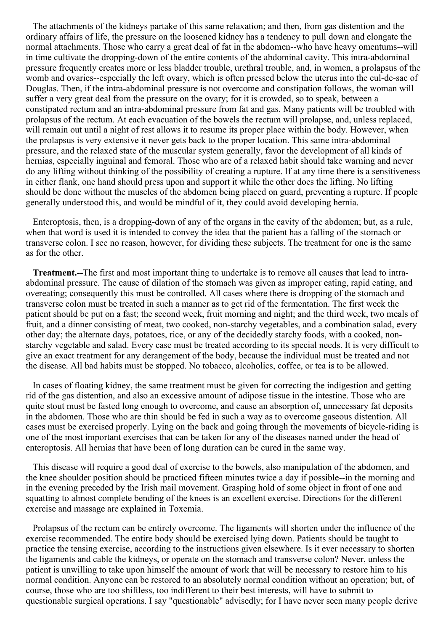The attachments of the kidneys partake of this same relaxation; and then, from gas distention and the ordinary affairs of life, the pressure on the loosened kidney has a tendency to pull down and elongate the normal attachments. Those who carry a great deal of fat in the abdomen--who have heavy omentums--will in time cultivate the dropping-down of the entire contents of the abdominal cavity. This intra-abdominal pressure frequently creates more or less bladder trouble, urethral trouble, and, in women, a prolapsus of the womb and ovaries--especially the left ovary, which is often pressed below the uterus into the cul-de-sac of Douglas. Then, if the intra-abdominal pressure is not overcome and constipation follows, the woman will suffer a very great deal from the pressure on the ovary; for it is crowded, so to speak, between a constipated rectum and an intra-abdominal pressure from fat and gas. Many patients will be troubled with prolapsus of the rectum. At each evacuation of the bowels the rectum will prolapse, and, unless replaced, will remain out until a night of rest allows it to resume its proper place within the body. However, when the prolapsus is very extensive it never gets back to the proper location. This same intra-abdominal pressure, and the relaxed state of the muscular system generally, favor the development of all kinds of hernias, especially inguinal and femoral. Those who are of a relaxed habit should take warning and never do any lifting without thinking of the possibility of creating a rupture. If at any time there is a sensitiveness in either flank, one hand should press upon and support it while the other does the lifting. No lifting should be done without the muscles of the abdomen being placed on guard, preventing a rupture. If people generally understood this, and would be mindful of it, they could avoid developing hernia.

Enteroptosis, then, is a dropping-down of any of the organs in the cavity of the abdomen; but, as a rule, when that word is used it is intended to convey the idea that the patient has a falling of the stomach or transverse colon. I see no reason, however, for dividing these subjects. The treatment for one is the same as for the other.

**Treatment.--**The first and most important thing to undertake is to remove all causes that lead to intraabdominal pressure. The cause of dilation of the stomach was given as improper eating, rapid eating, and overeating; consequently this must be controlled. All cases where there is dropping of the stomach and transverse colon must be treated in such a manner as to get rid of the fermentation. The first week the patient should be put on a fast; the second week, fruit morning and night; and the third week, two meals of fruit, and a dinner consisting of meat, two cooked, non-starchy vegetables, and a combination salad, every other day; the alternate days, potatoes, rice, or any of the decidedly starchy foods, with a cooked, nonstarchy vegetable and salad. Every case must be treated according to its special needs. It is very difficult to give an exact treatment for any derangement of the body, because the individual must be treated and not the disease. All bad habits must be stopped. No tobacco, alcoholics, coffee, or tea is to be allowed.

In cases of floating kidney, the same treatment must be given for correcting the indigestion and getting rid of the gas distention, and also an excessive amount of adipose tissue in the intestine. Those who are quite stout must be fasted long enough to overcome, and cause an absorption of, unnecessary fat deposits in the abdomen. Those who are thin should be fed in such a way as to overcome gaseous distention. All cases must be exercised properly. Lying on the back and going through the movements of bicycle-riding is one of the most important exercises that can be taken for any of the diseases named under the head of enteroptosis. All hernias that have been of long duration can be cured in the same way.

This disease will require a good deal of exercise to the bowels, also manipulation of the abdomen, and the knee shoulder position should be practiced fifteen minutes twice a day if possible--in the morning and in the evening preceded by the Irish mail movement. Grasping hold of some object in front of one and squatting to almost complete bending of the knees is an excellent exercise. Directions for the different exercise and massage are explained in Toxemia.

Prolapsus of the rectum can be entirely overcome. The ligaments will shorten under the influence of the exercise recommended. The entire body should be exercised lying down. Patients should be taught to practice the tensing exercise, according to the instructions given elsewhere. Is it ever necessary to shorten the ligaments and cable the kidneys, or operate on the stomach and transverse colon? Never, unless the patient is unwilling to take upon himself the amount of work that will be necessary to restore him to his normal condition. Anyone can be restored to an absolutely normal condition without an operation; but, of course, those who are too shiftless, too indifferent to their best interests, will have to submit to questionable surgical operations. I say "questionable" advisedly; for I have never seen many people derive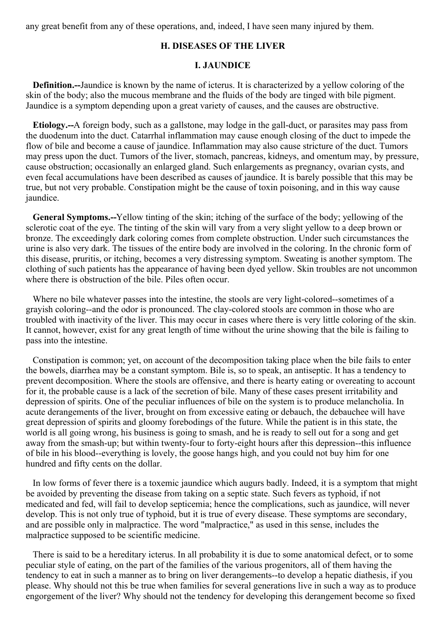any great benefit from any of these operations, and, indeed, I have seen many injured by them.

# **H. DISEASES OF THE LIVER**

#### **I. JAUNDICE**

**Definition.--**Jaundice is known by the name of icterus. It is characterized by a yellow coloring of the skin of the body; also the mucous membrane and the fluids of the body are tinged with bile pigment. Jaundice is a symptom depending upon a great variety of causes, and the causes are obstructive.

**Etiology.--**A foreign body, such as a gallstone, may lodge in the gall-duct, or parasites may pass from the duodenum into the duct. Catarrhal inflammation may cause enough closing of the duct to impede the flow of bile and become a cause of jaundice. Inflammation may also cause stricture of the duct. Tumors may press upon the duct. Tumors of the liver, stomach, pancreas, kidneys, and omentum may, by pressure, cause obstruction; occasionally an enlarged gland. Such enlargements as pregnancy, ovarian cysts, and even fecal accumulations have been described as causes of jaundice. It is barely possible that this may be true, but not very probable. Constipation might be the cause of toxin poisoning, and in this way cause jaundice.

**General Symptoms.--**Yellow tinting of the skin; itching of the surface of the body; yellowing of the sclerotic coat of the eye. The tinting of the skin will vary from a very slight yellow to a deep brown or bronze. The exceedingly dark coloring comes from complete obstruction. Under such circumstances the urine is also very dark. The tissues of the entire body are involved in the coloring. In the chronic form of this disease, pruritis, or itching, becomes a very distressing symptom. Sweating is another symptom. The clothing of such patients has the appearance of having been dyed yellow. Skin troubles are not uncommon where there is obstruction of the bile. Piles often occur.

Where no bile whatever passes into the intestine, the stools are very light-colored--sometimes of a grayish coloring--and the odor is pronounced. The clay-colored stools are common in those who are troubled with inactivity of the liver. This may occur in cases where there is very little coloring of the skin. It cannot, however, exist for any great length of time without the urine showing that the bile is failing to pass into the intestine.

Constipation is common; yet, on account of the decomposition taking place when the bile fails to enter the bowels, diarrhea may be a constant symptom. Bile is, so to speak, an antiseptic. It has a tendency to prevent decomposition. Where the stools are offensive, and there is hearty eating or overeating to account for it, the probable cause is a lack of the secretion of bile. Many of these cases present irritability and depression of spirits. One of the peculiar influences of bile on the system is to produce melancholia. In acute derangements of the liver, brought on from excessive eating or debauch, the debauchee will have great depression of spirits and gloomy forebodings of the future. While the patient is in this state, the world is all going wrong, his business is going to smash, and he is ready to sell out for a song and get away from the smash-up; but within twenty-four to forty-eight hours after this depression--this influence of bile in his blood--everything is lovely, the goose hangs high, and you could not buy him for one hundred and fifty cents on the dollar.

In low forms of fever there is a toxemic jaundice which augurs badly. Indeed, it is a symptom that might be avoided by preventing the disease from taking on a septic state. Such fevers as typhoid, if not medicated and fed, will fail to develop septicemia; hence the complications, such as jaundice, will never develop. This is not only true of typhoid, but it is true of every disease. These symptoms are secondary, and are possible only in malpractice. The word "malpractice," as used in this sense, includes the malpractice supposed to be scientific medicine.

There is said to be a hereditary icterus. In all probability it is due to some anatomical defect, or to some peculiar style of eating, on the part of the families of the various progenitors, all of them having the tendency to eat in such a manner as to bring on liver derangements--to develop a hepatic diathesis, if you please. Why should not this be true when families for several generations live in such a way as to produce engorgement of the liver? Why should not the tendency for developing this derangement become so fixed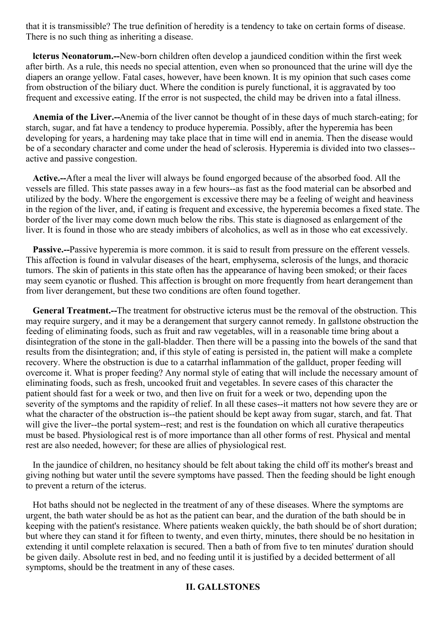that it is transmissible? The true definition of heredity is a tendency to take on certain forms of disease. There is no such thing as inheriting a disease.

**lcterus Neonatorum.--**New-born children often develop a jaundiced condition within the first week after birth. As a rule, this needs no special attention, even when so pronounced that the urine will dye the diapers an orange yellow. Fatal cases, however, have been known. It is my opinion that such cases come from obstruction of the biliary duct. Where the condition is purely functional, it is aggravated by too frequent and excessive eating. If the error is not suspected, the child may be driven into a fatal illness.

**Anemia of the Liver.--**Anemia of the liver cannot be thought of in these days of much starch-eating; for starch, sugar, and fat have a tendency to produce hyperemia. Possibly, after the hyperemia has been developing for years, a hardening may take place that in time will end in anemia. Then the disease would be of a secondary character and come under the head of sclerosis. Hyperemia is divided into two classes- active and passive congestion.

**Active.--**After a meal the liver will always be found engorged because of the absorbed food. All the vessels are filled. This state passes away in a few hours--as fast as the food material can be absorbed and utilized by the body. Where the engorgement is excessive there may be a feeling of weight and heaviness in the region of the liver, and, if eating is frequent and excessive, the hyperemia becomes a fixed state. The border of the liver may come down much below the ribs. This state is diagnosed as enlargement of the liver. It is found in those who are steady imbibers of alcoholics, as well as in those who eat excessively.

**Passive.--**Passive hyperemia is more common. it is said to result from pressure on the efferent vessels. This affection is found in valvular diseases of the heart, emphysema, sclerosis of the lungs, and thoracic tumors. The skin of patients in this state often has the appearance of having been smoked; or their faces may seem cyanotic or flushed. This affection is brought on more frequently from heart derangement than from liver derangement, but these two conditions are often found together.

**General Treatment.--**The treatment for obstructive icterus must be the removal of the obstruction. This may require surgery, and it may be a derangement that surgery cannot remedy. In gallstone obstruction the feeding of eliminating foods, such as fruit and raw vegetables, will in a reasonable time bring about a disintegration of the stone in the gall-bladder. Then there will be a passing into the bowels of the sand that results from the disintegration; and, if this style of eating is persisted in, the patient will make a complete recovery. Where the obstruction is due to a catarrhal inflammation of the gallduct, proper feeding will overcome it. What is proper feeding? Any normal style of eating that will include the necessary amount of eliminating foods, such as fresh, uncooked fruit and vegetables. In severe cases of this character the patient should fast for a week or two, and then live on fruit for a week or two, depending upon the severity of the symptoms and the rapidity of relief. In all these cases--it matters not how severe they are or what the character of the obstruction is--the patient should be kept away from sugar, starch, and fat. That will give the liver--the portal system--rest; and rest is the foundation on which all curative therapeutics must be based. Physiological rest is of more importance than all other forms of rest. Physical and mental rest are also needed, however; for these are allies of physiological rest.

In the jaundice of children, no hesitancy should be felt about taking the child off its mother's breast and giving nothing but water until the severe symptoms have passed. Then the feeding should be light enough to prevent a return of the icterus.

Hot baths should not be neglected in the treatment of any of these diseases. Where the symptoms are urgent, the bath water should be as hot as the patient can bear, and the duration of the bath should be in keeping with the patient's resistance. Where patients weaken quickly, the bath should be of short duration; but where they can stand it for fifteen to twenty, and even thirty, minutes, there should be no hesitation in extending it until complete relaxation is secured. Then a bath of from five to ten minutes' duration should be given daily. Absolute rest in bed, and no feeding until it is justified by a decided betterment of all symptoms, should be the treatment in any of these cases.

### **II. GALLSTONES**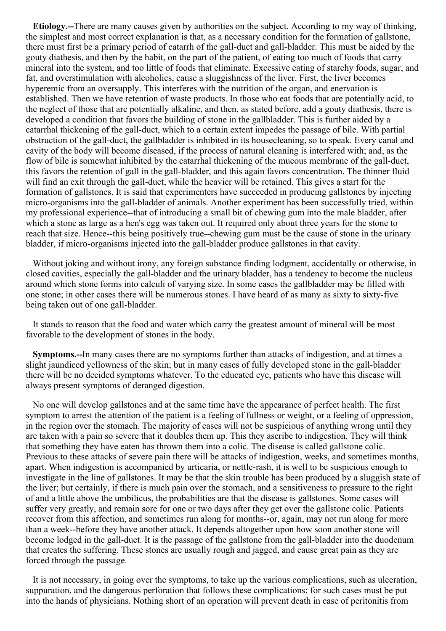**Etiology.--**There are many causes given by authorities on the subject. According to my way of thinking, the simplest and most correct explanation is that, as a necessary condition for the formation of gallstone, there must first be a primary period of catarrh of the gall-duct and gall-bladder. This must be aided by the gouty diathesis, and then by the habit, on the part of the patient, of eating too much of foods that carry mineral into the system, and too little of foods that eliminate. Excessive eating of starchy foods, sugar, and fat, and overstimulation with alcoholics, cause a sluggishness of the liver. First, the liver becomes hyperemic from an oversupply. This interferes with the nutrition of the organ, and enervation is established. Then we have retention of waste products. In those who eat foods that are potentially acid, to the neglect of those that are potentially alkaline, and then, as stated before, add a gouty diathesis, there is developed a condition that favors the building of stone in the gallbladder. This is further aided by a catarrhal thickening of the gall-duct, which to a certain extent impedes the passage of bile. With partial obstruction of the gall-duct, the gallbladder is inhibited in its housecleaning, so to speak. Every canal and cavity of the body will become diseased, if the process of natural cleaning is interfered with; and, as the flow of bile is somewhat inhibited by the catarrhal thickening of the mucous membrane of the gall-duct, this favors the retention of gall in the gall-bladder, and this again favors concentration. The thinner fluid will find an exit through the gall-duct, while the heavier will be retained. This gives a start for the formation of gallstones. It is said that experimenters have succeeded in producing gallstones by injecting micro-organisms into the gall-bladder of animals. Another experiment has been successfully tried, within my professional experience--that of introducing a small bit of chewing gum into the male bladder, after which a stone as large as a hen's egg was taken out. It required only about three years for the stone to reach that size. Hence--this being positively true--chewing gum must be the cause of stone in the urinary bladder, if micro-organisms injected into the gall-bladder produce gallstones in that cavity.

Without joking and without irony, any foreign substance finding lodgment, accidentally or otherwise, in closed cavities, especially the gall-bladder and the urinary bladder, has a tendency to become the nucleus around which stone forms into calculi of varying size. In some cases the gallbladder may be filled with one stone; in other cases there will be numerous stones. I have heard of as many as sixty to sixty-five being taken out of one gall-bladder.

It stands to reason that the food and water which carry the greatest amount of mineral will be most favorable to the development of stones in the body.

**Symptoms.--**In many cases there are no symptoms further than attacks of indigestion, and at times a slight jaundiced yellowness of the skin; but in many cases of fully developed stone in the gall-bladder there will be no decided symptoms whatever. To the educated eye, patients who have this disease will always present symptoms of deranged digestion.

No one will develop gallstones and at the same time have the appearance of perfect health. The first symptom to arrest the attention of the patient is a feeling of fullness or weight, or a feeling of oppression, in the region over the stomach. The majority of cases will not be suspicious of anything wrong until they are taken with a pain so severe that it doubles them up. This they ascribe to indigestion. They will think that something they have eaten has thrown them into a colic. The disease is called gallstone colic. Previous to these attacks of severe pain there will be attacks of indigestion, weeks, and sometimes months, apart. When indigestion is accompanied by urticaria, or nettle-rash, it is well to be suspicious enough to investigate in the line of gallstones. It may be that the skin trouble has been produced by a sluggish state of the liver; but certainly, if there is much pain over the stomach, and a sensitiveness to pressure to the right of and a little above the umbilicus, the probabilities are that the disease is gallstones. Some cases will suffer very greatly, and remain sore for one or two days after they get over the gallstone colic. Patients recover from this affection, and sometimes run along for months--or, again, may not run along for more than a week--before they have another attack. It depends altogether upon how soon another stone will become lodged in the gall-duct. It is the passage of the gallstone from the gall-bladder into the duodenum that creates the suffering. These stones are usually rough and jagged, and cause great pain as they are forced through the passage.

It is not necessary, in going over the symptoms, to take up the various complications, such as ulceration, suppuration, and the dangerous perforation that follows these complications; for such cases must be put into the hands of physicians. Nothing short of an operation will prevent death in case of peritonitis from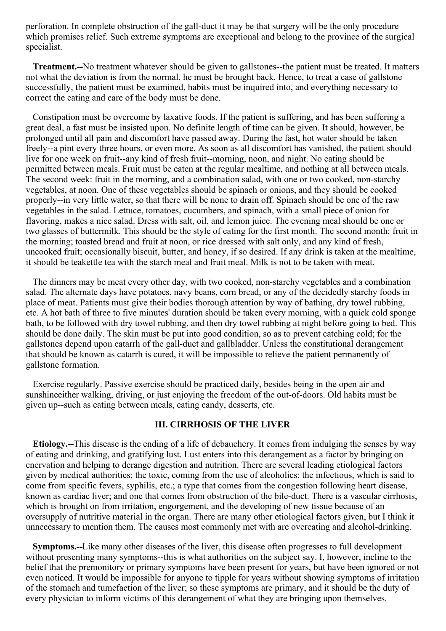perforation. In complete obstruction of the gall-duct it may be that surgery will be the only procedure which promises relief. Such extreme symptoms are exceptional and belong to the province of the surgical specialist.

**Treatment.--**No treatment whatever should be given to gallstones--the patient must be treated. It matters not what the deviation is from the normal, he must be brought back. Hence, to treat a case of gallstone successfully, the patient must be examined, habits must be inquired into, and everything necessary to correct the eating and care of the body must be done.

Constipation must be overcome by laxative foods. If the patient is suffering, and has been suffering a great deal, a fast must be insisted upon. No definite length of time can be given. It should, however, be prolonged until all pain and discomfort have passed away. During the fast, hot water should be taken freely--a pint every three hours, or even more. As soon as all discomfort has vanished, the patient should live for one week on fruit--any kind of fresh fruit--morning, noon, and night. No eating should be permitted between meals. Fruit must be eaten at the regular mealtime, and nothing at all between meals. The second week: fruit in the morning, and a combination salad, with one or two cooked, non-starchy vegetables, at noon. One of these vegetables should be spinach or onions, and they should be cooked properly--in very little water, so that there will be none to drain off. Spinach should be one of the raw vegetables in the salad. Lettuce, tomatoes, cucumbers, and spinach, with a small piece of onion for flavoring, makes a nice salad. Dress with salt, oil, and lemon juice. The evening meal should be one or two glasses of buttermilk. This should be the style of eating for the first month. The second month: fruit in the morning; toasted bread and fruit at noon, or rice dressed with salt only, and any kind of fresh, uncooked fruit; occasionally biscuit, butter, and honey, if so desired. If any drink is taken at the mealtime, it should be teakettle tea with the starch meal and fruit meal. Milk is not to be taken with meat.

The dinners may be meat every other day, with two cooked, non-starchy vegetables and a combination salad. The alternate days have potatoes, navy beans, corn bread, or any of the decidedly starchy foods in place of meat. Patients must give their bodies thorough attention by way of bathing, dry towel rubbing, etc. A hot bath of three to five minutes' duration should be taken every morning, with a quick cold sponge bath, to be followed with dry towel rubbing, and then dry towel rubbing at night before going to bed. This should be done daily. The skin must be put into good condition, so as to prevent catching cold; for the gallstones depend upon catarrh of the gall-duct and gallbladder. Unless the constitutional derangement that should be known as catarrh is cured, it will be impossible to relieve the patient permanently of gallstone formation.

Exercise regularly. Passive exercise should be practiced daily, besides being in the open air and sunshineeither walking, driving, or just enjoying the freedom of the out-of-doors. Old habits must be given up--such as eating between meals, eating candy, desserts, etc.

## **III. CIRRHOSIS OF THE LIVER**

**Etiology.--**This disease is the ending of a life of debauchery. It comes from indulging the senses by way of eating and drinking, and gratifying lust. Lust enters into this derangement as a factor by bringing on enervation and helping to derange digestion and nutrition. There are several leading etiological factors given by medical authorities: the toxic, coming from the use of alcoholics; the infectious, which is said to come from specific fevers, syphilis, etc.; a type that comes from the congestion following heart disease, known as cardiac liver; and one that comes from obstruction of the bile-duct. There is a vascular cirrhosis, which is brought on from irritation, engorgement, and the developing of new tissue because of an oversupply of nutritive material in the organ. There are many other etiological factors given, but I think it unnecessary to mention them. The causes most commonly met with are overeating and alcohol-drinking.

**Symptoms.--**Like many other diseases of the liver, this disease often progresses to full development without presenting many symptoms--this is what authorities on the subject say. I, however, incline to the belief that the premonitory or primary symptoms have been present for years, but have been ignored or not even noticed. It would be impossible for anyone to tipple for years without showing symptoms of irritation of the stomach and tumefaction of the liver; so these symptoms are primary, and it should be the duty of every physician to inform victims of this derangement of what they are bringing upon themselves.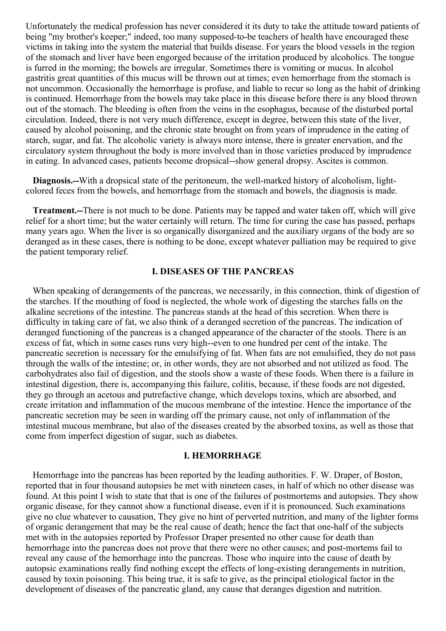Unfortunately the medical profession has never considered it its duty to take the attitude toward patients of being "my brother's keeper;" indeed, too many supposed-to-be teachers of health have encouraged these victims in taking into the system the material that builds disease. For years the blood vessels in the region of the stomach and liver have been engorged because of the irritation produced by alcoholics. The tongue is furred in the morning; the bowels are irregular. Sometimes there is vomiting or mucus. In alcohol gastritis great quantities of this mucus will be thrown out at times; even hemorrhage from the stomach is not uncommon. Occasionally the hemorrhage is profuse, and liable to recur so long as the habit of drinking is continued. Hemorrhage from the bowels may take place in this disease before there is any blood thrown out of the stomach. The bleeding is often from the veins in the esophagus, because of the disturbed portal circulation. Indeed, there is not very much difference, except in degree, between this state of the liver, caused by alcohol poisoning, and the chronic state brought on from years of imprudence in the eating of starch, sugar, and fat. The alcoholic variety is always more intense, there is greater enervation, and the circulatory system throughout the body is more involved than in those varieties produced by imprudence in eating. In advanced cases, patients become dropsical--show general dropsy. Ascites is common.

**Diagnosis.--**With a dropsical state of the peritoneum, the well-marked history of alcoholism, lightcolored feces from the bowels, and hemorrhage from the stomach and bowels, the diagnosis is made.

**Treatment.--**There is not much to be done. Patients may be tapped and water taken off, which will give relief for a short time; but the water certainly will return. The time for curing the case has passed, perhaps many years ago. When the liver is so organically disorganized and the auxiliary organs of the body are so deranged as in these cases, there is nothing to be done, except whatever palliation may be required to give the patient temporary relief.

# **I. DISEASES OF THE PANCREAS**

When speaking of derangements of the pancreas, we necessarily, in this connection, think of digestion of the starches. If the mouthing of food is neglected, the whole work of digesting the starches falls on the alkaline secretions of the intestine. The pancreas stands at the head of this secretion. When there is difficulty in taking care of fat, we also think of a deranged secretion of the pancreas. The indication of deranged functioning of the pancreas is a changed appearance of the character of the stools. There is an excess of fat, which in some cases runs very high--even to one hundred per cent of the intake. The pancreatic secretion is necessary for the emulsifying of fat. When fats are not emulsified, they do not pass through the walls of the intestine; or, in other words, they are not absorbed and not utilized as food. The carbohydrates also fail of digestion, and the stools show a waste of these foods. When there is a failure in intestinal digestion, there is, accompanying this failure, colitis, because, if these foods are not digested, they go through an acetous and putrefactive change, which develops toxins, which are absorbed, and create irritation and inflammation of the mucous membrane of the intestine. Hence the importance of the pancreatic secretion may be seen in warding off the primary cause, not only of inflammation of the intestinal mucous membrane, but also of the diseases created by the absorbed toxins, as well as those that come from imperfect digestion of sugar, such as diabetes.

#### **I. HEMORRHAGE**

Hemorrhage into the pancreas has been reported by the leading authorities. F. W. Draper, of Boston, reported that in four thousand autopsies he met with nineteen cases, in half of which no other disease was found. At this point I wish to state that that is one of the failures of postmortems and autopsies. They show organic disease, for they cannot show a functional disease, even if it is pronounced. Such examinations give no clue whatever to causation, They give no hint of perverted nutrition, and many of the lighter forms of organic derangement that may be the real cause of death; hence the fact that one-half of the subjects met with in the autopsies reported by Professor Draper presented no other cause for death than hemorrhage into the pancreas does not prove that there were no other causes; and post-mortems fail to reveal any cause of the hemorrhage into the pancreas. Those who inquire into the cause of death by autopsic examinations really find nothing except the effects of long-existing derangements in nutrition, caused by toxin poisoning. This being true, it is safe to give, as the principal etiological factor in the development of diseases of the pancreatic gland, any cause that deranges digestion and nutrition.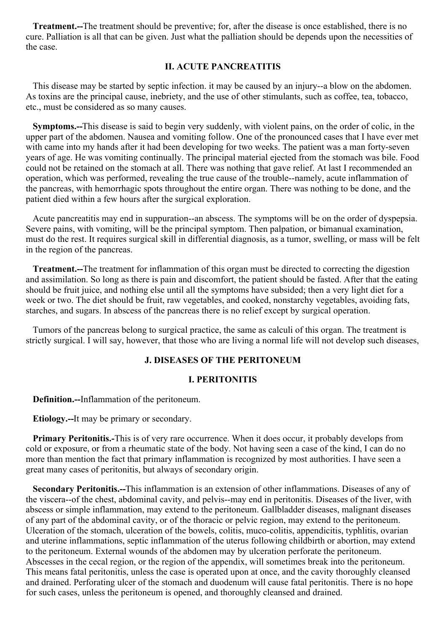**Treatment.--**The treatment should be preventive; for, after the disease is once established, there is no cure. Palliation is all that can be given. Just what the palliation should be depends upon the necessities of the case.

# **II. ACUTE PANCREATITIS**

This disease may be started by septic infection. it may be caused by an injury--a blow on the abdomen. As toxins are the principal cause, inebriety, and the use of other stimulants, such as coffee, tea, tobacco, etc., must be considered as so many causes.

**Symptoms.--**This disease is said to begin very suddenly, with violent pains, on the order of colic, in the upper part of the abdomen. Nausea and vomiting follow. One of the pronounced cases that I have ever met with came into my hands after it had been developing for two weeks. The patient was a man forty-seven years of age. He was vomiting continually. The principal material ejected from the stomach was bile. Food could not be retained on the stomach at all. There was nothing that gave relief. At last I recommended an operation, which was performed, revealing the true cause of the trouble--namely, acute inflammation of the pancreas, with hemorrhagic spots throughout the entire organ. There was nothing to be done, and the patient died within a few hours after the surgical exploration.

Acute pancreatitis may end in suppuration--an abscess. The symptoms will be on the order of dyspepsia. Severe pains, with vomiting, will be the principal symptom. Then palpation, or bimanual examination, must do the rest. It requires surgical skill in differential diagnosis, as a tumor, swelling, or mass will be felt in the region of the pancreas.

**Treatment.--**The treatment for inflammation of this organ must be directed to correcting the digestion and assimilation. So long as there is pain and discomfort, the patient should be fasted. After that the eating should be fruit juice, and nothing else until all the symptoms have subsided; then a very light diet for a week or two. The diet should be fruit, raw vegetables, and cooked, nonstarchy vegetables, avoiding fats, starches, and sugars. In abscess of the pancreas there is no relief except by surgical operation.

Tumors of the pancreas belong to surgical practice, the same as calculi of this organ. The treatment is strictly surgical. I will say, however, that those who are living a normal life will not develop such diseases,

### **J. DISEASES OF THE PERITONEUM**

#### **I. PERITONITIS**

**Definition.--**Inflammation of the peritoneum.

**Etiology.--**It may be primary or secondary.

**Primary Peritonitis.-**This is of very rare occurrence. When it does occur, it probably develops from cold or exposure, or from a rheumatic state of the body. Not having seen a case of the kind, I can do no more than mention the fact that primary inflammation is recognized by most authorities. I have seen a great many cases of peritonitis, but always of secondary origin.

**Secondary Peritonitis.--**This inflammation is an extension of other inflammations. Diseases of any of the viscera--of the chest, abdominal cavity, and pelvis--may end in peritonitis. Diseases of the liver, with abscess or simple inflammation, may extend to the peritoneum. Gallbladder diseases, malignant diseases of any part of the abdominal cavity, or of the thoracic or pelvic region, may extend to the peritoneum. Ulceration of the stomach, ulceration of the bowels, colitis, muco-colitis, appendicitis, typhlitis, ovarian and uterine inflammations, septic inflammation of the uterus following childbirth or abortion, may extend to the peritoneum. External wounds of the abdomen may by ulceration perforate the peritoneum. Abscesses in the cecal region, or the region of the appendix, will sometimes break into the peritoneum. This means fatal peritonitis, unless the case is operated upon at once, and the cavity thoroughly cleansed and drained. Perforating ulcer of the stomach and duodenum will cause fatal peritonitis. There is no hope for such cases, unless the peritoneum is opened, and thoroughly cleansed and drained.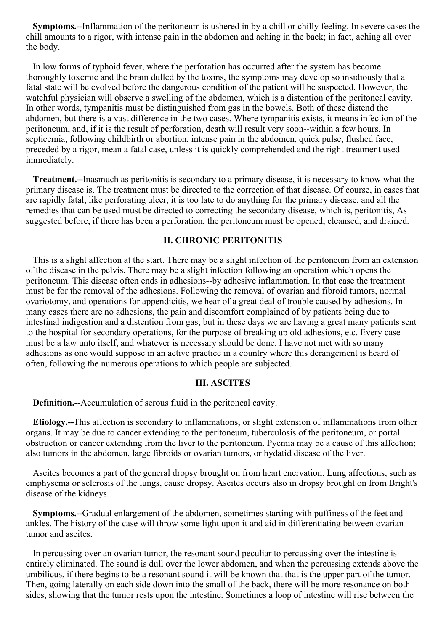**Symptoms.--**Inflammation of the peritoneum is ushered in by a chill or chilly feeling. In severe cases the chill amounts to a rigor, with intense pain in the abdomen and aching in the back; in fact, aching all over the body.

In low forms of typhoid fever, where the perforation has occurred after the system has become thoroughly toxemic and the brain dulled by the toxins, the symptoms may develop so insidiously that a fatal state will be evolved before the dangerous condition of the patient will be suspected. However, the watchful physician will observe a swelling of the abdomen, which is a distention of the peritoneal cavity. In other words, tympanitis must be distinguished from gas in the bowels. Both of these distend the abdomen, but there is a vast difference in the two cases. Where tympanitis exists, it means infection of the peritoneum, and, if it is the result of perforation, death will result very soon--within a few hours. In septicemia, following childbirth or abortion, intense pain in the abdomen, quick pulse, flushed face, preceded by a rigor, mean a fatal case, unless it is quickly comprehended and the right treatment used immediately.

**Treatment.--**Inasmuch as peritonitis is secondary to a primary disease, it is necessary to know what the primary disease is. The treatment must be directed to the correction of that disease. Of course, in cases that are rapidly fatal, like perforating ulcer, it is too late to do anything for the primary disease, and all the remedies that can be used must be directed to correcting the secondary disease, which is, peritonitis, As suggested before, if there has been a perforation, the peritoneum must be opened, cleansed, and drained.

#### **II. CHRONIC PERITONITIS**

This is a slight affection at the start. There may be a slight infection of the peritoneum from an extension of the disease in the pelvis. There may be a slight infection following an operation which opens the peritoneum. This disease often ends in adhesions--by adhesive inflammation. In that case the treatment must be for the removal of the adhesions. Following the removal of ovarian and fibroid tumors, normal ovariotomy, and operations for appendicitis, we hear of a great deal of trouble caused by adhesions. In many cases there are no adhesions, the pain and discomfort complained of by patients being due to intestinal indigestion and a distention from gas; but in these days we are having a great many patients sent to the hospital for secondary operations, for the purpose of breaking up old adhesions, etc. Every case must be a law unto itself, and whatever is necessary should be done. I have not met with so many adhesions as one would suppose in an active practice in a country where this derangement is heard of often, following the numerous operations to which people are subjected.

## **III. ASCITES**

**Definition.--**Accumulation of serous fluid in the peritoneal cavity.

**Etiology.--**This affection is secondary to inflammations, or slight extension of inflammations from other organs. It may be due to cancer extending to the peritoneum, tuberculosis of the peritoneum, or portal obstruction or cancer extending from the liver to the peritoneum. Pyemia may be a cause of this affection; also tumors in the abdomen, large fibroids or ovarian tumors, or hydatid disease of the liver.

Ascites becomes a part of the general dropsy brought on from heart enervation. Lung affections, such as emphysema or sclerosis of the lungs, cause dropsy. Ascites occurs also in dropsy brought on from Bright's disease of the kidneys.

**Symptoms.--**Gradual enlargement of the abdomen, sometimes starting with puffiness of the feet and ankles. The history of the case will throw some light upon it and aid in differentiating between ovarian tumor and ascites.

In percussing over an ovarian tumor, the resonant sound peculiar to percussing over the intestine is entirely eliminated. The sound is dull over the lower abdomen, and when the percussing extends above the umbilicus, if there begins to be a resonant sound it will be known that that is the upper part of the tumor. Then, going laterally on each side down into the small of the back, there will be more resonance on both sides, showing that the tumor rests upon the intestine. Sometimes a loop of intestine will rise between the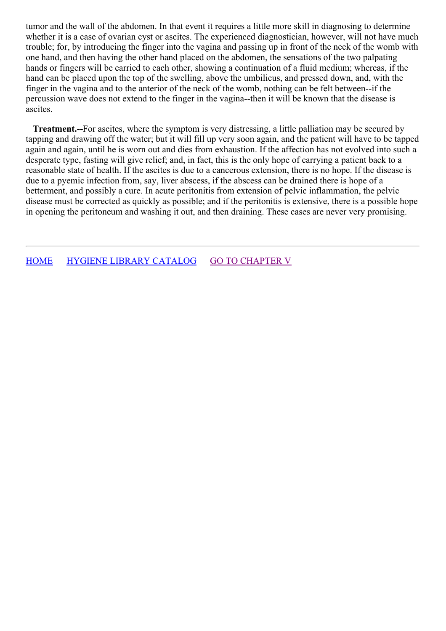tumor and the wall of the abdomen. In that event it requires a little more skill in diagnosing to determine whether it is a case of ovarian cyst or ascites. The experienced diagnostician, however, will not have much trouble; for, by introducing the finger into the vagina and passing up in front of the neck of the womb with one hand, and then having the other hand placed on the abdomen, the sensations of the two palpating hands or fingers will be carried to each other, showing a continuation of a fluid medium; whereas, if the hand can be placed upon the top of the swelling, above the umbilicus, and pressed down, and, with the finger in the vagina and to the anterior of the neck of the womb, nothing can be felt between--if the percussion wave does not extend to the finger in the vagina--then it will be known that the disease is ascites.

**Treatment.--**For ascites, where the symptom is very distressing, a little palliation may be secured by tapping and drawing off the water; but it will fill up very soon again, and the patient will have to be tapped again and again, until he is worn out and dies from exhaustion. If the affection has not evolved into such a desperate type, fasting will give relief; and, in fact, this is the only hope of carrying a patient back to a reasonable state of health. If the ascites is due to a cancerous extension, there is no hope. If the disease is due to a pyemic infection from, say, liver abscess, if the abscess can be drained there is hope of a betterment, and possibly a cure. In acute peritonitis from extension of pelvic inflammation, the pelvic disease must be corrected as quickly as possible; and if the peritonitis is extensive, there is a possible hope in opening the peritoneum and washing it out, and then draining. These cases are never very promising.

[HOME](../../../index.html) HYGIENE LIBRARY [CATALOG](../0201hyglibcat.html) GO TO [CHAPTER](#page-84-0) V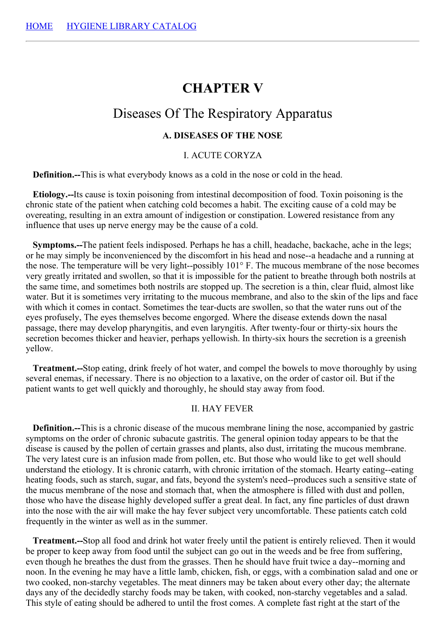# **CHAPTER V**

# Diseases Of The Respiratory Apparatus

# **A. DISEASES OF THE NOSE**

#### I. ACUTE CORYZA

**Definition.--**This is what everybody knows as a cold in the nose or cold in the head.

**Etiology.--**Its cause is toxin poisoning from intestinal decomposition of food. Toxin poisoning is the chronic state of the patient when catching cold becomes a habit. The exciting cause of a cold may be overeating, resulting in an extra amount of indigestion or constipation. Lowered resistance from any influence that uses up nerve energy may be the cause of a cold.

**Symptoms.--**The patient feels indisposed. Perhaps he has a chill, headache, backache, ache in the legs; or he may simply be inconvenienced by the discomfort in his head and nose--a headache and a running at the nose. The temperature will be very light--possibly 101° F. The mucous membrane of the nose becomes very greatly irritated and swollen, so that it is impossible for the patient to breathe through both nostrils at the same time, and sometimes both nostrils are stopped up. The secretion is a thin, clear fluid, almost like water. But it is sometimes very irritating to the mucous membrane, and also to the skin of the lips and face with which it comes in contact. Sometimes the tear-ducts are swollen, so that the water runs out of the eyes profusely, The eyes themselves become engorged. Where the disease extends down the nasal passage, there may develop pharyngitis, and even laryngitis. After twenty-four or thirty-six hours the secretion becomes thicker and heavier, perhaps yellowish. In thirty-six hours the secretion is a greenish yellow.

**Treatment.--**Stop eating, drink freely of hot water, and compel the bowels to move thoroughly by using several enemas, if necessary. There is no objection to a laxative, on the order of castor oil. But if the patient wants to get well quickly and thoroughly, he should stay away from food.

### II. HAY FEVER

**Definition.--**This is a chronic disease of the mucous membrane lining the nose, accompanied by gastric symptoms on the order of chronic subacute gastritis. The general opinion today appears to be that the disease is caused by the pollen of certain grasses and plants, also dust, irritating the mucous membrane. The very latest cure is an infusion made from pollen, etc. But those who would like to get well should understand the etiology. It is chronic catarrh, with chronic irritation of the stomach. Hearty eating--eating heating foods, such as starch, sugar, and fats, beyond the system's need--produces such a sensitive state of the mucus membrane of the nose and stomach that, when the atmosphere is filled with dust and pollen, those who have the disease highly developed suffer a great deal. In fact, any fine particles of dust drawn into the nose with the air will make the hay fever subject very uncomfortable. These patients catch cold frequently in the winter as well as in the summer.

**Treatment.--**Stop all food and drink hot water freely until the patient is entirely relieved. Then it would be proper to keep away from food until the subject can go out in the weeds and be free from suffering, even though he breathes the dust from the grasses. Then he should have fruit twice a day--morning and noon. In the evening he may have a little lamb, chicken, fish, or eggs, with a combination salad and one or two cooked, non-starchy vegetables. The meat dinners may be taken about every other day; the alternate days any of the decidedly starchy foods may be taken, with cooked, non-starchy vegetables and a salad. This style of eating should be adhered to until the frost comes. A complete fast right at the start of the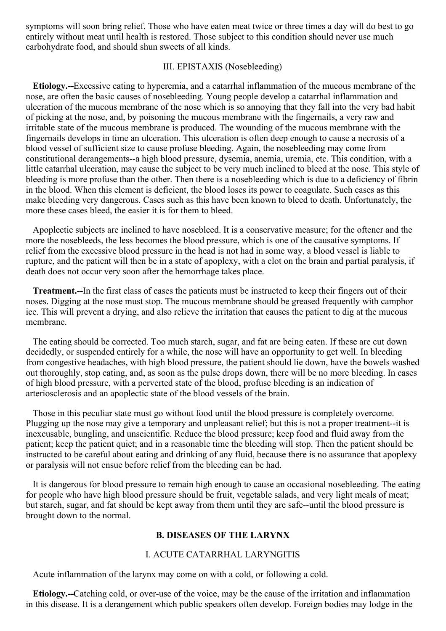symptoms will soon bring relief. Those who have eaten meat twice or three times a day will do best to go entirely without meat until health is restored. Those subject to this condition should never use much carbohydrate food, and should shun sweets of all kinds.

### III. EPISTAXIS (Nosebleeding)

**Etiology.--**Excessive eating to hyperemia, and a catarrhal inflammation of the mucous membrane of the nose, are often the basic causes of nosebleeding. Young people develop a catarrhal inflammation and ulceration of the mucous membrane of the nose which is so annoying that they fall into the very bad habit of picking at the nose, and, by poisoning the mucous membrane with the fingernails, a very raw and irritable state of the mucous membrane is produced. The wounding of the mucous membrane with the fingernails develops in time an ulceration. This ulceration is often deep enough to cause a necrosis of a blood vessel of sufficient size to cause profuse bleeding. Again, the nosebleeding may come from constitutional derangements--a high blood pressure, dysemia, anemia, uremia, etc. This condition, with a little catarrhal ulceration, may cause the subject to be very much inclined to bleed at the nose. This style of bleeding is more profuse than the other. Then there is a nosebleeding which is due to a deficiency of fibrin in the blood. When this element is deficient, the blood loses its power to coagulate. Such cases as this make bleeding very dangerous. Cases such as this have been known to bleed to death. Unfortunately, the more these cases bleed, the easier it is for them to bleed.

Apoplectic subjects are inclined to have nosebleed. It is a conservative measure; for the oftener and the more the nosebleeds, the less becomes the blood pressure, which is one of the causative symptoms. If relief from the excessive blood pressure in the head is not had in some way, a blood vessel is liable to rupture, and the patient will then be in a state of apoplexy, with a clot on the brain and partial paralysis, if death does not occur very soon after the hemorrhage takes place.

**Treatment.--**In the first class of cases the patients must be instructed to keep their fingers out of their noses. Digging at the nose must stop. The mucous membrane should be greased frequently with camphor ice. This will prevent a drying, and also relieve the irritation that causes the patient to dig at the mucous membrane.

The eating should be corrected. Too much starch, sugar, and fat are being eaten. If these are cut down decidedly, or suspended entirely for a while, the nose will have an opportunity to get well. In bleeding from congestive headaches, with high blood pressure, the patient should lie down, have the bowels washed out thoroughly, stop eating, and, as soon as the pulse drops down, there will be no more bleeding. In cases of high blood pressure, with a perverted state of the blood, profuse bleeding is an indication of arteriosclerosis and an apoplectic state of the blood vessels of the brain.

Those in this peculiar state must go without food until the blood pressure is completely overcome. Plugging up the nose may give a temporary and unpleasant relief; but this is not a proper treatment--it is inexcusable, bungling, and unscientific. Reduce the blood pressure; keep food and fluid away from the patient; keep the patient quiet; and in a reasonable time the bleeding will stop. Then the patient should be instructed to be careful about eating and drinking of any fluid, because there is no assurance that apoplexy or paralysis will not ensue before relief from the bleeding can be had.

It is dangerous for blood pressure to remain high enough to cause an occasional nosebleeding. The eating for people who have high blood pressure should be fruit, vegetable salads, and very light meals of meat; but starch, sugar, and fat should be kept away from them until they are safe--until the blood pressure is brought down to the normal.

### **B. DISEASES OF THE LARYNX**

## I. ACUTE CATARRHAL LARYNGITIS

Acute inflammation of the larynx may come on with a cold, or following a cold.

**Etiology.--**Catching cold, or over-use of the voice, may be the cause of the irritation and inflammation in this disease. It is a derangement which public speakers often develop. Foreign bodies may lodge in the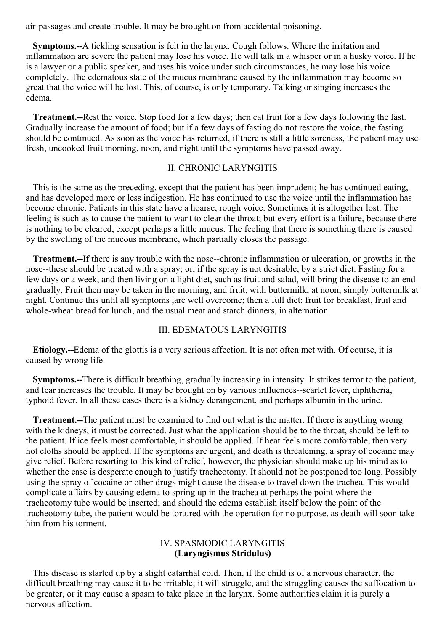air-passages and create trouble. It may be brought on from accidental poisoning.

**Symptoms.--**A tickling sensation is felt in the larynx. Cough follows. Where the irritation and inflammation are severe the patient may lose his voice. He will talk in a whisper or in a husky voice. If he is a lawyer or a public speaker, and uses his voice under such circumstances, he may lose his voice completely. The edematous state of the mucus membrane caused by the inflammation may become so great that the voice will be lost. This, of course, is only temporary. Talking or singing increases the edema.

**Treatment.--**Rest the voice. Stop food for a few days; then eat fruit for a few days following the fast. Gradually increase the amount of food; but if a few days of fasting do not restore the voice, the fasting should be continued. As soon as the voice has returned, if there is still a little soreness, the patient may use fresh, uncooked fruit morning, noon, and night until the symptoms have passed away.

## II. CHRONIC LARYNGITIS

This is the same as the preceding, except that the patient has been imprudent; he has continued eating, and has developed more or less indigestion. He has continued to use the voice until the inflammation has become chronic. Patients in this state have a hoarse, rough voice. Sometimes it is altogether lost. The feeling is such as to cause the patient to want to clear the throat; but every effort is a failure, because there is nothing to be cleared, except perhaps a little mucus. The feeling that there is something there is caused by the swelling of the mucous membrane, which partially closes the passage.

**Treatment.--**If there is any trouble with the nose--chronic inflammation or ulceration, or growths in the nose--these should be treated with a spray; or, if the spray is not desirable, by a strict diet. Fasting for a few days or a week, and then living on a light diet, such as fruit and salad, will bring the disease to an end gradually. Fruit then may be taken in the morning, and fruit, with buttermilk, at noon; simply buttermilk at night. Continue this until all symptoms ,are well overcome; then a full diet: fruit for breakfast, fruit and whole-wheat bread for lunch, and the usual meat and starch dinners, in alternation.

#### III. EDEMATOUS LARYNGITIS

**Etiology.--**Edema of the glottis is a very serious affection. It is not often met with. Of course, it is caused by wrong life.

**Symptoms.--**There is difficult breathing, gradually increasing in intensity. It strikes terror to the patient, and fear increases the trouble. It may be brought on by various influences--scarlet fever, diphtheria, typhoid fever. In all these cases there is a kidney derangement, and perhaps albumin in the urine.

**Treatment.--**The patient must be examined to find out what is the matter. If there is anything wrong with the kidneys, it must be corrected. Just what the application should be to the throat, should be left to the patient. If ice feels most comfortable, it should be applied. If heat feels more comfortable, then very hot cloths should be applied. If the symptoms are urgent, and death is threatening, a spray of cocaine may give relief. Before resorting to this kind of relief, however, the physician should make up his mind as to whether the case is desperate enough to justify tracheotomy. It should not be postponed too long. Possibly using the spray of cocaine or other drugs might cause the disease to travel down the trachea. This would complicate affairs by causing edema to spring up in the trachea at perhaps the point where the tracheotomy tube would be inserted; and should the edema establish itself below the point of the tracheotomy tube, the patient would be tortured with the operation for no purpose, as death will soon take him from his torment.

# IV. SPASMODIC LARYNGITIS **(Laryngismus Stridulus)**

This disease is started up by a slight catarrhal cold. Then, if the child is of a nervous character, the difficult breathing may cause it to be irritable; it will struggle, and the struggling causes the suffocation to be greater, or it may cause a spasm to take place in the larynx. Some authorities claim it is purely a nervous affection.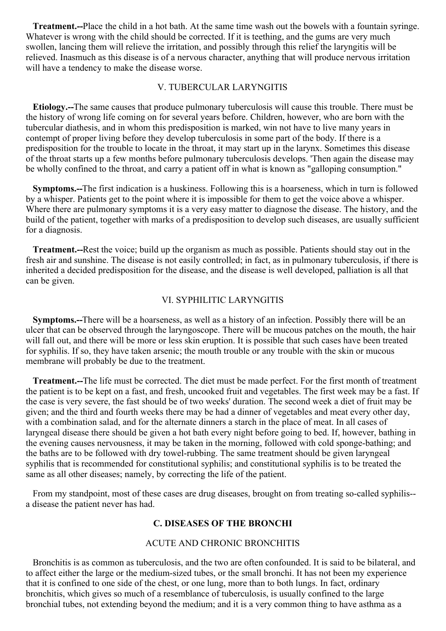**Treatment.--**Place the child in a hot bath. At the same time wash out the bowels with a fountain syringe. Whatever is wrong with the child should be corrected. If it is teething, and the gums are very much swollen, lancing them will relieve the irritation, and possibly through this relief the laryngitis will be relieved. Inasmuch as this disease is of a nervous character, anything that will produce nervous irritation will have a tendency to make the disease worse.

#### V. TUBERCULAR LARYNGITIS

**Etiology.--**The same causes that produce pulmonary tuberculosis will cause this trouble. There must be the history of wrong life coming on for several years before. Children, however, who are born with the tubercular diathesis, and in whom this predisposition is marked, win not have to live many years in contempt of proper living before they develop tuberculosis in some part of the body. If there is a predisposition for the trouble to locate in the throat, it may start up in the larynx. Sometimes this disease of the throat starts up a few months before pulmonary tuberculosis develops. 'Then again the disease may be wholly confined to the throat, and carry a patient off in what is known as "galloping consumption."

**Symptoms.--**The first indication is a huskiness. Following this is a hoarseness, which in turn is followed by a whisper. Patients get to the point where it is impossible for them to get the voice above a whisper. Where there are pulmonary symptoms it is a very easy matter to diagnose the disease. The history, and the build of the patient, together with marks of a predisposition to develop such diseases, are usually sufficient for a diagnosis.

**Treatment.--**Rest the voice; build up the organism as much as possible. Patients should stay out in the fresh air and sunshine. The disease is not easily controlled; in fact, as in pulmonary tuberculosis, if there is inherited a decided predisposition for the disease, and the disease is well developed, palliation is all that can be given.

### VI. SYPHILITIC LARYNGITIS

**Symptoms.--**There will be a hoarseness, as well as a history of an infection. Possibly there will be an ulcer that can be observed through the laryngoscope. There will be mucous patches on the mouth, the hair will fall out, and there will be more or less skin eruption. It is possible that such cases have been treated for syphilis. If so, they have taken arsenic; the mouth trouble or any trouble with the skin or mucous membrane will probably be due to the treatment.

**Treatment.--**The life must be corrected. The diet must be made perfect. For the first month of treatment the patient is to be kept on a fast, and fresh, uncooked fruit and vegetables. The first week may be a fast. If the case is very severe, the fast should be of two weeks' duration. The second week a diet of fruit may be given; and the third and fourth weeks there may be had a dinner of vegetables and meat every other day, with a combination salad, and for the alternate dinners a starch in the place of meat. In all cases of laryngeal disease there should be given a hot bath every night before going to bed. If, however, bathing in the evening causes nervousness, it may be taken in the morning, followed with cold sponge-bathing; and the baths are to be followed with dry towel-rubbing. The same treatment should be given laryngeal syphilis that is recommended for constitutional syphilis; and constitutional syphilis is to be treated the same as all other diseases; namely, by correcting the life of the patient.

From my standpoint, most of these cases are drug diseases, brought on from treating so-called syphilis- a disease the patient never has had.

#### **C. DISEASES OF THE BRONCHI**

#### ACUTE AND CHRONIC BRONCHITIS

Bronchitis is as common as tuberculosis, and the two are often confounded. It is said to be bilateral, and to affect either the large or the medium-sized tubes, or the small bronchi. It has not been my experience that it is confined to one side of the chest, or one lung, more than to both lungs. In fact, ordinary bronchitis, which gives so much of a resemblance of tuberculosis, is usually confined to the large bronchial tubes, not extending beyond the medium; and it is a very common thing to have asthma as a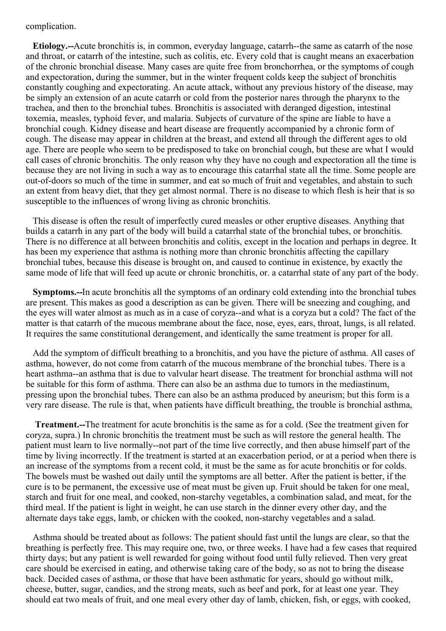<span id="page-84-0"></span>complication.

**Etiology.--**Acute bronchitis is, in common, everyday language, catarrh--the same as catarrh of the nose and throat, or catarrh of the intestine, such as colitis, etc. Every cold that is caught means an exacerbation of the chronic bronchial disease. Many cases are quite free from bronchorrhea, or the symptoms of cough and expectoration, during the summer, but in the winter frequent colds keep the subject of bronchitis constantly coughing and expectorating. An acute attack, without any previous history of the disease, may be simply an extension of an acute catarrh or cold from the posterior nares through the pharynx to the trachea, and then to the bronchial tubes. Bronchitis is associated with deranged digestion, intestinal toxemia, measles, typhoid fever, and malaria. Subjects of curvature of the spine are liable to have a bronchial cough. Kidney disease and heart disease are frequently accompanied by a chronic form of cough. The disease may appear in children at the breast, and extend all through the different ages to old age. There are people who seem to be predisposed to take on bronchial cough, but these are what I would call cases of chronic bronchitis. The only reason why they have no cough and expectoration all the time is because they are not living in such a way as to encourage this catarrhal state all the time. Some people are out-of-doors so much of the time in summer, and eat so much of fruit and vegetables, and abstain to such an extent from heavy diet, that they get almost normal. There is no disease to which flesh is heir that is so susceptible to the influences of wrong living as chronic bronchitis.

This disease is often the result of imperfectly cured measles or other eruptive diseases. Anything that builds a catarrh in any part of the body will build a catarrhal state of the bronchial tubes, or bronchitis. There is no difference at all between bronchitis and colitis, except in the location and perhaps in degree. It has been my experience that asthma is nothing more than chronic bronchitis affecting the capillary bronchial tubes, because this disease is brought on, and caused to continue in existence, by exactly the same mode of life that will feed up acute or chronic bronchitis, or. a catarrhal state of any part of the body.

**Symptoms.--**In acute bronchitis all the symptoms of an ordinary cold extending into the bronchial tubes are present. This makes as good a description as can be given. There will be sneezing and coughing, and the eyes will water almost as much as in a case of coryza--and what is a coryza but a cold? The fact of the matter is that catarrh of the mucous membrane about the face, nose, eyes, ears, throat, lungs, is all related. It requires the same constitutional derangement, and identically the same treatment is proper for all.

Add the symptom of difficult breathing to a bronchitis, and you have the picture of asthma. All cases of asthma, however, do not come from catarrh of the mucous membrane of the bronchial tubes. There is a heart asthma--an asthma that is due to valvular heart disease. The treatment for bronchial asthma will not be suitable for this form of asthma. There can also be an asthma due to tumors in the mediastinum, pressing upon the bronchial tubes. There can also be an asthma produced by aneurism; but this form is a very rare disease. The rule is that, when patients have difficult breathing, the trouble is bronchial asthma,

**Treatment.--**The treatment for acute bronchitis is the same as for a cold. (See the treatment given for coryza, supra.) In chronic bronchitis the treatment must be such as will restore the general health. The patient must learn to live normally--not part of the time live correctly, and then abuse himself part of the time by living incorrectly. If the treatment is started at an exacerbation period, or at a period when there is an increase of the symptoms from a recent cold, it must be the same as for acute bronchitis or for colds. The bowels must be washed out daily until the symptoms are all better. After the patient is better, if the cure is to be permanent, the excessive use of meat must be given up. Fruit should be taken for one meal, starch and fruit for one meal, and cooked, non-starchy vegetables, a combination salad, and meat, for the third meal. If the patient is light in weight, he can use starch in the dinner every other day, and the alternate days take eggs, lamb, or chicken with the cooked, non-starchy vegetables and a salad.

Asthma should be treated about as follows: The patient should fast until the lungs are clear, so that the breathing is perfectly free. This may require one, two, or three weeks. I have had a few cases that required thirty days; but any patient is well rewarded for going without food until fully relieved. Then very great care should be exercised in eating, and otherwise taking care of the body, so as not to bring the disease back. Decided cases of asthma, or those that have been asthmatic for years, should go without milk, cheese, butter, sugar, candies, and the strong meats, such as beef and pork, for at least one year. They should eat two meals of fruit, and one meal every other day of lamb, chicken, fish, or eggs, with cooked,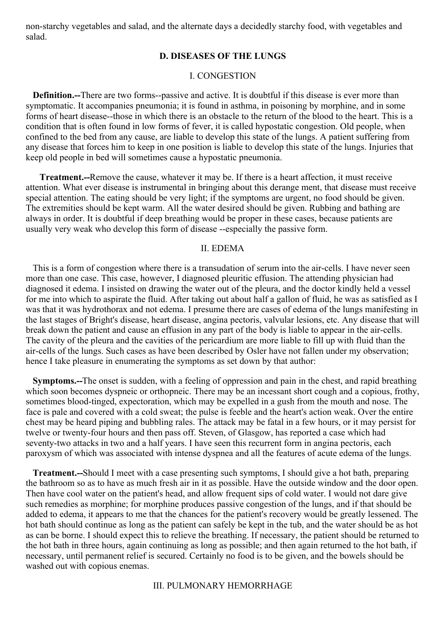non-starchy vegetables and salad, and the alternate days a decidedly starchy food, with vegetables and salad.

# **D. DISEASES OF THE LUNGS**

#### I. CONGESTION

**Definition.--**There are two forms--passive and active. It is doubtful if this disease is ever more than symptomatic. It accompanies pneumonia; it is found in asthma, in poisoning by morphine, and in some forms of heart disease--those in which there is an obstacle to the return of the blood to the heart. This is a condition that is often found in low forms of fever, it is called hypostatic congestion. Old people, when confined to the bed from any cause, are liable to develop this state of the lungs. A patient suffering from any disease that forces him to keep in one position is liable to develop this state of the lungs. Injuries that keep old people in bed will sometimes cause a hypostatic pneumonia.

**Treatment.--**Remove the cause, whatever it may be. If there is a heart affection, it must receive attention. What ever disease is instrumental in bringing about this derange ment, that disease must receive special attention. The eating should be very light; if the symptoms are urgent, no food should be given. The extremities should be kept warm. All the water desired should be given. Rubbing and bathing are always in order. It is doubtful if deep breathing would be proper in these cases, because patients are usually very weak who develop this form of disease --especially the passive form.

#### II. EDEMA

This is a form of congestion where there is a transudation of serum into the air-cells. I have never seen more than one case. This case, however, I diagnosed pleuritic effusion. The attending physician had diagnosed it edema. I insisted on drawing the water out of the pleura, and the doctor kindly held a vessel for me into which to aspirate the fluid. After taking out about half a gallon of fluid, he was as satisfied as I was that it was hydrothorax and not edema. I presume there are cases of edema of the lungs manifesting in the last stages of Bright's disease, heart disease, angina pectoris, valvular lesions, etc. Any disease that will break down the patient and cause an effusion in any part of the body is liable to appear in the air-cells. The cavity of the pleura and the cavities of the pericardium are more liable to fill up with fluid than the air-cells of the lungs. Such cases as have been described by Osler have not fallen under my observation; hence I take pleasure in enumerating the symptoms as set down by that author:

**Symptoms.--**The onset is sudden, with a feeling of oppression and pain in the chest, and rapid breathing which soon becomes dyspneic or orthopneic. There may be an incessant short cough and a copious, frothy, sometimes blood-tinged, expectoration, which may be expelled in a gush from the mouth and nose. The face is pale and covered with a cold sweat; the pulse is feeble and the heart's action weak. Over the entire chest may be heard piping and bubbling rales. The attack may be fatal in a few hours, or it may persist for twelve or twenty-four hours and then pass off. Steven, of Glasgow, has reported a case which had seventy-two attacks in two and a half years. I have seen this recurrent form in angina pectoris, each paroxysm of which was associated with intense dyspnea and all the features of acute edema of the lungs.

**Treatment.--**Should I meet with a case presenting such symptoms, I should give a hot bath, preparing the bathroom so as to have as much fresh air in it as possible. Have the outside window and the door open. Then have cool water on the patient's head, and allow frequent sips of cold water. I would not dare give such remedies as morphine; for morphine produces passive congestion of the lungs, and if that should be added to edema, it appears to me that the chances for the patient's recovery would be greatly lessened. The hot bath should continue as long as the patient can safely be kept in the tub, and the water should be as hot as can be borne. I should expect this to relieve the breathing. If necessary, the patient should be returned to the hot bath in three hours, again continuing as long as possible; and then again returned to the hot bath, if necessary, until permanent relief is secured. Certainly no food is to be given, and the bowels should be washed out with copious enemas.

## III. PULMONARY HEMORRHAGE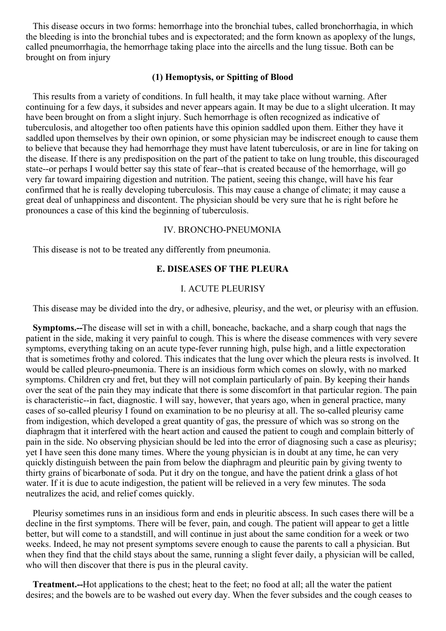This disease occurs in two forms: hemorrhage into the bronchial tubes, called bronchorrhagia, in which the bleeding is into the bronchial tubes and is expectorated; and the form known as apoplexy of the lungs, called pneumorrhagia, the hemorrhage taking place into the aircells and the lung tissue. Both can be brought on from injury

#### **(1) Hemoptysis, or Spitting of Blood**

This results from a variety of conditions. In full health, it may take place without warning. After continuing for a few days, it subsides and never appears again. It may be due to a slight ulceration. It may have been brought on from a slight injury. Such hemorrhage is often recognized as indicative of tuberculosis, and altogether too often patients have this opinion saddled upon them. Either they have it saddled upon themselves by their own opinion, or some physician may be indiscreet enough to cause them to believe that because they had hemorrhage they must have latent tuberculosis, or are in line for taking on the disease. If there is any predisposition on the part of the patient to take on lung trouble, this discouraged state--or perhaps I would better say this state of fear--that is created because of the hemorrhage, will go very far toward impairing digestion and nutrition. The patient, seeing this change, will have his fear confirmed that he is really developing tuberculosis. This may cause a change of climate; it may cause a great deal of unhappiness and discontent. The physician should be very sure that he is right before he pronounces a case of this kind the beginning of tuberculosis.

### IV. BRONCHO-PNEUMONIA

This disease is not to be treated any differently from pneumonia.

# **E. DISEASES OF THE PLEURA**

#### I. ACUTE PLEURISY

This disease may be divided into the dry, or adhesive, pleurisy, and the wet, or pleurisy with an effusion.

**Symptoms.--**The disease will set in with a chill, boneache, backache, and a sharp cough that nags the patient in the side, making it very painful to cough. This is where the disease commences with very severe symptoms, everything taking on an acute type-fever running high, pulse high, and a little expectoration that is sometimes frothy and colored. This indicates that the lung over which the pleura rests is involved. It would be called pleuro-pneumonia. There is an insidious form which comes on slowly, with no marked symptoms. Children cry and fret, but they will not complain particularly of pain. By keeping their hands over the seat of the pain they may indicate that there is some discomfort in that particular region. The pain is characteristic--in fact, diagnostic. I will say, however, that years ago, when in general practice, many cases of so-called pleurisy I found on examination to be no pleurisy at all. The so-called pleurisy came from indigestion, which developed a great quantity of gas, the pressure of which was so strong on the diaphragm that it interfered with the heart action and caused the patient to cough and complain bitterly of pain in the side. No observing physician should be led into the error of diagnosing such a case as pleurisy; yet I have seen this done many times. Where the young physician is in doubt at any time, he can very quickly distinguish between the pain from below the diaphragm and pleuritic pain by giving twenty to thirty grains of bicarbonate of soda. Put it dry on the tongue, and have the patient drink a glass of hot water. If it is due to acute indigestion, the patient will be relieved in a very few minutes. The soda neutralizes the acid, and relief comes quickly.

Pleurisy sometimes runs in an insidious form and ends in pleuritic abscess. In such cases there will be a decline in the first symptoms. There will be fever, pain, and cough. The patient will appear to get a little better, but will come to a standstill, and will continue in just about the same condition for a week or two weeks. Indeed, he may not present symptoms severe enough to cause the parents to call a physician. But when they find that the child stays about the same, running a slight fever daily, a physician will be called, who will then discover that there is pus in the pleural cavity.

**Treatment.--**Hot applications to the chest; heat to the feet; no food at all; all the water the patient desires; and the bowels are to be washed out every day. When the fever subsides and the cough ceases to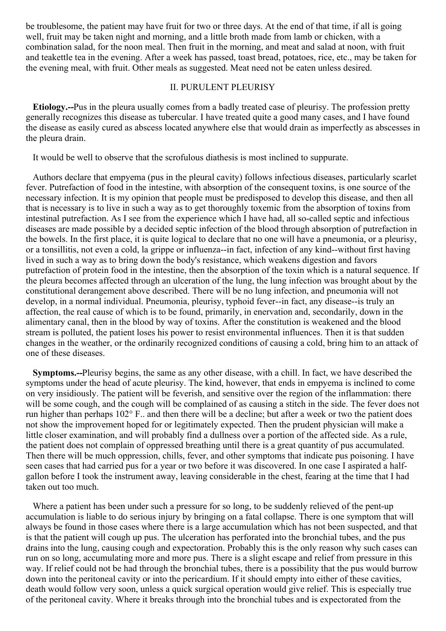be troublesome, the patient may have fruit for two or three days. At the end of that time, if all is going well, fruit may be taken night and morning, and a little broth made from lamb or chicken, with a combination salad, for the noon meal. Then fruit in the morning, and meat and salad at noon, with fruit and teakettle tea in the evening. After a week has passed, toast bread, potatoes, rice, etc., may be taken for the evening meal, with fruit. Other meals as suggested. Meat need not be eaten unless desired.

# II. PURULENT PLEURISY

**Etiology.--**Pus in the pleura usually comes from a badly treated case of pleurisy. The profession pretty generally recognizes this disease as tubercular. I have treated quite a good many cases, and I have found the disease as easily cured as abscess located anywhere else that would drain as imperfectly as abscesses in the pleura drain.

It would be well to observe that the scrofulous diathesis is most inclined to suppurate.

Authors declare that empyema (pus in the pleural cavity) follows infectious diseases, particularly scarlet fever. Putrefaction of food in the intestine, with absorption of the consequent toxins, is one source of the necessary infection. It is my opinion that people must be predisposed to develop this disease, and then all that is necessary is to live in such a way as to get thoroughly toxemic from the absorption of toxins from intestinal putrefaction. As I see from the experience which I have had, all so-called septic and infectious diseases are made possible by a decided septic infection of the blood through absorption of putrefaction in the bowels. In the first place, it is quite logical to declare that no one will have a pneumonia, or a pleurisy, or a tonsillitis, not even a cold, la grippe or influenza--in fact, infection of any kind--without first having lived in such a way as to bring down the body's resistance, which weakens digestion and favors putrefaction of protein food in the intestine, then the absorption of the toxin which is a natural sequence. If the pleura becomes affected through an ulceration of the lung, the lung infection was brought about by the constitutional derangement above described. There will be no lung infection, and pneumonia will not develop, in a normal individual. Pneumonia, pleurisy, typhoid fever--in fact, any disease--is truly an affection, the real cause of which is to be found, primarily, in enervation and, secondarily, down in the alimentary canal, then in the blood by way of toxins. After the constitution is weakened and the blood stream is polluted, the patient loses his power to resist environmental influences. Then it is that sudden changes in the weather, or the ordinarily recognized conditions of causing a cold, bring him to an attack of one of these diseases.

**Symptoms.--**Pleurisy begins, the same as any other disease, with a chill. In fact, we have described the symptoms under the head of acute pleurisy. The kind, however, that ends in empyema is inclined to come on very insidiously. The patient will be feverish, and sensitive over the region of the inflammation: there will be some cough, and the cough will be complained of as causing a stitch in the side. The fever does not run higher than perhaps 102° F.. and then there will be a decline; but after a week or two the patient does not show the improvement hoped for or legitimately expected. Then the prudent physician will make a little closer examination, and will probably find a dullness over a portion of the affected side. As a rule, the patient does not complain of oppressed breathing until there is a great quantity of pus accumulated. Then there will be much oppression, chills, fever, and other symptoms that indicate pus poisoning. I have seen cases that had carried pus for a year or two before it was discovered. In one case I aspirated a halfgallon before I took the instrument away, leaving considerable in the chest, fearing at the time that I had taken out too much.

Where a patient has been under such a pressure for so long, to be suddenly relieved of the pent-up accumulation is liable to do serious injury by bringing on a fatal collapse. There is one symptom that will always be found in those cases where there is a large accumulation which has not been suspected, and that is that the patient will cough up pus. The ulceration has perforated into the bronchial tubes, and the pus drains into the lung, causing cough and expectoration. Probably this is the only reason why such cases can run on so long, accumulating more and more pus. There is a slight escape and relief from pressure in this way. If relief could not be had through the bronchial tubes, there is a possibility that the pus would burrow down into the peritoneal cavity or into the pericardium. If it should empty into either of these cavities, death would follow very soon, unless a quick surgical operation would give relief. This is especially true of the peritoneal cavity. Where it breaks through into the bronchial tubes and is expectorated from the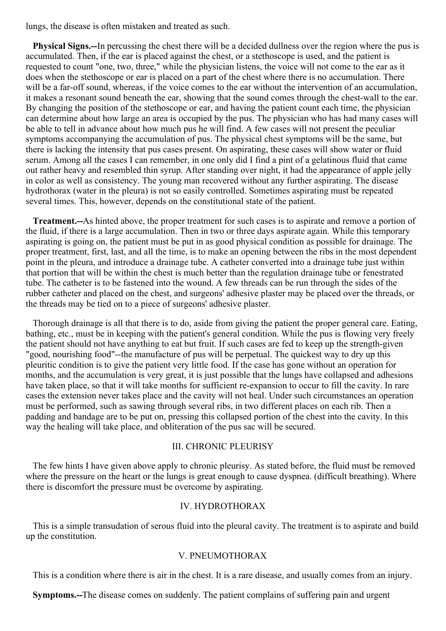lungs, the disease is often mistaken and treated as such.

**Physical Signs.--**In percussing the chest there will be a decided dullness over the region where the pus is accumulated. Then, if the ear is placed against the chest, or a stethoscope is used, and the patient is requested to count "one, two, three," while the physician listens, the voice will not come to the ear as it does when the stethoscope or ear is placed on a part of the chest where there is no accumulation. There will be a far-off sound, whereas, if the voice comes to the ear without the intervention of an accumulation, it makes a resonant sound beneath the ear, showing that the sound comes through the chest-wall to the ear. By changing the position of the stethoscope or ear, and having the patient count each time, the physician can determine about how large an area is occupied by the pus. The physician who has had many cases will be able to tell in advance about how much pus he will find. A few cases will not present the peculiar symptoms accompanying the accumulation of pus. The physical chest symptoms will be the same, but there is lacking the intensity that pus cases present. On aspirating, these cases will show water or fluid serum. Among all the cases I can remember, in one only did I find a pint of a gelatinous fluid that came out rather heavy and resembled thin syrup. After standing over night, it had the appearance of apple jelly in color as well as consistency. The young man recovered without any further aspirating. The disease hydrothorax (water in the pleura) is not so easily controlled. Sometimes aspirating must be repeated several times. This, however, depends on the constitutional state of the patient.

**Treatment.--**As hinted above, the proper treatment for such cases is to aspirate and remove a portion of the fluid, if there is a large accumulation. Then in two or three days aspirate again. While this temporary aspirating is going on, the patient must be put in as good physical condition as possible for drainage. The proper treatment, first, last, and all the time, is to make an opening between the ribs in the most dependent point in the pleura, and introduce a drainage tube. A catheter converted into a drainage tube just within that portion that will be within the chest is much better than the regulation drainage tube or fenestrated tube. The catheter is to be fastened into the wound. A few threads can be run through the sides of the rubber catheter and placed on the chest, and surgeons' adhesive plaster may be placed over the threads, or the threads may be tied on to a piece of surgeons' adhesive plaster.

Thorough drainage is all that there is to do, aside from giving the patient the proper general care. Eating, bathing, etc., must be in keeping with the patient's general condition. While the pus is flowing very freely the patient should not have anything to eat but fruit. If such cases are fed to keep up the strength-given "good, nourishing food"--the manufacture of pus will be perpetual. The quickest way to dry up this pleuritic condition is to give the patient very little food. If the case has gone without an operation for months, and the accumulation is very great, it is just possible that the lungs have collapsed and adhesions have taken place, so that it will take months for sufficient re-expansion to occur to fill the cavity. In rare cases the extension never takes place and the cavity will not heal. Under such circumstances an operation must be performed, such as sawing through several ribs, in two different places on each rib. Then a padding and bandage are to be put on, pressing this collapsed portion of the chest into the cavity. In this way the healing will take place, and obliteration of the pus sac will be secured.

## III. CHRONIC PLEURISY

The few hints I have given above apply to chronic pleurisy. As stated before, the fluid must be removed where the pressure on the heart or the lungs is great enough to cause dyspnea. (difficult breathing). Where there is discomfort the pressure must be overcome by aspirating.

# IV. HYDROTHORAX

This is a simple transudation of serous fluid into the pleural cavity. The treatment is to aspirate and build up the constitution.

#### V. PNEUMOTHORAX

This is a condition where there is air in the chest. It is a rare disease, and usually comes from an injury.

**Symptoms.--**The disease comes on suddenly. The patient complains of suffering pain and urgent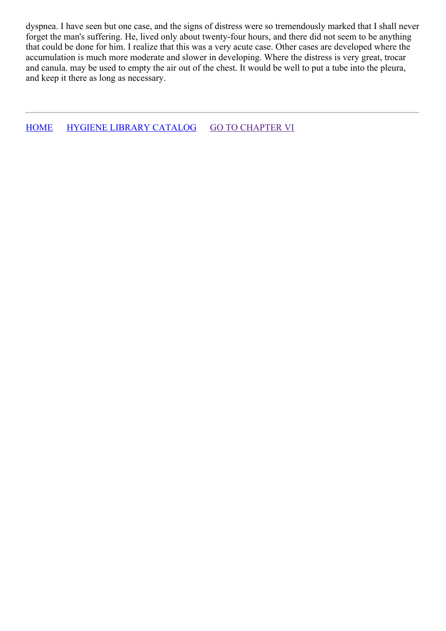dyspnea. I have seen but one case, and the signs of distress were so tremendously marked that I shall never forget the man's suffering. He, lived only about twenty-four hours, and there did not seem to be anything that could be done for him. I realize that this was a very acute case. Other cases are developed where the accumulation is much more moderate and slower in developing. Where the distress is very great, trocar and canula. may be used to empty the air out of the chest. It would be well to put a tube into the pleura, and keep it there as long as necessary.

[HOME](../../../index.html) HYGIENE LIBRARY [CATALOG](../0201hyglibcat.html) GO TO [CHAPTER](#page-92-0) VI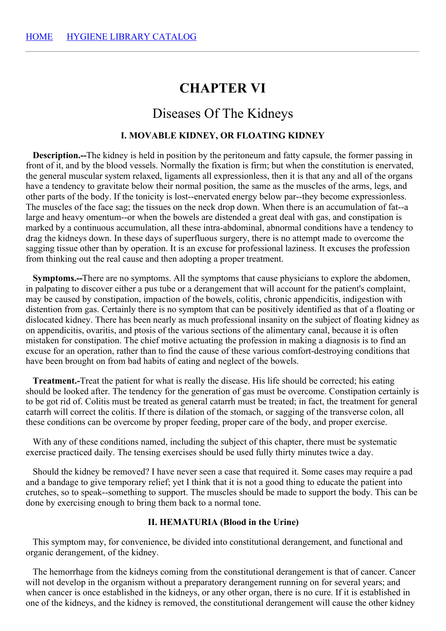# **CHAPTER VI**

# Diseases Of The Kidneys

# **I. MOVABLE KIDNEY, OR FLOATING KIDNEY**

**Description.--**The kidney is held in position by the peritoneum and fatty capsule, the former passing in front of it, and by the blood vessels. Normally the fixation is firm; but when the constitution is enervated, the general muscular system relaxed, ligaments all expressionless, then it is that any and all of the organs have a tendency to gravitate below their normal position, the same as the muscles of the arms, legs, and other parts of the body. If the tonicity is lost--enervated energy below par--they become expressionless. The muscles of the face sag; the tissues on the neck drop down. When there is an accumulation of fat--a large and heavy omentum--or when the bowels are distended a great deal with gas, and constipation is marked by a continuous accumulation, all these intra-abdominal, abnormal conditions have a tendency to drag the kidneys down. In these days of superfluous surgery, there is no attempt made to overcome the sagging tissue other than by operation. It is an excuse for professional laziness. It excuses the profession from thinking out the real cause and then adopting a proper treatment.

**Symptoms.--**There are no symptoms. All the symptoms that cause physicians to explore the abdomen, in palpating to discover either a pus tube or a derangement that will account for the patient's complaint, may be caused by constipation, impaction of the bowels, colitis, chronic appendicitis, indigestion with distention from gas. Certainly there is no symptom that can be positively identified as that of a floating or dislocated kidney. There has been nearly as much professional insanity on the subject of floating kidney as on appendicitis, ovaritis, and ptosis of the various sections of the alimentary canal, because it is often mistaken for constipation. The chief motive actuating the profession in making a diagnosis is to find an excuse for an operation, rather than to find the cause of these various comfort-destroying conditions that have been brought on from bad habits of eating and neglect of the bowels.

**Treatment.-**Treat the patient for what is really the disease. His life should be corrected; his eating should be looked after. The tendency for the generation of gas must be overcome. Constipation certainly is to be got rid of. Colitis must be treated as general catarrh must be treated; in fact, the treatment for general catarrh will correct the colitis. If there is dilation of the stomach, or sagging of the transverse colon, all these conditions can be overcome by proper feeding, proper care of the body, and proper exercise.

With any of these conditions named, including the subject of this chapter, there must be systematic exercise practiced daily. The tensing exercises should be used fully thirty minutes twice a day.

Should the kidney be removed? I have never seen a case that required it. Some cases may require a pad and a bandage to give temporary relief; yet I think that it is not a good thing to educate the patient into crutches, so to speak--something to support. The muscles should be made to support the body. This can be done by exercising enough to bring them back to a normal tone.

## **II. HEMATURIA (Blood in the Urine)**

This symptom may, for convenience, be divided into constitutional derangement, and functional and organic derangement, of the kidney.

The hemorrhage from the kidneys coming from the constitutional derangement is that of cancer. Cancer will not develop in the organism without a preparatory derangement running on for several years; and when cancer is once established in the kidneys, or any other organ, there is no cure. If it is established in one of the kidneys, and the kidney is removed, the constitutional derangement will cause the other kidney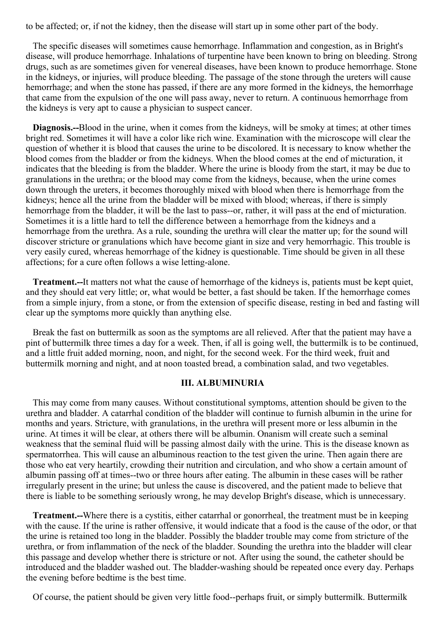to be affected; or, if not the kidney, then the disease will start up in some other part of the body.

The specific diseases will sometimes cause hemorrhage. Inflammation and congestion, as in Bright's disease, will produce hemorrhage. Inhalations of turpentine have been known to bring on bleeding. Strong drugs, such as are sometimes given for venereal diseases, have been known to produce hemorrhage. Stone in the kidneys, or injuries, will produce bleeding. The passage of the stone through the ureters will cause hemorrhage; and when the stone has passed, if there are any more formed in the kidneys, the hemorrhage that came from the expulsion of the one will pass away, never to return. A continuous hemorrhage from the kidneys is very apt to cause a physician to suspect cancer.

**Diagnosis.--**Blood in the urine, when it comes from the kidneys, will be smoky at times; at other times bright red. Sometimes it will have a color like rich wine. Examination with the microscope will clear the question of whether it is blood that causes the urine to be discolored. It is necessary to know whether the blood comes from the bladder or from the kidneys. When the blood comes at the end of micturation, it indicates that the bleeding is from the bladder. Where the urine is bloody from the start, it may be due to granulations in the urethra; or the blood may come from the kidneys, because, when the urine comes down through the ureters, it becomes thoroughly mixed with blood when there is hemorrhage from the kidneys; hence all the urine from the bladder will be mixed with blood; whereas, if there is simply hemorrhage from the bladder, it will be the last to pass--or, rather, it will pass at the end of micturation. Sometimes it is a little hard to tell the difference between a hemorrhage from the kidneys and a hemorrhage from the urethra. As a rule, sounding the urethra will clear the matter up; for the sound will discover stricture or granulations which have become giant in size and very hemorrhagic. This trouble is very easily cured, whereas hemorrhage of the kidney is questionable. Time should be given in all these affections; for a cure often follows a wise letting-alone.

**Treatment.--**It matters not what the cause of hemorrhage of the kidneys is, patients must be kept quiet, and they should eat very little; or, what would be better, a fast should be taken. If the hemorrhage comes from a simple injury, from a stone, or from the extension of specific disease, resting in bed and fasting will clear up the symptoms more quickly than anything else.

Break the fast on buttermilk as soon as the symptoms are all relieved. After that the patient may have a pint of buttermilk three times a day for a week. Then, if all is going well, the buttermilk is to be continued, and a little fruit added morning, noon, and night, for the second week. For the third week, fruit and buttermilk morning and night, and at noon toasted bread, a combination salad, and two vegetables.

## **III. ALBUMINURIA**

This may come from many causes. Without constitutional symptoms, attention should be given to the urethra and bladder. A catarrhal condition of the bladder will continue to furnish albumin in the urine for months and years. Stricture, with granulations, in the urethra will present more or less albumin in the urine. At times it will be clear, at others there will be albumin. Onanism will create such a seminal weakness that the seminal fluid will be passing almost daily with the urine. This is the disease known as spermatorrhea. This will cause an albuminous reaction to the test given the urine. Then again there are those who eat very heartily, crowding their nutrition and circulation, and who show a certain amount of albumin passing off at times--two or three hours after eating. The albumin in these cases will be rather irregularly present in the urine; but unless the cause is discovered, and the patient made to believe that there is liable to be something seriously wrong, he may develop Bright's disease, which is unnecessary.

**Treatment.--**Where there is a cystitis, either catarrhal or gonorrheal, the treatment must be in keeping with the cause. If the urine is rather offensive, it would indicate that a food is the cause of the odor, or that the urine is retained too long in the bladder. Possibly the bladder trouble may come from stricture of the urethra, or from inflammation of the neck of the bladder. Sounding the urethra into the bladder will clear this passage and develop whether there is stricture or not. After using the sound, the catheter should be introduced and the bladder washed out. The bladder-washing should be repeated once every day. Perhaps the evening before bedtime is the best time.

Of course, the patient should be given very little food--perhaps fruit, or simply buttermilk. Buttermilk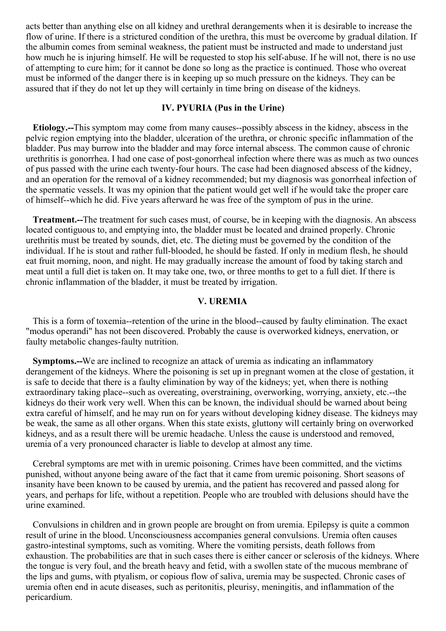<span id="page-92-0"></span>acts better than anything else on all kidney and urethral derangements when it is desirable to increase the flow of urine. If there is a strictured condition of the urethra, this must be overcome by gradual dilation. If the albumin comes from seminal weakness, the patient must be instructed and made to understand just how much he is injuring himself. He will be requested to stop his self-abuse. If he will not, there is no use of attempting to cure him; for it cannot be done so long as the practice is continued. Those who overeat must be informed of the danger there is in keeping up so much pressure on the kidneys. They can be assured that if they do not let up they will certainly in time bring on disease of the kidneys.

#### **IV. PYURIA (Pus in the Urine)**

**Etiology.--**This symptom may come from many causes--possibly abscess in the kidney, abscess in the pelvic region emptying into the bladder, ulceration of the urethra, or chronic specific inflammation of the bladder. Pus may burrow into the bladder and may force internal abscess. The common cause of chronic urethritis is gonorrhea. I had one case of post-gonorrheal infection where there was as much as two ounces of pus passed with the urine each twenty-four hours. The case had been diagnosed abscess of the kidney, and an operation for the removal of a kidney recommended; but my diagnosis was gonorrheal infection of the spermatic vessels. It was my opinion that the patient would get well if he would take the proper care of himself--which he did. Five years afterward he was free of the symptom of pus in the urine.

**Treatment.--**The treatment for such cases must, of course, be in keeping with the diagnosis. An abscess located contiguous to, and emptying into, the bladder must be located and drained properly. Chronic urethritis must be treated by sounds, diet, etc. The dieting must be governed by the condition of the individual. If he is stout and rather full-blooded, he should be fasted. If only in medium flesh, he should eat fruit morning, noon, and night. He may gradually increase the amount of food by taking starch and meat until a full diet is taken on. It may take one, two, or three months to get to a full diet. If there is chronic inflammation of the bladder, it must be treated by irrigation.

# **V. UREMIA**

This is a form of toxemia--retention of the urine in the blood--caused by faulty elimination. The exact "modus operandi" has not been discovered. Probably the cause is overworked kidneys, enervation, or faulty metabolic changes-faulty nutrition.

**Symptoms.--**We are inclined to recognize an attack of uremia as indicating an inflammatory derangement of the kidneys. Where the poisoning is set up in pregnant women at the close of gestation, it is safe to decide that there is a faulty elimination by way of the kidneys; yet, when there is nothing extraordinary taking place--such as overeating, overstraining, overworking, worrying, anxiety, etc.--the kidneys do their work very well. When this can be known, the individual should be warned about being extra careful of himself, and he may run on for years without developing kidney disease. The kidneys may be weak, the same as all other organs. When this state exists, gluttony will certainly bring on overworked kidneys, and as a result there will be uremic headache. Unless the cause is understood and removed, uremia of a very pronounced character is liable to develop at almost any time.

Cerebral symptoms are met with in uremic poisoning. Crimes have been committed, and the victims punished, without anyone being aware of the fact that it came from uremic poisoning. Short seasons of insanity have been known to be caused by uremia, and the patient has recovered and passed along for years, and perhaps for life, without a repetition. People who are troubled with delusions should have the urine examined.

Convulsions in children and in grown people are brought on from uremia. Epilepsy is quite a common result of urine in the blood. Unconsciousness accompanies general convulsions. Uremia often causes gastro-intestinal symptoms, such as vomiting. Where the vomiting persists, death follows from exhaustion. The probabilities are that in such cases there is either cancer or sclerosis of the kidneys. Where the tongue is very foul, and the breath heavy and fetid, with a swollen state of the mucous membrane of the lips and gums, with ptyalism, or copious flow of saliva, uremia may be suspected. Chronic cases of uremia often end in acute diseases, such as peritonitis, pleurisy, meningitis, and inflammation of the pericardium.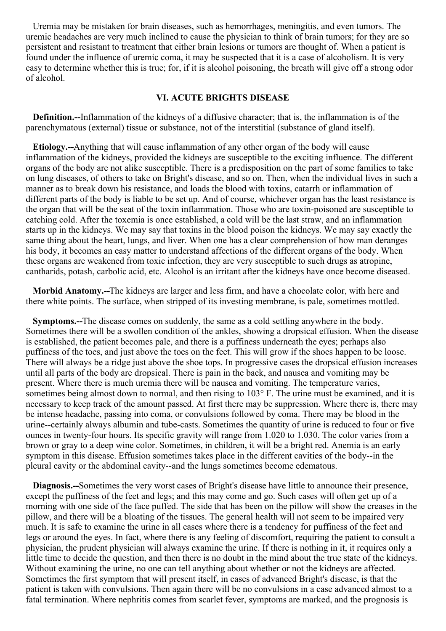Uremia may be mistaken for brain diseases, such as hemorrhages, meningitis, and even tumors. The uremic headaches are very much inclined to cause the physician to think of brain tumors; for they are so persistent and resistant to treatment that either brain lesions or tumors are thought of. When a patient is found under the influence of uremic coma, it may be suspected that it is a case of alcoholism. It is very easy to determine whether this is true; for, if it is alcohol poisoning, the breath will give off a strong odor of alcohol.

#### **VI. ACUTE BRIGHTS DISEASE**

**Definition.--**Inflammation of the kidneys of a diffusive character; that is, the inflammation is of the parenchymatous (external) tissue or substance, not of the interstitial (substance of gland itself).

**Etiology.--**Anything that will cause inflammation of any other organ of the body will cause inflammation of the kidneys, provided the kidneys are susceptible to the exciting influence. The different organs of the body are not alike susceptible. There is a predisposition on the part of some families to take on lung diseases, of others to take on Bright's disease, and so on. Then, when the individual lives in such a manner as to break down his resistance, and loads the blood with toxins, catarrh or inflammation of different parts of the body is liable to be set up. And of course, whichever organ has the least resistance is the organ that will be the seat of the toxin inflammation. Those who are toxin-poisoned are susceptible to catching cold. After the toxemia is once established, a cold will be the last straw, and an inflammation starts up in the kidneys. We may say that toxins in the blood poison the kidneys. We may say exactly the same thing about the heart, lungs, and liver. When one has a clear comprehension of how man deranges his body, it becomes an easy matter to understand affections of the different organs of the body. When these organs are weakened from toxic infection, they are very susceptible to such drugs as atropine, cantharids, potash, carbolic acid, etc. Alcohol is an irritant after the kidneys have once become diseased.

**Morbid Anatomy.--**The kidneys are larger and less firm, and have a chocolate color, with here and there white points. The surface, when stripped of its investing membrane, is pale, sometimes mottled.

**Symptoms.--**The disease comes on suddenly, the same as a cold settling anywhere in the body. Sometimes there will be a swollen condition of the ankles, showing a dropsical effusion. When the disease is established, the patient becomes pale, and there is a puffiness underneath the eyes; perhaps also puffiness of the toes, and just above the toes on the feet. This will grow if the shoes happen to be loose. There will always be a ridge just above the shoe tops. In progressive cases the dropsical effusion increases until all parts of the body are dropsical. There is pain in the back, and nausea and vomiting may be present. Where there is much uremia there will be nausea and vomiting. The temperature varies, sometimes being almost down to normal, and then rising to 103° F. The urine must be examined, and it is necessary to keep track of the amount passed. At first there may be suppression. Where there is, there may be intense headache, passing into coma, or convulsions followed by coma. There may be blood in the urine--certainly always albumin and tube-casts. Sometimes the quantity of urine is reduced to four or five ounces in twenty-four hours. Its specific gravity will range from 1.020 to 1.030. The color varies from a brown or gray to a deep wine color. Sometimes, in children, it will be a bright red. Anemia is an early symptom in this disease. Effusion sometimes takes place in the different cavities of the body--in the pleural cavity or the abdominal cavity--and the lungs sometimes become edematous.

**Diagnosis.--**Sometimes the very worst cases of Bright's disease have little to announce their presence, except the puffiness of the feet and legs; and this may come and go. Such cases will often get up of a morning with one side of the face puffed. The side that has been on the pillow will show the creases in the pillow, and there will be a bloating of the tissues. The general health will not seem to be impaired very much. It is safe to examine the urine in all cases where there is a tendency for puffiness of the feet and legs or around the eyes. In fact, where there is any feeling of discomfort, requiring the patient to consult a physician, the prudent physician will always examine the urine. If there is nothing in it, it requires only a little time to decide the question, and then there is no doubt in the mind about the true state of the kidneys. Without examining the urine, no one can tell anything about whether or not the kidneys are affected. Sometimes the first symptom that will present itself, in cases of advanced Bright's disease, is that the patient is taken with convulsions. Then again there will be no convulsions in a case advanced almost to a fatal termination. Where nephritis comes from scarlet fever, symptoms are marked, and the prognosis is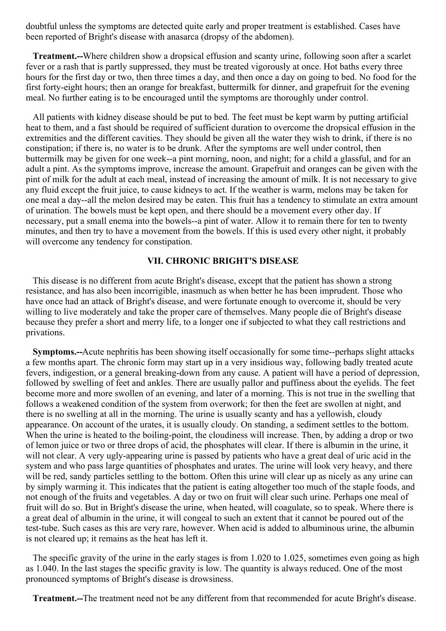doubtful unless the symptoms are detected quite early and proper treatment is established. Cases have been reported of Bright's disease with anasarca (dropsy of the abdomen).

**Treatment.--**Where children show a dropsical effusion and scanty urine, following soon after a scarlet fever or a rash that is partly suppressed, they must be treated vigorously at once. Hot baths every three hours for the first day or two, then three times a day, and then once a day on going to bed. No food for the first forty-eight hours; then an orange for breakfast, buttermilk for dinner, and grapefruit for the evening meal. No further eating is to be encouraged until the symptoms are thoroughly under control.

All patients with kidney disease should be put to bed. The feet must be kept warm by putting artificial heat to them, and a fast should be required of sufficient duration to overcome the dropsical effusion in the extremities and the different cavities. They should be given all the water they wish to drink, if there is no constipation; if there is, no water is to be drunk. After the symptoms are well under control, then buttermilk may be given for one week--a pint morning, noon, and night; for a child a glassful, and for an adult a pint. As the symptoms improve, increase the amount. Grapefruit and oranges can be given with the pint of milk for the adult at each meal, instead of increasing the amount of milk. It is not necessary to give any fluid except the fruit juice, to cause kidneys to act. If the weather is warm, melons may be taken for one meal a day--all the melon desired may be eaten. This fruit has a tendency to stimulate an extra amount of urination. The bowels must be kept open, and there should be a movement every other day. If necessary, put a small enema into the bowels--a pint of water. Allow it to remain there for ten to twenty minutes, and then try to have a movement from the bowels. If this is used every other night, it probably will overcome any tendency for constipation.

### **VII. CHRONIC BRIGHT'S DISEASE**

This disease is no different from acute Bright's disease, except that the patient has shown a strong resistance, and has also been incorrigible, inasmuch as when better he has been imprudent. Those who have once had an attack of Bright's disease, and were fortunate enough to overcome it, should be very willing to live moderately and take the proper care of themselves. Many people die of Bright's disease because they prefer a short and merry life, to a longer one if subjected to what they call restrictions and privations.

**Symptoms.--**Acute nephritis has been showing itself occasionally for some time--perhaps slight attacks a few months apart. The chronic form may start up in a very insidious way, following badly treated acute fevers, indigestion, or a general breaking-down from any cause. A patient will have a period of depression, followed by swelling of feet and ankles. There are usually pallor and puffiness about the eyelids. The feet become more and more swollen of an evening, and later of a morning. This is not true in the swelling that follows a weakened condition of the system from overwork; for then the feet are swollen at night, and there is no swelling at all in the morning. The urine is usually scanty and has a yellowish, cloudy appearance. On account of the urates, it is usually cloudy. On standing, a sediment settles to the bottom. When the urine is heated to the boiling-point, the cloudiness will increase. Then, by adding a drop or two of lemon juice or two or three drops of acid, the phosphates will clear. If there is albumin in the urine, it will not clear. A very ugly-appearing urine is passed by patients who have a great deal of uric acid in the system and who pass large quantities of phosphates and urates. The urine will look very heavy, and there will be red, sandy particles settling to the bottom. Often this urine will clear up as nicely as any urine can by simply warming it. This indicates that the patient is eating altogether too much of the staple foods, and not enough of the fruits and vegetables. A day or two on fruit will clear such urine. Perhaps one meal of fruit will do so. But in Bright's disease the urine, when heated, will coagulate, so to speak. Where there is a great deal of albumin in the urine, it will congeal to such an extent that it cannot be poured out of the test-tube. Such cases as this are very rare, however. When acid is added to albuminous urine, the albumin is not cleared up; it remains as the heat has left it.

The specific gravity of the urine in the early stages is from 1.020 to 1.025, sometimes even going as high as 1.040. In the last stages the specific gravity is low. The quantity is always reduced. One of the most pronounced symptoms of Bright's disease is drowsiness.

**Treatment.--**The treatment need not be any different from that recommended for acute Bright's disease.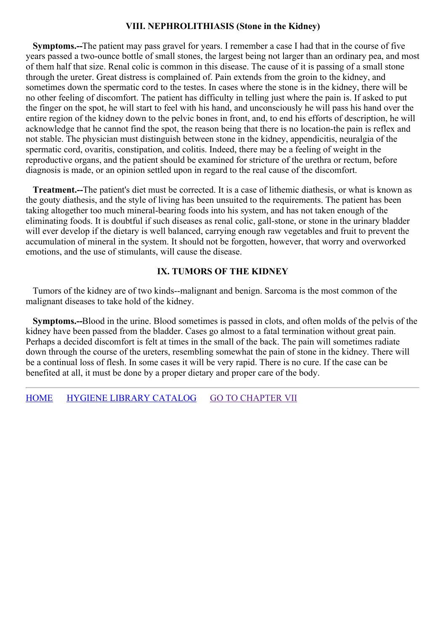## **VIII. NEPHROLITHIASIS (Stone in the Kidney)**

**Symptoms.--**The patient may pass gravel for years. I remember a case I had that in the course of five years passed a two-ounce bottle of small stones, the largest being not larger than an ordinary pea, and most of them half that size. Renal colic is common in this disease. The cause of it is passing of a small stone through the ureter. Great distress is complained of. Pain extends from the groin to the kidney, and sometimes down the spermatic cord to the testes. In cases where the stone is in the kidney, there will be no other feeling of discomfort. The patient has difficulty in telling just where the pain is. If asked to put the finger on the spot, he will start to feel with his hand, and unconsciously he will pass his hand over the entire region of the kidney down to the pelvic bones in front, and, to end his efforts of description, he will acknowledge that he cannot find the spot, the reason being that there is no location-the pain is reflex and not stable. The physician must distinguish between stone in the kidney, appendicitis, neuralgia of the spermatic cord, ovaritis, constipation, and colitis. Indeed, there may be a feeling of weight in the reproductive organs, and the patient should be examined for stricture of the urethra or rectum, before diagnosis is made, or an opinion settled upon in regard to the real cause of the discomfort.

**Treatment.--**The patient's diet must be corrected. It is a case of lithemic diathesis, or what is known as the gouty diathesis, and the style of living has been unsuited to the requirements. The patient has been taking altogether too much mineral-bearing foods into his system, and has not taken enough of the eliminating foods. It is doubtful if such diseases as renal colic, gall-stone, or stone in the urinary bladder will ever develop if the dietary is well balanced, carrying enough raw vegetables and fruit to prevent the accumulation of mineral in the system. It should not be forgotten, however, that worry and overworked emotions, and the use of stimulants, will cause the disease.

# **IX. TUMORS OF THE KIDNEY**

Tumors of the kidney are of two kinds--malignant and benign. Sarcoma is the most common of the malignant diseases to take hold of the kidney.

**Symptoms.--**Blood in the urine. Blood sometimes is passed in clots, and often molds of the pelvis of the kidney have been passed from the bladder. Cases go almost to a fatal termination without great pain. Perhaps a decided discomfort is felt at times in the small of the back. The pain will sometimes radiate down through the course of the ureters, resembling somewhat the pain of stone in the kidney. There will be a continual loss of flesh. In some cases it will be very rapid. There is no cure. If the case can be benefited at all, it must be done by a proper dietary and proper care of the body.

[HOME](../../../index.html) HYGIENE LIBRARY [CATALOG](../0201hyglibcat.html) GO TO [CHAPTER](#page-100-0) VII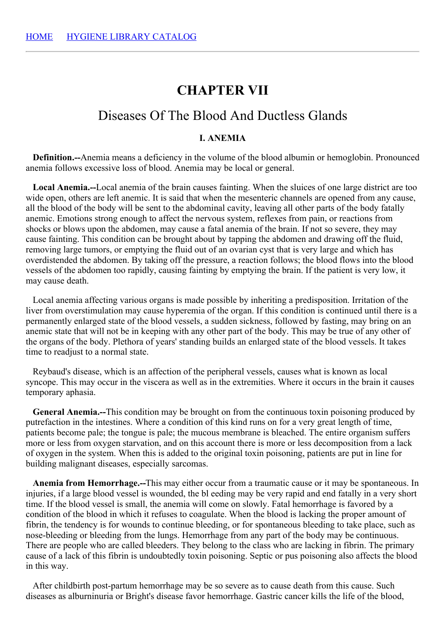# **CHAPTER VII**

# Diseases Of The Blood And Ductless Glands

# **I. ANEMIA**

**Definition.--**Anemia means a deficiency in the volume of the blood albumin or hemoglobin. Pronounced anemia follows excessive loss of blood. Anemia may be local or general.

**Local Anemia.--**Local anemia of the brain causes fainting. When the sluices of one large district are too wide open, others are left anemic. It is said that when the mesenteric channels are opened from any cause, all the blood of the body will be sent to the abdominal cavity, leaving all other parts of the body fatally anemic. Emotions strong enough to affect the nervous system, reflexes from pain, or reactions from shocks or blows upon the abdomen, may cause a fatal anemia of the brain. If not so severe, they may cause fainting. This condition can be brought about by tapping the abdomen and drawing off the fluid, removing large tumors, or emptying the fluid out of an ovarian cyst that is very large and which has overdistended the abdomen. By taking off the pressure, a reaction follows; the blood flows into the blood vessels of the abdomen too rapidly, causing fainting by emptying the brain. If the patient is very low, it may cause death.

Local anemia affecting various organs is made possible by inheriting a predisposition. Irritation of the liver from overstimulation may cause hyperemia of the organ. If this condition is continued until there is a permanently enlarged state of the blood vessels, a sudden sickness, followed by fasting, may bring on an anemic state that will not be in keeping with any other part of the body. This may be true of any other of the organs of the body. Plethora of years' standing builds an enlarged state of the blood vessels. It takes time to readjust to a normal state.

Reybaud's disease, which is an affection of the peripheral vessels, causes what is known as local syncope. This may occur in the viscera as well as in the extremities. Where it occurs in the brain it causes temporary aphasia.

**General Anemia.--**This condition may be brought on from the continuous toxin poisoning produced by putrefaction in the intestines. Where a condition of this kind runs on for a very great length of time, patients become pale; the tongue is pale; the mucous membrane is bleached. The entire organism suffers more or less from oxygen starvation, and on this account there is more or less decomposition from a lack of oxygen in the system. When this is added to the original toxin poisoning, patients are put in line for building malignant diseases, especially sarcomas.

**Anemia from Hemorrhage.--**This may either occur from a traumatic cause or it may be spontaneous. In injuries, if a large blood vessel is wounded, the bl eeding may be very rapid and end fatally in a very short time. If the blood vessel is small, the anemia will come on slowly. Fatal hemorrhage is favored by a condition of the blood in which it refuses to coagulate. When the blood is lacking the proper amount of fibrin, the tendency is for wounds to continue bleeding, or for spontaneous bleeding to take place, such as nose-bleeding or bleeding from the lungs. Hemorrhage from any part of the body may be continuous. There are people who are called bleeders. They belong to the class who are lacking in fibrin. The primary cause of a lack of this fibrin is undoubtedly toxin poisoning. Septic or pus poisoning also affects the blood in this way.

After childbirth post-partum hemorrhage may be so severe as to cause death from this cause. Such diseases as alburninuria or Bright's disease favor hemorrhage. Gastric cancer kills the life of the blood,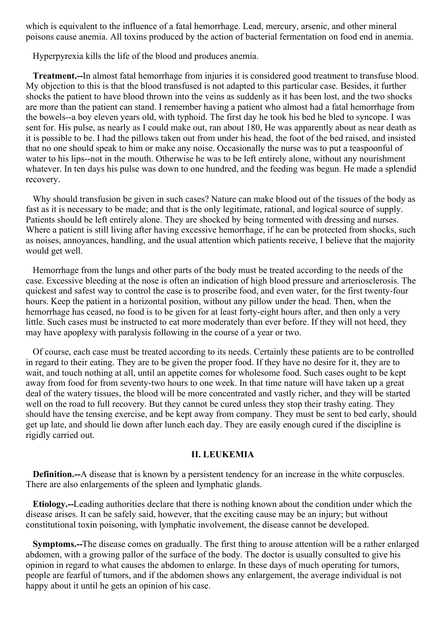which is equivalent to the influence of a fatal hemorrhage. Lead, mercury, arsenic, and other mineral poisons cause anemia. All toxins produced by the action of bacterial fermentation on food end in anemia.

Hyperpyrexia kills the life of the blood and produces anemia.

**Treatment.--**In almost fatal hemorrhage from injuries it is considered good treatment to transfuse blood. My objection to this is that the blood transfused is not adapted to this particular case. Besides, it further shocks the patient to have blood thrown into the veins as suddenly as it has been lost, and the two shocks are more than the patient can stand. I remember having a patient who almost had a fatal hemorrhage from the bowels--a boy eleven years old, with typhoid. The first day he took his bed he bled to syncope. I was sent for. His pulse, as nearly as I could make out, ran about 180, He was apparently about as near death as it is possible to be. I had the pillows taken out from under his head, the foot of the bed raised, and insisted that no one should speak to him or make any noise. Occasionally the nurse was to put a teaspoonful of water to his lips--not in the mouth. Otherwise he was to be left entirely alone, without any nourishment whatever. In ten days his pulse was down to one hundred, and the feeding was begun. He made a splendid recovery.

Why should transfusion be given in such cases? Nature can make blood out of the tissues of the body as fast as it is necessary to be made; and that is the only legitimate, rational, and logical source of supply. Patients should be left entirely alone. They are shocked by being tormented with dressing and nurses. Where a patient is still living after having excessive hemorrhage, if he can be protected from shocks, such as noises, annoyances, handling, and the usual attention which patients receive, I believe that the majority would get well.

Hemorrhage from the lungs and other parts of the body must be treated according to the needs of the case. Excessive bleeding at the nose is often an indication of high blood pressure and arteriosclerosis. The quickest and safest way to control the case is to proscribe food, and even water, for the first twenty-four hours. Keep the patient in a horizontal position, without any pillow under the head. Then, when the hemorrhage has ceased, no food is to be given for at least forty-eight hours after, and then only a very little. Such cases must be instructed to eat more moderately than ever before. If they will not heed, they may have apoplexy with paralysis following in the course of a year or two.

Of course, each case must be treated according to its needs. Certainly these patients are to be controlled in regard to their eating. They are to be given the proper food. If they have no desire for it, they are to wait, and touch nothing at all, until an appetite comes for wholesome food. Such cases ought to be kept away from food for from seventy-two hours to one week. In that time nature will have taken up a great deal of the watery tissues, the blood will be more concentrated and vastly richer, and they will be started well on the road to full recovery. But they cannot be cured unless they stop their trashy eating. They should have the tensing exercise, and be kept away from company. They must be sent to bed early, should get up late, and should lie down after lunch each day. They are easily enough cured if the discipline is rigidly carried out.

### **II. LEUKEMIA**

**Definition.--**A disease that is known by a persistent tendency for an increase in the white corpuscles. There are also enlargements of the spleen and lymphatic glands.

**Etiology.--**Leading authorities declare that there is nothing known about the condition under which the disease arises. It can be safely said, however, that the exciting cause may be an injury; but without constitutional toxin poisoning, with lymphatic involvement, the disease cannot be developed.

**Symptoms.--**The disease comes on gradually. The first thing to arouse attention will be a rather enlarged abdomen, with a growing pallor of the surface of the body. The doctor is usually consulted to give his opinion in regard to what causes the abdomen to enlarge. In these days of much operating for tumors, people are fearful of tumors, and if the abdomen shows any enlargement, the average individual is not happy about it until he gets an opinion of his case.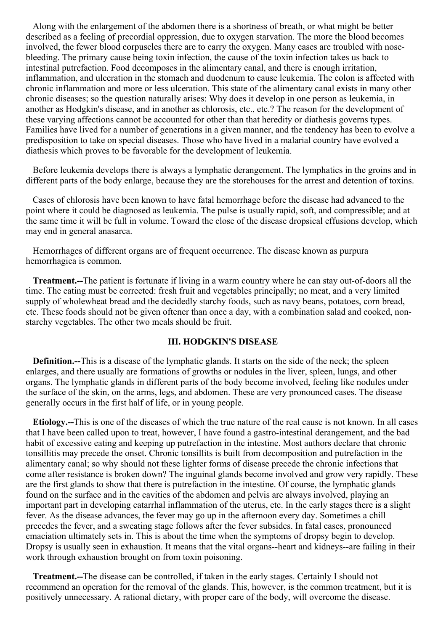Along with the enlargement of the abdomen there is a shortness of breath, or what might be better described as a feeling of precordial oppression, due to oxygen starvation. The more the blood becomes involved, the fewer blood corpuscles there are to carry the oxygen. Many cases are troubled with nosebleeding. The primary cause being toxin infection, the cause of the toxin infection takes us back to intestinal putrefaction. Food decomposes in the alimentary canal, and there is enough irritation, inflammation, and ulceration in the stomach and duodenum to cause leukemia. The colon is affected with chronic inflammation and more or less ulceration. This state of the alimentary canal exists in many other chronic diseases; so the question naturally arises: Why does it develop in one person as leukemia, in another as Hodgkin's disease, and in another as chlorosis, etc., etc.? The reason for the development of these varying affections cannot be accounted for other than that heredity or diathesis governs types. Families have lived for a number of generations in a given manner, and the tendency has been to evolve a predisposition to take on special diseases. Those who have lived in a malarial country have evolved a diathesis which proves to be favorable for the development of leukemia.

Before leukemia develops there is always a lymphatic derangement. The lymphatics in the groins and in different parts of the body enlarge, because they are the storehouses for the arrest and detention of toxins.

Cases of chlorosis have been known to have fatal hemorrhage before the disease had advanced to the point where it could be diagnosed as leukemia. The pulse is usually rapid, soft, and compressible; and at the same time it will be full in volume. Toward the close of the disease dropsical effusions develop, which may end in general anasarca.

Hemorrhages of different organs are of frequent occurrence. The disease known as purpura hemorrhagica is common.

**Treatment.--**The patient is fortunate if living in a warm country where he can stay out-of-doors all the time. The eating must be corrected: fresh fruit and vegetables principally; no meat, and a very limited supply of wholewheat bread and the decidedly starchy foods, such as navy beans, potatoes, corn bread, etc. These foods should not be given oftener than once a day, with a combination salad and cooked, nonstarchy vegetables. The other two meals should be fruit.

## **III. HODGKIN'S DISEASE**

**Definition.--**This is a disease of the lymphatic glands. It starts on the side of the neck; the spleen enlarges, and there usually are formations of growths or nodules in the liver, spleen, lungs, and other organs. The lymphatic glands in different parts of the body become involved, feeling like nodules under the surface of the skin, on the arms, legs, and abdomen. These are very pronounced cases. The disease generally occurs in the first half of life, or in young people.

**Etiology.--**This is one of the diseases of which the true nature of the real cause is not known. In all cases that I have been called upon to treat, however, I have found a gastro-intestinal derangement, and the bad habit of excessive eating and keeping up putrefaction in the intestine. Most authors declare that chronic tonsillitis may precede the onset. Chronic tonsillits is built from decomposition and putrefaction in the alimentary canal; so why should not these lighter forms of disease precede the chronic infections that come after resistance is broken down? The inguinal glands become involved and grow very rapidly. These are the first glands to show that there is putrefaction in the intestine. Of course, the lymphatic glands found on the surface and in the cavities of the abdomen and pelvis are always involved, playing an important part in developing catarrhal inflammation of the uterus, etc. In the early stages there is a slight fever. As the disease advances, the fever may go up in the afternoon every day. Sometimes a chill precedes the fever, and a sweating stage follows after the fever subsides. In fatal cases, pronounced emaciation ultimately sets in. This is about the time when the symptoms of dropsy begin to develop. Dropsy is usually seen in exhaustion. It means that the vital organs--heart and kidneys--are failing in their work through exhaustion brought on from toxin poisoning.

**Treatment.--**The disease can be controlled, if taken in the early stages. Certainly I should not recommend an operation for the removal of the glands. This, however, is the common treatment, but it is positively unnecessary. A rational dietary, with proper care of the body, will overcome the disease.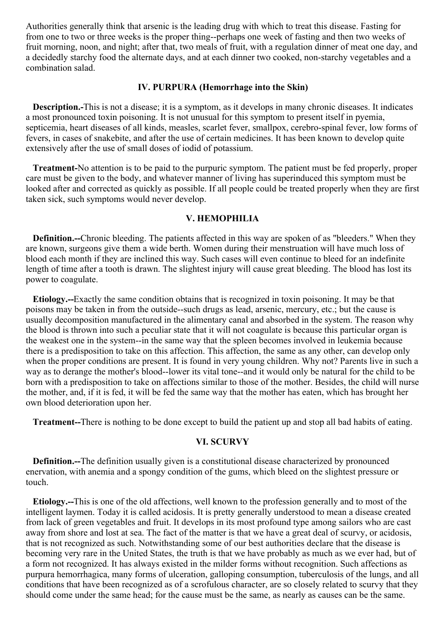Authorities generally think that arsenic is the leading drug with which to treat this disease. Fasting for from one to two or three weeks is the proper thing--perhaps one week of fasting and then two weeks of fruit morning, noon, and night; after that, two meals of fruit, with a regulation dinner of meat one day, and a decidedly starchy food the alternate days, and at each dinner two cooked, non-starchy vegetables and a combination salad.

# **IV. PURPURA (Hemorrhage into the Skin)**

**Description.-**This is not a disease; it is a symptom, as it develops in many chronic diseases. It indicates a most pronounced toxin poisoning. It is not unusual for this symptom to present itself in pyemia, septicemia, heart diseases of all kinds, measles, scarlet fever, smallpox, cerebro-spinal fever, low forms of fevers, in cases of snakebite, and after the use of certain medicines. It has been known to develop quite extensively after the use of small doses of iodid of potassium.

**Treatment-**No attention is to be paid to the purpuric symptom. The patient must be fed properly, proper care must be given to the body, and whatever manner of living has superinduced this symptom must be looked after and corrected as quickly as possible. If all people could be treated properly when they are first taken sick, such symptoms would never develop.

# **V. HEMOPHILIA**

**Definition.**--Chronic bleeding. The patients affected in this way are spoken of as "bleeders." When they are known, surgeons give them a wide berth. Women during their menstruation will have much loss of blood each month if they are inclined this way. Such cases will even continue to bleed for an indefinite length of time after a tooth is drawn. The slightest injury will cause great bleeding. The blood has lost its power to coagulate.

**Etiology.--**Exactly the same condition obtains that is recognized in toxin poisoning. It may be that poisons may be taken in from the outside--such drugs as lead, arsenic, mercury, etc.; but the cause is usually decomposition manufactured in the alimentary canal and absorbed in the system. The reason why the blood is thrown into such a peculiar state that it will not coagulate is because this particular organ is the weakest one in the system--in the same way that the spleen becomes involved in leukemia because there is a predisposition to take on this affection. This affection, the same as any other, can develop only when the proper conditions are present. It is found in very young children. Why not? Parents live in such a way as to derange the mother's blood--lower its vital tone--and it would only be natural for the child to be born with a predisposition to take on affections similar to those of the mother. Besides, the child will nurse the mother, and, if it is fed, it will be fed the same way that the mother has eaten, which has brought her own blood deterioration upon her.

**Treatment--**There is nothing to be done except to build the patient up and stop all bad habits of eating.

#### **VI. SCURVY**

**Definition.--**The definition usually given is a constitutional disease characterized by pronounced enervation, with anemia and a spongy condition of the gums, which bleed on the slightest pressure or touch.

**Etiology.--**This is one of the old affections, well known to the profession generally and to most of the intelligent laymen. Today it is called acidosis. It is pretty generally understood to mean a disease created from lack of green vegetables and fruit. It develops in its most profound type among sailors who are cast away from shore and lost at sea. The fact of the matter is that we have a great deal of scurvy, or acidosis, that is not recognized as such. Notwithstanding some of our best authorities declare that the disease is becoming very rare in the United States, the truth is that we have probably as much as we ever had, but of a form not recognized. It has always existed in the milder forms without recognition. Such affections as purpura hemorrhagica, many forms of ulceration, galloping consumption, tuberculosis of the lungs, and all conditions that have been recognized as of a scrofulous character, are so closely related to scurvy that they should come under the same head; for the cause must be the same, as nearly as causes can be the same.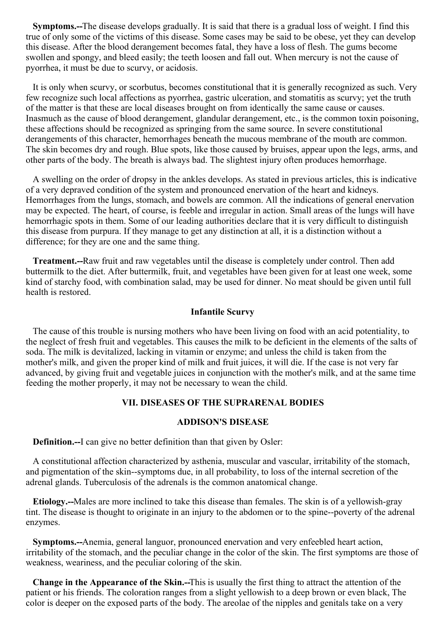<span id="page-100-0"></span>**Symptoms.--**The disease develops gradually. It is said that there is a gradual loss of weight. I find this true of only some of the victims of this disease. Some cases may be said to be obese, yet they can develop this disease. After the blood derangement becomes fatal, they have a loss of flesh. The gums become swollen and spongy, and bleed easily; the teeth loosen and fall out. When mercury is not the cause of pyorrhea, it must be due to scurvy, or acidosis.

It is only when scurvy, or scorbutus, becomes constitutional that it is generally recognized as such. Very few recognize such local affections as pyorrhea, gastric ulceration, and stomatitis as scurvy; yet the truth of the matter is that these are local diseases brought on from identically the same cause or causes. Inasmuch as the cause of blood derangement, glandular derangement, etc., is the common toxin poisoning, these affections should be recognized as springing from the same source. In severe constitutional derangements of this character, hemorrhages beneath the mucous membrane of the mouth are common. The skin becomes dry and rough. Blue spots, like those caused by bruises, appear upon the legs, arms, and other parts of the body. The breath is always bad. The slightest injury often produces hemorrhage.

A swelling on the order of dropsy in the ankles develops. As stated in previous articles, this is indicative of a very depraved condition of the system and pronounced enervation of the heart and kidneys. Hemorrhages from the lungs, stomach, and bowels are common. All the indications of general enervation may be expected. The heart, of course, is feeble and irregular in action. Small areas of the lungs will have hemorrhagic spots in them. Some of our leading authorities declare that it is very difficult to distinguish this disease from purpura. If they manage to get any distinction at all, it is a distinction without a difference; for they are one and the same thing.

**Treatment.--**Raw fruit and raw vegetables until the disease is completely under control. Then add buttermilk to the diet. After buttermilk, fruit, and vegetables have been given for at least one week, some kind of starchy food, with combination salad, may be used for dinner. No meat should be given until full health is restored.

#### **Infantile Scurvy**

The cause of this trouble is nursing mothers who have been living on food with an acid potentiality, to the neglect of fresh fruit and vegetables. This causes the milk to be deficient in the elements of the salts of soda. The milk is devitalized, lacking in vitamin or enzyme; and unless the child is taken from the mother's milk, and given the proper kind of milk and fruit juices, it will die. If the case is not very far advanced, by giving fruit and vegetable juices in conjunction with the mother's milk, and at the same time feeding the mother properly, it may not be necessary to wean the child.

### **VII. DISEASES OF THE SUPRARENAL BODIES**

### **ADDISON'S DISEASE**

**Definition.--**I can give no better definition than that given by Osler:

A constitutional affection characterized by asthenia, muscular and vascular, irritability of the stomach, and pigmentation of the skin--symptoms due, in all probability, to loss of the internal secretion of the adrenal glands. Tuberculosis of the adrenals is the common anatomical change.

**Etiology.--**Males are more inclined to take this disease than females. The skin is of a yellowish-gray tint. The disease is thought to originate in an injury to the abdomen or to the spine--poverty of the adrenal enzymes.

**Symptoms.--**Anemia, general languor, pronounced enervation and very enfeebled heart action, irritability of the stomach, and the peculiar change in the color of the skin. The first symptoms are those of weakness, weariness, and the peculiar coloring of the skin.

**Change in the Appearance of the Skin.--**This is usually the first thing to attract the attention of the patient or his friends. The coloration ranges from a slight yellowish to a deep brown or even black, The color is deeper on the exposed parts of the body. The areolae of the nipples and genitals take on a very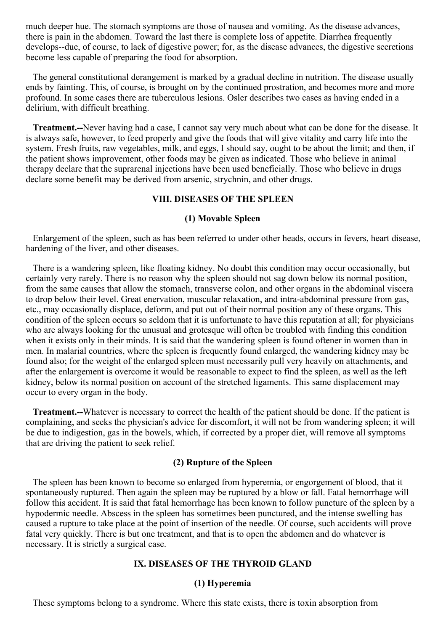much deeper hue. The stomach symptoms are those of nausea and vomiting. As the disease advances, there is pain in the abdomen. Toward the last there is complete loss of appetite. Diarrhea frequently develops--due, of course, to lack of digestive power; for, as the disease advances, the digestive secretions become less capable of preparing the food for absorption.

The general constitutional derangement is marked by a gradual decline in nutrition. The disease usually ends by fainting. This, of course, is brought on by the continued prostration, and becomes more and more profound. In some cases there are tuberculous lesions. Osler describes two cases as having ended in a delirium, with difficult breathing.

**Treatment.--**Never having had a case, I cannot say very much about what can be done for the disease. It is always safe, however, to feed properly and give the foods that will give vitality and carry life into the system. Fresh fruits, raw vegetables, milk, and eggs, I should say, ought to be about the limit; and then, if the patient shows improvement, other foods may be given as indicated. Those who believe in animal therapy declare that the suprarenal injections have been used beneficially. Those who believe in drugs declare some benefit may be derived from arsenic, strychnin, and other drugs.

## **VIII. DISEASES OF THE SPLEEN**

#### **(1) Movable Spleen**

Enlargement of the spleen, such as has been referred to under other heads, occurs in fevers, heart disease, hardening of the liver, and other diseases.

There is a wandering spleen, like floating kidney. No doubt this condition may occur occasionally, but certainly very rarely. There is no reason why the spleen should not sag down below its normal position, from the same causes that allow the stomach, transverse colon, and other organs in the abdominal viscera to drop below their level. Great enervation, muscular relaxation, and intra-abdominal pressure from gas, etc., may occasionally displace, deform, and put out of their normal position any of these organs. This condition of the spleen occurs so seldom that it is unfortunate to have this reputation at all; for physicians who are always looking for the unusual and grotesque will often be troubled with finding this condition when it exists only in their minds. It is said that the wandering spleen is found oftener in women than in men. In malarial countries, where the spleen is frequently found enlarged, the wandering kidney may be found also; for the weight of the enlarged spleen must necessarily pull very heavily on attachments, and after the enlargement is overcome it would be reasonable to expect to find the spleen, as well as the left kidney, below its normal position on account of the stretched ligaments. This same displacement may occur to every organ in the body.

**Treatment.--**Whatever is necessary to correct the health of the patient should be done. If the patient is complaining, and seeks the physician's advice for discomfort, it will not be from wandering spleen; it will be due to indigestion, gas in the bowels, which, if corrected by a proper diet, will remove all symptoms that are driving the patient to seek relief.

## **(2) Rupture of the Spleen**

The spleen has been known to become so enlarged from hyperemia, or engorgement of blood, that it spontaneously ruptured. Then again the spleen may be ruptured by a blow or fall. Fatal hemorrhage will follow this accident. It is said that fatal hemorrhage has been known to follow puncture of the spleen by a hypodermic needle. Abscess in the spleen has sometimes been punctured, and the intense swelling has caused a rupture to take place at the point of insertion of the needle. Of course, such accidents will prove fatal very quickly. There is but one treatment, and that is to open the abdomen and do whatever is necessary. It is strictly a surgical case.

#### **IX. DISEASES OF THE THYROID GLAND**

#### **(1) Hyperemia**

These symptoms belong to a syndrome. Where this state exists, there is toxin absorption from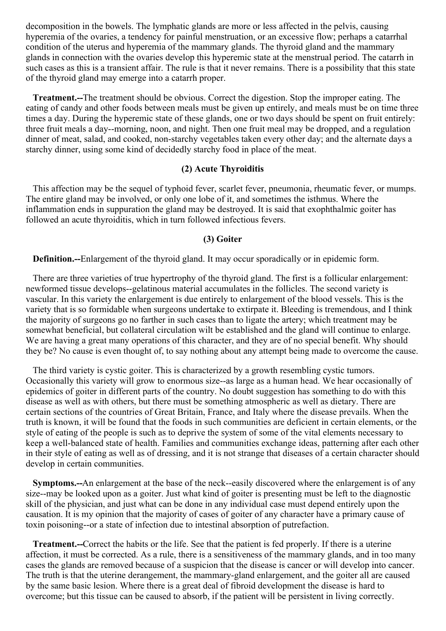decomposition in the bowels. The lymphatic glands are more or less affected in the pelvis, causing hyperemia of the ovaries, a tendency for painful menstruation, or an excessive flow; perhaps a catarrhal condition of the uterus and hyperemia of the mammary glands. The thyroid gland and the mammary glands in connection with the ovaries develop this hyperemic state at the menstrual period. The catarrh in such cases as this is a transient affair. The rule is that it never remains. There is a possibility that this state of the thyroid gland may emerge into a catarrh proper.

**Treatment.--**The treatment should be obvious. Correct the digestion. Stop the improper eating. The eating of candy and other foods between meals must be given up entirely, and meals must be on time three times a day. During the hyperemic state of these glands, one or two days should be spent on fruit entirely: three fruit meals a day--morning, noon, and night. Then one fruit meal may be dropped, and a regulation dinner of meat, salad, and cooked, non-starchy vegetables taken every other day; and the alternate days a starchy dinner, using some kind of decidedly starchy food in place of the meat.

### **(2) Acute Thyroiditis**

This affection may be the sequel of typhoid fever, scarlet fever, pneumonia, rheumatic fever, or mumps. The entire gland may be involved, or only one lobe of it, and sometimes the isthmus. Where the inflammation ends in suppuration the gland may be destroyed. It is said that exophthalmic goiter has followed an acute thyroiditis, which in turn followed infectious fevers.

#### **(3) Goiter**

**Definition.--**Enlargement of the thyroid gland. It may occur sporadically or in epidemic form.

There are three varieties of true hypertrophy of the thyroid gland. The first is a follicular enlargement: newformed tissue develops--gelatinous material accumulates in the follicles. The second variety is vascular. In this variety the enlargement is due entirely to enlargement of the blood vessels. This is the variety that is so formidable when surgeons undertake to extirpate it. Bleeding is tremendous, and I think the majority of surgeons go no farther in such cases than to ligate the artery; which treatment may be somewhat beneficial, but collateral circulation wilt be established and the gland will continue to enlarge. We are having a great many operations of this character, and they are of no special benefit. Why should they be? No cause is even thought of, to say nothing about any attempt being made to overcome the cause.

The third variety is cystic goiter. This is characterized by a growth resembling cystic tumors. Occasionally this variety will grow to enormous size--as large as a human head. We hear occasionally of epidemics of goiter in different parts of the country. No doubt suggestion has something to do with this disease as well as with others, but there must be something atmospheric as well as dietary. There are certain sections of the countries of Great Britain, France, and Italy where the disease prevails. When the truth is known, it will be found that the foods in such communities are deficient in certain elements, or the style of eating of the people is such as to deprive the system of some of the vital elements necessary to keep a well-balanced state of health. Families and communities exchange ideas, patterning after each other in their style of eating as well as of dressing, and it is not strange that diseases of a certain character should develop in certain communities.

**Symptoms.--**An enlargement at the base of the neck--easily discovered where the enlargement is of any size--may be looked upon as a goiter. Just what kind of goiter is presenting must be left to the diagnostic skill of the physician, and just what can be done in any individual case must depend entirely upon the causation. It is my opinion that the majority of cases of goiter of any character have a primary cause of toxin poisoning--or a state of infection due to intestinal absorption of putrefaction.

**Treatment.--**Correct the habits or the life. See that the patient is fed properly. If there is a uterine affection, it must be corrected. As a rule, there is a sensitiveness of the mammary glands, and in too many cases the glands are removed because of a suspicion that the disease is cancer or will develop into cancer. The truth is that the uterine derangement, the mammary-gland enlargement, and the goiter all are caused by the same basic lesion. Where there is a great deal of fibroid development the disease is hard to overcome; but this tissue can be caused to absorb, if the patient will be persistent in living correctly.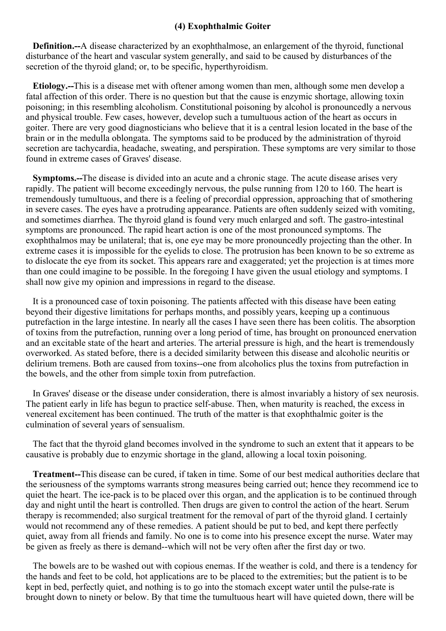## **(4) Exophthalmic Goiter**

**Definition.--**A disease characterized by an exophthalmose, an enlargement of the thyroid, functional disturbance of the heart and vascular system generally, and said to be caused by disturbances of the secretion of the thyroid gland; or, to be specific, hyperthyroidism.

**Etiology.--**This is a disease met with oftener among women than men, although some men develop a fatal affection of this order. There is no question but that the cause is enzymic shortage, allowing toxin poisoning; in this resembling alcoholism. Constitutional poisoning by alcohol is pronouncedly a nervous and physical trouble. Few cases, however, develop such a tumultuous action of the heart as occurs in goiter. There are very good diagnosticians who believe that it is a central lesion located in the base of the brain or in the medulla oblongata. The symptoms said to be produced by the administration of thyroid secretion are tachycardia, headache, sweating, and perspiration. These symptoms are very similar to those found in extreme cases of Graves' disease.

**Symptoms.--**The disease is divided into an acute and a chronic stage. The acute disease arises very rapidly. The patient will become exceedingly nervous, the pulse running from 120 to 160. The heart is tremendously tumultuous, and there is a feeling of precordial oppression, approaching that of smothering in severe cases. The eyes have a protruding appearance. Patients are often suddenly seized with vomiting, and sometimes diarrhea. The thyroid gland is found very much enlarged and soft. The gastro-intestinal symptoms are pronounced. The rapid heart action is one of the most pronounced symptoms. The exophthalmos may be unilateral; that is, one eye may be more pronouncedly projecting than the other. In extreme cases it is impossible for the eyelids to close. The protrusion has been known to be so extreme as to dislocate the eye from its socket. This appears rare and exaggerated; yet the projection is at times more than one could imagine to be possible. In the foregoing I have given the usual etiology and symptoms. I shall now give my opinion and impressions in regard to the disease.

It is a pronounced case of toxin poisoning. The patients affected with this disease have been eating beyond their digestive limitations for perhaps months, and possibly years, keeping up a continuous putrefaction in the large intestine. In nearly all the cases I have seen there has been colitis. The absorption of toxins from the putrefaction, running over a long period of time, has brought on pronounced enervation and an excitable state of the heart and arteries. The arterial pressure is high, and the heart is tremendously overworked. As stated before, there is a decided similarity between this disease and alcoholic neuritis or delirium tremens. Both are caused from toxins--one from alcoholics plus the toxins from putrefaction in the bowels, and the other from simple toxin from putrefaction.

In Graves' disease or the disease under consideration, there is almost invariably a history of sex neurosis. The patient early in life has begun to practice self-abuse. Then, when maturity is reached, the excess in venereal excitement has been continued. The truth of the matter is that exophthalmic goiter is the culmination of several years of sensualism.

The fact that the thyroid gland becomes involved in the syndrome to such an extent that it appears to be causative is probably due to enzymic shortage in the gland, allowing a local toxin poisoning.

**Treatment--**This disease can be cured, if taken in time. Some of our best medical authorities declare that the seriousness of the symptoms warrants strong measures being carried out; hence they recommend ice to quiet the heart. The ice-pack is to be placed over this organ, and the application is to be continued through day and night until the heart is controlled. Then drugs are given to control the action of the heart. Serum therapy is recommended; also surgical treatment for the removal of part of the thyroid gland. I certainly would not recommend any of these remedies. A patient should be put to bed, and kept there perfectly quiet, away from all friends and family. No one is to come into his presence except the nurse. Water may be given as freely as there is demand--which will not be very often after the first day or two.

The bowels are to be washed out with copious enemas. If the weather is cold, and there is a tendency for the hands and feet to be cold, hot applications are to be placed to the extremities; but the patient is to be kept in bed, perfectly quiet, and nothing is to go into the stomach except water until the pulse-rate is brought down to ninety or below. By that time the tumultuous heart will have quieted down, there will be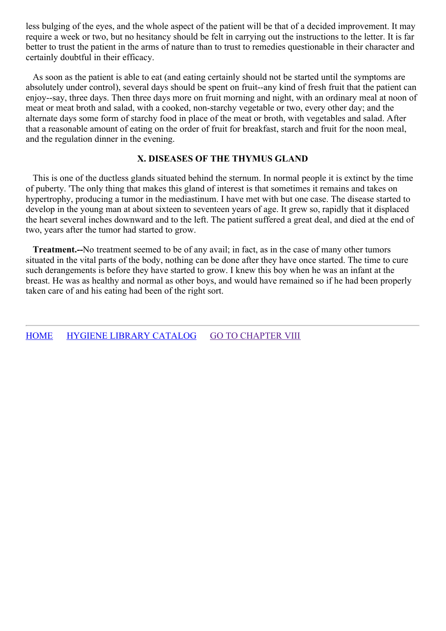less bulging of the eyes, and the whole aspect of the patient will be that of a decided improvement. It may require a week or two, but no hesitancy should be felt in carrying out the instructions to the letter. It is far better to trust the patient in the arms of nature than to trust to remedies questionable in their character and certainly doubtful in their efficacy.

As soon as the patient is able to eat (and eating certainly should not be started until the symptoms are absolutely under control), several days should be spent on fruit--any kind of fresh fruit that the patient can enjoy--say, three days. Then three days more on fruit morning and night, with an ordinary meal at noon of meat or meat broth and salad, with a cooked, non-starchy vegetable or two, every other day; and the alternate days some form of starchy food in place of the meat or broth, with vegetables and salad. After that a reasonable amount of eating on the order of fruit for breakfast, starch and fruit for the noon meal, and the regulation dinner in the evening.

# **X. DISEASES OF THE THYMUS GLAND**

This is one of the ductless glands situated behind the sternum. In normal people it is extinct by the time of puberty. 'The only thing that makes this gland of interest is that sometimes it remains and takes on hypertrophy, producing a tumor in the mediastinum. I have met with but one case. The disease started to develop in the young man at about sixteen to seventeen years of age. It grew so, rapidly that it displaced the heart several inches downward and to the left. The patient suffered a great deal, and died at the end of two, years after the tumor had started to grow.

**Treatment.--**No treatment seemed to be of any avail; in fact, as in the case of many other tumors situated in the vital parts of the body, nothing can be done after they have once started. The time to cure such derangements is before they have started to grow. I knew this boy when he was an infant at the breast. He was as healthy and normal as other boys, and would have remained so if he had been properly taken care of and his eating had been of the right sort.

[HOME](../../../index.html) HYGIENE LIBRARY [CATALOG](../0201hyglibcat.html) GO TO [CHAPTER](#page-108-0) VIII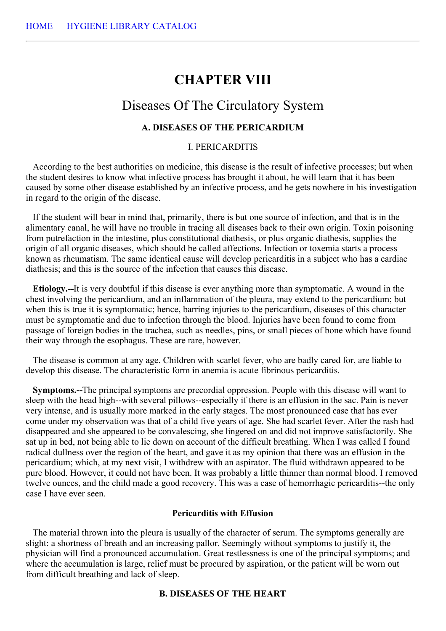# **CHAPTER VIII**

# Diseases Of The Circulatory System

# **A. DISEASES OF THE PERICARDIUM**

### I. PERICARDITIS

According to the best authorities on medicine, this disease is the result of infective processes; but when the student desires to know what infective process has brought it about, he will learn that it has been caused by some other disease established by an infective process, and he gets nowhere in his investigation in regard to the origin of the disease.

If the student will bear in mind that, primarily, there is but one source of infection, and that is in the alimentary canal, he will have no trouble in tracing all diseases back to their own origin. Toxin poisoning from putrefaction in the intestine, plus constitutional diathesis, or plus organic diathesis, supplies the origin of all organic diseases, which should be called affections. Infection or toxemia starts a process known as rheumatism. The same identical cause will develop pericarditis in a subject who has a cardiac diathesis; and this is the source of the infection that causes this disease.

**Etiology.--**It is very doubtful if this disease is ever anything more than symptomatic. A wound in the chest involving the pericardium, and an inflammation of the pleura, may extend to the pericardium; but when this is true it is symptomatic; hence, barring injuries to the pericardium, diseases of this character must be symptomatic and due to infection through the blood. Injuries have been found to come from passage of foreign bodies in the trachea, such as needles, pins, or small pieces of bone which have found their way through the esophagus. These are rare, however.

The disease is common at any age. Children with scarlet fever, who are badly cared for, are liable to develop this disease. The characteristic form in anemia is acute fibrinous pericarditis.

**Symptoms.--**The principal symptoms are precordial oppression. People with this disease will want to sleep with the head high--with several pillows--especially if there is an effusion in the sac. Pain is never very intense, and is usually more marked in the early stages. The most pronounced case that has ever come under my observation was that of a child five years of age. She had scarlet fever. After the rash had disappeared and she appeared to be convalescing, she lingered on and did not improve satisfactorily. She sat up in bed, not being able to lie down on account of the difficult breathing. When I was called I found radical dullness over the region of the heart, and gave it as my opinion that there was an effusion in the pericardium; which, at my next visit, I withdrew with an aspirator. The fluid withdrawn appeared to be pure blood. However, it could not have been. It was probably a little thinner than normal blood. I removed twelve ounces, and the child made a good recovery. This was a case of hemorrhagic pericarditis--the only case I have ever seen.

#### **Pericarditis with Effusion**

The material thrown into the pleura is usually of the character of serum. The symptoms generally are slight: a shortness of breath and an increasing pallor. Seemingly without symptoms to justify it, the physician will find a pronounced accumulation. Great restlessness is one of the principal symptoms; and where the accumulation is large, relief must be procured by aspiration, or the patient will be worn out from difficult breathing and lack of sleep.

#### **B. DISEASES OF THE HEART**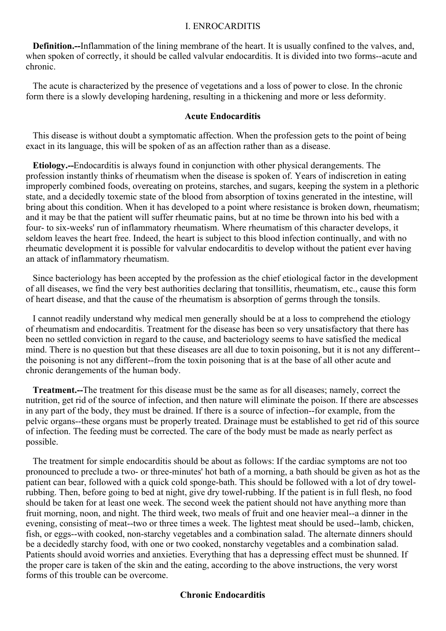#### I. ENROCARDITIS

**Definition.--**Inflammation of the lining membrane of the heart. It is usually confined to the valves, and, when spoken of correctly, it should be called valvular endocarditis. It is divided into two forms--acute and chronic.

The acute is characterized by the presence of vegetations and a loss of power to close. In the chronic form there is a slowly developing hardening, resulting in a thickening and more or less deformity.

#### **Acute Endocarditis**

This disease is without doubt a symptomatic affection. When the profession gets to the point of being exact in its language, this will be spoken of as an affection rather than as a disease.

**Etiology.--**Endocarditis is always found in conjunction with other physical derangements. The profession instantly thinks of rheumatism when the disease is spoken of. Years of indiscretion in eating improperly combined foods, overeating on proteins, starches, and sugars, keeping the system in a plethoric state, and a decidedly toxemic state of the blood from absorption of toxins generated in the intestine, will bring about this condition. When it has developed to a point where resistance is broken down, rheumatism; and it may be that the patient will suffer rheumatic pains, but at no time be thrown into his bed with a four- to six-weeks' run of inflammatory rheumatism. Where rheumatism of this character develops, it seldom leaves the heart free. Indeed, the heart is subject to this blood infection continually, and with no rheumatic development it is possible for valvular endocarditis to develop without the patient ever having an attack of inflammatory rheumatism.

Since bacteriology has been accepted by the profession as the chief etiological factor in the development of all diseases, we find the very best authorities declaring that tonsillitis, rheumatism, etc., cause this form of heart disease, and that the cause of the rheumatism is absorption of germs through the tonsils.

I cannot readily understand why medical men generally should be at a loss to comprehend the etiology of rheumatism and endocarditis. Treatment for the disease has been so very unsatisfactory that there has been no settled conviction in regard to the cause, and bacteriology seems to have satisfied the medical mind. There is no question but that these diseases are all due to toxin poisoning, but it is not any different- the poisoning is not any different--from the toxin poisoning that is at the base of all other acute and chronic derangements of the human body.

**Treatment.--**The treatment for this disease must be the same as for all diseases; namely, correct the nutrition, get rid of the source of infection, and then nature will eliminate the poison. If there are abscesses in any part of the body, they must be drained. If there is a source of infection--for example, from the pelvic organs--these organs must be properly treated. Drainage must be established to get rid of this source of infection. The feeding must be corrected. The care of the body must be made as nearly perfect as possible.

The treatment for simple endocarditis should be about as follows: If the cardiac symptoms are not too pronounced to preclude a two- or three-minutes' hot bath of a morning, a bath should be given as hot as the patient can bear, followed with a quick cold sponge-bath. This should be followed with a lot of dry towelrubbing. Then, before going to bed at night, give dry towel-rubbing. If the patient is in full flesh, no food should be taken for at least one week. The second week the patient should not have anything more than fruit morning, noon, and night. The third week, two meals of fruit and one heavier meal--a dinner in the evening, consisting of meat--two or three times a week. The lightest meat should be used--lamb, chicken, fish, or eggs--with cooked, non-starchy vegetables and a combination salad. The alternate dinners should be a decidedly starchy food, with one or two cooked, nonstarchy vegetables and a combination salad. Patients should avoid worries and anxieties. Everything that has a depressing effect must be shunned. If the proper care is taken of the skin and the eating, according to the above instructions, the very worst forms of this trouble can be overcome.

## **Chronic Endocarditis**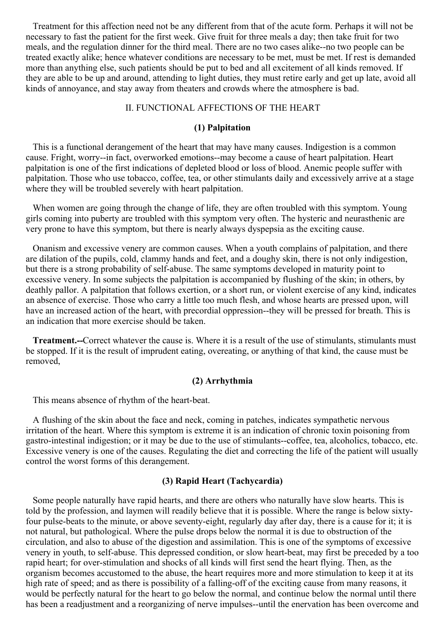Treatment for this affection need not be any different from that of the acute form. Perhaps it will not be necessary to fast the patient for the first week. Give fruit for three meals a day; then take fruit for two meals, and the regulation dinner for the third meal. There are no two cases alike--no two people can be treated exactly alike; hence whatever conditions are necessary to be met, must be met. If rest is demanded more than anything else, such patients should be put to bed and all excitement of all kinds removed. If they are able to be up and around, attending to light duties, they must retire early and get up late, avoid all kinds of annoyance, and stay away from theaters and crowds where the atmosphere is bad.

#### II. FUNCTIONAL AFFECTIONS OF THE HEART

# **(1) Palpitation**

This is a functional derangement of the heart that may have many causes. Indigestion is a common cause. Fright, worry--in fact, overworked emotions--may become a cause of heart palpitation. Heart palpitation is one of the first indications of depleted blood or loss of blood. Anemic people suffer with palpitation. Those who use tobacco, coffee, tea, or other stimulants daily and excessively arrive at a stage where they will be troubled severely with heart palpitation.

When women are going through the change of life, they are often troubled with this symptom. Young girls coming into puberty are troubled with this symptom very often. The hysteric and neurasthenic are very prone to have this symptom, but there is nearly always dyspepsia as the exciting cause.

Onanism and excessive venery are common causes. When a youth complains of palpitation, and there are dilation of the pupils, cold, clammy hands and feet, and a doughy skin, there is not only indigestion, but there is a strong probability of self-abuse. The same symptoms developed in maturity point to excessive venery. In some subjects the palpitation is accompanied by flushing of the skin; in others, by deathly pallor. A palpitation that follows exertion, or a short run, or violent exercise of any kind, indicates an absence of exercise. Those who carry a little too much flesh, and whose hearts are pressed upon, will have an increased action of the heart, with precordial oppression--they will be pressed for breath. This is an indication that more exercise should be taken.

**Treatment.--**Correct whatever the cause is. Where it is a result of the use of stimulants, stimulants must be stopped. If it is the result of imprudent eating, overeating, or anything of that kind, the cause must be removed,

# **(2) Arrhythmia**

This means absence of rhythm of the heart-beat.

A flushing of the skin about the face and neck, coming in patches, indicates sympathetic nervous irritation of the heart. Where this symptom is extreme it is an indication of chronic toxin poisoning from gastro-intestinal indigestion; or it may be due to the use of stimulants--coffee, tea, alcoholics, tobacco, etc. Excessive venery is one of the causes. Regulating the diet and correcting the life of the patient will usually control the worst forms of this derangement.

# **(3) Rapid Heart (Tachycardia)**

Some people naturally have rapid hearts, and there are others who naturally have slow hearts. This is told by the profession, and laymen will readily believe that it is possible. Where the range is below sixtyfour pulse-beats to the minute, or above seventy-eight, regularly day after day, there is a cause for it; it is not natural, but pathological. Where the pulse drops below the normal it is due to obstruction of the circulation, and also to abuse of the digestion and assimilation. This is one of the symptoms of excessive venery in youth, to self-abuse. This depressed condition, or slow heart-beat, may first be preceded by a too rapid heart; for over-stimulation and shocks of all kinds will first send the heart flying. Then, as the organism becomes accustomed to the abuse, the heart requires more and more stimulation to keep it at its high rate of speed; and as there is possibility of a falling-off of the exciting cause from many reasons, it would be perfectly natural for the heart to go below the normal, and continue below the normal until there has been a readjustment and a reorganizing of nerve impulses--until the enervation has been overcome and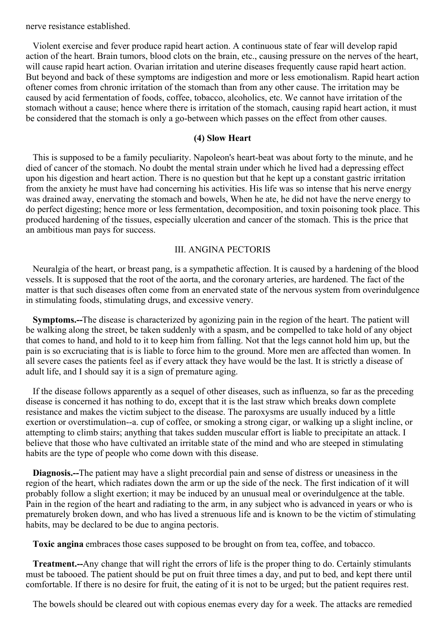nerve resistance established.

Violent exercise and fever produce rapid heart action. A continuous state of fear will develop rapid action of the heart. Brain tumors, blood clots on the brain, etc., causing pressure on the nerves of the heart, will cause rapid heart action. Ovarian irritation and uterine diseases frequently cause rapid heart action. But beyond and back of these symptoms are indigestion and more or less emotionalism. Rapid heart action oftener comes from chronic irritation of the stomach than from any other cause. The irritation may be caused by acid fermentation of foods, coffee, tobacco, alcoholics, etc. We cannot have irritation of the stomach without a cause; hence where there is irritation of the stomach, causing rapid heart action, it must be considered that the stomach is only a go-between which passes on the effect from other causes.

#### **(4) Slow Heart**

This is supposed to be a family peculiarity. Napoleon's heart-beat was about forty to the minute, and he died of cancer of the stomach. No doubt the mental strain under which he lived had a depressing effect upon his digestion and heart action. There is no question but that he kept up a constant gastric irritation from the anxiety he must have had concerning his activities. His life was so intense that his nerve energy was drained away, enervating the stomach and bowels, When he ate, he did not have the nerve energy to do perfect digesting; hence more or less fermentation, decomposition, and toxin poisoning took place. This produced hardening of the tissues, especially ulceration and cancer of the stomach. This is the price that an ambitious man pays for success.

# III. ANGINA PECTORIS

Neuralgia of the heart, or breast pang, is a sympathetic affection. It is caused by a hardening of the blood vessels. It is supposed that the root of the aorta, and the coronary arteries, are hardened. The fact of the matter is that such diseases often come from an enervated state of the nervous system from overindulgence in stimulating foods, stimulating drugs, and excessive venery.

**Symptoms.--**The disease is characterized by agonizing pain in the region of the heart. The patient will be walking along the street, be taken suddenly with a spasm, and be compelled to take hold of any object that comes to hand, and hold to it to keep him from falling. Not that the legs cannot hold him up, but the pain is so excruciating that is is liable to force him to the ground. More men are affected than women. In all severe cases the patients feel as if every attack they have would be the last. It is strictly a disease of adult life, and I should say it is a sign of premature aging.

If the disease follows apparently as a sequel of other diseases, such as influenza, so far as the preceding disease is concerned it has nothing to do, except that it is the last straw which breaks down complete resistance and makes the victim subject to the disease. The paroxysms are usually induced by a little exertion or overstimulation--a. cup of coffee, or smoking a strong cigar, or walking up a slight incline, or attempting to climb stairs; anything that takes sudden muscular effort is liable to precipitate an attack. I believe that those who have cultivated an irritable state of the mind and who are steeped in stimulating habits are the type of people who come down with this disease.

**Diagnosis.--**The patient may have a slight precordial pain and sense of distress or uneasiness in the region of the heart, which radiates down the arm or up the side of the neck. The first indication of it will probably follow a slight exertion; it may be induced by an unusual meal or overindulgence at the table. Pain in the region of the heart and radiating to the arm, in any subject who is advanced in years or who is prematurely broken down, and who has lived a strenuous life and is known to be the victim of stimulating habits, may be declared to be due to angina pectoris.

**Toxic angina** embraces those cases supposed to be brought on from tea, coffee, and tobacco.

**Treatment.--**Any change that will right the errors of life is the proper thing to do. Certainly stimulants must be tabooed. The patient should be put on fruit three times a day, and put to bed, and kept there until comfortable. If there is no desire for fruit, the eating of it is not to be urged; but the patient requires rest.

The bowels should be cleared out with copious enemas every day for a week. The attacks are remedied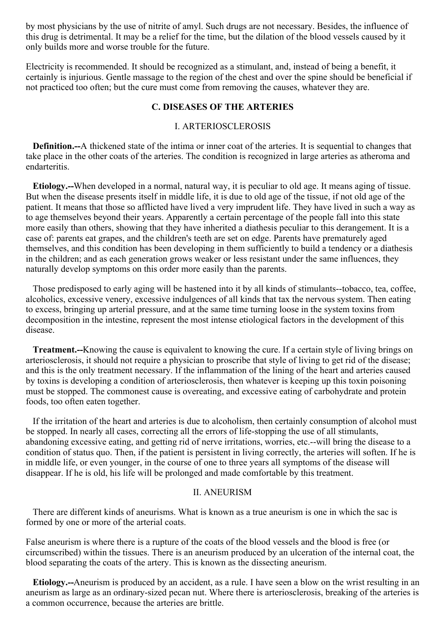by most physicians by the use of nitrite of amyl. Such drugs are not necessary. Besides, the influence of this drug is detrimental. It may be a relief for the time, but the dilation of the blood vessels caused by it only builds more and worse trouble for the future.

Electricity is recommended. It should be recognized as a stimulant, and, instead of being a benefit, it certainly is injurious. Gentle massage to the region of the chest and over the spine should be beneficial if not practiced too often; but the cure must come from removing the causes, whatever they are.

#### **C. DISEASES OF THE ARTERIES**

#### I. ARTERIOSCLEROSIS

**Definition.--**A thickened state of the intima or inner coat of the arteries. It is sequential to changes that take place in the other coats of the arteries. The condition is recognized in large arteries as atheroma and endarteritis.

**Etiology.--**When developed in a normal, natural way, it is peculiar to old age. It means aging of tissue. But when the disease presents itself in middle life, it is due to old age of the tissue, if not old age of the patient. It means that those so afflicted have lived a very imprudent life. They have lived in such a way as to age themselves beyond their years. Apparently a certain percentage of the people fall into this state more easily than others, showing that they have inherited a diathesis peculiar to this derangement. It is a case of: parents eat grapes, and the children's teeth are set on edge. Parents have prematurely aged themselves, and this condition has been developing in them sufficiently to build a tendency or a diathesis in the children; and as each generation grows weaker or less resistant under the same influences, they naturally develop symptoms on this order more easily than the parents.

Those predisposed to early aging will be hastened into it by all kinds of stimulants--tobacco, tea, coffee, alcoholics, excessive venery, excessive indulgences of all kinds that tax the nervous system. Then eating to excess, bringing up arterial pressure, and at the same time turning loose in the system toxins from decomposition in the intestine, represent the most intense etiological factors in the development of this disease.

**Treatment.--**Knowing the cause is equivalent to knowing the cure. If a certain style of living brings on arteriosclerosis, it should not require a physician to proscribe that style of living to get rid of the disease; and this is the only treatment necessary. If the inflammation of the lining of the heart and arteries caused by toxins is developing a condition of arteriosclerosis, then whatever is keeping up this toxin poisoning must be stopped. The commonest cause is overeating, and excessive eating of carbohydrate and protein foods, too often eaten together.

If the irritation of the heart and arteries is due to alcoholism, then certainly consumption of alcohol must be stopped. In nearly all cases, correcting all the errors of life-stopping the use of all stimulants, abandoning excessive eating, and getting rid of nerve irritations, worries, etc.--will bring the disease to a condition of status quo. Then, if the patient is persistent in living correctly, the arteries will soften. If he is in middle life, or even younger, in the course of one to three years all symptoms of the disease will disappear. If he is old, his life will be prolonged and made comfortable by this treatment.

#### II. ANEURISM

There are different kinds of aneurisms. What is known as a true aneurism is one in which the sac is formed by one or more of the arterial coats.

False aneurism is where there is a rupture of the coats of the blood vessels and the blood is free (or circumscribed) within the tissues. There is an aneurism produced by an ulceration of the internal coat, the blood separating the coats of the artery. This is known as the dissecting aneurism.

**Etiology.--**Aneurism is produced by an accident, as a rule. I have seen a blow on the wrist resulting in an aneurism as large as an ordinary-sized pecan nut. Where there is arteriosclerosis, breaking of the arteries is a common occurrence, because the arteries are brittle.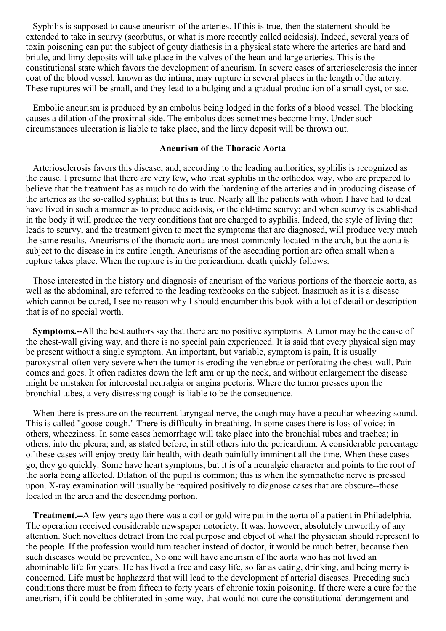Syphilis is supposed to cause aneurism of the arteries. If this is true, then the statement should be extended to take in scurvy (scorbutus, or what is more recently called acidosis). Indeed, several years of toxin poisoning can put the subject of gouty diathesis in a physical state where the arteries are hard and brittle, and limy deposits will take place in the valves of the heart and large arteries. This is the constitutional state which favors the development of aneurism. In severe cases of arteriosclerosis the inner coat of the blood vessel, known as the intima, may rupture in several places in the length of the artery. These ruptures will be small, and they lead to a bulging and a gradual production of a small cyst, or sac.

Embolic aneurism is produced by an embolus being lodged in the forks of a blood vessel. The blocking causes a dilation of the proximal side. The embolus does sometimes become limy. Under such circumstances ulceration is liable to take place, and the limy deposit will be thrown out.

#### **Aneurism of the Thoracic Aorta**

Arteriosclerosis favors this disease, and, according to the leading authorities, syphilis is recognized as the cause. I presume that there are very few, who treat syphilis in the orthodox way, who are prepared to believe that the treatment has as much to do with the hardening of the arteries and in producing disease of the arteries as the so-called syphilis; but this is true. Nearly all the patients with whom I have had to deal have lived in such a manner as to produce acidosis, or the old-time scurvy; and when scurvy is established in the body it will produce the very conditions that are charged to syphilis. Indeed, the style of living that leads to scurvy, and the treatment given to meet the symptoms that are diagnosed, will produce very much the same results. Aneurisms of the thoracic aorta are most commonly located in the arch, but the aorta is subject to the disease in its entire length. Aneurisms of the ascending portion are often small when a rupture takes place. When the rupture is in the pericardium, death quickly follows.

Those interested in the history and diagnosis of aneurism of the various portions of the thoracic aorta, as well as the abdominal, are referred to the leading textbooks on the subject. Inasmuch as it is a disease which cannot be cured, I see no reason why I should encumber this book with a lot of detail or description that is of no special worth.

**Symptoms.--**All the best authors say that there are no positive symptoms. A tumor may be the cause of the chest-wall giving way, and there is no special pain experienced. It is said that every physical sign may be present without a single symptom. An important, but variable, symptom is pain, It is usually paroxysmal-often very severe when the tumor is eroding the vertebrae or perforating the chest-wall. Pain comes and goes. It often radiates down the left arm or up the neck, and without enlargement the disease might be mistaken for intercostal neuralgia or angina pectoris. Where the tumor presses upon the bronchial tubes, a very distressing cough is liable to be the consequence.

When there is pressure on the recurrent laryngeal nerve, the cough may have a peculiar wheezing sound. This is called "goose-cough." There is difficulty in breathing. In some cases there is loss of voice; in others, wheeziness. In some cases hemorrhage will take place into the bronchial tubes and trachea; in others, into the pleura; and, as stated before, in still others into the pericardium. A considerable percentage of these cases will enjoy pretty fair health, with death painfully imminent all the time. When these cases go, they go quickly. Some have heart symptoms, but it is of a neuralgic character and points to the root of the aorta being affected. Dilation of the pupil is common; this is when the sympathetic nerve is pressed upon. X-ray examination will usually be required positively to diagnose cases that are obscure--those located in the arch and the descending portion.

**Treatment.--**A few years ago there was a coil or gold wire put in the aorta of a patient in Philadelphia. The operation received considerable newspaper notoriety. It was, however, absolutely unworthy of any attention. Such novelties detract from the real purpose and object of what the physician should represent to the people. If the profession would turn teacher instead of doctor, it would be much better, because then such diseases would be prevented, No one will have aneurism of the aorta who has not lived an abominable life for years. He has lived a free and easy life, so far as eating, drinking, and being merry is concerned. Life must be haphazard that will lead to the development of arterial diseases. Preceding such conditions there must be from fifteen to forty years of chronic toxin poisoning. If there were a cure for the aneurism, if it could be obliterated in some way, that would not cure the constitutional derangement and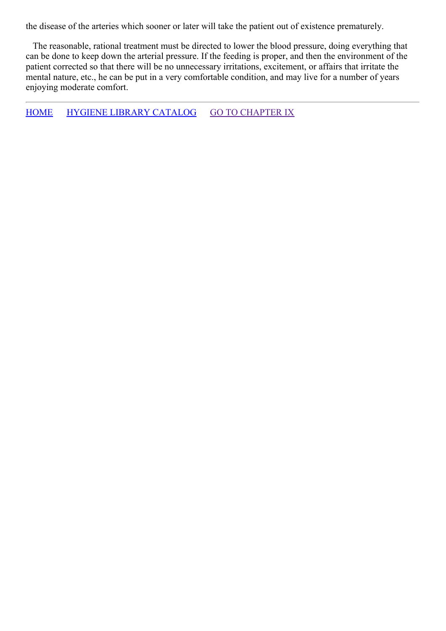the disease of the arteries which sooner or later will take the patient out of existence prematurely.

The reasonable, rational treatment must be directed to lower the blood pressure, doing everything that can be done to keep down the arterial pressure. If the feeding is proper, and then the environment of the patient corrected so that there will be no unnecessary irritations, excitement, or affairs that irritate the mental nature, etc., he can be put in a very comfortable condition, and may live for a number of years enjoying moderate comfort.

[HOME](../../../index.html) HYGIENE LIBRARY [CATALOG](../0201hyglibcat.html) GO TO [CHAPTER](#page-123-0) IX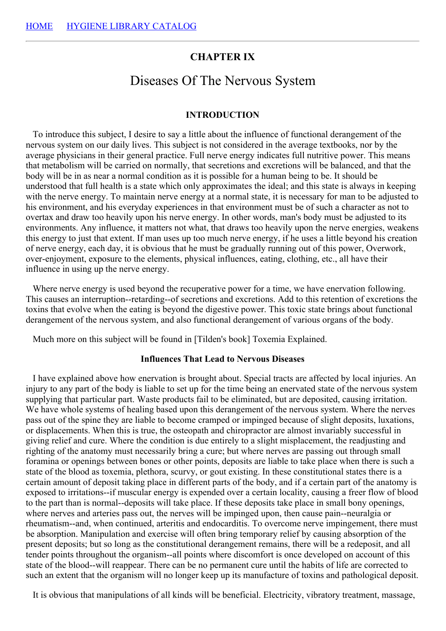# **CHAPTER IX**

# Diseases Of The Nervous System

#### **INTRODUCTION**

To introduce this subject, I desire to say a little about the influence of functional derangement of the nervous system on our daily lives. This subject is not considered in the average textbooks, nor by the average physicians in their general practice. Full nerve energy indicates full nutritive power. This means that metabolism will be carried on normally, that secretions and excretions will be balanced, and that the body will be in as near a normal condition as it is possible for a human being to be. It should be understood that full health is a state which only approximates the ideal; and this state is always in keeping with the nerve energy. To maintain nerve energy at a normal state, it is necessary for man to be adjusted to his environment, and his everyday experiences in that environment must be of such a character as not to overtax and draw too heavily upon his nerve energy. In other words, man's body must be adjusted to its environments. Any influence, it matters not what, that draws too heavily upon the nerve energies, weakens this energy to just that extent. If man uses up too much nerve energy, if he uses a little beyond his creation of nerve energy, each day, it is obvious that he must be gradually running out of this power, Overwork, over-enjoyment, exposure to the elements, physical influences, eating, clothing, etc., all have their influence in using up the nerve energy.

Where nerve energy is used beyond the recuperative power for a time, we have enervation following. This causes an interruption--retarding--of secretions and excretions. Add to this retention of excretions the toxins that evolve when the eating is beyond the digestive power. This toxic state brings about functional derangement of the nervous system, and also functional derangement of various organs of the body.

Much more on this subject will be found in [Tilden's book] Toxemia Explained.

#### **Influences That Lead to Nervous Diseases**

I have explained above how enervation is brought about. Special tracts are affected by local injuries. An injury to any part of the body is liable to set up for the time being an enervated state of the nervous system supplying that particular part. Waste products fail to be eliminated, but are deposited, causing irritation. We have whole systems of healing based upon this derangement of the nervous system. Where the nerves pass out of the spine they are liable to become cramped or impinged because of slight deposits, luxations, or displacements. When this is true, the osteopath and chiropractor are almost invariably successful in giving relief and cure. Where the condition is due entirely to a slight misplacement, the readjusting and righting of the anatomy must necessarily bring a cure; but where nerves are passing out through small foramina or openings between bones or other points, deposits are liable to take place when there is such a state of the blood as toxemia, plethora, scurvy, or gout existing. In these constitutional states there is a certain amount of deposit taking place in different parts of the body, and if a certain part of the anatomy is exposed to irritations--if muscular energy is expended over a certain locality, causing a freer flow of blood to the part than is normal--deposits will take place. If these deposits take place in small bony openings, where nerves and arteries pass out, the nerves will be impinged upon, then cause pain--neuralgia or rheumatism--and, when continued, arteritis and endocarditis. To overcome nerve impingement, there must be absorption. Manipulation and exercise will often bring temporary relief by causing absorption of the present deposits; but so long as the constitutional derangement remains, there will be a redeposit, and all tender points throughout the organism--all points where discomfort is once developed on account of this state of the blood--will reappear. There can be no permanent cure until the habits of life are corrected to such an extent that the organism will no longer keep up its manufacture of toxins and pathological deposit.

It is obvious that manipulations of all kinds will be beneficial. Electricity, vibratory treatment, massage,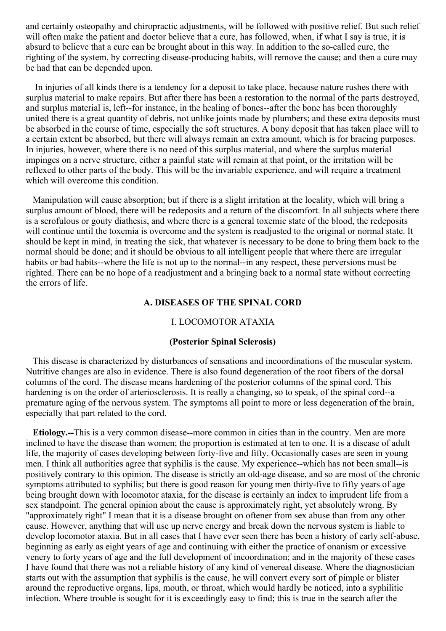and certainly osteopathy and chiropractic adjustments, will be followed with positive relief. But such relief will often make the patient and doctor believe that a cure, has followed, when, if what I say is true, it is absurd to believe that a cure can be brought about in this way. In addition to the so-called cure, the righting of the system, by correcting disease-producing habits, will remove the cause; and then a cure may be had that can be depended upon.

In injuries of all kinds there is a tendency for a deposit to take place, because nature rushes there with surplus material to make repairs. But after there has been a restoration to the normal of the parts destroyed, and surplus material is, left--for instance, in the healing of bones--after the bone has been thoroughly united there is a great quantity of debris, not unlike joints made by plumbers; and these extra deposits must be absorbed in the course of time, especially the soft structures. A bony deposit that has taken place will to a certain extent be absorbed, but there will always remain an extra amount, which is for bracing purposes. In injuries, however, where there is no need of this surplus material, and where the surplus material impinges on a nerve structure, either a painful state will remain at that point, or the irritation will be reflexed to other parts of the body. This will be the invariable experience, and will require a treatment which will overcome this condition.

Manipulation will cause absorption; but if there is a slight irritation at the locality, which will bring a surplus amount of blood, there will be redeposits and a return of the discomfort. In all subjects where there is a scrofulous or gouty diathesis, and where there is a general toxemic state of the blood, the redeposits will continue until the toxemia is overcome and the system is readjusted to the original or normal state. It should be kept in mind, in treating the sick, that whatever is necessary to be done to bring them back to the normal should be done; and it should be obvious to all intelligent people that where there are irregular habits or bad habits--where the life is not up to the normal--in any respect, these perversions must be righted. There can be no hope of a readjustment and a bringing back to a normal state without correcting the errors of life.

## **A. DISEASES OF THE SPINAL CORD**

#### I. LOCOMOTOR ATAXIA

# **(Posterior Spinal Sclerosis)**

This disease is characterized by disturbances of sensations and incoordinations of the muscular system. Nutritive changes are also in evidence. There is also found degeneration of the root fibers of the dorsal columns of the cord. The disease means hardening of the posterior columns of the spinal cord. This hardening is on the order of arteriosclerosis. It is really a changing, so to speak, of the spinal cord--a premature aging of the nervous system. The symptoms all point to more or less degeneration of the brain, especially that part related to the cord.

**Etiology.--**This is a very common disease--more common in cities than in the country. Men are more inclined to have the disease than women; the proportion is estimated at ten to one. It is a disease of adult life, the majority of cases developing between forty-five and fifty. Occasionally cases are seen in young men. I think all authorities agree that syphilis is the cause. My experience--which has not been small--is positively contrary to this opinion. The disease is strictly an old-age disease, and so are most of the chronic symptoms attributed to syphilis; but there is good reason for young men thirty-five to fifty years of age being brought down with locomotor ataxia, for the disease is certainly an index to imprudent life from a sex standpoint. The general opinion about the cause is approximately right, yet absolutely wrong. By "approximately right" I mean that it is a disease brought on oftener from sex abuse than from any other cause. However, anything that will use up nerve energy and break down the nervous system is liable to develop locomotor ataxia. But in all cases that I have ever seen there has been a history of early self-abuse, beginning as early as eight years of age and continuing with either the practice of onanism or excessive venery to forty years of age and the full development of incoordination; and in the majority of these cases I have found that there was not a reliable history of any kind of venereal disease. Where the diagnostician starts out with the assumption that syphilis is the cause, he will convert every sort of pimple or blister around the reproductive organs, lips, mouth, or throat, which would hardly be noticed, into a syphilitic infection. Where trouble is sought for it is exceedingly easy to find; this is true in the search after the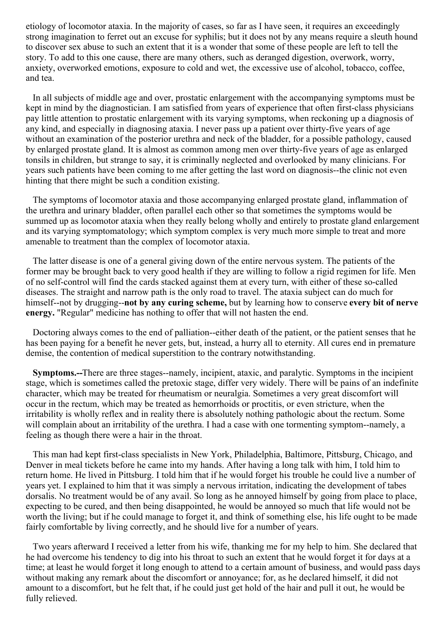etiology of locomotor ataxia. In the majority of cases, so far as I have seen, it requires an exceedingly strong imagination to ferret out an excuse for syphilis; but it does not by any means require a sleuth hound to discover sex abuse to such an extent that it is a wonder that some of these people are left to tell the story. To add to this one cause, there are many others, such as deranged digestion, overwork, worry, anxiety, overworked emotions, exposure to cold and wet, the excessive use of alcohol, tobacco, coffee, and tea.

In all subjects of middle age and over, prostatic enlargement with the accompanying symptoms must be kept in mind by the diagnostician. I am satisfied from years of experience that often first-class physicians pay little attention to prostatic enlargement with its varying symptoms, when reckoning up a diagnosis of any kind, and especially in diagnosing ataxia. I never pass up a patient over thirty-five years of age without an examination of the posterior urethra and neck of the bladder, for a possible pathology, caused by enlarged prostate gland. It is almost as common among men over thirty-five years of age as enlarged tonsils in children, but strange to say, it is criminally neglected and overlooked by many clinicians. For years such patients have been coming to me after getting the last word on diagnosis--the clinic not even hinting that there might be such a condition existing.

The symptoms of locomotor ataxia and those accompanying enlarged prostate gland, inflammation of the urethra and urinary bladder, often parallel each other so that sometimes the symptoms would be summed up as locomotor ataxia when they really belong wholly and entirely to prostate gland enlargement and its varying symptomatology; which symptom complex is very much more simple to treat and more amenable to treatment than the complex of locomotor ataxia.

The latter disease is one of a general giving down of the entire nervous system. The patients of the former may be brought back to very good health if they are willing to follow a rigid regimen for life. Men of no self-control will find the cards stacked against them at every turn, with either of these so-called diseases. The straight and narrow path is the only road to travel. The ataxia subject can do much for himself--not by drugging--**not by any curing scheme,** but by learning how to conserve **every bit of nerve energy.** "Regular" medicine has nothing to offer that will not hasten the end.

Doctoring always comes to the end of palliation--either death of the patient, or the patient senses that he has been paying for a benefit he never gets, but, instead, a hurry all to eternity. All cures end in premature demise, the contention of medical superstition to the contrary notwithstanding.

**Symptoms.--**There are three stages--namely, incipient, ataxic, and paralytic. Symptoms in the incipient stage, which is sometimes called the pretoxic stage, differ very widely. There will be pains of an indefinite character, which may be treated for rheumatism or neuralgia. Sometimes a very great discomfort will occur in the rectum, which may be treated as hemorrhoids or proctitis, or even stricture, when the irritability is wholly reflex and in reality there is absolutely nothing pathologic about the rectum. Some will complain about an irritability of the urethra. I had a case with one tormenting symptom--namely, a feeling as though there were a hair in the throat.

This man had kept first-class specialists in New York, Philadelphia, Baltimore, Pittsburg, Chicago, and Denver in meal tickets before he came into my hands. After having a long talk with him, I told him to return home. He lived in Pittsburg. I told him that if he would forget his trouble he could live a number of years yet. I explained to him that it was simply a nervous irritation, indicating the development of tabes dorsalis. No treatment would be of any avail. So long as he annoyed himself by going from place to place, expecting to be cured, and then being disappointed, he would be annoyed so much that life would not be worth the living; but if he could manage to forget it, and think of something else, his life ought to be made fairly comfortable by living correctly, and he should live for a number of years.

Two years afterward I received a letter from his wife, thanking me for my help to him. She declared that he had overcome his tendency to dig into his throat to such an extent that he would forget it for days at a time; at least he would forget it long enough to attend to a certain amount of business, and would pass days without making any remark about the discomfort or annoyance; for, as he declared himself, it did not amount to a discomfort, but he felt that, if he could just get hold of the hair and pull it out, he would be fully relieved.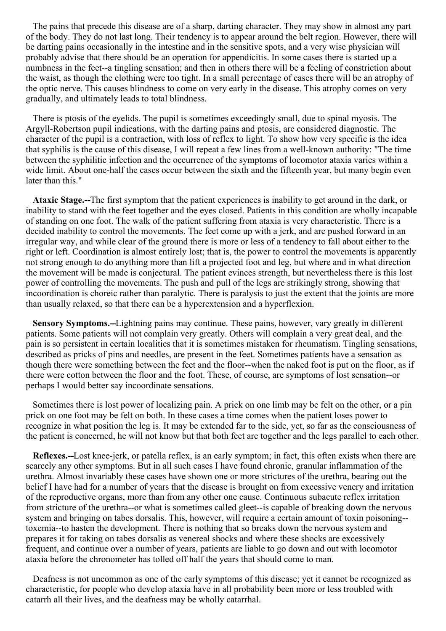The pains that precede this disease are of a sharp, darting character. They may show in almost any part of the body. They do not last long. Their tendency is to appear around the belt region. However, there will be darting pains occasionally in the intestine and in the sensitive spots, and a very wise physician will probably advise that there should be an operation for appendicitis. In some cases there is started up a numbness in the feet--a tingling sensation; and then in others there will be a feeling of constriction about the waist, as though the clothing were too tight. In a small percentage of cases there will be an atrophy of the optic nerve. This causes blindness to come on very early in the disease. This atrophy comes on very gradually, and ultimately leads to total blindness.

There is ptosis of the eyelids. The pupil is sometimes exceedingly small, due to spinal myosis. The Argyll-Robertson pupil indications, with the darting pains and ptosis, are considered diagnostic. The character of the pupil is a contraction, with loss of reflex to light. To show how very specific is the idea that syphilis is the cause of this disease, I will repeat a few lines from a well-known authority: "The time between the syphilitic infection and the occurrence of the symptoms of locomotor ataxia varies within a wide limit. About one-half the cases occur between the sixth and the fifteenth year, but many begin even later than this."

**Ataxic Stage.--**The first symptom that the patient experiences is inability to get around in the dark, or inability to stand with the feet together and the eyes closed. Patients in this condition are wholly incapable of standing on one foot. The walk of the patient suffering from ataxia is very characteristic. There is a decided inability to control the movements. The feet come up with a jerk, and are pushed forward in an irregular way, and while clear of the ground there is more or less of a tendency to fall about either to the right or left. Coordination is almost entirely lost; that is, the power to control the movements is apparently not strong enough to do anything more than lift a projected foot and leg, but where and in what direction the movement will be made is conjectural. The patient evinces strength, but nevertheless there is this lost power of controlling the movements. The push and pull of the legs are strikingly strong, showing that incoordination is choreic rather than paralytic. There is paralysis to just the extent that the joints are more than usually relaxed, so that there can be a hyperextension and a hyperflexion.

**Sensory Symptoms.--**Lightning pains may continue. These pains, however, vary greatly in different patients. Some patients will not complain very greatly. Others will complain a very great deal, and the pain is so persistent in certain localities that it is sometimes mistaken for rheumatism. Tingling sensations, described as pricks of pins and needles, are present in the feet. Sometimes patients have a sensation as though there were something between the feet and the floor--when the naked foot is put on the floor, as if there were cotton between the floor and the foot. These, of course, are symptoms of lost sensation--or perhaps I would better say incoordinate sensations.

Sometimes there is lost power of localizing pain. A prick on one limb may be felt on the other, or a pin prick on one foot may be felt on both. In these cases a time comes when the patient loses power to recognize in what position the leg is. It may be extended far to the side, yet, so far as the consciousness of the patient is concerned, he will not know but that both feet are together and the legs parallel to each other.

**Reflexes.--**Lost knee-jerk, or patella reflex, is an early symptom; in fact, this often exists when there are scarcely any other symptoms. But in all such cases I have found chronic, granular inflammation of the urethra. Almost invariably these cases have shown one or more strictures of the urethra, bearing out the belief I have had for a number of years that the disease is brought on from excessive venery and irritation of the reproductive organs, more than from any other one cause. Continuous subacute reflex irritation from stricture of the urethra--or what is sometimes called gleet--is capable of breaking down the nervous system and bringing on tabes dorsalis. This, however, will require a certain amount of toxin poisoning- toxemia--to hasten the development. There is nothing that so breaks down the nervous system and prepares it for taking on tabes dorsalis as venereal shocks and where these shocks are excessively frequent, and continue over a number of years, patients are liable to go down and out with locomotor ataxia before the chronometer has tolled off half the years that should come to man.

Deafness is not uncommon as one of the early symptoms of this disease; yet it cannot be recognized as characteristic, for people who develop ataxia have in all probability been more or less troubled with catarrh all their lives, and the deafness may be wholly catarrhal.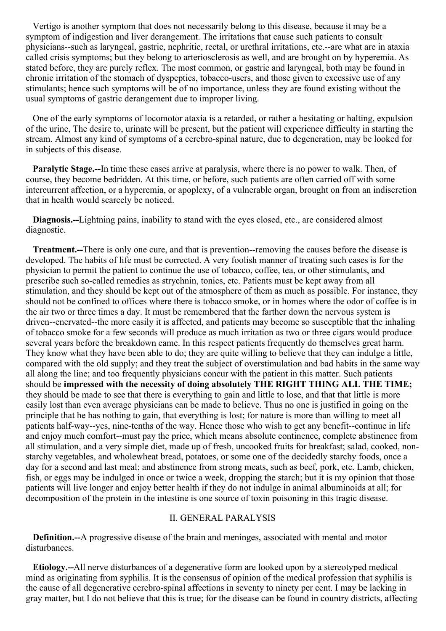Vertigo is another symptom that does not necessarily belong to this disease, because it may be a symptom of indigestion and liver derangement. The irritations that cause such patients to consult physicians--such as laryngeal, gastric, nephritic, rectal, or urethral irritations, etc.--are what are in ataxia called crisis symptoms; but they belong to arteriosclerosis as well, and are brought on by hyperemia. As stated before, they are purely reflex. The most common, or gastric and laryngeal, both may be found in chronic irritation of the stomach of dyspeptics, tobacco-users, and those given to excessive use of any stimulants; hence such symptoms will be of no importance, unless they are found existing without the usual symptoms of gastric derangement due to improper living.

One of the early symptoms of locomotor ataxia is a retarded, or rather a hesitating or halting, expulsion of the urine, The desire to, urinate will be present, but the patient will experience difficulty in starting the stream. Almost any kind of symptoms of a cerebro-spinal nature, due to degeneration, may be looked for in subjects of this disease.

**Paralytic Stage.--**In time these cases arrive at paralysis, where there is no power to walk. Then, of course, they become bedridden. At this time, or before, such patients are often carried off with some intercurrent affection, or a hyperemia, or apoplexy, of a vulnerable organ, brought on from an indiscretion that in health would scarcely be noticed.

**Diagnosis.--**Lightning pains, inability to stand with the eyes closed, etc., are considered almost diagnostic.

**Treatment.--**There is only one cure, and that is prevention--removing the causes before the disease is developed. The habits of life must be corrected. A very foolish manner of treating such cases is for the physician to permit the patient to continue the use of tobacco, coffee, tea, or other stimulants, and prescribe such so-called remedies as strychnin, tonics, etc. Patients must be kept away from all stimulation, and they should be kept out of the atmosphere of them as much as possible. For instance, they should not be confined to offices where there is tobacco smoke, or in homes where the odor of coffee is in the air two or three times a day. It must be remembered that the farther down the nervous system is driven--enervated--the more easily it is affected, and patients may become so susceptible that the inhaling of tobacco smoke for a few seconds will produce as much irritation as two or three cigars would produce several years before the breakdown came. In this respect patients frequently do themselves great harm. They know what they have been able to do; they are quite willing to believe that they can indulge a little, compared with the old supply; and they treat the subject of overstimulation and bad habits in the same way all along the line; and too frequently physicians concur with the patient in this matter. Such patients should be **impressed with the necessity of doing absolutely THE RIGHT THING ALL THE TIME;** they should be made to see that there is everything to gain and little to lose, and that that little is more easily lost than even average physicians can be made to believe. Thus no one is justified in going on the principle that he has nothing to gain, that everything is lost; for nature is more than willing to meet all patients half-way--yes, nine-tenths of the way. Hence those who wish to get any benefit--continue in life and enjoy much comfort--must pay the price, which means absolute continence, complete abstinence from all stimulation, and a very simple diet, made up of fresh, uncooked fruits for breakfast; salad, cooked, nonstarchy vegetables, and wholewheat bread, potatoes, or some one of the decidedly starchy foods, once a day for a second and last meal; and abstinence from strong meats, such as beef, pork, etc. Lamb, chicken, fish, or eggs may be indulged in once or twice a week, dropping the starch; but it is my opinion that those patients will live longer and enjoy better health if they do not indulge in animal albuminoids at all; for decomposition of the protein in the intestine is one source of toxin poisoning in this tragic disease.

#### II. GENERAL PARALYSIS

**Definition.--**A progressive disease of the brain and meninges, associated with mental and motor disturbances.

**Etiology.--**All nerve disturbances of a degenerative form are looked upon by a stereotyped medical mind as originating from syphilis. It is the consensus of opinion of the medical profession that syphilis is the cause of all degenerative cerebro-spinal affections in seventy to ninety per cent. I may be lacking in gray matter, but I do not believe that this is true; for the disease can be found in country districts, affecting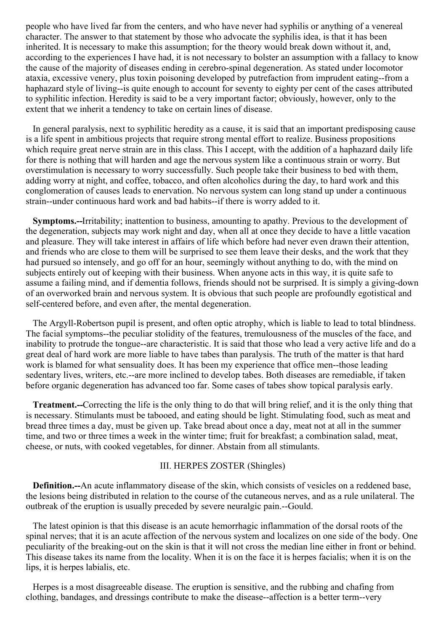people who have lived far from the centers, and who have never had syphilis or anything of a venereal character. The answer to that statement by those who advocate the syphilis idea, is that it has been inherited. It is necessary to make this assumption; for the theory would break down without it, and, according to the experiences I have had, it is not necessary to bolster an assumption with a fallacy to know the cause of the majority of diseases ending in cerebro-spinal degeneration. As stated under locomotor ataxia, excessive venery, plus toxin poisoning developed by putrefaction from imprudent eating--from a haphazard style of living--is quite enough to account for seventy to eighty per cent of the cases attributed to syphilitic infection. Heredity is said to be a very important factor; obviously, however, only to the extent that we inherit a tendency to take on certain lines of disease.

In general paralysis, next to syphilitic heredity as a cause, it is said that an important predisposing cause is a life spent in ambitious projects that require strong mental effort to realize. Business propositions which require great nerve strain are in this class. This I accept, with the addition of a haphazard daily life for there is nothing that will harden and age the nervous system like a continuous strain or worry. But overstimulation is necessary to worry successfully. Such people take their business to bed with them, adding worry at night, and coffee, tobacco, and often alcoholics during the day, to hard work and this conglomeration of causes leads to enervation. No nervous system can long stand up under a continuous strain--under continuous hard work and bad habits--if there is worry added to it.

**Symptoms.--**Irritability; inattention to business, amounting to apathy. Previous to the development of the degeneration, subjects may work night and day, when all at once they decide to have a little vacation and pleasure. They will take interest in affairs of life which before had never even drawn their attention, and friends who are close to them will be surprised to see them leave their desks, and the work that they had pursued so intensely, and go off for an hour, seemingly without anything to do, with the mind on subjects entirely out of keeping with their business. When anyone acts in this way, it is quite safe to assume a failing mind, and if dementia follows, friends should not be surprised. It is simply a giving-down of an overworked brain and nervous system. It is obvious that such people are profoundly egotistical and self-centered before, and even after, the mental degeneration.

The Argyll-Robertson pupil is present, and often optic atrophy, which is liable to lead to total blindness. The facial symptoms--the peculiar stolidity of the features, tremulousness of the muscles of the face, and inability to protrude the tongue--are characteristic. It is said that those who lead a very active life and do a great deal of hard work are more liable to have tabes than paralysis. The truth of the matter is that hard work is blamed for what sensuality does. It has been my experience that office men--those leading sedentary lives, writers, etc.--are more inclined to develop tabes. Both diseases are remediable, if taken before organic degeneration has advanced too far. Some cases of tabes show topical paralysis early.

**Treatment.--**Correcting the life is the only thing to do that will bring relief, and it is the only thing that is necessary. Stimulants must be tabooed, and eating should be light. Stimulating food, such as meat and bread three times a day, must be given up. Take bread about once a day, meat not at all in the summer time, and two or three times a week in the winter time; fruit for breakfast; a combination salad, meat, cheese, or nuts, with cooked vegetables, for dinner. Abstain from all stimulants.

# III. HERPES ZOSTER (Shingles)

**Definition.--**An acute inflammatory disease of the skin, which consists of vesicles on a reddened base, the lesions being distributed in relation to the course of the cutaneous nerves, and as a rule unilateral. The outbreak of the eruption is usually preceded by severe neuralgic pain.--Gould.

The latest opinion is that this disease is an acute hemorrhagic inflammation of the dorsal roots of the spinal nerves; that it is an acute affection of the nervous system and localizes on one side of the body. One peculiarity of the breaking-out on the skin is that it will not cross the median line either in front or behind. This disease takes its name from the locality. When it is on the face it is herpes facialis; when it is on the lips, it is herpes labialis, etc.

Herpes is a most disagreeable disease. The eruption is sensitive, and the rubbing and chafing from clothing, bandages, and dressings contribute to make the disease--affection is a better term--very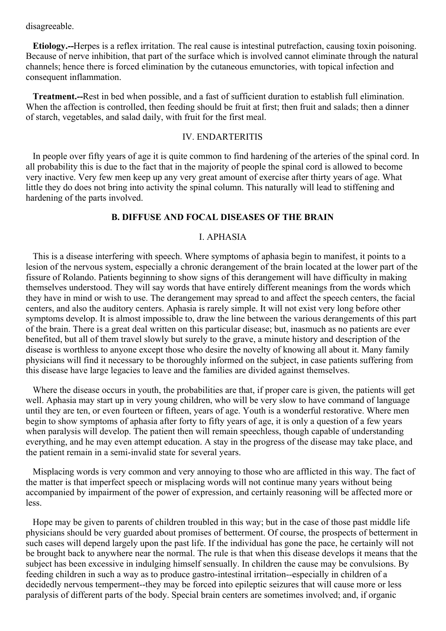disagreeable.

**Etiology.--**Herpes is a reflex irritation. The real cause is intestinal putrefaction, causing toxin poisoning. Because of nerve inhibition, that part of the surface which is involved cannot eliminate through the natural channels; hence there is forced elimination by the cutaneous emunctories, with topical infection and consequent inflammation.

**Treatment.--**Rest in bed when possible, and a fast of sufficient duration to establish full elimination. When the affection is controlled, then feeding should be fruit at first; then fruit and salads; then a dinner of starch, vegetables, and salad daily, with fruit for the first meal.

#### IV. ENDARTERITIS

In people over fifty years of age it is quite common to find hardening of the arteries of the spinal cord. In all probability this is due to the fact that in the majority of people the spinal cord is allowed to become very inactive. Very few men keep up any very great amount of exercise after thirty years of age. What little they do does not bring into activity the spinal column. This naturally will lead to stiffening and hardening of the parts involved.

#### **B. DIFFUSE AND FOCAL DISEASES OF THE BRAIN**

# I. APHASIA

This is a disease interfering with speech. Where symptoms of aphasia begin to manifest, it points to a lesion of the nervous system, especially a chronic derangement of the brain located at the lower part of the fissure of Rolando. Patients beginning to show signs of this derangement will have difficulty in making themselves understood. They will say words that have entirely different meanings from the words which they have in mind or wish to use. The derangement may spread to and affect the speech centers, the facial centers, and also the auditory centers. Aphasia is rarely simple. It will not exist very long before other symptoms develop. It is almost impossible to, draw the line between the various derangements of this part of the brain. There is a great deal written on this particular disease; but, inasmuch as no patients are ever benefited, but all of them travel slowly but surely to the grave, a minute history and description of the disease is worthless to anyone except those who desire the novelty of knowing all about it. Many family physicians will find it necessary to be thoroughly informed on the subject, in case patients suffering from this disease have large legacies to leave and the families are divided against themselves.

Where the disease occurs in youth, the probabilities are that, if proper care is given, the patients will get well. Aphasia may start up in very young children, who will be very slow to have command of language until they are ten, or even fourteen or fifteen, years of age. Youth is a wonderful restorative. Where men begin to show symptoms of aphasia after forty to fifty years of age, it is only a question of a few years when paralysis will develop. The patient then will remain speechless, though capable of understanding everything, and he may even attempt education. A stay in the progress of the disease may take place, and the patient remain in a semi-invalid state for several years.

Misplacing words is very common and very annoying to those who are afflicted in this way. The fact of the matter is that imperfect speech or misplacing words will not continue many years without being accompanied by impairment of the power of expression, and certainly reasoning will be affected more or less.

Hope may be given to parents of children troubled in this way; but in the case of those past middle life physicians should be very guarded about promises of betterment. Of course, the prospects of betterment in such cases will depend largely upon the past life. If the individual has gone the pace, he certainly will not be brought back to anywhere near the normal. The rule is that when this disease develops it means that the subject has been excessive in indulging himself sensually. In children the cause may be convulsions. By feeding children in such a way as to produce gastro-intestinal irritation--especially in children of a decidedly nervous temperment--they may be forced into epileptic seizures that will cause more or less paralysis of different parts of the body. Special brain centers are sometimes involved; and, if organic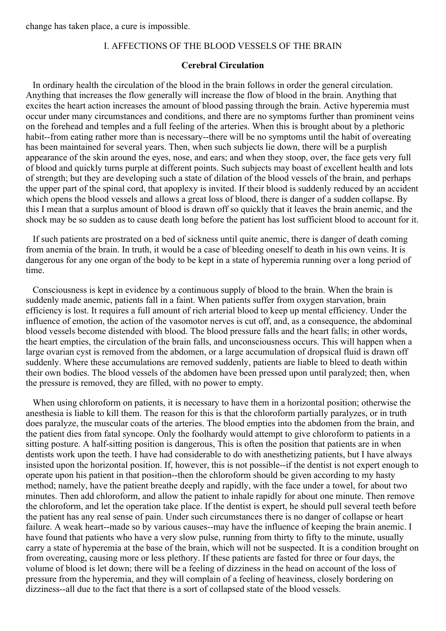change has taken place, a cure is impossible.

# I. AFFECTIONS OF THE BLOOD VESSELS OF THE BRAIN

#### **Cerebral Circulation**

In ordinary health the circulation of the blood in the brain follows in order the general circulation. Anything that increases the flow generally will increase the flow of blood in the brain. Anything that excites the heart action increases the amount of blood passing through the brain. Active hyperemia must occur under many circumstances and conditions, and there are no symptoms further than prominent veins on the forehead and temples and a full feeling of the arteries. When this is brought about by a plethoric habit--from eating rather more than is necessary--there will be no symptoms until the habit of overeating has been maintained for several years. Then, when such subjects lie down, there will be a purplish appearance of the skin around the eyes, nose, and ears; and when they stoop, over, the face gets very full of blood and quickly turns purple at different points. Such subjects may boast of excellent health and lots of strength; but they are developing such a state of dilation of the blood vessels of the brain, and perhaps the upper part of the spinal cord, that apoplexy is invited. If their blood is suddenly reduced by an accident which opens the blood vessels and allows a great loss of blood, there is danger of a sudden collapse. By this I mean that a surplus amount of blood is drawn off so quickly that it leaves the brain anemic, and the shock may be so sudden as to cause death long before the patient has lost sufficient blood to account for it.

If such patients are prostrated on a bed of sickness until quite anemic, there is danger of death coming from anemia of the brain. In truth, it would be a case of bleeding oneself to death in his own veins. It is dangerous for any one organ of the body to be kept in a state of hyperemia running over a long period of time.

Consciousness is kept in evidence by a continuous supply of blood to the brain. When the brain is suddenly made anemic, patients fall in a faint. When patients suffer from oxygen starvation, brain efficiency is lost. It requires a full amount of rich arterial blood to keep up mental efficiency. Under the influence of emotion, the action of the vasomotor nerves is cut off, and, as a consequence, the abdominal blood vessels become distended with blood. The blood pressure falls and the heart falls; in other words, the heart empties, the circulation of the brain falls, and unconsciousness occurs. This will happen when a large ovarian cyst is removed from the abdomen, or a large accumulation of dropsical fluid is drawn off suddenly. Where these accumulations are removed suddenly, patients are liable to bleed to death within their own bodies. The blood vessels of the abdomen have been pressed upon until paralyzed; then, when the pressure is removed, they are filled, with no power to empty.

When using chloroform on patients, it is necessary to have them in a horizontal position; otherwise the anesthesia is liable to kill them. The reason for this is that the chloroform partially paralyzes, or in truth does paralyze, the muscular coats of the arteries. The blood empties into the abdomen from the brain, and the patient dies from fatal syncope. Only the foolhardy would attempt to give chloroform to patients in a sitting posture. A half-sitting position is dangerous, This is often the position that patients are in when dentists work upon the teeth. I have had considerable to do with anesthetizing patients, but I have always insisted upon the horizontal position. If, however, this is not possible--if the dentist is not expert enough to operate upon his patient in that position--then the chloroform should be given according to my hasty method; namely, have the patient breathe deeply and rapidly, with the face under a towel, for about two minutes. Then add chloroform, and allow the patient to inhale rapidly for about one minute. Then remove the chloroform, and let the operation take place. If the dentist is expert, he should pull several teeth before the patient has any real sense of pain. Under such circumstances there is no danger of collapse or heart failure. A weak heart--made so by various causes--may have the influence of keeping the brain anemic. I have found that patients who have a very slow pulse, running from thirty to fifty to the minute, usually carry a state of hyperemia at the base of the brain, which will not be suspected. It is a condition brought on from overeating, causing more or less plethory. If these patients are fasted for three or four days, the volume of blood is let down; there will be a feeling of dizziness in the head on account of the loss of pressure from the hyperemia, and they will complain of a feeling of heaviness, closely bordering on dizziness--all due to the fact that there is a sort of collapsed state of the blood vessels.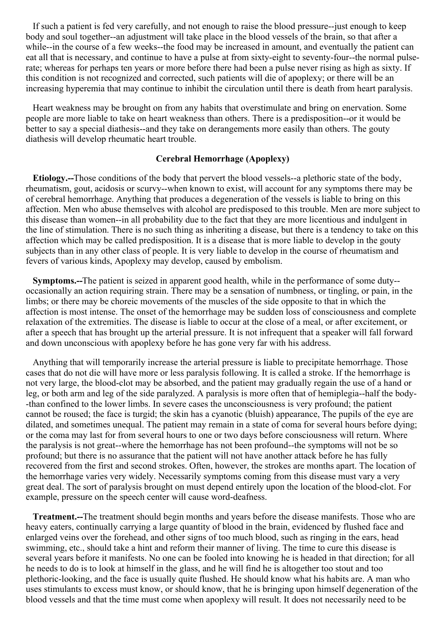If such a patient is fed very carefully, and not enough to raise the blood pressure--just enough to keep body and soul together--an adjustment will take place in the blood vessels of the brain, so that after a while--in the course of a few weeks--the food may be increased in amount, and eventually the patient can eat all that is necessary, and continue to have a pulse at from sixty-eight to seventy-four--the normal pulserate; whereas for perhaps ten years or more before there had been a pulse never rising as high as sixty. If this condition is not recognized and corrected, such patients will die of apoplexy; or there will be an increasing hyperemia that may continue to inhibit the circulation until there is death from heart paralysis.

Heart weakness may be brought on from any habits that overstimulate and bring on enervation. Some people are more liable to take on heart weakness than others. There is a predisposition--or it would be better to say a special diathesis--and they take on derangements more easily than others. The gouty diathesis will develop rheumatic heart trouble.

#### **Cerebral Hemorrhage (Apoplexy)**

**Etiology.--**Those conditions of the body that pervert the blood vessels--a plethoric state of the body, rheumatism, gout, acidosis or scurvy--when known to exist, will account for any symptoms there may be of cerebral hemorrhage. Anything that produces a degeneration of the vessels is liable to bring on this affection. Men who abuse themselves with alcohol are predisposed to this trouble. Men are more subject to this disease than women--in all probability due to the fact that they are more licentious and indulgent in the line of stimulation. There is no such thing as inheriting a disease, but there is a tendency to take on this affection which may be called predisposition. It is a disease that is more liable to develop in the gouty subjects than in any other class of people. It is very liable to develop in the course of rheumatism and fevers of various kinds, Apoplexy may develop, caused by embolism.

**Symptoms.--**The patient is seized in apparent good health, while in the performance of some duty- occasionally an action requiring strain. There may be a sensation of numbness, or tingling, or pain, in the limbs; or there may be choreic movements of the muscles of the side opposite to that in which the affection is most intense. The onset of the hemorrhage may be sudden loss of consciousness and complete relaxation of the extremities. The disease is liable to occur at the close of a meal, or after excitement, or after a speech that has brought up the arterial pressure. It is not infrequent that a speaker will fall forward and down unconscious with apoplexy before he has gone very far with his address.

Anything that will temporarily increase the arterial pressure is liable to precipitate hemorrhage. Those cases that do not die will have more or less paralysis following. It is called a stroke. If the hemorrhage is not very large, the blood-clot may be absorbed, and the patient may gradually regain the use of a hand or leg, or both arm and leg of the side paralyzed. A paralysis is more often that of hemiplegia--half the body- -than confined to the lower limbs. In severe cases the unconsciousness is very profound; the patient cannot be roused; the face is turgid; the skin has a cyanotic (bluish) appearance, The pupils of the eye are dilated, and sometimes unequal. The patient may remain in a state of coma for several hours before dying; or the coma may last for from several hours to one or two days before consciousness will return. Where the paralysis is not great--where the hemorrhage has not been profound--the symptoms will not be so profound; but there is no assurance that the patient will not have another attack before he has fully recovered from the first and second strokes. Often, however, the strokes are months apart. The location of the hemorrhage varies very widely. Necessarily symptoms coming from this disease must vary a very great deal. The sort of paralysis brought on must depend entirely upon the location of the blood-clot. For example, pressure on the speech center will cause word-deafness.

**Treatment.--**The treatment should begin months and years before the disease manifests. Those who are heavy eaters, continually carrying a large quantity of blood in the brain, evidenced by flushed face and enlarged veins over the forehead, and other signs of too much blood, such as ringing in the ears, head swimming, etc., should take a hint and reform their manner of living. The time to cure this disease is several years before it manifests. No one can be fooled into knowing he is headed in that direction; for all he needs to do is to look at himself in the glass, and he will find he is altogether too stout and too plethoric-looking, and the face is usually quite flushed. He should know what his habits are. A man who uses stimulants to excess must know, or should know, that he is bringing upon himself degeneration of the blood vessels and that the time must come when apoplexy will result. It does not necessarily need to be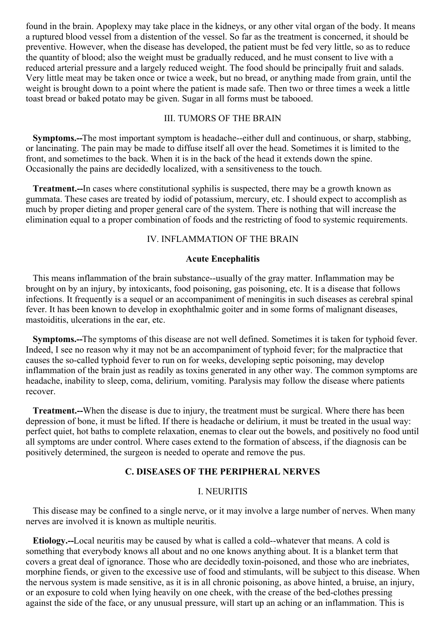found in the brain. Apoplexy may take place in the kidneys, or any other vital organ of the body. It means a ruptured blood vessel from a distention of the vessel. So far as the treatment is concerned, it should be preventive. However, when the disease has developed, the patient must be fed very little, so as to reduce the quantity of blood; also the weight must be gradually reduced, and he must consent to live with a reduced arterial pressure and a largely reduced weight. The food should be principally fruit and salads. Very little meat may be taken once or twice a week, but no bread, or anything made from grain, until the weight is brought down to a point where the patient is made safe. Then two or three times a week a little toast bread or baked potato may be given. Sugar in all forms must be tabooed.

#### III. TUMORS OF THE BRAIN

**Symptoms.--**The most important symptom is headache--either dull and continuous, or sharp, stabbing, or lancinating. The pain may be made to diffuse itself all over the head. Sometimes it is limited to the front, and sometimes to the back. When it is in the back of the head it extends down the spine. Occasionally the pains are decidedly localized, with a sensitiveness to the touch.

**Treatment.--**In cases where constitutional syphilis is suspected, there may be a growth known as gummata. These cases are treated by iodid of potassium, mercury, etc. I should expect to accomplish as much by proper dieting and proper general care of the system. There is nothing that will increase the elimination equal to a proper combination of foods and the restricting of food to systemic requirements.

#### IV. INFLAMMATION OF THE BRAIN

#### **Acute Encephalitis**

This means inflammation of the brain substance--usually of the gray matter. Inflammation may be brought on by an injury, by intoxicants, food poisoning, gas poisoning, etc. It is a disease that follows infections. It frequently is a sequel or an accompaniment of meningitis in such diseases as cerebral spinal fever. It has been known to develop in exophthalmic goiter and in some forms of malignant diseases, mastoiditis, ulcerations in the ear, etc.

**Symptoms.--**The symptoms of this disease are not well defined. Sometimes it is taken for typhoid fever. Indeed, I see no reason why it may not be an accompaniment of typhoid fever; for the malpractice that causes the so-called typhoid fever to run on for weeks, developing septic poisoning, may develop inflammation of the brain just as readily as toxins generated in any other way. The common symptoms are headache, inability to sleep, coma, delirium, vomiting. Paralysis may follow the disease where patients recover.

**Treatment.--**When the disease is due to injury, the treatment must be surgical. Where there has been depression of bone, it must be lifted. If there is headache or delirium, it must be treated in the usual way: perfect quiet, hot baths to complete relaxation, enemas to clear out the bowels, and positively no food until all symptoms are under control. Where cases extend to the formation of abscess, if the diagnosis can be positively determined, the surgeon is needed to operate and remove the pus.

## **C. DISEASES OF THE PERIPHERAL NERVES**

#### I. NEURITIS

This disease may be confined to a single nerve, or it may involve a large number of nerves. When many nerves are involved it is known as multiple neuritis.

**Etiology.--**Local neuritis may be caused by what is called a cold--whatever that means. A cold is something that everybody knows all about and no one knows anything about. It is a blanket term that covers a great deal of ignorance. Those who are decidedly toxin-poisoned, and those who are inebriates, morphine fiends, or given to the excessive use of food and stimulants, will be subject to this disease. When the nervous system is made sensitive, as it is in all chronic poisoning, as above hinted, a bruise, an injury, or an exposure to cold when lying heavily on one cheek, with the crease of the bed-clothes pressing against the side of the face, or any unusual pressure, will start up an aching or an inflammation. This is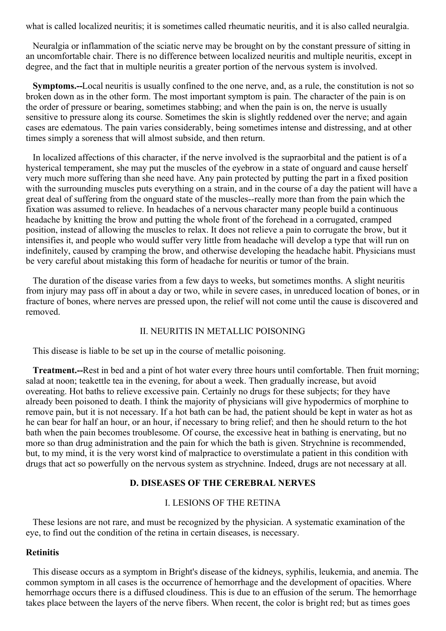what is called localized neuritis; it is sometimes called rheumatic neuritis, and it is also called neuralgia.

Neuralgia or inflammation of the sciatic nerve may be brought on by the constant pressure of sitting in an uncomfortable chair. There is no difference between localized neuritis and multiple neuritis, except in degree, and the fact that in multiple neuritis a greater portion of the nervous system is involved.

**Symptoms.--**Local neuritis is usually confined to the one nerve, and, as a rule, the constitution is not so broken down as in the other form. The most important symptom is pain. The character of the pain is on the order of pressure or bearing, sometimes stabbing; and when the pain is on, the nerve is usually sensitive to pressure along its course. Sometimes the skin is slightly reddened over the nerve; and again cases are edematous. The pain varies considerably, being sometimes intense and distressing, and at other times simply a soreness that will almost subside, and then return.

In localized affections of this character, if the nerve involved is the supraorbital and the patient is of a hysterical temperament, she may put the muscles of the eyebrow in a state of onguard and cause herself very much more suffering than she need have. Any pain protected by putting the part in a fixed position with the surrounding muscles puts everything on a strain, and in the course of a day the patient will have a great deal of suffering from the onguard state of the muscles--really more than from the pain which the fixation was assumed to relieve. In headaches of a nervous character many people build a continuous headache by knitting the brow and putting the whole front of the forehead in a corrugated, cramped position, instead of allowing the muscles to relax. It does not relieve a pain to corrugate the brow, but it intensifies it, and people who would suffer very little from headache will develop a type that will run on indefinitely, caused by cramping the brow, and otherwise developing the headache habit. Physicians must be very careful about mistaking this form of headache for neuritis or tumor of the brain.

The duration of the disease varies from a few days to weeks, but sometimes months. A slight neuritis from injury may pass off in about a day or two, while in severe cases, in unreduced location of bones, or in fracture of bones, where nerves are pressed upon, the relief will not come until the cause is discovered and removed.

#### II. NEURITIS IN METALLIC POISONING

This disease is liable to be set up in the course of metallic poisoning.

**Treatment.--**Rest in bed and a pint of hot water every three hours until comfortable. Then fruit morning; salad at noon; teakettle tea in the evening, for about a week. Then gradually increase, but avoid overeating. Hot baths to relieve excessive pain. Certainly no drugs for these subjects; for they have already been poisoned to death. I think the majority of physicians will give hypodermics of morphine to remove pain, but it is not necessary. If a hot bath can be had, the patient should be kept in water as hot as he can bear for half an hour, or an hour, if necessary to bring relief; and then he should return to the hot bath when the pain becomes troublesome. Of course, the excessive heat in bathing is enervating, but no more so than drug administration and the pain for which the bath is given. Strychnine is recommended, but, to my mind, it is the very worst kind of malpractice to overstimulate a patient in this condition with drugs that act so powerfully on the nervous system as strychnine. Indeed, drugs are not necessary at all.

#### **D. DISEASES OF THE CEREBRAL NERVES**

#### I. LESIONS OF THE RETINA

These lesions are not rare, and must be recognized by the physician. A systematic examination of the eye, to find out the condition of the retina in certain diseases, is necessary.

#### **Retinitis**

This disease occurs as a symptom in Bright's disease of the kidneys, syphilis, leukemia, and anemia. The common symptom in all cases is the occurrence of hemorrhage and the development of opacities. Where hemorrhage occurs there is a diffused cloudiness. This is due to an effusion of the serum. The hemorrhage takes place between the layers of the nerve fibers. When recent, the color is bright red; but as times goes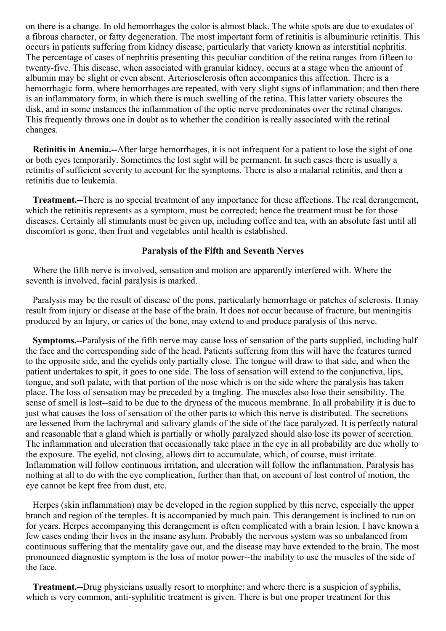<span id="page-123-0"></span>on there is a change. In old hemorrhages the color is almost black. The white spots are due to exudates of a fibrous character, or fatty degeneration. The most important form of retinitis is albuminuric retinitis. This occurs in patients suffering from kidney disease, particularly that variety known as interstitial nephritis. The percentage of cases of nephritis presenting this peculiar condition of the retina ranges from fifteen to twenty-five. This disease, when associated with granular kidney, occurs at a stage when the amount of albumin may be slight or even absent. Arteriosclerosis often accompanies this affection. There is a hemorrhagic form, where hemorrhages are repeated, with very slight signs of inflammation; and then there is an inflammatory form, in which there is much swelling of the retina. This latter variety obscures the disk, and in some instances the inflammation of the optic nerve predominates over the retinal changes. This frequently throws one in doubt as to whether the condition is really associated with the retinal changes.

**Retinitis in Anemia.--**After large hemorrhages, it is not infrequent for a patient to lose the sight of one or both eyes temporarily. Sometimes the lost sight will be permanent. In such cases there is usually a retinitis of sufficient severity to account for the symptoms. There is also a malarial retinitis, and then a retinitis due to leukemia.

**Treatment.--**There is no special treatment of any importance for these affections. The real derangement, which the retinitis represents as a symptom, must be corrected; hence the treatment must be for those diseases. Certainly all stimulants must be given up, including coffee and tea, with an absolute fast until all discomfort is gone, then fruit and vegetables until health is established.

#### **Paralysis of the Fifth and Seventh Nerves**

Where the fifth nerve is involved, sensation and motion are apparently interfered with. Where the seventh is involved, facial paralysis is marked.

Paralysis may be the result of disease of the pons, particularly hemorrhage or patches of sclerosis. It may result from injury or disease at the base of the brain. It does not occur because of fracture, but meningitis produced by an Injury, or caries of the bone, may extend to and produce paralysis of this nerve.

**Symptoms.--**Paralysis of the fifth nerve may cause loss of sensation of the parts supplied, including half the face and the corresponding side of the head. Patients suffering from this will have the features turned to the opposite side, and the eyelids only partially close. The tongue will draw to that side, and when the patient undertakes to spit, it goes to one side. The loss of sensation will extend to the conjunctiva, lips, tongue, and soft palate, with that portion of the nose which is on the side where the paralysis has taken place. The loss of sensation may be preceded by a tingling. The muscles also lose their sensibility. The sense of smell is lost--said to be due to the dryness of the mucous membrane. In all probability it is due to just what causes the loss of sensation of the other parts to which this nerve is distributed. The secretions are lessened from the lachrymal and salivary glands of the side of the face paralyzed. It is perfectly natural and reasonable that a gland which is partially or wholly paralyzed should also lose its power of secretion. The inflammation and ulceration that occasionally take place in the eye in all probability are due wholly to the exposure. The eyelid, not closing, allows dirt to accumulate, which, of course, must irritate. Inflammation will follow continuous irritation, and ulceration will follow the inflammation. Paralysis has nothing at all to do with the eye complication, further than that, on account of lost control of motion, the eye cannot be kept free from dust, etc.

Herpes (skin inflammation) may be developed in the region supplied by this nerve, especially the upper branch and region of the temples. It is accompanied by much pain. This derangement is inclined to run on for years. Herpes accompanying this derangement is often complicated with a brain lesion. I have known a few cases ending their lives in the insane asylum. Probably the nervous system was so unbalanced from continuous suffering that the mentality gave out, and the disease may have extended to the brain. The most pronounced diagnostic symptom is the loss of motor power--the inability to use the muscles of the side of the face.

**Treatment.--**Drug physicians usually resort to morphine; and where there is a suspicion of syphilis, which is very common, anti-syphilitic treatment is given. There is but one proper treatment for this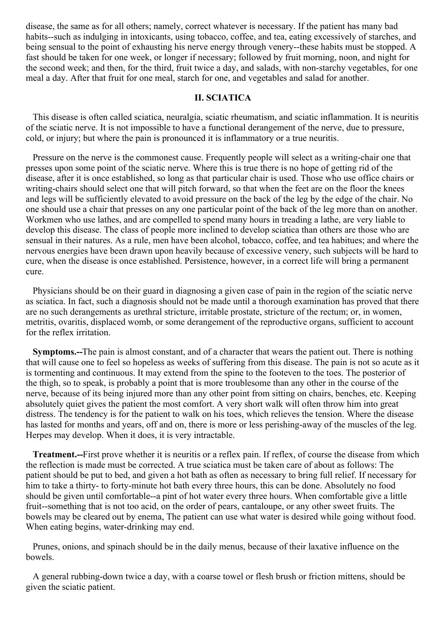disease, the same as for all others; namely, correct whatever is necessary. If the patient has many bad habits--such as indulging in intoxicants, using tobacco, coffee, and tea, eating excessively of starches, and being sensual to the point of exhausting his nerve energy through venery--these habits must be stopped. A fast should be taken for one week, or longer if necessary; followed by fruit morning, noon, and night for the second week; and then, for the third, fruit twice a day, and salads, with non-starchy vegetables, for one meal a day. After that fruit for one meal, starch for one, and vegetables and salad for another.

# **II. SCIATICA**

This disease is often called sciatica, neuralgia, sciatic rheumatism, and sciatic inflammation. It is neuritis of the sciatic nerve. It is not impossible to have a functional derangement of the nerve, due to pressure, cold, or injury; but where the pain is pronounced it is inflammatory or a true neuritis.

Pressure on the nerve is the commonest cause. Frequently people will select as a writing-chair one that presses upon some point of the sciatic nerve. Where this is true there is no hope of getting rid of the disease, after it is once established, so long as that particular chair is used. Those who use office chairs or writing-chairs should select one that will pitch forward, so that when the feet are on the floor the knees and legs will be sufficiently elevated to avoid pressure on the back of the leg by the edge of the chair. No one should use a chair that presses on any one particular point of the back of the leg more than on another. Workmen who use lathes, and are compelled to spend many hours in treading a lathe, are very liable to develop this disease. The class of people more inclined to develop sciatica than others are those who are sensual in their natures. As a rule, men have been alcohol, tobacco, coffee, and tea habitues; and where the nervous energies have been drawn upon heavily because of excessive venery, such subjects will be hard to cure, when the disease is once established. Persistence, however, in a correct life will bring a permanent cure.

Physicians should be on their guard in diagnosing a given case of pain in the region of the sciatic nerve as sciatica. In fact, such a diagnosis should not be made until a thorough examination has proved that there are no such derangements as urethral stricture, irritable prostate, stricture of the rectum; or, in women, metritis, ovaritis, displaced womb, or some derangement of the reproductive organs, sufficient to account for the reflex irritation.

**Symptoms.--**The pain is almost constant, and of a character that wears the patient out. There is nothing that will cause one to feel so hopeless as weeks of suffering from this disease. The pain is not so acute as it is tormenting and continuous. It may extend from the spine to the footeven to the toes. The posterior of the thigh, so to speak, is probably a point that is more troublesome than any other in the course of the nerve, because of its being injured more than any other point from sitting on chairs, benches, etc. Keeping absolutely quiet gives the patient the most comfort. A very short walk will often throw him into great distress. The tendency is for the patient to walk on his toes, which relieves the tension. Where the disease has lasted for months and years, off and on, there is more or less perishing-away of the muscles of the leg. Herpes may develop. When it does, it is very intractable.

**Treatment.--**First prove whether it is neuritis or a reflex pain. If reflex, of course the disease from which the reflection is made must be corrected. A true sciatica must be taken care of about as follows: The patient should be put to bed, and given a hot bath as often as necessary to bring full relief. If necessary for him to take a thirty- to forty-minute hot bath every three hours, this can be done. Absolutely no food should be given until comfortable--a pint of hot water every three hours. When comfortable give a little fruit--something that is not too acid, on the order of pears, cantaloupe, or any other sweet fruits. The bowels may be cleared out by enema, The patient can use what water is desired while going without food. When eating begins, water-drinking may end.

Prunes, onions, and spinach should be in the daily menus, because of their laxative influence on the bowels.

A general rubbing-down twice a day, with a coarse towel or flesh brush or friction mittens, should be given the sciatic patient.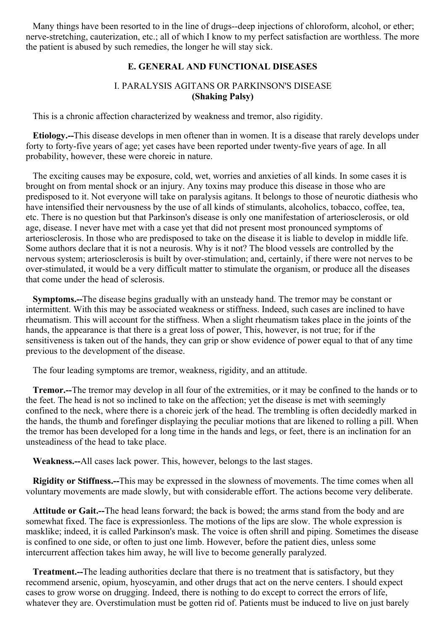Many things have been resorted to in the line of drugs--deep injections of chloroform, alcohol, or ether; nerve-stretching, cauterization, etc.; all of which I know to my perfect satisfaction are worthless. The more the patient is abused by such remedies, the longer he will stay sick.

# **E. GENERAL AND FUNCTIONAL DISEASES**

# I. PARALYSIS AGITANS OR PARKINSON'S DISEASE **(Shaking Palsy)**

This is a chronic affection characterized by weakness and tremor, also rigidity.

**Etiology.--**This disease develops in men oftener than in women. It is a disease that rarely develops under forty to forty-five years of age; yet cases have been reported under twenty-five years of age. In all probability, however, these were choreic in nature.

The exciting causes may be exposure, cold, wet, worries and anxieties of all kinds. In some cases it is brought on from mental shock or an injury. Any toxins may produce this disease in those who are predisposed to it. Not everyone will take on paralysis agitans. It belongs to those of neurotic diathesis who have intensified their nervousness by the use of all kinds of stimulants, alcoholics, tobacco, coffee, tea, etc. There is no question but that Parkinson's disease is only one manifestation of arteriosclerosis, or old age, disease. I never have met with a case yet that did not present most pronounced symptoms of arteriosclerosis. In those who are predisposed to take on the disease it is liable to develop in middle life. Some authors declare that it is not a neurosis. Why is it not? The blood vessels are controlled by the nervous system; arteriosclerosis is built by over-stimulation; and, certainly, if there were not nerves to be over-stimulated, it would be a very difficult matter to stimulate the organism, or produce all the diseases that come under the head of sclerosis.

**Symptoms.--**The disease begins gradually with an unsteady hand. The tremor may be constant or intermittent. With this may be associated weakness or stiffness. Indeed, such cases are inclined to have rheumatism. This will account for the stiffness. When a slight rheumatism takes place in the joints of the hands, the appearance is that there is a great loss of power, This, however, is not true; for if the sensitiveness is taken out of the hands, they can grip or show evidence of power equal to that of any time previous to the development of the disease.

The four leading symptoms are tremor, weakness, rigidity, and an attitude.

**Tremor.--**The tremor may develop in all four of the extremities, or it may be confined to the hands or to the feet. The head is not so inclined to take on the affection; yet the disease is met with seemingly confined to the neck, where there is a choreic jerk of the head. The trembling is often decidedly marked in the hands, the thumb and forefinger displaying the peculiar motions that are likened to rolling a pill. When the tremor has been developed for a long time in the hands and legs, or feet, there is an inclination for an unsteadiness of the head to take place.

**Weakness.--**All cases lack power. This, however, belongs to the last stages.

**Rigidity or Stiffness.--**This may be expressed in the slowness of movements. The time comes when all voluntary movements are made slowly, but with considerable effort. The actions become very deliberate.

**Attitude or Gait.--**The head leans forward; the back is bowed; the arms stand from the body and are somewhat fixed. The face is expressionless. The motions of the lips are slow. The whole expression is masklike; indeed, it is called Parkinson's mask. The voice is often shrill and piping. Sometimes the disease is confined to one side, or often to just one limb. However, before the patient dies, unless some intercurrent affection takes him away, he will live to become generally paralyzed.

**Treatment.--**The leading authorities declare that there is no treatment that is satisfactory, but they recommend arsenic, opium, hyoscyamin, and other drugs that act on the nerve centers. I should expect cases to grow worse on drugging. Indeed, there is nothing to do except to correct the errors of life, whatever they are. Overstimulation must be gotten rid of. Patients must be induced to live on just barely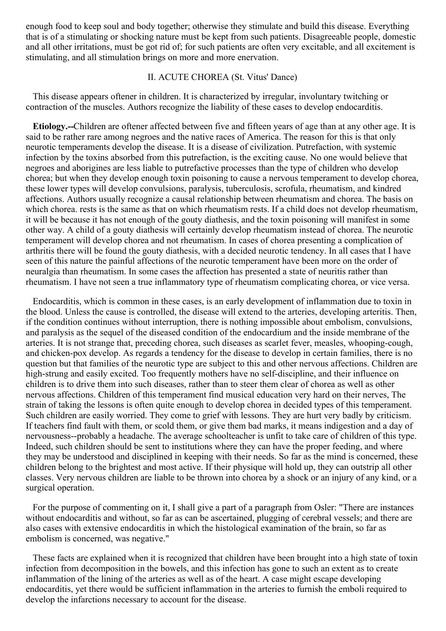enough food to keep soul and body together; otherwise they stimulate and build this disease. Everything that is of a stimulating or shocking nature must be kept from such patients. Disagreeable people, domestic and all other irritations, must be got rid of; for such patients are often very excitable, and all excitement is stimulating, and all stimulation brings on more and more enervation.

#### II. ACUTE CHOREA (St. Vitus' Dance)

This disease appears oftener in children. It is characterized by irregular, involuntary twitching or contraction of the muscles. Authors recognize the liability of these cases to develop endocarditis.

**Etiology.--**Children are oftener affected between five and fifteen years of age than at any other age. It is said to be rather rare among negroes and the native races of America. The reason for this is that only neurotic temperaments develop the disease. It is a disease of civilization. Putrefaction, with systemic infection by the toxins absorbed from this putrefaction, is the exciting cause. No one would believe that negroes and aborigines are less liable to putrefactive processes than the type of children who develop chorea; but when they develop enough toxin poisoning to cause a nervous temperament to develop chorea, these lower types will develop convulsions, paralysis, tuberculosis, scrofula, rheumatism, and kindred affections. Authors usually recognize a causal relationship between rheumatism and chorea. The basis on which chorea, rests is the same as that on which rheumatism rests. If a child does not develop rheumatism, it will be because it has not enough of the gouty diathesis, and the toxin poisoning will manifest in some other way. A child of a gouty diathesis will certainly develop rheumatism instead of chorea. The neurotic temperament will develop chorea and not rheumatism. In cases of chorea presenting a complication of arthritis there will be found the gouty diathesis, with a decided neurotic tendency. In all cases that I have seen of this nature the painful affections of the neurotic temperament have been more on the order of neuralgia than rheumatism. In some cases the affection has presented a state of neuritis rather than rheumatism. I have not seen a true inflammatory type of rheumatism complicating chorea, or vice versa.

Endocarditis, which is common in these cases, is an early development of inflammation due to toxin in the blood. Unless the cause is controlled, the disease will extend to the arteries, developing arteritis. Then, if the condition continues without interruption, there is nothing impossible about embolism, convulsions, and paralysis as the sequel of the diseased condition of the endocardium and the inside membrane of the arteries. It is not strange that, preceding chorea, such diseases as scarlet fever, measles, whooping-cough, and chicken-pox develop. As regards a tendency for the disease to develop in certain families, there is no question but that families of the neurotic type are subject to this and other nervous affections. Children are high-strung and easily excited. Too frequently mothers have no self-discipline, and their influence on children is to drive them into such diseases, rather than to steer them clear of chorea as well as other nervous affections. Children of this temperament find musical education very hard on their nerves, The strain of taking the lessons is often quite enough to develop chorea in decided types of this temperament. Such children are easily worried. They come to grief with lessons. They are hurt very badly by criticism. If teachers find fault with them, or scold them, or give them bad marks, it means indigestion and a day of nervousness--probably a headache. The average schoolteacher is unfit to take care of children of this type. Indeed, such children should be sent to institutions where they can have the proper feeding, and where they may be understood and disciplined in keeping with their needs. So far as the mind is concerned, these children belong to the brightest and most active. If their physique will hold up, they can outstrip all other classes. Very nervous children are liable to be thrown into chorea by a shock or an injury of any kind, or a surgical operation.

For the purpose of commenting on it, I shall give a part of a paragraph from Osler: "There are instances without endocarditis and without, so far as can be ascertained, plugging of cerebral vessels; and there are also cases with extensive endocarditis in which the histological examination of the brain, so far as embolism is concerned, was negative."

These facts are explained when it is recognized that children have been brought into a high state of toxin infection from decomposition in the bowels, and this infection has gone to such an extent as to create inflammation of the lining of the arteries as well as of the heart. A case might escape developing endocarditis, yet there would be sufficient inflammation in the arteries to furnish the emboli required to develop the infarctions necessary to account for the disease.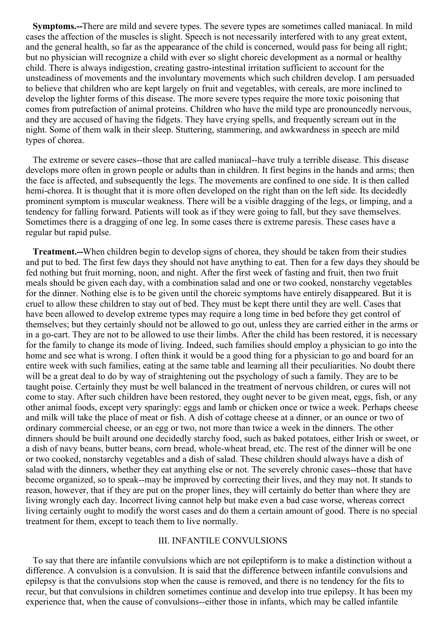**Symptoms.--**There are mild and severe types. The severe types are sometimes called maniacal. In mild cases the affection of the muscles is slight. Speech is not necessarily interfered with to any great extent, and the general health, so far as the appearance of the child is concerned, would pass for being all right; but no physician will recognize a child with ever so slight choreic development as a normal or healthy child. There is always indigestion, creating gastro-intestinal irritation sufficient to account for the unsteadiness of movements and the involuntary movements which such children develop. I am persuaded to believe that children who are kept largely on fruit and vegetables, with cereals, are more inclined to develop the lighter forms of this disease. The more severe types require the more toxic poisoning that comes from putrefaction of animal proteins. Children who have the mild type are pronouncedly nervous, and they are accused of having the fidgets. They have crying spells, and frequently scream out in the night. Some of them walk in their sleep. Stuttering, stammering, and awkwardness in speech are mild types of chorea.

The extreme or severe cases--those that are called maniacal--have truly a terrible disease. This disease develops more often in grown people or adults than in children. It first begins in the hands and arms; then the face is affected, and subsequently the legs. The movements are confined to one side. It is then called hemi-chorea. It is thought that it is more often developed on the right than on the left side. Its decidedly prominent symptom is muscular weakness. There will be a visible dragging of the legs, or limping, and a tendency for falling forward. Patients will took as if they were going to fall, but they save themselves. Sometimes there is a dragging of one leg. In some cases there is extreme paresis. These cases have a regular but rapid pulse.

**Treatment.--**When children begin to develop signs of chorea, they should be taken from their studies and put to bed. The first few days they should not have anything to eat. Then for a few days they should be fed nothing but fruit morning, noon, and night. After the first week of fasting and fruit, then two fruit meals should be given each day, with a combination salad and one or two cooked, nonstarchy vegetables for the dinner. Nothing else is to be given until the choreic symptoms have entirely disappeared. But it is cruel to allow these children to stay out of bed. They must be kept there until they are well. Cases that have been allowed to develop extreme types may require a long time in bed before they get control of themselves; but they certainly should not be allowed to go out, unless they are carried either in the arms or in a go-cart. They are not to be allowed to use their limbs. After the child has been restored, it is necessary for the family to change its mode of living. Indeed, such families should employ a physician to go into the home and see what is wrong. I often think it would be a good thing for a physician to go and board for an entire week with such families, eating at the same table and learning all their peculiarities. No doubt there will be a great deal to do by way of straightening out the psychology of such a family. They are to be taught poise. Certainly they must be well balanced in the treatment of nervous children, or cures will not come to stay. After such children have been restored, they ought never to be given meat, eggs, fish, or any other animal foods, except very sparingly: eggs and lamb or chicken once or twice a week. Perhaps cheese and milk will take the place of meat or fish. A dish of cottage cheese at a dinner, or an ounce or two of ordinary commercial cheese, or an egg or two, not more than twice a week in the dinners. The other dinners should be built around one decidedly starchy food, such as baked potatoes, either Irish or sweet, or a dish of navy beans, butter beans, corn bread, whole-wheat bread, etc. The rest of the dinner will be one or two cooked, nonstarchy vegetables and a dish of salad. These children should always have a dish of salad with the dinners, whether they eat anything else or not. The severely chronic cases--those that have become organized, so to speak--may be improved by correcting their lives, and they may not. It stands to reason, however, that if they are put on the proper lines, they will certainly do better than where they are living wrongly each day. Incorrect living cannot help but make even a bad case worse, whereas correct living certainly ought to modify the worst cases and do them a certain amount of good. There is no special treatment for them, except to teach them to live normally.

#### III. INFANTILE CONVULSIONS

To say that there are infantile convulsions which are not epileptiform is to make a distinction without a difference. A convulsion is a convulsion. It is said that the difference between infantile convulsions and epilepsy is that the convulsions stop when the cause is removed, and there is no tendency for the fits to recur, but that convulsions in children sometimes continue and develop into true epilepsy. It has been my experience that, when the cause of convulsions--either those in infants, which may be called infantile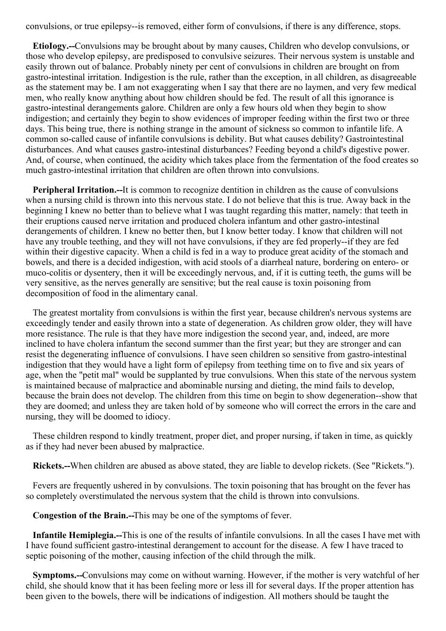convulsions, or true epilepsy--is removed, either form of convulsions, if there is any difference, stops.

**EtioIogy.--**Convulsions may be brought about by many causes, Children who develop convulsions, or those who develop epilepsy, are predisposed to convulsive seizures. Their nervous system is unstable and easily thrown out of balance. Probably ninety per cent of convulsions in children are brought on from gastro-intestinal irritation. Indigestion is the rule, rather than the exception, in all children, as disagreeable as the statement may be. I am not exaggerating when I say that there are no laymen, and very few medical men, who really know anything about how children should be fed. The result of all this ignorance is gastro-intestinal derangements galore. Children are only a few hours old when they begin to show indigestion; and certainly they begin to show evidences of improper feeding within the first two or three days. This being true, there is nothing strange in the amount of sickness so common to infantile life. A common so-called cause of infantile convulsions is debility. But what causes debility? Gastrointestinal disturbances. And what causes gastro-intestinal disturbances? Feeding beyond a child's digestive power. And, of course, when continued, the acidity which takes place from the fermentation of the food creates so much gastro-intestinal irritation that children are often thrown into convulsions.

**Peripheral Irritation.--**It is common to recognize dentition in children as the cause of convulsions when a nursing child is thrown into this nervous state. I do not believe that this is true. Away back in the beginning I knew no better than to believe what I was taught regarding this matter, namely: that teeth in their eruptions caused nerve irritation and produced cholera infantum and other gastro-intestinal derangements of children. I knew no better then, but I know better today. I know that children will not have any trouble teething, and they will not have convulsions, if they are fed properly--if they are fed within their digestive capacity. When a child is fed in a way to produce great acidity of the stomach and bowels, and there is a decided indigestion, with acid stools of a diarrheal nature, bordering on entero- or muco-colitis or dysentery, then it will be exceedingly nervous, and, if it is cutting teeth, the gums will be very sensitive, as the nerves generally are sensitive; but the real cause is toxin poisoning from decomposition of food in the alimentary canal.

The greatest mortality from convulsions is within the first year, because children's nervous systems are exceedingly tender and easily thrown into a state of degeneration. As children grow older, they will have more resistance. The rule is that they have more indigestion the second year, and, indeed, are more inclined to have cholera infantum the second summer than the first year; but they are stronger and can resist the degenerating influence of convulsions. I have seen children so sensitive from gastro-intestinal indigestion that they would have a light form of epilepsy from teething time on to five and six years of age, when the "petit mal" would be supplanted by true convulsions. When this state of the nervous system is maintained because of malpractice and abominable nursing and dieting, the mind fails to develop, because the brain does not develop. The children from this time on begin to show degeneration--show that they are doomed; and unless they are taken hold of by someone who will correct the errors in the care and nursing, they will be doomed to idiocy.

These children respond to kindly treatment, proper diet, and proper nursing, if taken in time, as quickly as if they had never been abused by malpractice.

**Rickets.--**When children are abused as above stated, they are liable to develop rickets. (See "Rickets.").

Fevers are frequently ushered in by convulsions. The toxin poisoning that has brought on the fever has so completely overstimulated the nervous system that the child is thrown into convulsions.

**Congestion of the Brain.--**This may be one of the symptoms of fever.

**Infantile Hemiplegia.--**This is one of the results of infantile convulsions. In all the cases I have met with I have found sufficient gastro-intestinal derangement to account for the disease. A few I have traced to septic poisoning of the mother, causing infection of the child through the milk.

**Symptoms.--**Convulsions may come on without warning. However, if the mother is very watchful of her child, she should know that it has been feeling more or less ill for several days. If the proper attention has been given to the bowels, there will be indications of indigestion. All mothers should be taught the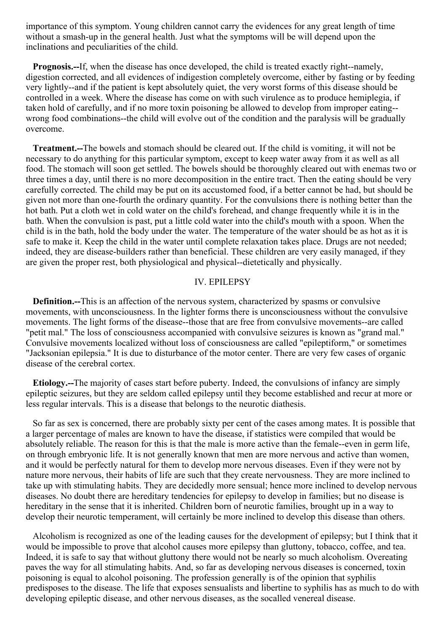importance of this symptom. Young children cannot carry the evidences for any great length of time without a smash-up in the general health. Just what the symptoms will be will depend upon the inclinations and peculiarities of the child.

**Prognosis.--**If, when the disease has once developed, the child is treated exactly right--namely, digestion corrected, and all evidences of indigestion completely overcome, either by fasting or by feeding very lightly--and if the patient is kept absolutely quiet, the very worst forms of this disease should be controlled in a week. Where the disease has come on with such virulence as to produce hemiplegia, if taken hold of carefully, and if no more toxin poisoning be allowed to develop from improper eating- wrong food combinations--the child will evolve out of the condition and the paralysis will be gradually overcome.

**Treatment.--**The bowels and stomach should be cleared out. If the child is vomiting, it will not be necessary to do anything for this particular symptom, except to keep water away from it as well as all food. The stomach will soon get settled. The bowels should be thoroughly cleared out with enemas two or three times a day, until there is no more decomposition in the entire tract. Then the eating should be very carefully corrected. The child may be put on its accustomed food, if a better cannot be had, but should be given not more than one-fourth the ordinary quantity. For the convulsions there is nothing better than the hot bath. Put a cloth wet in cold water on the child's forehead, and change frequently while it is in the bath. When the convulsion is past, put a little cold water into the child's mouth with a spoon. When the child is in the bath, hold the body under the water. The temperature of the water should be as hot as it is safe to make it. Keep the child in the water until complete relaxation takes place. Drugs are not needed; indeed, they are disease-builders rather than beneficial. These children are very easily managed, if they are given the proper rest, both physiological and physical--dietetically and physically.

## IV. EPILEPSY

**Definition.--**This is an affection of the nervous system, characterized by spasms or convulsive movements, with unconsciousness. In the lighter forms there is unconsciousness without the convulsive movements. The light forms of the disease--those that are free from convulsive movements--are called "petit mal." The loss of consciousness accompanied with convulsive seizures is known as "grand mal." Convulsive movements localized without loss of consciousness are called "epileptiform," or sometimes "Jacksonian epilepsia." It is due to disturbance of the motor center. There are very few cases of organic disease of the cerebral cortex.

**Etiology.--**The majority of cases start before puberty. Indeed, the convulsions of infancy are simply epileptic seizures, but they are seldom called epilepsy until they become established and recur at more or less regular intervals. This is a disease that belongs to the neurotic diathesis.

So far as sex is concerned, there are probably sixty per cent of the cases among mates. It is possible that a larger percentage of males are known to have the disease, if statistics were compiled that would be absolutely reliable. The reason for this is that the male is more active than the female--even in germ life, on through embryonic life. It is not generally known that men are more nervous and active than women, and it would be perfectly natural for them to develop more nervous diseases. Even if they were not by nature more nervous, their habits of life are such that they create nervousness. They are more inclined to take up with stimulating habits. They are decidedly more sensual; hence more inclined to develop nervous diseases. No doubt there are hereditary tendencies for epilepsy to develop in families; but no disease is hereditary in the sense that it is inherited. Children born of neurotic families, brought up in a way to develop their neurotic temperament, will certainly be more inclined to develop this disease than others.

Alcoholism is recognized as one of the leading causes for the development of epilepsy; but I think that it would be impossible to prove that alcohol causes more epilepsy than gluttony, tobacco, coffee, and tea. Indeed, it is safe to say that without gluttony there would not be nearly so much alcoholism. Overeating paves the way for all stimulating habits. And, so far as developing nervous diseases is concerned, toxin poisoning is equal to alcohol poisoning. The profession generally is of the opinion that syphilis predisposes to the disease. The life that exposes sensualists and libertine to syphilis has as much to do with developing epileptic disease, and other nervous diseases, as the socalled venereal disease.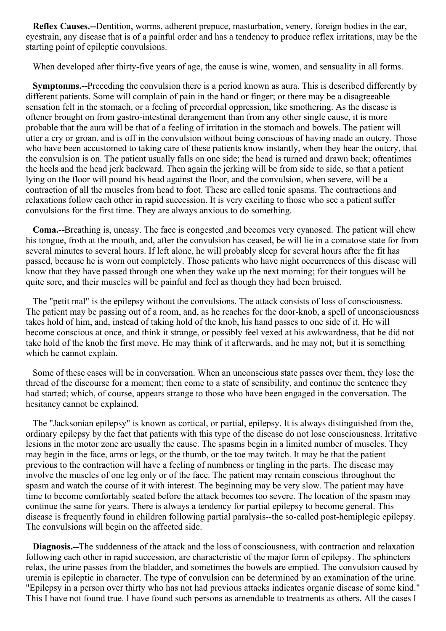**Reflex Causes.--**Dentition, worms, adherent prepuce, masturbation, venery, foreign bodies in the ear, eyestrain, any disease that is of a painful order and has a tendency to produce reflex irritations, may be the starting point of epileptic convulsions.

When developed after thirty-five years of age, the cause is wine, women, and sensuality in all forms.

**Symptonms.--**Preceding the convulsion there is a period known as aura. This is described differently by different patients. Some will complain of pain in the hand or finger; or there may be a disagreeable sensation felt in the stomach, or a feeling of precordial oppression, like smothering. As the disease is oftener brought on from gastro-intestinal derangement than from any other single cause, it is more probable that the aura will be that of a feeling of irritation in the stomach and bowels. The patient will utter a cry or groan, and is off in the convulsion without being conscious of having made an outcry. Those who have been accustomed to taking care of these patients know instantly, when they hear the outcry, that the convulsion is on. The patient usually falls on one side; the head is turned and drawn back; oftentimes the heels and the head jerk backward. Then again the jerking will be from side to side, so that a patient lying on the floor will pound his head against the floor, and the convulsion, when severe, will be a contraction of all the muscles from head to foot. These are called tonic spasms. The contractions and relaxations follow each other in rapid succession. It is very exciting to those who see a patient suffer convulsions for the first time. They are always anxious to do something.

**Coma.--**Breathing is, uneasy. The face is congested ,and becomes very cyanosed. The patient will chew his tongue, froth at the mouth, and, after the convulsion has ceased, be will lie in a comatose state for from several minutes to several hours. If left alone, he will probably sleep for several hours after the fit has passed, because he is worn out completely. Those patients who have night occurrences of this disease will know that they have passed through one when they wake up the next morning; for their tongues will be quite sore, and their muscles will be painful and feel as though they had been bruised.

The "petit mal" is the epilepsy without the convulsions. The attack consists of loss of consciousness. The patient may be passing out of a room, and, as he reaches for the door-knob, a spell of unconsciousness takes hold of him, and, instead of taking hold of the knob, his hand passes to one side of it. He will become conscious at once, and think it strange, or possibly feel vexed at his awkwardness, that he did not take hold of the knob the first move. He may think of it afterwards, and he may not; but it is something which he cannot explain.

Some of these cases will be in conversation. When an unconscious state passes over them, they lose the thread of the discourse for a moment; then come to a state of sensibility, and continue the sentence they had started; which, of course, appears strange to those who have been engaged in the conversation. The hesitancy cannot be explained.

The "Jacksonian epilepsy" is known as cortical, or partial, epilepsy. It is always distinguished from the, ordinary epilepsy by the fact that patients with this type of the disease do not lose consciousness. Irritative lesions in the motor zone are usually the cause. The spasms begin in a limited number of muscles. They may begin in the face, arms or legs, or the thumb, or the toe may twitch. It may be that the patient previous to the contraction will have a feeling of numbness or tingling in the parts. The disease may involve the muscles of one leg only or of the face. The patient may remain conscious throughout the spasm and watch the course of it with interest. The beginning may be very slow. The patient may have time to become comfortably seated before the attack becomes too severe. The location of the spasm may continue the same for years. There is always a tendency for partial epilepsy to become general. This disease is frequently found in children following partial paralysis--the so-called post-hemiplegic epilepsy. The convulsions will begin on the affected side.

**Diagnosis.--**The suddenness of the attack and the loss of consciousness, with contraction and relaxation following each other in rapid succession, are characteristic of the major form of epilepsy. The sphincters relax, the urine passes from the bladder, and sometimes the bowels are emptied. The convulsion caused by uremia is epileptic in character. The type of convulsion can be determined by an examination of the urine. "Epilepsy in a person over thirty who has not had previous attacks indicates organic disease of some kind." This I have not found true. I have found such persons as amendable to treatments as others. All the cases I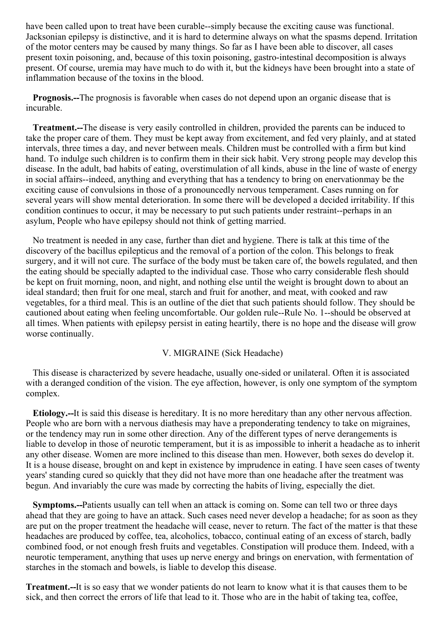have been called upon to treat have been curable--simply because the exciting cause was functional. Jacksonian epilepsy is distinctive, and it is hard to determine always on what the spasms depend. Irritation of the motor centers may be caused by many things. So far as I have been able to discover, all cases present toxin poisoning, and, because of this toxin poisoning, gastro-intestinal decomposition is always present. Of course, uremia may have much to do with it, but the kidneys have been brought into a state of inflammation because of the toxins in the blood.

**Prognosis.--**The prognosis is favorable when cases do not depend upon an organic disease that is incurable.

**Treatment.--**The disease is very easily controlled in children, provided the parents can be induced to take the proper care of them. They must be kept away from excitement, and fed very plainly, and at stated intervals, three times a day, and never between meals. Children must be controlled with a firm but kind hand. To indulge such children is to confirm them in their sick habit. Very strong people may develop this disease. In the adult, bad habits of eating, overstimulation of all kinds, abuse in the line of waste of energy in social affairs--indeed, anything and everything that has a tendency to bring on enervationmay be the exciting cause of convulsions in those of a pronouncedly nervous temperament. Cases running on for several years will show mental deterioration. In some there will be developed a decided irritability. If this condition continues to occur, it may be necessary to put such patients under restraint--perhaps in an asylum, People who have epilepsy should not think of getting married.

No treatment is needed in any case, further than diet and hygiene. There is talk at this time of the discovery of the bacillus epilepticus and the removal of a portion of the colon. This belongs to freak surgery, and it will not cure. The surface of the body must be taken care of, the bowels regulated, and then the eating should be specially adapted to the individual case. Those who carry considerable flesh should be kept on fruit morning, noon, and night, and nothing else until the weight is brought down to about an ideal standard; then fruit for one meal, starch and fruit for another, and meat, with cooked and raw vegetables, for a third meal. This is an outline of the diet that such patients should follow. They should be cautioned about eating when feeling uncomfortable. Our golden rule--Rule No. 1--should be observed at all times. When patients with epilepsy persist in eating heartily, there is no hope and the disease will grow worse continually.

# V. MIGRAINE (Sick Headache)

This disease is characterized by severe headache, usually one-sided or unilateral. Often it is associated with a deranged condition of the vision. The eye affection, however, is only one symptom of the symptom complex.

**Etiology.--**It is said this disease is hereditary. It is no more hereditary than any other nervous affection. People who are born with a nervous diathesis may have a preponderating tendency to take on migraines, or the tendency may run in some other direction. Any of the different types of nerve derangements is liable to develop in those of neurotic temperament, but it is as impossible to inherit a headache as to inherit any other disease. Women are more inclined to this disease than men. However, both sexes do develop it. It is a house disease, brought on and kept in existence by imprudence in eating. I have seen cases of twenty years' standing cured so quickly that they did not have more than one headache after the treatment was begun. And invariably the cure was made by correcting the habits of living, especially the diet.

**Symptoms.--**Patients usually can tell when an attack is coming on. Some can tell two or three days ahead that they are going to have an attack. Such cases need never develop a headache; for as soon as they are put on the proper treatment the headache will cease, never to return. The fact of the matter is that these headaches are produced by coffee, tea, alcoholics, tobacco, continual eating of an excess of starch, badly combined food, or not enough fresh fruits and vegetables. Constipation will produce them. Indeed, with a neurotic temperament, anything that uses up nerve energy and brings on enervation, with fermentation of starches in the stomach and bowels, is liable to develop this disease.

**Treatment.--**It is so easy that we wonder patients do not learn to know what it is that causes them to be sick, and then correct the errors of life that lead to it. Those who are in the habit of taking tea, coffee,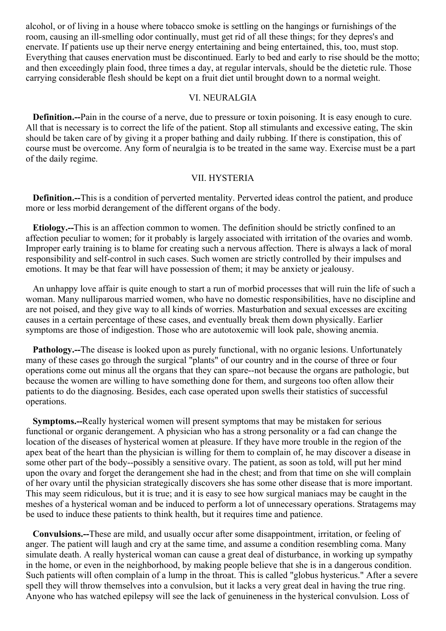alcohol, or of living in a house where tobacco smoke is settling on the hangings or furnishings of the room, causing an ill-smelling odor continually, must get rid of all these things; for they depres's and enervate. If patients use up their nerve energy entertaining and being entertained, this, too, must stop. Everything that causes enervation must be discontinued. Early to bed and early to rise should be the motto; and then exceedingly plain food, three times a day, at regular intervals, should be the dietetic rule. Those carrying considerable flesh should be kept on a fruit diet until brought down to a normal weight.

## VI. NEURALGIA

**Definition.--**Pain in the course of a nerve, due to pressure or toxin poisoning. It is easy enough to cure. All that is necessary is to correct the life of the patient. Stop all stimulants and excessive eating, The skin should be taken care of by giving it a proper bathing and daily rubbing. If there is constipation, this of course must be overcome. Any form of neuralgia is to be treated in the same way. Exercise must be a part of the daily regime.

#### VII. HYSTERIA

**Definition.--**This is a condition of perverted mentality. Perverted ideas control the patient, and produce more or less morbid derangement of the different organs of the body.

**Etiology.--**This is an affection common to women. The definition should be strictly confined to an affection peculiar to women; for it probably is largely associated with irritation of the ovaries and womb. Improper early training is to blame for creating such a nervous affection. There is always a lack of moral responsibility and self-control in such cases. Such women are strictly controlled by their impulses and emotions. It may be that fear will have possession of them; it may be anxiety or jealousy.

An unhappy love affair is quite enough to start a run of morbid processes that will ruin the life of such a woman. Many nulliparous married women, who have no domestic responsibilities, have no discipline and are not poised, and they give way to all kinds of worries. Masturbation and sexual excesses are exciting causes in a certain percentage of these cases, and eventually break them down physically. Earlier symptoms are those of indigestion. Those who are autotoxemic will look pale, showing anemia.

**Pathology.--**The disease is looked upon as purely functional, with no organic lesions. Unfortunately many of these cases go through the surgical "plants" of our country and in the course of three or four operations come out minus all the organs that they can spare--not because the organs are pathologic, but because the women are willing to have something done for them, and surgeons too often allow their patients to do the diagnosing. Besides, each case operated upon swells their statistics of successful operations.

**Symptoms.--**Really hysterical women will present symptoms that may be mistaken for serious functional or organic derangement. A physician who has a strong personality or a fad can change the location of the diseases of hysterical women at pleasure. If they have more trouble in the region of the apex beat of the heart than the physician is willing for them to complain of, he may discover a disease in some other part of the body--possibly a sensitive ovary. The patient, as soon as told, will put her mind upon the ovary and forget the derangement she had in the chest; and from that time on she will complain of her ovary until the physician strategically discovers she has some other disease that is more important. This may seem ridiculous, but it is true; and it is easy to see how surgical maniacs may be caught in the meshes of a hysterical woman and be induced to perform a lot of unnecessary operations. Stratagems may be used to induce these patients to think health, but it requires time and patience.

**Convulsions.--**These are mild, and usually occur after some disappointment, irritation, or feeling of anger. The patient will laugh and cry at the same time, and assume a condition resembling coma. Many simulate death. A really hysterical woman can cause a great deal of disturbance, in working up sympathy in the home, or even in the neighborhood, by making people believe that she is in a dangerous condition. Such patients will often complain of a lump in the throat. This is called "globus hystericus." After a severe spell they will throw themselves into a convulsion, but it lacks a very great deal in having the true ring. Anyone who has watched epilepsy will see the lack of genuineness in the hysterical convulsion. Loss of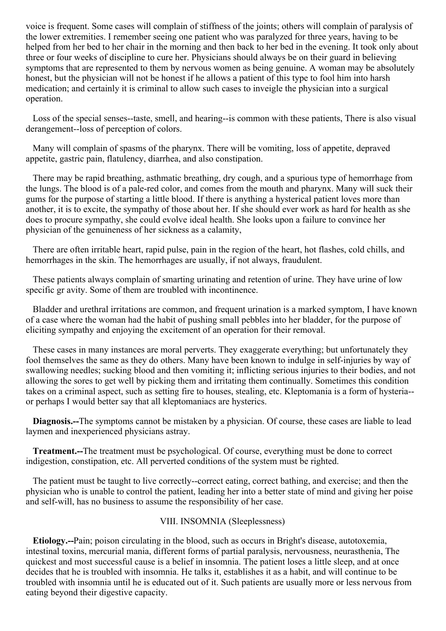voice is frequent. Some cases will complain of stiffness of the joints; others will complain of paralysis of the lower extremities. I remember seeing one patient who was paralyzed for three years, having to be helped from her bed to her chair in the morning and then back to her bed in the evening. It took only about three or four weeks of discipline to cure her. Physicians should always be on their guard in believing symptoms that are represented to them by nervous women as being genuine. A woman may be absolutely honest, but the physician will not be honest if he allows a patient of this type to fool him into harsh medication; and certainly it is criminal to allow such cases to inveigle the physician into a surgical operation.

Loss of the special senses--taste, smell, and hearing--is common with these patients, There is also visual derangement--loss of perception of colors.

Many will complain of spasms of the pharynx. There will be vomiting, loss of appetite, depraved appetite, gastric pain, flatulency, diarrhea, and also constipation.

There may be rapid breathing, asthmatic breathing, dry cough, and a spurious type of hemorrhage from the lungs. The blood is of a pale-red color, and comes from the mouth and pharynx. Many will suck their gums for the purpose of starting a little blood. If there is anything a hysterical patient loves more than another, it is to excite, the sympathy of those about her. If she should ever work as hard for health as she does to procure sympathy, she could evolve ideal health. She looks upon a failure to convince her physician of the genuineness of her sickness as a calamity,

There are often irritable heart, rapid pulse, pain in the region of the heart, hot flashes, cold chills, and hemorrhages in the skin. The hemorrhages are usually, if not always, fraudulent.

These patients always complain of smarting urinating and retention of urine. They have urine of low specific gr avity. Some of them are troubled with incontinence.

Bladder and urethral irritations are common, and frequent urination is a marked symptom, I have known of a case where the woman had the habit of pushing small pebbles into her bladder, for the purpose of eliciting sympathy and enjoying the excitement of an operation for their removal.

These cases in many instances are moral perverts. They exaggerate everything; but unfortunately they fool themselves the same as they do others. Many have been known to indulge in self-injuries by way of swallowing needles; sucking blood and then vomiting it; inflicting serious injuries to their bodies, and not allowing the sores to get well by picking them and irritating them continually. Sometimes this condition takes on a criminal aspect, such as setting fire to houses, stealing, etc. Kleptomania is a form of hysteria- or perhaps I would better say that all kleptomaniacs are hysterics.

**Diagnosis.--**The symptoms cannot be mistaken by a physician. Of course, these cases are liable to lead laymen and inexperienced physicians astray.

**Treatment.--**The treatment must be psychological. Of course, everything must be done to correct indigestion, constipation, etc. All perverted conditions of the system must be righted.

The patient must be taught to live correctly--correct eating, correct bathing, and exercise; and then the physician who is unable to control the patient, leading her into a better state of mind and giving her poise and self-will, has no business to assume the responsibility of her case.

# VIII. INSOMNIA (Sleeplessness)

**Etiology.--**Pain; poison circulating in the blood, such as occurs in Bright's disease, autotoxemia, intestinal toxins, mercurial mania, different forms of partial paralysis, nervousness, neurasthenia, The quickest and most successful cause is a belief in insomnia. The patient loses a little sleep, and at once decides that he is troubled with insomnia. He talks it, establishes it as a habit, and will continue to be troubled with insomnia until he is educated out of it. Such patients are usually more or less nervous from eating beyond their digestive capacity.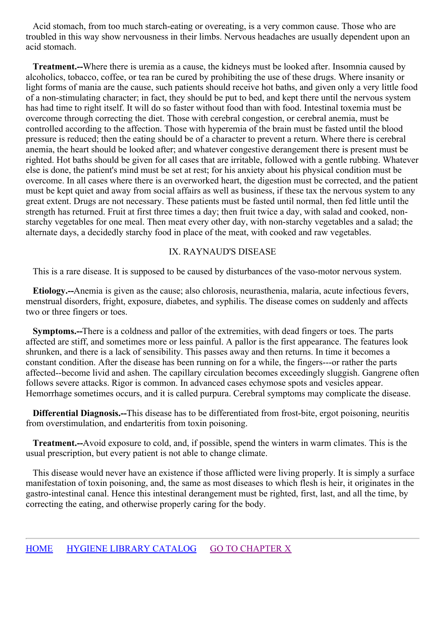Acid stomach, from too much starch-eating or overeating, is a very common cause. Those who are troubled in this way show nervousness in their limbs. Nervous headaches are usually dependent upon an acid stomach.

**Treatment.--**Where there is uremia as a cause, the kidneys must be looked after. Insomnia caused by alcoholics, tobacco, coffee, or tea ran be cured by prohibiting the use of these drugs. Where insanity or light forms of mania are the cause, such patients should receive hot baths, and given only a very little food of a non-stimulating character; in fact, they should be put to bed, and kept there until the nervous system has had time to right itself. It will do so faster without food than with food. Intestinal toxemia must be overcome through correcting the diet. Those with cerebral congestion, or cerebral anemia, must be controlled according to the affection. Those with hyperemia of the brain must be fasted until the blood pressure is reduced; then the eating should be of a character to prevent a return. Where there is cerebral anemia, the heart should be looked after; and whatever congestive derangement there is present must be righted. Hot baths should be given for all cases that are irritable, followed with a gentle rubbing. Whatever else is done, the patient's mind must be set at rest; for his anxiety about his physical condition must be overcome. In all cases where there is an overworked heart, the digestion must be corrected, and the patient must be kept quiet and away from social affairs as well as business, if these tax the nervous system to any great extent. Drugs are not necessary. These patients must be fasted until normal, then fed little until the strength has returned. Fruit at first three times a day; then fruit twice a day, with salad and cooked, nonstarchy vegetables for one meal. Then meat every other day, with non-starchy vegetables and a salad; the alternate days, a decidedly starchy food in place of the meat, with cooked and raw vegetables.

# IX. RAYNAUD'S DISEASE

This is a rare disease. It is supposed to be caused by disturbances of the vaso-motor nervous system.

**Etiology.--**Anemia is given as the cause; also chlorosis, neurasthenia, malaria, acute infectious fevers, menstrual disorders, fright, exposure, diabetes, and syphilis. The disease comes on suddenly and affects two or three fingers or toes.

**Symptoms.--**There is a coldness and pallor of the extremities, with dead fingers or toes. The parts affected are stiff, and sometimes more or less painful. A pallor is the first appearance. The features look shrunken, and there is a lack of sensibility. This passes away and then returns. In time it becomes a constant condition. After the disease has been running on for a while, the fingers---or rather the parts affected--become livid and ashen. The capillary circulation becomes exceedingly sluggish. Gangrene often follows severe attacks. Rigor is common. In advanced cases echymose spots and vesicles appear. Hemorrhage sometimes occurs, and it is called purpura. Cerebral symptoms may complicate the disease.

**Differential Diagnosis.--**This disease has to be differentiated from frost-bite, ergot poisoning, neuritis from overstimulation, and endarteritis from toxin poisoning.

**Treatment.--**Avoid exposure to cold, and, if possible, spend the winters in warm climates. This is the usual prescription, but every patient is not able to change climate.

This disease would never have an existence if those afflicted were living properly. It is simply a surface manifestation of toxin poisoning, and, the same as most diseases to which flesh is heir, it originates in the gastro-intestinal canal. Hence this intestinal derangement must be righted, first, last, and all the time, by correcting the eating, and otherwise properly caring for the body.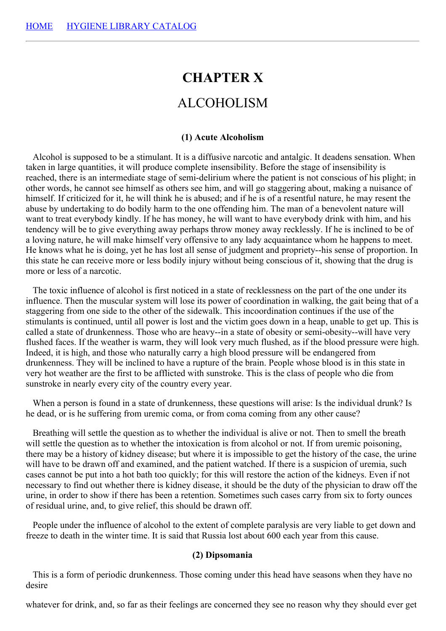# **CHAPTER X**

# ALCOHOLISM

#### **(1) Acute Alcoholism**

Alcohol is supposed to be a stimulant. It is a diffusive narcotic and antalgic. It deadens sensation. When taken in large quantities, it will produce complete insensibility. Before the stage of insensibility is reached, there is an intermediate stage of semi-delirium where the patient is not conscious of his plight; in other words, he cannot see himself as others see him, and will go staggering about, making a nuisance of himself. If criticized for it, he will think he is abused; and if he is of a resentful nature, he may resent the abuse by undertaking to do bodily harm to the one offending him. The man of a benevolent nature will want to treat everybody kindly. If he has money, he will want to have everybody drink with him, and his tendency will be to give everything away perhaps throw money away recklessly. If he is inclined to be of a loving nature, he will make himself very offensive to any lady acquaintance whom he happens to meet. He knows what he is doing, yet he has lost all sense of judgment and propriety--his sense of proportion. In this state he can receive more or less bodily injury without being conscious of it, showing that the drug is more or less of a narcotic.

The toxic influence of alcohol is first noticed in a state of recklessness on the part of the one under its influence. Then the muscular system will lose its power of coordination in walking, the gait being that of a staggering from one side to the other of the sidewalk. This incoordination continues if the use of the stimulants is continued, until all power is lost and the victim goes down in a heap, unable to get up. This is called a state of drunkenness. Those who are heavy--in a state of obesity or semi-obesity--will have very flushed faces. If the weather is warm, they will look very much flushed, as if the blood pressure were high. Indeed, it is high, and those who naturally carry a high blood pressure will be endangered from drunkenness. They will be inclined to have a rupture of the brain. People whose blood is in this state in very hot weather are the first to be afflicted with sunstroke. This is the class of people who die from sunstroke in nearly every city of the country every year.

When a person is found in a state of drunkenness, these questions will arise: Is the individual drunk? Is he dead, or is he suffering from uremic coma, or from coma coming from any other cause?

Breathing will settle the question as to whether the individual is alive or not. Then to smell the breath will settle the question as to whether the intoxication is from alcohol or not. If from uremic poisoning, there may be a history of kidney disease; but where it is impossible to get the history of the case, the urine will have to be drawn off and examined, and the patient watched. If there is a suspicion of uremia, such cases cannot be put into a hot bath too quickly; for this will restore the action of the kidneys. Even if not necessary to find out whether there is kidney disease, it should be the duty of the physician to draw off the urine, in order to show if there has been a retention. Sometimes such cases carry from six to forty ounces of residual urine, and, to give relief, this should be drawn off.

People under the influence of alcohol to the extent of complete paralysis are very liable to get down and freeze to death in the winter time. It is said that Russia lost about 600 each year from this cause.

#### **(2) Dipsomania**

This is a form of periodic drunkenness. Those coming under this head have seasons when they have no desire

whatever for drink, and, so far as their feelings are concerned they see no reason why they should ever get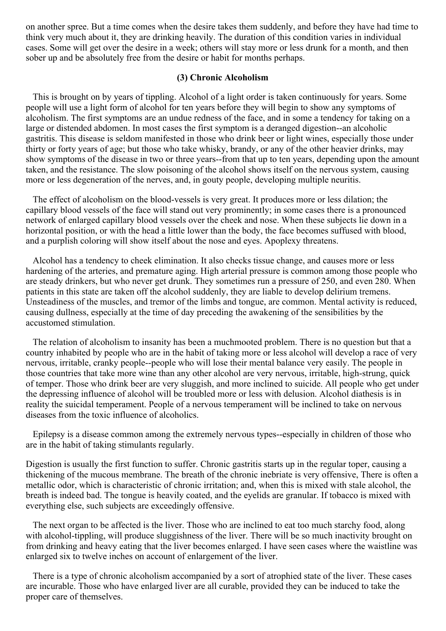<span id="page-136-0"></span>on another spree. But a time comes when the desire takes them suddenly, and before they have had time to think very much about it, they are drinking heavily. The duration of this condition varies in individual cases. Some will get over the desire in a week; others will stay more or less drunk for a month, and then sober up and be absolutely free from the desire or habit for months perhaps.

#### **(3) Chronic Alcoholism**

This is brought on by years of tippling. Alcohol of a light order is taken continuously for years. Some people will use a light form of alcohol for ten years before they will begin to show any symptoms of alcoholism. The first symptoms are an undue redness of the face, and in some a tendency for taking on a large or distended abdomen. In most cases the first symptom is a deranged digestion--an alcoholic gastritis. This disease is seldom manifested in those who drink beer or light wines, especially those under thirty or forty years of age; but those who take whisky, brandy, or any of the other heavier drinks, may show symptoms of the disease in two or three years--from that up to ten years, depending upon the amount taken, and the resistance. The slow poisoning of the alcohol shows itself on the nervous system, causing more or less degeneration of the nerves, and, in gouty people, developing multiple neuritis.

The effect of alcoholism on the blood-vessels is very great. It produces more or less dilation; the capillary blood vessels of the face will stand out very prominently; in some cases there is a pronounced network of enlarged capillary blood vessels over the cheek and nose. When these subjects lie down in a horizontal position, or with the head a little lower than the body, the face becomes suffused with blood, and a purplish coloring will show itself about the nose and eyes. Apoplexy threatens.

Alcohol has a tendency to cheek elimination. It also checks tissue change, and causes more or less hardening of the arteries, and premature aging. High arterial pressure is common among those people who are steady drinkers, but who never get drunk. They sometimes run a pressure of 250, and even 280. When patients in this state are taken off the alcohol suddenly, they are liable to develop delirium tremens. Unsteadiness of the muscles, and tremor of the limbs and tongue, are common. Mental activity is reduced, causing dullness, especially at the time of day preceding the awakening of the sensibilities by the accustomed stimulation.

The relation of alcoholism to insanity has been a muchmooted problem. There is no question but that a country inhabited by people who are in the habit of taking more or less alcohol will develop a race of very nervous, irritable, cranky people--people who will lose their mental balance very easily. The people in those countries that take more wine than any other alcohol are very nervous, irritable, high-strung, quick of temper. Those who drink beer are very sluggish, and more inclined to suicide. All people who get under the depressing influence of alcohol will be troubled more or less with delusion. Alcohol diathesis is in reality the suicidal temperament. People of a nervous temperament will be inclined to take on nervous diseases from the toxic influence of alcoholics.

Epilepsy is a disease common among the extremely nervous types--especially in children of those who are in the habit of taking stimulants regularly.

Digestion is usually the first function to suffer. Chronic gastritis starts up in the regular toper, causing a thickening of the mucous membrane. The breath of the chronic inebriate is very offensive, There is often a metallic odor, which is characteristic of chronic irritation; and, when this is mixed with stale alcohol, the breath is indeed bad. The tongue is heavily coated, and the eyelids are granular. If tobacco is mixed with everything else, such subjects are exceedingly offensive.

The next organ to be affected is the liver. Those who are inclined to eat too much starchy food, along with alcohol-tippling, will produce sluggishness of the liver. There will be so much inactivity brought on from drinking and heavy eating that the liver becomes enlarged. I have seen cases where the waistline was enlarged six to twelve inches on account of enlargement of the liver.

There is a type of chronic alcoholism accompanied by a sort of atrophied state of the liver. These cases are incurable. Those who have enlarged liver are all curable, provided they can be induced to take the proper care of themselves.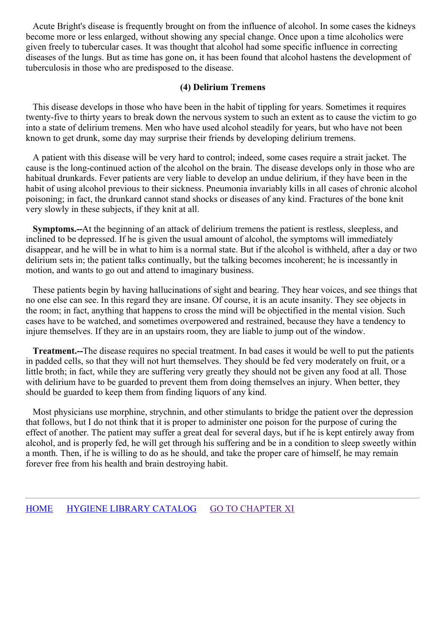Acute Bright's disease is frequently brought on from the influence of alcohol. In some cases the kidneys become more or less enlarged, without showing any special change. Once upon a time alcoholics were given freely to tubercular cases. It was thought that alcohol had some specific influence in correcting diseases of the lungs. But as time has gone on, it has been found that alcohol hastens the development of tuberculosis in those who are predisposed to the disease.

## **(4) Delirium Tremens**

This disease develops in those who have been in the habit of tippling for years. Sometimes it requires twenty-five to thirty years to break down the nervous system to such an extent as to cause the victim to go into a state of delirium tremens. Men who have used alcohol steadily for years, but who have not been known to get drunk, some day may surprise their friends by developing delirium tremens.

A patient with this disease will be very hard to control; indeed, some cases require a strait jacket. The cause is the long-continued action of the alcohol on the brain. The disease develops only in those who are habitual drunkards. Fever patients are very liable to develop an undue delirium, if they have been in the habit of using alcohol previous to their sickness. Pneumonia invariably kills in all cases of chronic alcohol poisoning; in fact, the drunkard cannot stand shocks or diseases of any kind. Fractures of the bone knit very slowly in these subjects, if they knit at all.

**Symptoms.--**At the beginning of an attack of delirium tremens the patient is restless, sleepless, and inclined to be depressed. If he is given the usual amount of alcohol, the symptoms will immediately disappear, and he will be in what to him is a normal state. But if the alcohol is withheld, after a day or two delirium sets in; the patient talks continually, but the talking becomes incoherent; he is incessantly in motion, and wants to go out and attend to imaginary business.

These patients begin by having hallucinations of sight and bearing. They hear voices, and see things that no one else can see. In this regard they are insane. Of course, it is an acute insanity. They see objects in the room; in fact, anything that happens to cross the mind will be objectified in the mental vision. Such cases have to be watched, and sometimes overpowered and restrained, because they have a tendency to injure themselves. If they are in an upstairs room, they are liable to jump out of the window.

**Treatment.--**The disease requires no special treatment. In bad cases it would be well to put the patients in padded cells, so that they will not hurt themselves. They should be fed very moderately on fruit, or a little broth; in fact, while they are suffering very greatly they should not be given any food at all. Those with delirium have to be guarded to prevent them from doing themselves an injury. When better, they should be guarded to keep them from finding liquors of any kind.

Most physicians use morphine, strychnin, and other stimulants to bridge the patient over the depression that follows, but I do not think that it is proper to administer one poison for the purpose of curing the effect of another. The patient may suffer a great deal for several days, but if he is kept entirely away from alcohol, and is properly fed, he will get through his suffering and be in a condition to sleep sweetly within a month. Then, if he is willing to do as he should, and take the proper care of himself, he may remain forever free from his health and brain destroying habit.

#### [HOME](../../../index.html) HYGIENE LIBRARY [CATALOG](../0201hyglibcat.html) GO TO [CHAPTER](#page-138-0) XI